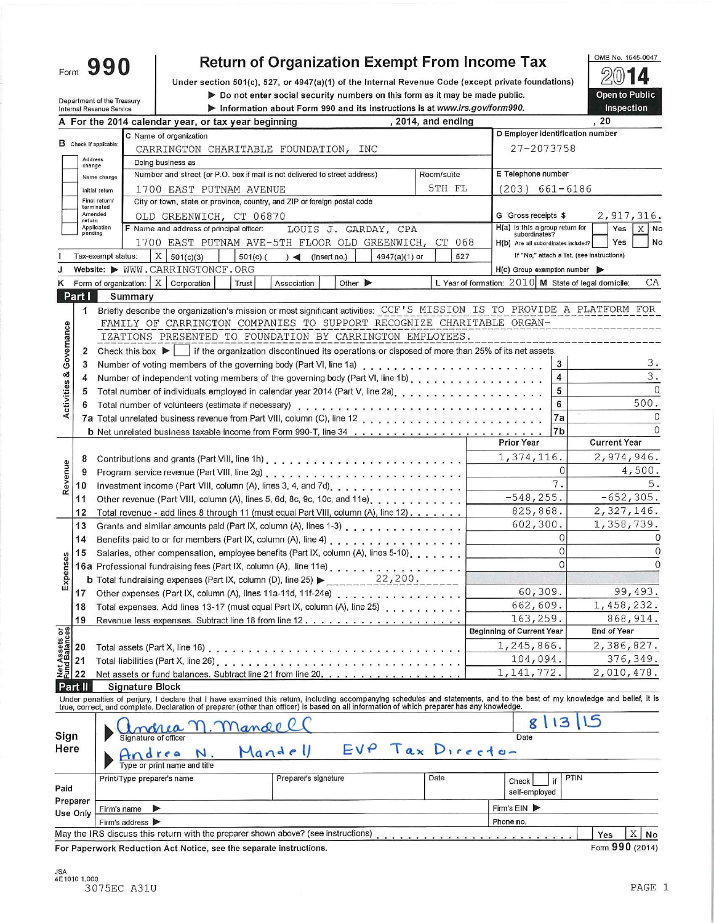Form 990

Department of the Treasury

## **Return of Organization Exempt From Income Tax**

Under section 501(c), 527, or 4947(a)(1) of the Internal Revenue Code (except private foundations)

Do not enter social security numbers on this form as it may be made public.

2014 Open to Public

OMB No. 1545-0047

|                                |                   | Internal Revenue Service                   |                                                                                                                                                                                                                                                                                                                         |                      | Information about Form 990 and its instructions is at www.irs.gov/form990. |                    |        |                                                  |                         | Inspection                                                   |
|--------------------------------|-------------------|--------------------------------------------|-------------------------------------------------------------------------------------------------------------------------------------------------------------------------------------------------------------------------------------------------------------------------------------------------------------------------|----------------------|----------------------------------------------------------------------------|--------------------|--------|--------------------------------------------------|-------------------------|--------------------------------------------------------------|
|                                |                   |                                            | A For the 2014 calendar year, or tax year beginning                                                                                                                                                                                                                                                                     |                      |                                                                            | , 2014, and ending |        |                                                  |                         | , 20                                                         |
|                                |                   |                                            | C Name of organization                                                                                                                                                                                                                                                                                                  |                      |                                                                            |                    |        | D Employer identification number                 |                         |                                                              |
|                                |                   | B Check if applicable:                     | CARRINGTON CHARITABLE FOUNDATION, INC                                                                                                                                                                                                                                                                                   |                      |                                                                            |                    |        | 27-2073758                                       |                         |                                                              |
|                                | Address<br>change |                                            | Doing business as                                                                                                                                                                                                                                                                                                       |                      |                                                                            |                    |        |                                                  |                         |                                                              |
|                                |                   | Name change                                | Number and street (or P.O. box if mail is not delivered to street address)                                                                                                                                                                                                                                              |                      |                                                                            | Room/suite         |        | E Telephone number                               |                         |                                                              |
|                                |                   | Initial return                             | 1700 EAST PUTNAM AVENUE                                                                                                                                                                                                                                                                                                 |                      |                                                                            |                    | 5TH FL | $(203)$ 661-6186                                 |                         |                                                              |
|                                |                   | Final return/<br>terminated                | City or town, state or province, country, and ZIP or foreign postal code                                                                                                                                                                                                                                                |                      |                                                                            |                    |        |                                                  |                         |                                                              |
|                                | return            | Amended                                    | OLD GREENWICH, CT 06870                                                                                                                                                                                                                                                                                                 |                      |                                                                            |                    |        | G Gross receipts \$                              |                         | 2,917,316.                                                   |
|                                | pending           | Application                                | F Name and address of principal officer:                                                                                                                                                                                                                                                                                |                      | LOUIS J. GARDAY, CPA                                                       |                    |        | H(a) is this a group return for<br>subordinates? |                         | $X$ No<br>Yes                                                |
|                                |                   |                                            | 1700 EAST PUTNAM AVE-5TH FLOOR OLD GREENWICH, CT 068                                                                                                                                                                                                                                                                    |                      |                                                                            |                    |        | H(b) Are all subordinates included?              |                         | No<br>Yes                                                    |
|                                |                   | Tax-exempt status:                         | $X \mid 501(c)(3)$<br>$501(c)$ (                                                                                                                                                                                                                                                                                        | $)$ (insert no.)     | 4947(a)(1) or                                                              |                    | 527    |                                                  |                         | If "No," attach a list. (see instructions)                   |
|                                |                   |                                            | Website: WWW.CARRINGTONCF.ORG                                                                                                                                                                                                                                                                                           |                      |                                                                            |                    |        | $H(c)$ Group exemption number                    |                         |                                                              |
|                                |                   | Form of organization: $X \mid$ Corporation | Trust                                                                                                                                                                                                                                                                                                                   | Association          | Other $\blacktriangleright$                                                |                    |        |                                                  |                         | L Year of formation: $2010$ M State of legal domicile:<br>CA |
|                                | Part I            | Summary                                    |                                                                                                                                                                                                                                                                                                                         |                      |                                                                            |                    |        |                                                  |                         |                                                              |
|                                | 1.                |                                            | Briefly describe the organization's mission or most significant activities: CCF'S MISSION IS TO PROVIDE A PLATFORM FOR                                                                                                                                                                                                  |                      |                                                                            |                    |        |                                                  |                         |                                                              |
|                                |                   |                                            | FAMILY OF CARRINGTON COMPANIES TO SUPPORT RECOGNIZE CHARITABLE ORGAN-                                                                                                                                                                                                                                                   |                      |                                                                            |                    |        |                                                  |                         |                                                              |
|                                |                   |                                            | IZATIONS PRESENTED TO FOUNDATION BY CARRINGTON EMPLOYEES.                                                                                                                                                                                                                                                               |                      |                                                                            |                    |        |                                                  |                         |                                                              |
| Governance                     | 2                 |                                            | Check this box $\blacktriangleright$ if the organization discontinued its operations or disposed of more than 25% of its net assets.                                                                                                                                                                                    |                      |                                                                            |                    |        |                                                  |                         |                                                              |
|                                | 3                 |                                            |                                                                                                                                                                                                                                                                                                                         |                      |                                                                            |                    |        |                                                  | 3                       | з.                                                           |
|                                | 4                 |                                            |                                                                                                                                                                                                                                                                                                                         |                      |                                                                            |                    |        |                                                  | $\overline{\mathbf{4}}$ | 3.                                                           |
| Activities &                   | 5                 |                                            |                                                                                                                                                                                                                                                                                                                         |                      |                                                                            |                    |        |                                                  | 5                       | $\Omega$                                                     |
|                                |                   |                                            |                                                                                                                                                                                                                                                                                                                         |                      |                                                                            |                    |        |                                                  | 6                       | 500.                                                         |
|                                |                   |                                            |                                                                                                                                                                                                                                                                                                                         |                      |                                                                            |                    |        |                                                  | 7a                      | 0                                                            |
|                                |                   |                                            |                                                                                                                                                                                                                                                                                                                         |                      |                                                                            |                    |        |                                                  | 7b                      | $\Omega$                                                     |
|                                |                   |                                            |                                                                                                                                                                                                                                                                                                                         |                      |                                                                            |                    |        | <b>Prior Year</b>                                |                         | <b>Current Year</b>                                          |
|                                | 8                 |                                            |                                                                                                                                                                                                                                                                                                                         |                      |                                                                            |                    |        | 1,374,116.                                       |                         | 2,974,946.                                                   |
|                                | 9                 |                                            |                                                                                                                                                                                                                                                                                                                         |                      |                                                                            |                    |        |                                                  | $\Omega$                | 4,500.                                                       |
| Revenue                        | 10                |                                            |                                                                                                                                                                                                                                                                                                                         |                      |                                                                            |                    |        |                                                  | 7.                      |                                                              |
|                                | 11                |                                            | Other revenue (Part VIII, column (A), lines 5, 6d, 8c, 9c, 10c, and 11e).                                                                                                                                                                                                                                               |                      |                                                                            |                    |        | $-548, 255.$                                     |                         | $-652, 305.$                                                 |
|                                | 12                |                                            | Total revenue - add lines 8 through 11 (must equal Part VIII, column $(A)$ , line 12).                                                                                                                                                                                                                                  |                      |                                                                            |                    |        | 825,868.                                         |                         | 2,327,146.                                                   |
|                                | 13                |                                            |                                                                                                                                                                                                                                                                                                                         |                      |                                                                            |                    |        | 602,300.                                         |                         | 1,358,739.                                                   |
|                                |                   |                                            |                                                                                                                                                                                                                                                                                                                         |                      |                                                                            |                    |        |                                                  | $\Omega$                |                                                              |
|                                | 14                |                                            |                                                                                                                                                                                                                                                                                                                         |                      |                                                                            |                    |        |                                                  | $\Omega$                |                                                              |
| Expenses                       | 15                |                                            | Salaries, other compensation, employee benefits (Part IX, column (A), lines 5-10).                                                                                                                                                                                                                                      |                      |                                                                            |                    |        |                                                  | $\Omega$                | $\Omega$                                                     |
|                                |                   |                                            | 16a Professional fundraising fees (Part IX, column (A), line 11e)                                                                                                                                                                                                                                                       |                      | 22,200.                                                                    |                    |        |                                                  |                         |                                                              |
|                                |                   |                                            | <b>b</b> Total fundraising expenses (Part IX, column (D), line 25) >                                                                                                                                                                                                                                                    |                      |                                                                            |                    |        | 60,309.                                          |                         | 99,493.                                                      |
|                                | 17                |                                            | Other expenses (Part IX, column (A), lines 11a-11d, 11f-24e)                                                                                                                                                                                                                                                            |                      |                                                                            |                    |        | 662,609.                                         |                         | 1,458,232.                                                   |
|                                | 18                |                                            | Total expenses. Add lines 13-17 (must equal Part IX, column (A), line 25)                                                                                                                                                                                                                                               |                      |                                                                            |                    |        |                                                  |                         | 868,914.                                                     |
|                                | 19                |                                            |                                                                                                                                                                                                                                                                                                                         |                      |                                                                            |                    |        | 163,259.<br><b>Beginning of Current Year</b>     |                         | <b>End of Year</b>                                           |
|                                |                   |                                            |                                                                                                                                                                                                                                                                                                                         |                      |                                                                            |                    |        |                                                  |                         |                                                              |
|                                | 20                | Total assets (Part X, line 16)             |                                                                                                                                                                                                                                                                                                                         | .                    |                                                                            |                    |        | 1,245,866.                                       |                         | 2,386,827.                                                   |
| Net Assets or<br>Fund Balances | 21                |                                            | Total liabilities (Part X, line 26).                                                                                                                                                                                                                                                                                    | .                    |                                                                            |                    |        | 104,094.                                         |                         | 376,349.                                                     |
|                                | 22                |                                            | Net assets or fund balances. Subtract line 21 from line 20                                                                                                                                                                                                                                                              |                      |                                                                            |                    |        | 1, 141, 772.                                     |                         | 2,010,478.                                                   |
|                                | <b>Part II</b>    | <b>Signature Block</b>                     |                                                                                                                                                                                                                                                                                                                         |                      |                                                                            |                    |        |                                                  |                         |                                                              |
|                                |                   |                                            | Under penalties of perjury, I declare that I have examined this retum, including accompanying schedules and statements, and to the best of my knowledge and belief, it is<br>true, correct, and complete. Declaration of preparer (other than officer) is based on all information of which preparer has any knowledge. |                      |                                                                            |                    |        |                                                  |                         |                                                              |
|                                |                   |                                            |                                                                                                                                                                                                                                                                                                                         |                      |                                                                            |                    |        | 8                                                | 13                      |                                                              |
| Sign                           |                   | Signature of officer                       | Mande                                                                                                                                                                                                                                                                                                                   |                      |                                                                            |                    |        | Date                                             |                         |                                                              |
| Here                           |                   |                                            |                                                                                                                                                                                                                                                                                                                         | Mandell              | $EVP$ $Tax$ $Directo-$                                                     |                    |        |                                                  |                         |                                                              |
|                                |                   |                                            |                                                                                                                                                                                                                                                                                                                         |                      |                                                                            |                    |        |                                                  |                         |                                                              |
|                                |                   |                                            | Type or print name and title                                                                                                                                                                                                                                                                                            |                      |                                                                            |                    |        |                                                  |                         |                                                              |
| Paid                           |                   | Print/Type preparer's name                 |                                                                                                                                                                                                                                                                                                                         | Preparer's signature |                                                                            | Date               |        | Check                                            | PTIN<br>if              |                                                              |
|                                | Preparer          |                                            |                                                                                                                                                                                                                                                                                                                         |                      |                                                                            |                    |        | self-employed                                    |                         |                                                              |
|                                | Use Only          | Firm's name                                | ⋗                                                                                                                                                                                                                                                                                                                       |                      |                                                                            |                    |        | Firm's $EIN$                                     |                         |                                                              |
|                                |                   | Firm's address >                           |                                                                                                                                                                                                                                                                                                                         |                      |                                                                            |                    |        | Phone no.                                        |                         |                                                              |
|                                |                   |                                            | May the IRS discuss this return with the preparer shown above? (see instructions)                                                                                                                                                                                                                                       |                      |                                                                            |                    |        |                                                  |                         | X<br>Yes<br>No                                               |
|                                |                   |                                            | For Paperwork Reduction Act Notice, see the separate instructions.                                                                                                                                                                                                                                                      |                      |                                                                            |                    |        |                                                  |                         | Form 990 (2014)                                              |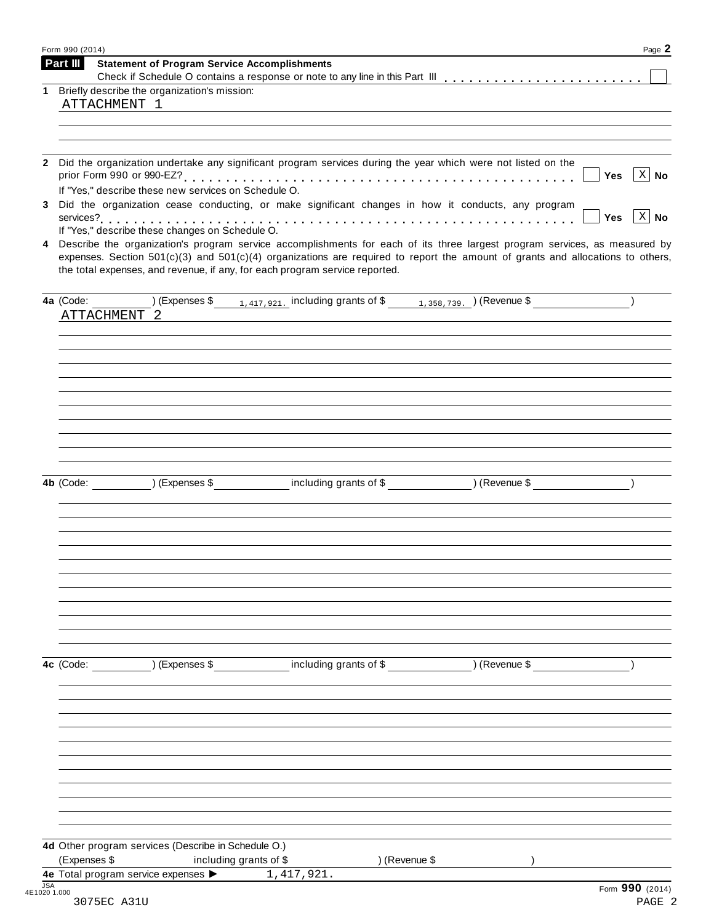|              | Part III     | <b>Statement of Program Service Accomplishments</b>           |                                                                                                                                                                                                                                                                                                                                                 |               |                             |
|--------------|--------------|---------------------------------------------------------------|-------------------------------------------------------------------------------------------------------------------------------------------------------------------------------------------------------------------------------------------------------------------------------------------------------------------------------------------------|---------------|-----------------------------|
| 1.           | ATTACHMENT 1 | Briefly describe the organization's mission:                  |                                                                                                                                                                                                                                                                                                                                                 |               |                             |
|              |              |                                                               |                                                                                                                                                                                                                                                                                                                                                 |               |                             |
| $\mathbf{2}$ |              |                                                               | Did the organization undertake any significant program services during the year which were not listed on the                                                                                                                                                                                                                                    |               |                             |
|              |              | If "Yes," describe these new services on Schedule O.          |                                                                                                                                                                                                                                                                                                                                                 |               | $\vert$ X $\vert$ No<br>Yes |
| 3            |              |                                                               | Did the organization cease conducting, or make significant changes in how it conducts, any program                                                                                                                                                                                                                                              |               | $\vert$ X $\vert$ No<br>Yes |
| 4            |              | If "Yes," describe these changes on Schedule O.               | Describe the organization's program service accomplishments for each of its three largest program services, as measured by<br>expenses. Section $501(c)(3)$ and $501(c)(4)$ organizations are required to report the amount of grants and allocations to others,<br>the total expenses, and revenue, if any, for each program service reported. |               |                             |
|              |              |                                                               | 4a (Code: $\frac{1}{417,921}$ including grants of \$ $\frac{1}{1,358,739}$ (Revenue \$ $\frac{1}{417}$ )                                                                                                                                                                                                                                        |               |                             |
|              | ATTACHMENT 2 |                                                               |                                                                                                                                                                                                                                                                                                                                                 |               |                             |
|              |              |                                                               |                                                                                                                                                                                                                                                                                                                                                 |               |                             |
|              |              |                                                               |                                                                                                                                                                                                                                                                                                                                                 |               |                             |
|              |              |                                                               |                                                                                                                                                                                                                                                                                                                                                 |               |                             |
|              |              |                                                               |                                                                                                                                                                                                                                                                                                                                                 |               |                             |
|              |              |                                                               |                                                                                                                                                                                                                                                                                                                                                 |               |                             |
|              |              |                                                               | 4b (Code: ____________) (Expenses \$______________including grants of \$_____________) (Revenue \$_______________)                                                                                                                                                                                                                              |               |                             |
|              |              |                                                               |                                                                                                                                                                                                                                                                                                                                                 |               |                             |
|              |              |                                                               |                                                                                                                                                                                                                                                                                                                                                 |               |                             |
|              |              |                                                               |                                                                                                                                                                                                                                                                                                                                                 |               |                             |
|              |              |                                                               |                                                                                                                                                                                                                                                                                                                                                 |               |                             |
|              |              |                                                               |                                                                                                                                                                                                                                                                                                                                                 |               |                             |
|              |              |                                                               |                                                                                                                                                                                                                                                                                                                                                 |               |                             |
|              |              |                                                               |                                                                                                                                                                                                                                                                                                                                                 |               |                             |
|              | 4c (Code:    | ) (Expenses \$                                                | including grants of \$                                                                                                                                                                                                                                                                                                                          | ) (Revenue \$ |                             |
|              |              |                                                               |                                                                                                                                                                                                                                                                                                                                                 |               |                             |
|              |              |                                                               |                                                                                                                                                                                                                                                                                                                                                 |               |                             |
|              |              |                                                               |                                                                                                                                                                                                                                                                                                                                                 |               |                             |
|              |              |                                                               |                                                                                                                                                                                                                                                                                                                                                 |               |                             |
|              |              |                                                               |                                                                                                                                                                                                                                                                                                                                                 |               |                             |
|              |              |                                                               |                                                                                                                                                                                                                                                                                                                                                 |               |                             |
|              |              | 4d Other program services (Describe in Schedule O.)           |                                                                                                                                                                                                                                                                                                                                                 |               |                             |
|              | (Expenses \$ | including grants of \$<br>4e Total program service expenses > | ) (Revenue \$                                                                                                                                                                                                                                                                                                                                   |               |                             |
|              |              |                                                               | 1,417,921.                                                                                                                                                                                                                                                                                                                                      |               |                             |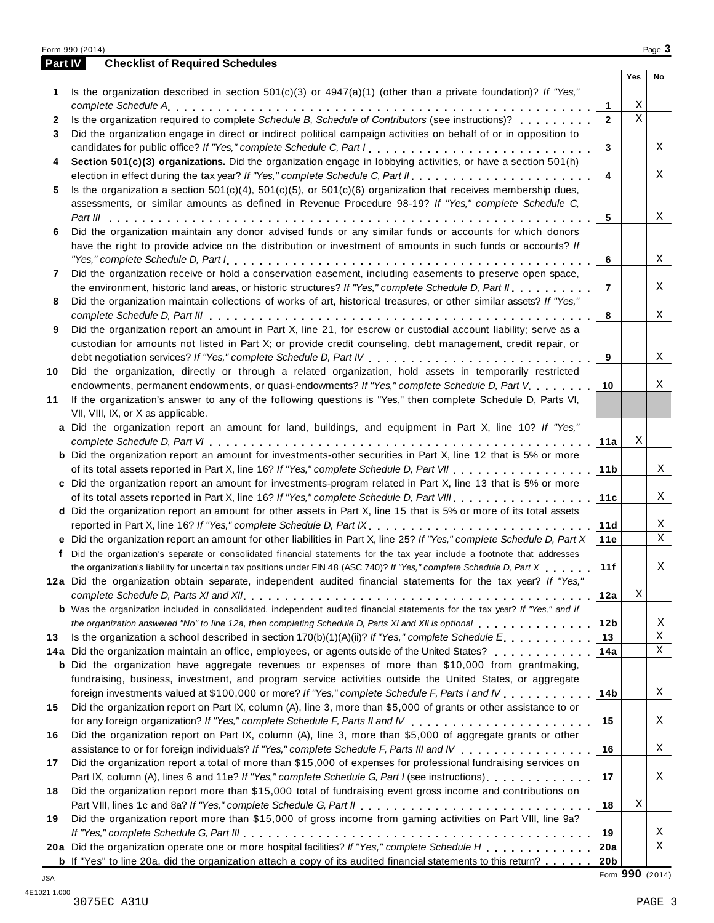|         | Form 990 (2014)                                                                                                                                                                                       |                        |                  | Page 3 |
|---------|-------------------------------------------------------------------------------------------------------------------------------------------------------------------------------------------------------|------------------------|------------------|--------|
| Part IV | <b>Checklist of Required Schedules</b>                                                                                                                                                                |                        |                  |        |
|         |                                                                                                                                                                                                       |                        | Yes              | No     |
| 1       | Is the organization described in section $501(c)(3)$ or $4947(a)(1)$ (other than a private foundation)? If "Yes,"                                                                                     |                        |                  |        |
|         |                                                                                                                                                                                                       | 1                      | X<br>$\mathbf X$ |        |
| 2       | Is the organization required to complete Schedule B, Schedule of Contributors (see instructions)?                                                                                                     | $\overline{2}$         |                  |        |
| 3       | Did the organization engage in direct or indirect political campaign activities on behalf of or in opposition to                                                                                      | 3                      |                  | Χ      |
| 4       | Section 501(c)(3) organizations. Did the organization engage in lobbying activities, or have a section 501(h)                                                                                         |                        |                  |        |
|         |                                                                                                                                                                                                       | 4                      |                  | X      |
| 5       | Is the organization a section $501(c)(4)$ , $501(c)(5)$ , or $501(c)(6)$ organization that receives membership dues,                                                                                  |                        |                  |        |
|         | assessments, or similar amounts as defined in Revenue Procedure 98-19? If "Yes," complete Schedule C,                                                                                                 |                        |                  |        |
|         |                                                                                                                                                                                                       | 5                      |                  | Χ      |
| 6       | Did the organization maintain any donor advised funds or any similar funds or accounts for which donors                                                                                               |                        |                  |        |
|         | have the right to provide advice on the distribution or investment of amounts in such funds or accounts? If                                                                                           |                        |                  |        |
|         |                                                                                                                                                                                                       | 6                      |                  | X      |
| 7       | Did the organization receive or hold a conservation easement, including easements to preserve open space,                                                                                             |                        |                  |        |
|         | the environment, historic land areas, or historic structures? If "Yes," complete Schedule D, Part II                                                                                                  | $\overline{7}$         |                  | X      |
| 8       | Did the organization maintain collections of works of art, historical treasures, or other similar assets? If "Yes,"                                                                                   |                        |                  |        |
|         |                                                                                                                                                                                                       | 8                      |                  | X      |
| 9       | Did the organization report an amount in Part X, line 21, for escrow or custodial account liability; serve as a                                                                                       |                        |                  |        |
|         | custodian for amounts not listed in Part X; or provide credit counseling, debt management, credit repair, or                                                                                          |                        |                  |        |
|         |                                                                                                                                                                                                       | 9                      |                  | X      |
| 10      | Did the organization, directly or through a related organization, hold assets in temporarily restricted                                                                                               |                        |                  |        |
|         | endowments, permanent endowments, or quasi-endowments? If "Yes," complete Schedule D, Part V. ,                                                                                                       | 10                     |                  | Χ      |
| 11      | If the organization's answer to any of the following questions is "Yes," then complete Schedule D, Parts VI,                                                                                          |                        |                  |        |
|         | VII, VIII, IX, or X as applicable.                                                                                                                                                                    |                        |                  |        |
|         | a Did the organization report an amount for land, buildings, and equipment in Part X, line 10? If "Yes,"                                                                                              |                        |                  |        |
|         |                                                                                                                                                                                                       | 11a                    | Χ                |        |
|         | <b>b</b> Did the organization report an amount for investments-other securities in Part X, line 12 that is 5% or more                                                                                 |                        |                  | X      |
|         | c Did the organization report an amount for investments-program related in Part X, line 13 that is 5% or more                                                                                         | 11 <sub>b</sub>        |                  |        |
|         |                                                                                                                                                                                                       | 11c                    |                  | X      |
|         | d Did the organization report an amount for other assets in Part X, line 15 that is 5% or more of its total assets                                                                                    |                        |                  |        |
|         | reported in Part X, line 16? If "Yes," complete Schedule D, Part IX.                                                                                                                                  | 11d                    |                  | Χ      |
|         | e Did the organization report an amount for other liabilities in Part X, line 25? If "Yes," complete Schedule D, Part X                                                                               | 11e                    |                  | Χ      |
|         | f Did the organization's separate or consolidated financial statements for the tax year include a footnote that addresses                                                                             |                        |                  |        |
|         | the organization's liability for uncertain tax positions under FIN 48 (ASC 740)? If "Yes," complete Schedule D, Part X                                                                                | 11f                    |                  | Χ      |
|         | 12a Did the organization obtain separate, independent audited financial statements for the tax year? If "Yes,"                                                                                        |                        |                  |        |
|         |                                                                                                                                                                                                       | 12a                    | Χ                |        |
|         | <b>b</b> Was the organization included in consolidated, independent audited financial statements for the tax year? If "Yes," and if                                                                   |                        |                  |        |
|         | the organization answered "No" to line 12a, then completing Schedule D, Parts XI and XII is optional entertainment of the state of the top of the completing Schedule D, Parts XI and XII is optional | 12b                    |                  | Χ      |
| 13      | Is the organization a school described in section $170(b)(1)(A)(ii)?$ If "Yes," complete Schedule E.                                                                                                  | 13                     |                  | Χ      |
|         | 14a Did the organization maintain an office, employees, or agents outside of the United States?                                                                                                       | 14a                    |                  | Χ      |
|         | <b>b</b> Did the organization have aggregate revenues or expenses of more than \$10,000 from grantmaking,                                                                                             |                        |                  |        |
|         | fundraising, business, investment, and program service activities outside the United States, or aggregate                                                                                             |                        |                  |        |
|         | foreign investments valued at \$100,000 or more? If "Yes," complete Schedule F, Parts I and IV                                                                                                        | 14b                    |                  | Χ      |
| 15      | Did the organization report on Part IX, column (A), line 3, more than \$5,000 of grants or other assistance to or                                                                                     |                        |                  |        |
|         |                                                                                                                                                                                                       | 15                     |                  | Χ      |
| 16      | Did the organization report on Part IX, column (A), line 3, more than \$5,000 of aggregate grants or other                                                                                            |                        |                  |        |
|         | assistance to or for foreign individuals? If "Yes," complete Schedule F, Parts III and IV                                                                                                             | 16                     |                  | Χ      |
| 17      | Did the organization report a total of more than \$15,000 of expenses for professional fundraising services on                                                                                        |                        |                  |        |
|         | Part IX, column (A), lines 6 and 11e? If "Yes," complete Schedule G, Part I (see instructions)                                                                                                        | 17                     |                  | Χ      |
| 18      | Did the organization report more than \$15,000 total of fundraising event gross income and contributions on                                                                                           |                        |                  |        |
|         |                                                                                                                                                                                                       | 18                     | X                |        |
| 19      | Did the organization report more than \$15,000 of gross income from gaming activities on Part VIII, line 9a?                                                                                          |                        |                  |        |
|         | 20a Did the organization operate one or more hospital facilities? If "Yes," complete Schedule H                                                                                                       | 19                     |                  | Χ<br>Χ |
|         | <b>b</b> If "Yes" to line 20a, did the organization attach a copy of its audited financial statements to this return?                                                                                 | 20a<br>20 <sub>b</sub> |                  |        |
|         |                                                                                                                                                                                                       |                        |                  |        |

Form **990** (2014) JSA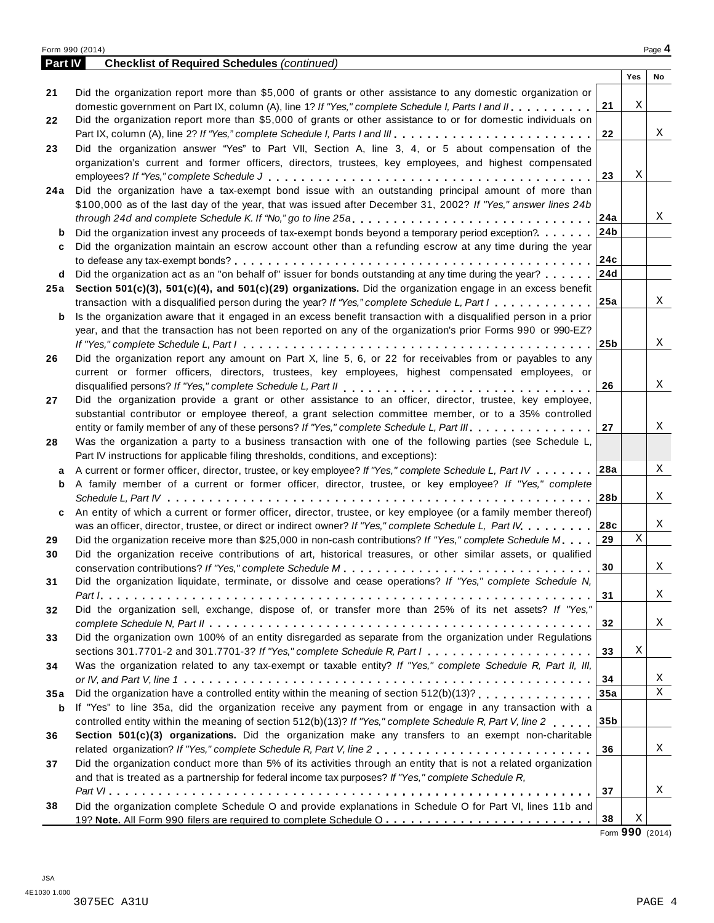|         | Form 990 (2014)                                                                                                                   |                 |     | Page 4 |
|---------|-----------------------------------------------------------------------------------------------------------------------------------|-----------------|-----|--------|
| Part IV | <b>Checklist of Required Schedules (continued)</b>                                                                                |                 |     |        |
|         |                                                                                                                                   |                 | Yes | No     |
| 21      | Did the organization report more than \$5,000 of grants or other assistance to any domestic organization or                       |                 |     |        |
|         | domestic government on Part IX, column (A), line 1? If "Yes," complete Schedule I, Parts I and II.                                | 21              | Χ   |        |
| 22      | Did the organization report more than \$5,000 of grants or other assistance to or for domestic individuals on                     |                 |     |        |
|         |                                                                                                                                   | 22              |     | Χ      |
| 23      | Did the organization answer "Yes" to Part VII, Section A, line 3, 4, or 5 about compensation of the                               |                 |     |        |
|         | organization's current and former officers, directors, trustees, key employees, and highest compensated                           |                 |     |        |
|         |                                                                                                                                   | 23              | Χ   |        |
| 24 a    | Did the organization have a tax-exempt bond issue with an outstanding principal amount of more than                               |                 |     |        |
|         | \$100,000 as of the last day of the year, that was issued after December 31, 2002? If "Yes," answer lines 24b                     |                 |     |        |
|         |                                                                                                                                   | 24a             |     | Χ      |
| b       | Did the organization invest any proceeds of tax-exempt bonds beyond a temporary period exception?                                 | 24b             |     |        |
|         | Did the organization maintain an escrow account other than a refunding escrow at any time during the year                         |                 |     |        |
| c       |                                                                                                                                   | 24c             |     |        |
|         |                                                                                                                                   |                 |     |        |
| d       | Did the organization act as an "on behalf of" issuer for bonds outstanding at any time during the year?                           | 24d             |     |        |
| 25 a    | Section 501(c)(3), 501(c)(4), and 501(c)(29) organizations. Did the organization engage in an excess benefit                      |                 |     |        |
|         | transaction with a disqualified person during the year? If "Yes," complete Schedule L, Part I                                     | 25a             |     | Χ      |
| b       | Is the organization aware that it engaged in an excess benefit transaction with a disqualified person in a prior                  |                 |     |        |
|         | year, and that the transaction has not been reported on any of the organization's prior Forms 990 or 990-EZ?                      |                 |     |        |
|         |                                                                                                                                   | 25 <sub>b</sub> |     | X      |
| 26      | Did the organization report any amount on Part X, line 5, 6, or 22 for receivables from or payables to any                        |                 |     |        |
|         | current or former officers, directors, trustees, key employees, highest compensated employees, or                                 |                 |     |        |
|         |                                                                                                                                   | 26              |     | X      |
| 27      | Did the organization provide a grant or other assistance to an officer, director, trustee, key employee,                          |                 |     |        |
|         | substantial contributor or employee thereof, a grant selection committee member, or to a 35% controlled                           |                 |     |        |
|         | entity or family member of any of these persons? If "Yes," complete Schedule L, Part III.                                         | 27              |     | X      |
| 28      | Was the organization a party to a business transaction with one of the following parties (see Schedule L,                         |                 |     |        |
|         | Part IV instructions for applicable filing thresholds, conditions, and exceptions):                                               |                 |     |        |
| a       | A current or former officer, director, trustee, or key employee? If "Yes," complete Schedule L, Part IV 28a                       |                 |     | X      |
| b       | A family member of a current or former officer, director, trustee, or key employee? If "Yes," complete                            |                 |     |        |
|         |                                                                                                                                   | 28b             |     | X      |
| c       | An entity of which a current or former officer, director, trustee, or key employee (or a family member thereof)                   |                 |     |        |
|         | was an officer, director, trustee, or direct or indirect owner? If "Yes," complete Schedule L, Part IV.                           | 28c             |     | X      |
| 29      | Did the organization receive more than \$25,000 in non-cash contributions? If "Yes," complete Schedule M.                         | 29              | X   |        |
| 30      | Did the organization receive contributions of art, historical treasures, or other similar assets, or qualified                    |                 |     |        |
|         |                                                                                                                                   | $30\,$          |     | Χ      |
| 31      | Did the organization liquidate, terminate, or dissolve and cease operations? If "Yes," complete Schedule N,                       |                 |     |        |
|         |                                                                                                                                   | 31              |     | X      |
| 32      | Did the organization sell, exchange, dispose of, or transfer more than 25% of its net assets? If "Yes,"                           |                 |     |        |
|         |                                                                                                                                   | 32              |     | Χ      |
| 33      | Did the organization own 100% of an entity disregarded as separate from the organization under Regulations                        |                 |     |        |
|         | sections 301.7701-2 and 301.7701-3? If "Yes," complete Schedule R, Part $l_1, \ldots, l_l, \ldots, l_l, \ldots, l_l, \ldots, l_l$ | 33              | Χ   |        |
| 34      | Was the organization related to any tax-exempt or taxable entity? If "Yes," complete Schedule R, Part II, III,                    |                 |     |        |
|         |                                                                                                                                   | 34              |     | X      |
|         |                                                                                                                                   | 35a             |     | X      |
| 35 a    |                                                                                                                                   |                 |     |        |
| b       | If "Yes" to line 35a, did the organization receive any payment from or engage in any transaction with a                           |                 |     |        |
|         | controlled entity within the meaning of section 512(b)(13)? If "Yes," complete Schedule R, Part V, line 2                         | 35b             |     |        |
| 36      | Section 501(c)(3) organizations. Did the organization make any transfers to an exempt non-charitable                              |                 |     |        |
|         |                                                                                                                                   | 36              |     | X      |
| 37      | Did the organization conduct more than 5% of its activities through an entity that is not a related organization                  |                 |     |        |
|         | and that is treated as a partnership for federal income tax purposes? If "Yes," complete Schedule R,                              |                 |     |        |
|         |                                                                                                                                   | 37              |     | Χ      |
| 38      | Did the organization complete Schedule O and provide explanations in Schedule O for Part VI, lines 11b and                        |                 |     |        |
|         |                                                                                                                                   | 38              | Χ   |        |

Form **990** (2014)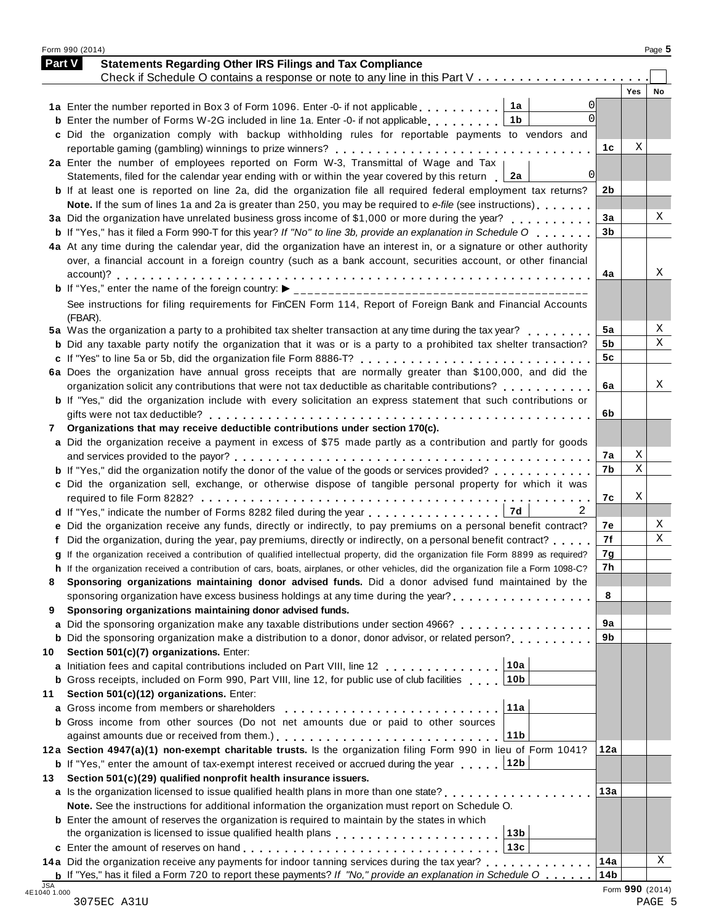|    | Part V<br><b>Statements Regarding Other IRS Filings and Tax Compliance</b>                                                                                                                                                                                                                 |                |            |    |
|----|--------------------------------------------------------------------------------------------------------------------------------------------------------------------------------------------------------------------------------------------------------------------------------------------|----------------|------------|----|
|    | Check if Schedule O contains a response or note to any line in this Part V                                                                                                                                                                                                                 |                | <b>Yes</b> | No |
|    | $\Omega$                                                                                                                                                                                                                                                                                   |                |            |    |
|    | $\Omega$<br>1 <sub>b</sub><br><b>b</b> Enter the number of Forms W-2G included in line 1a. Enter -0- if not applicable $\ldots$ ,,,,,,                                                                                                                                                     |                |            |    |
|    | c Did the organization comply with backup withholding rules for reportable payments to vendors and                                                                                                                                                                                         |                |            |    |
|    |                                                                                                                                                                                                                                                                                            | 1c             | Χ          |    |
|    | 2a Enter the number of employees reported on Form W-3, Transmittal of Wage and Tax                                                                                                                                                                                                         |                |            |    |
|    | $\Omega$<br>2a<br>Statements, filed for the calendar year ending with or within the year covered by this return                                                                                                                                                                            |                |            |    |
|    | b If at least one is reported on line 2a, did the organization file all required federal employment tax returns?                                                                                                                                                                           | 2b             |            |    |
|    | Note. If the sum of lines 1a and 2a is greater than 250, you may be required to e-file (see instructions)                                                                                                                                                                                  |                |            |    |
|    | 3a Did the organization have unrelated business gross income of \$1,000 or more during the year?                                                                                                                                                                                           | 3a             |            | Χ  |
|    | <b>b</b> If "Yes," has it filed a Form 990-T for this year? If "No" to line 3b, provide an explanation in Schedule O                                                                                                                                                                       | 3 <sub>b</sub> |            |    |
|    | 4a At any time during the calendar year, did the organization have an interest in, or a signature or other authority                                                                                                                                                                       |                |            |    |
|    | over, a financial account in a foreign country (such as a bank account, securities account, or other financial                                                                                                                                                                             |                |            |    |
|    |                                                                                                                                                                                                                                                                                            | 4a             |            | Χ  |
|    |                                                                                                                                                                                                                                                                                            |                |            |    |
|    |                                                                                                                                                                                                                                                                                            |                |            |    |
|    | See instructions for filing requirements for FinCEN Form 114, Report of Foreign Bank and Financial Accounts                                                                                                                                                                                |                |            |    |
|    | (FBAR).<br>5a Was the organization a party to a prohibited tax shelter transaction at any time during the tax year?                                                                                                                                                                        | 5a             |            | Χ  |
|    | <b>b</b> Did any taxable party notify the organization that it was or is a party to a prohibited tax shelter transaction?                                                                                                                                                                  | 5b             |            | X  |
|    |                                                                                                                                                                                                                                                                                            | 5 <sub>c</sub> |            |    |
|    | 6a Does the organization have annual gross receipts that are normally greater than \$100,000, and did the                                                                                                                                                                                  |                |            |    |
|    | organization solicit any contributions that were not tax deductible as charitable contributions?                                                                                                                                                                                           | 6a             |            | Χ  |
|    | <b>b</b> If "Yes," did the organization include with every solicitation an express statement that such contributions or                                                                                                                                                                    |                |            |    |
|    |                                                                                                                                                                                                                                                                                            | 6b             |            |    |
| 7  | Organizations that may receive deductible contributions under section 170(c).                                                                                                                                                                                                              |                |            |    |
|    | a Did the organization receive a payment in excess of \$75 made partly as a contribution and partly for goods                                                                                                                                                                              |                |            |    |
|    |                                                                                                                                                                                                                                                                                            | 7а             | Χ          |    |
|    | <b>b</b> If "Yes," did the organization notify the donor of the value of the goods or services provided?                                                                                                                                                                                   | 7b             | Χ          |    |
|    | c Did the organization sell, exchange, or otherwise dispose of tangible personal property for which it was                                                                                                                                                                                 |                |            |    |
|    |                                                                                                                                                                                                                                                                                            | 7с             | Χ          |    |
|    | 7d<br>d If "Yes," indicate the number of Forms 8282 filed during the year                                                                                                                                                                                                                  |                |            |    |
|    | e Did the organization receive any funds, directly or indirectly, to pay premiums on a personal benefit contract?                                                                                                                                                                          | 7е             |            | Χ  |
|    | Did the organization, during the year, pay premiums, directly or indirectly, on a personal benefit contract?                                                                                                                                                                               | 7f             |            | X  |
|    | g If the organization received a contribution of qualified intellectual property, did the organization file Form 8899 as required?                                                                                                                                                         | 7g             |            |    |
|    | If the organization received a contribution of cars, boats, airplanes, or other vehicles, did the organization file a Form 1098-C?                                                                                                                                                         | 7h             |            |    |
| 8  | Sponsoring organizations maintaining donor advised funds. Did a donor advised fund maintained by the                                                                                                                                                                                       |                |            |    |
|    | sponsoring organization have excess business holdings at any time during the year?                                                                                                                                                                                                         | 8              |            |    |
| 9  | Sponsoring organizations maintaining donor advised funds.                                                                                                                                                                                                                                  |                |            |    |
|    | a Did the sponsoring organization make any taxable distributions under section 4966?                                                                                                                                                                                                       | 9a             |            |    |
|    | <b>b</b> Did the sponsoring organization make a distribution to a donor, donor advisor, or related person?                                                                                                                                                                                 | 9b             |            |    |
| 10 | Section 501(c)(7) organizations. Enter:                                                                                                                                                                                                                                                    |                |            |    |
|    | 10a<br>a Initiation fees and capital contributions included on Part VIII, line 12                                                                                                                                                                                                          |                |            |    |
|    | 10b<br><b>b</b> Gross receipts, included on Form 990, Part VIII, line 12, for public use of club facilities                                                                                                                                                                                |                |            |    |
| 11 | Section 501(c)(12) organizations. Enter:                                                                                                                                                                                                                                                   |                |            |    |
|    | 11a<br>a Gross income from members or shareholders [1] [1] [1] $\cdot$ [1] [1] $\cdot$ [1] $\cdot$ [1] $\cdot$ [1] $\cdot$ [1] $\cdot$ [1] $\cdot$ [1] $\cdot$ [1] $\cdot$ [1] $\cdot$ [1] $\cdot$ [1] $\cdot$ [1] $\cdot$ [1] $\cdot$ [1] $\cdot$ [1] $\cdot$ [1] $\cdot$ [1] $\cdot$ [1] |                |            |    |
|    | <b>b</b> Gross income from other sources (Do not net amounts due or paid to other sources                                                                                                                                                                                                  |                |            |    |
|    | 11 <sub>b</sub>                                                                                                                                                                                                                                                                            |                |            |    |
|    | 12a Section 4947(a)(1) non-exempt charitable trusts. Is the organization filing Form 990 in lieu of Form 1041?                                                                                                                                                                             | 12a            |            |    |
|    | <b>b</b> If "Yes," enter the amount of tax-exempt interest received or accrued during the year 12b                                                                                                                                                                                         |                |            |    |
| 13 | Section 501(c)(29) qualified nonprofit health insurance issuers.                                                                                                                                                                                                                           |                |            |    |
|    | a Is the organization licensed to issue qualified health plans in more than one state?                                                                                                                                                                                                     | 13а            |            |    |
|    | Note. See the instructions for additional information the organization must report on Schedule O.                                                                                                                                                                                          |                |            |    |
|    |                                                                                                                                                                                                                                                                                            |                |            |    |
|    |                                                                                                                                                                                                                                                                                            |                |            |    |
|    | <b>b</b> Enter the amount of reserves the organization is required to maintain by the states in which                                                                                                                                                                                      |                |            |    |
|    | the organization is licensed to issue qualified health plans entitled by extending the organization is licensed to issue qualified health plans                                                                                                                                            |                |            |    |
|    | 14a Did the organization receive any payments for indoor tanning services during the tax year?                                                                                                                                                                                             | 14a            |            | Χ  |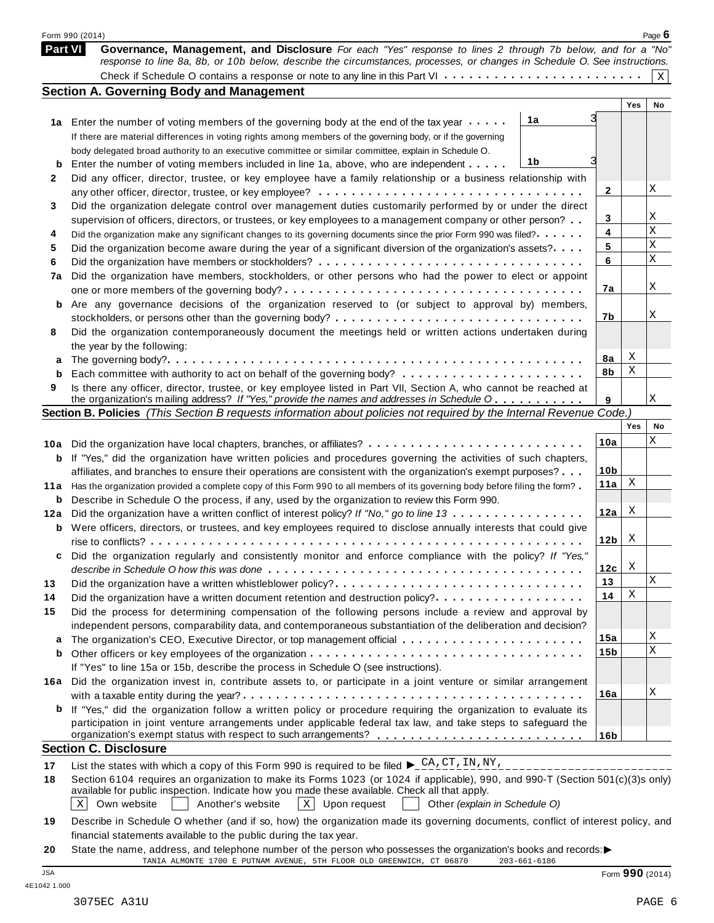|                | Form 990 (2014)                                                                                                                                                                                                                         |                 |     | Page 6      |
|----------------|-----------------------------------------------------------------------------------------------------------------------------------------------------------------------------------------------------------------------------------------|-----------------|-----|-------------|
| <b>Part VI</b> | Governance, Management, and Disclosure For each "Yes" response to lines 2 through 7b below, and for a "No"<br>response to line 8a, 8b, or 10b below, describe the circumstances, processes, or changes in Schedule O. See instructions. |                 |     |             |
|                |                                                                                                                                                                                                                                         |                 |     | $\mathbf X$ |
|                | <b>Section A. Governing Body and Management</b>                                                                                                                                                                                         |                 |     |             |
|                |                                                                                                                                                                                                                                         |                 | Yes | No          |
| 1a             | 1a<br>Enter the number of voting members of the governing body at the end of the tax year                                                                                                                                               |                 |     |             |
|                | If there are material differences in voting rights among members of the governing body, or if the governing                                                                                                                             |                 |     |             |
|                | body delegated broad authority to an executive committee or similar committee, explain in Schedule O.                                                                                                                                   |                 |     |             |
| b              | 1b<br>Enter the number of voting members included in line 1a, above, who are independent                                                                                                                                                |                 |     |             |
| 2              | Did any officer, director, trustee, or key employee have a family relationship or a business relationship with                                                                                                                          |                 |     |             |
|                |                                                                                                                                                                                                                                         | $\mathbf{2}$    |     | Χ           |
| 3              | Did the organization delegate control over management duties customarily performed by or under the direct                                                                                                                               |                 |     |             |
|                | supervision of officers, directors, or trustees, or key employees to a management company or other person?                                                                                                                              | 3               |     | Χ           |
| 4              | Did the organization make any significant changes to its governing documents since the prior Form 990 was filed?                                                                                                                        | 4               |     | X           |
| 5              | Did the organization become aware during the year of a significant diversion of the organization's assets?                                                                                                                              | 5               |     | Χ           |
| 6              |                                                                                                                                                                                                                                         | 6               |     | X           |
| 7a             | Did the organization have members, stockholders, or other persons who had the power to elect or appoint                                                                                                                                 |                 |     |             |
|                |                                                                                                                                                                                                                                         | 7а              |     | Χ           |
| b              | Are any governance decisions of the organization reserved to (or subject to approval by) members,                                                                                                                                       |                 |     |             |
|                |                                                                                                                                                                                                                                         | 7b              |     | Χ           |
| 8              | Did the organization contemporaneously document the meetings held or written actions undertaken during                                                                                                                                  |                 |     |             |
|                | the year by the following:                                                                                                                                                                                                              |                 |     |             |
| a              |                                                                                                                                                                                                                                         | 8a              | Χ   |             |
| b              |                                                                                                                                                                                                                                         | 8b              | Χ   |             |
| 9              | Is there any officer, director, trustee, or key employee listed in Part VII, Section A, who cannot be reached at                                                                                                                        |                 |     |             |
|                | the organization's mailing address? If "Yes," provide the names and addresses in Schedule O                                                                                                                                             | 9               |     | Χ           |
|                | Section B. Policies (This Section B requests information about policies not required by the Internal Revenue Code.)                                                                                                                     |                 |     |             |
|                |                                                                                                                                                                                                                                         |                 | Yes | No          |
| 10a            | Did the organization have local chapters, branches, or affiliates?                                                                                                                                                                      | 10a             |     | Χ           |
| b              | If "Yes," did the organization have written policies and procedures governing the activities of such chapters,                                                                                                                          |                 |     |             |
|                | affiliates, and branches to ensure their operations are consistent with the organization's exempt purposes?                                                                                                                             | 10 <sub>b</sub> |     |             |
| 11a            | Has the organization provided a complete copy of this Form 990 to all members of its governing body before filing the form?                                                                                                             | 11a             | Χ   |             |
| b              | Describe in Schedule O the process, if any, used by the organization to review this Form 990.                                                                                                                                           |                 |     |             |
| 12a            | Did the organization have a written conflict of interest policy? If "No," go to line 13                                                                                                                                                 | 12a             | Χ   |             |
| b              | Were officers, directors, or trustees, and key employees required to disclose annually interests that could give                                                                                                                        |                 |     |             |
|                |                                                                                                                                                                                                                                         | 12 <sub>b</sub> | X   |             |
|                | Did the organization regularly and consistently monitor and enforce compliance with the policy? If "Yes,"                                                                                                                               |                 |     |             |
|                | describe in Schedule O how this was done $\ldots \ldots \ldots \ldots \ldots \ldots \ldots \ldots \ldots \ldots \ldots \ldots \ldots$                                                                                                   | 12c             | X   |             |
| 13             | Did the organization have a written whistleblower policy?                                                                                                                                                                               | 13              |     | Χ           |
|                |                                                                                                                                                                                                                                         | 14              | Χ   |             |
| 14             | Did the organization have a written document retention and destruction policy?                                                                                                                                                          |                 |     |             |
| 15             | Did the process for determining compensation of the following persons include a review and approval by                                                                                                                                  |                 |     |             |
|                | independent persons, comparability data, and contemporaneous substantiation of the deliberation and decision?                                                                                                                           |                 |     | Χ           |
| a              |                                                                                                                                                                                                                                         | 15a             |     | X           |
| b              |                                                                                                                                                                                                                                         | 15b             |     |             |
|                | If "Yes" to line 15a or 15b, describe the process in Schedule O (see instructions).                                                                                                                                                     |                 |     |             |
| 16a            | Did the organization invest in, contribute assets to, or participate in a joint venture or similar arrangement                                                                                                                          |                 |     |             |
|                |                                                                                                                                                                                                                                         | 16a             |     | Χ           |
|                | <b>b</b> If "Yes," did the organization follow a written policy or procedure requiring the organization to evaluate its                                                                                                                 |                 |     |             |
|                | participation in joint venture arrangements under applicable federal tax law, and take steps to safeguard the                                                                                                                           |                 |     |             |
|                | organization's exempt status with respect to such arrangements? ___________________________________                                                                                                                                     | 16 <sub>b</sub> |     |             |
|                | <b>Section C. Disclosure</b>                                                                                                                                                                                                            |                 |     |             |
| 17             | List the states with which a copy of this Form 990 is required to be filed $\blacktriangleright \_C A$ , $CT$ , $TN$ , $NY$ ,                                                                                                           |                 |     |             |
| 18             | Section 6104 requires an organization to make its Forms 1023 (or 1024 if applicable), 990, and 990-T (Section 501(c)(3)s only)                                                                                                          |                 |     |             |
|                | available for public inspection. Indicate how you made these available. Check all that apply.                                                                                                                                           |                 |     |             |
|                | Own website<br>Another's website<br>$\mathbf{x}$<br>$\mathbf X$<br>Upon request<br>Other (explain in Schedule O)                                                                                                                        |                 |     |             |
|                |                                                                                                                                                                                                                                         |                 |     |             |

**19** Describe in Schedule O whether (and if so, how) the organization made its governing documents, conflict of interest policy, and financial statements available to the public during the tax year.

**20** State the name, address, and telephone number of the person who possesses the organization's books and records: $\blacktriangleright$ <br>TANIA ALMONTE 1700 E PUTNAM AVENUE, 5TH FLOOR OLD GREENWICH, CT 06870 203-661-6186 TANIA ALMONTE 1700 E PUTNAM AVENUE, 5TH FLOOR OLD GREENWICH, CT 06870

| JSA         |  |
|-------------|--|
| 4E10421.000 |  |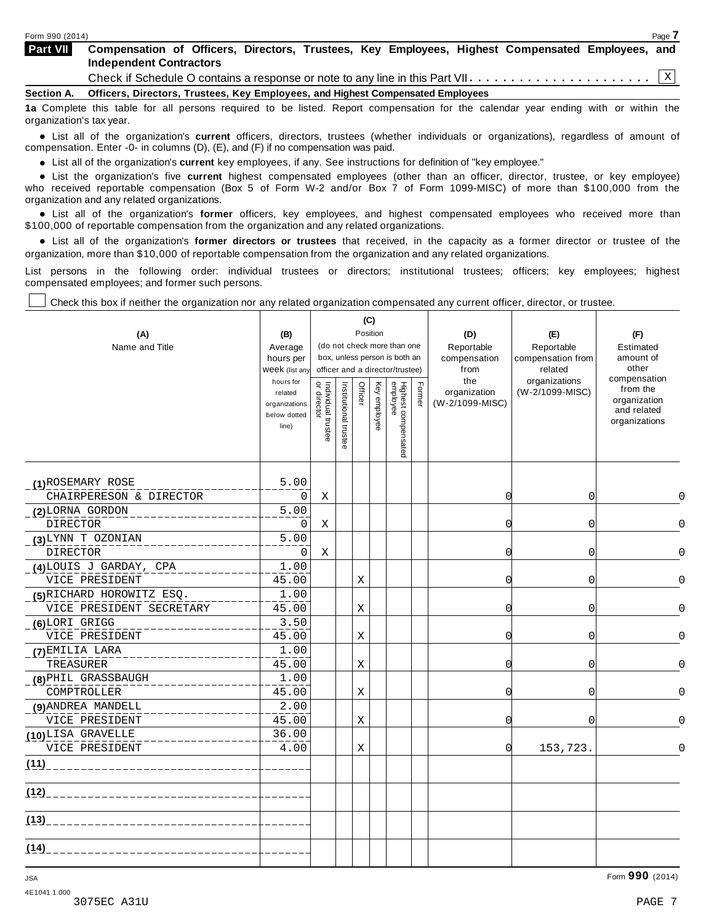| Form 990 (2014)          | Page 7                                                                                                                             |  |
|--------------------------|------------------------------------------------------------------------------------------------------------------------------------|--|
| <b>Part VII</b>          | Compensation of Officers, Directors, Trustees, Key Employees, Highest Compensated Employees, and<br><b>Independent Contractors</b> |  |
|                          |                                                                                                                                    |  |
|                          | Section A. Officers, Directors, Trustees, Key Employees, and Highest Compensated Employees                                         |  |
| organization's tax year. | 1a Complete this table for all persons required to be listed. Report compensation for the calendar year ending with or within the  |  |

anization's lax year.<br>● List all of the organization's **current** officers, directors, trustees (whether individuals or organizations), regardless of amount of<br>nnensation Enter -0- in columns (D) (E) and (E) if no compensa compensation. Enter -0- in columns (D), (E), and (F) if no compensation was paid.

• List all of the organization's **current** key employees, if any. See instructions for definition of "key employee."<br>● List the experientials five expect highest expressed explores (other than an efficer director of

**Example in the organization's current** key employees, if any. See instructions for definition of key employee.<br>• List the organization's five **current** highest compensated employees (other than an officer, director, trust who received reportable compensation (Box 5 of Form W-2 and/or Box 7 of Form 1099-MISC) of more than \$100,000 from the

organization and any related organizations.<br>• List all of the organization's **former** officers, key employees, and highest compensated employees who received more than<br>\$1.00.000 of reportable componention from the erganiza \$100,000 of reportable compensation from the organization and any related organizations.

% List all of the organization's **former directors or trustees** that received, in the capacity as a former director or trustee of the organization, more than \$10,000 of reportable compensation from the organization and any related organizations.

List persons in the following order: individual trustees or directors; institutional trustees; officers; key employees; highest compensated employees; and former such persons.

Check this box if neither the organization nor any related organization compensated any current officer, director, or trustee.

| (A)<br>Name and Title                        | (B)<br>Average<br>hours per<br>Week (list any<br>hours for<br>related<br>organizations<br>below dotted<br>line) | Individual trustee<br>or director | Institutional trustee | (C)<br>Position<br>Officer | Key employee |  | (do not check more than one<br>box, unless person is both an<br>officer and a director/trustee)<br>Highest compensated<br>employee | Former   | (D)<br>Reportable<br>compensation<br>from<br>the<br>organization<br>(W-2/1099-MISC) | (E)<br>Reportable<br>compensation from<br>related<br>organizations<br>(W-2/1099-MISC) | (F)<br>Estimated<br>amount of<br>other<br>compensation<br>from the<br>organization<br>and related<br>organizations |
|----------------------------------------------|-----------------------------------------------------------------------------------------------------------------|-----------------------------------|-----------------------|----------------------------|--------------|--|------------------------------------------------------------------------------------------------------------------------------------|----------|-------------------------------------------------------------------------------------|---------------------------------------------------------------------------------------|--------------------------------------------------------------------------------------------------------------------|
| (1) ROSEMARY ROSE<br>CHAIRPERESON & DIRECTOR | 5.00<br>0                                                                                                       | X                                 |                       |                            |              |  |                                                                                                                                    | $\Omega$ | 0                                                                                   | $\Omega$                                                                              |                                                                                                                    |
|                                              | 5.00                                                                                                            |                                   |                       |                            |              |  |                                                                                                                                    |          |                                                                                     |                                                                                       |                                                                                                                    |
| (2) LORNA GORDON<br><b>DIRECTOR</b>          | 0                                                                                                               | Χ                                 |                       |                            |              |  |                                                                                                                                    | O        | 0                                                                                   | 0                                                                                     |                                                                                                                    |
| (3) LYNN T OZONIAN                           | 5.00                                                                                                            |                                   |                       |                            |              |  |                                                                                                                                    |          |                                                                                     |                                                                                       |                                                                                                                    |
| DIRECTOR                                     | 0                                                                                                               | Χ                                 |                       |                            |              |  |                                                                                                                                    | 0        | 0                                                                                   | $\Omega$                                                                              |                                                                                                                    |
| (4)LOUIS J GARDAY, CPA                       | 1.00                                                                                                            |                                   |                       |                            |              |  |                                                                                                                                    |          |                                                                                     |                                                                                       |                                                                                                                    |
| VICE PRESIDENT                               | 45.00                                                                                                           |                                   |                       | Χ                          |              |  |                                                                                                                                    | 0        | 0                                                                                   | $\Omega$                                                                              |                                                                                                                    |
| (5) RICHARD HOROWITZ ESQ.                    | 1.00                                                                                                            |                                   |                       |                            |              |  |                                                                                                                                    |          |                                                                                     |                                                                                       |                                                                                                                    |
| VICE PRESIDENT SECRETARY                     | 45.00                                                                                                           |                                   |                       | $\mathbf X$                |              |  |                                                                                                                                    | $\Omega$ | $\overline{0}$                                                                      | $\Omega$                                                                              |                                                                                                                    |
| (6) LORI GRIGG                               | 3.50                                                                                                            |                                   |                       |                            |              |  |                                                                                                                                    |          |                                                                                     |                                                                                       |                                                                                                                    |
| VICE PRESIDENT                               | 45.00                                                                                                           |                                   |                       | Χ                          |              |  |                                                                                                                                    | O        | 0                                                                                   | $\Omega$                                                                              |                                                                                                                    |
| (7) EMILIA LARA                              | 1.00                                                                                                            |                                   |                       |                            |              |  |                                                                                                                                    |          |                                                                                     |                                                                                       |                                                                                                                    |
| TREASURER                                    | 45.00                                                                                                           |                                   |                       | Χ                          |              |  |                                                                                                                                    | 0        | 0                                                                                   | 0                                                                                     |                                                                                                                    |
| (8) PHIL GRASSBAUGH                          | 1.00                                                                                                            |                                   |                       |                            |              |  |                                                                                                                                    |          |                                                                                     |                                                                                       |                                                                                                                    |
| COMPTROLLER                                  | 45.00                                                                                                           |                                   |                       | X                          |              |  |                                                                                                                                    | C        | 0                                                                                   | U                                                                                     |                                                                                                                    |
| (9) ANDREA MANDELL                           | 2.00                                                                                                            |                                   |                       |                            |              |  |                                                                                                                                    |          |                                                                                     |                                                                                       |                                                                                                                    |
| VICE PRESIDENT                               | 45.00                                                                                                           |                                   |                       | Χ                          |              |  |                                                                                                                                    | O        | $\Omega$                                                                            | U                                                                                     |                                                                                                                    |
| (10)LISA GRAVELLE                            | 36.00                                                                                                           |                                   |                       |                            |              |  |                                                                                                                                    |          |                                                                                     |                                                                                       |                                                                                                                    |
| VICE PRESIDENT                               | 4.00                                                                                                            |                                   |                       | X                          |              |  |                                                                                                                                    | 0        | 153,723.                                                                            | $\Omega$                                                                              |                                                                                                                    |
| (11)                                         |                                                                                                                 |                                   |                       |                            |              |  |                                                                                                                                    |          |                                                                                     |                                                                                       |                                                                                                                    |
| $(12)$ <sub>___</sub>                        |                                                                                                                 |                                   |                       |                            |              |  |                                                                                                                                    |          |                                                                                     |                                                                                       |                                                                                                                    |
| (13)                                         |                                                                                                                 |                                   |                       |                            |              |  |                                                                                                                                    |          |                                                                                     |                                                                                       |                                                                                                                    |
| (14)                                         |                                                                                                                 |                                   |                       |                            |              |  |                                                                                                                                    |          |                                                                                     |                                                                                       |                                                                                                                    |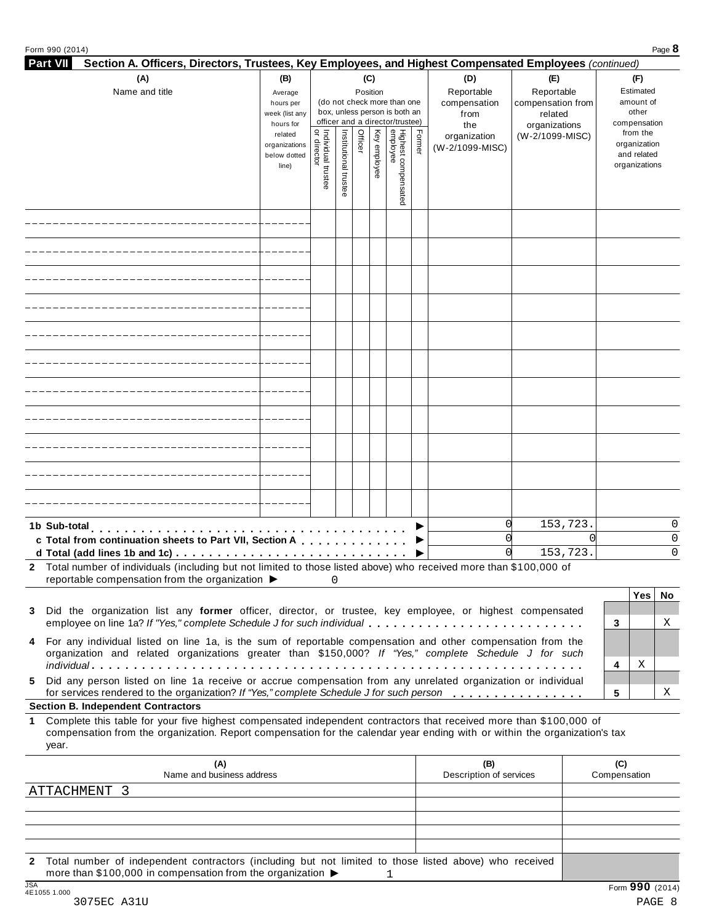|  |  | Form 990 (2014) |
|--|--|-----------------|
|--|--|-----------------|

| Section A. Officers, Directors, Trustees, Key Employees, and Highest Compensated Employees (continued)<br>(A)<br>(B)<br>(C)<br>(D)<br>(E)<br>(F)<br>Reportable<br>Reportable<br>Name and title<br>Estimated<br>Position<br>Average<br>(do not check more than one<br>amount of<br>compensation<br>compensation from<br>hours per<br>box, unless person is both an<br>other<br>week (list any<br>related<br>from<br>officer and a director/trustee)<br>compensation<br>hours for<br>the<br>organizations<br>  Individual trustee<br>  or director<br>Highest compensated<br>employee<br>Institutional trustee<br>Officer<br>Key employee<br>Former<br>from the<br>related<br>(W-2/1099-MISC)<br>organization<br>organization<br>organizations<br>(W-2/1099-MISC)<br>and related<br>below dotted<br>organizations<br>line)<br>153,723.<br>0<br>O<br>U<br>0<br>c Total from continuation sheets to Part VII, Section A<br>153,723.<br>0<br>$\Omega$<br>2 Total number of individuals (including but not limited to those listed above) who received more than \$100,000 of<br>reportable compensation from the organization $\blacktriangleright$<br>0<br>Yes<br>No.<br>Did the organization list any former officer, director, or trustee, key employee, or highest compensated<br>3<br>employee on line 1a? If "Yes," complete Schedule J for such individual<br>3<br>Χ<br>For any individual listed on line 1a, is the sum of reportable compensation and other compensation from the<br>4<br>organization and related organizations greater than \$150,000? If "Yes," complete Schedule J for such<br>Χ<br>4<br>Did any person listed on line 1a receive or accrue compensation from any unrelated organization or individual<br>5.<br>for services rendered to the organization? If "Yes," complete Schedule J for such person<br>5<br>Χ<br><b>Section B. Independent Contractors</b><br>Complete this table for your five highest compensated independent contractors that received more than \$100,000 of<br>1.<br>compensation from the organization. Report compensation for the calendar year ending with or within the organization's tax<br>year. | Form 990 (2014) |  |  |  |  |  |  |     | Page 8 |  |
|------------------------------------------------------------------------------------------------------------------------------------------------------------------------------------------------------------------------------------------------------------------------------------------------------------------------------------------------------------------------------------------------------------------------------------------------------------------------------------------------------------------------------------------------------------------------------------------------------------------------------------------------------------------------------------------------------------------------------------------------------------------------------------------------------------------------------------------------------------------------------------------------------------------------------------------------------------------------------------------------------------------------------------------------------------------------------------------------------------------------------------------------------------------------------------------------------------------------------------------------------------------------------------------------------------------------------------------------------------------------------------------------------------------------------------------------------------------------------------------------------------------------------------------------------------------------------------------------------------------------------------------------------------------------------------------------------------------------------------------------------------------------------------------------------------------------------------------------------------------------------------------------------------------------------------------------------------------------------------------------------------------------------------------------------------------------------------------------------------------------------------------------------------|-----------------|--|--|--|--|--|--|-----|--------|--|
|                                                                                                                                                                                                                                                                                                                                                                                                                                                                                                                                                                                                                                                                                                                                                                                                                                                                                                                                                                                                                                                                                                                                                                                                                                                                                                                                                                                                                                                                                                                                                                                                                                                                                                                                                                                                                                                                                                                                                                                                                                                                                                                                                            | <b>Part VII</b> |  |  |  |  |  |  |     |        |  |
|                                                                                                                                                                                                                                                                                                                                                                                                                                                                                                                                                                                                                                                                                                                                                                                                                                                                                                                                                                                                                                                                                                                                                                                                                                                                                                                                                                                                                                                                                                                                                                                                                                                                                                                                                                                                                                                                                                                                                                                                                                                                                                                                                            |                 |  |  |  |  |  |  |     |        |  |
|                                                                                                                                                                                                                                                                                                                                                                                                                                                                                                                                                                                                                                                                                                                                                                                                                                                                                                                                                                                                                                                                                                                                                                                                                                                                                                                                                                                                                                                                                                                                                                                                                                                                                                                                                                                                                                                                                                                                                                                                                                                                                                                                                            |                 |  |  |  |  |  |  |     |        |  |
|                                                                                                                                                                                                                                                                                                                                                                                                                                                                                                                                                                                                                                                                                                                                                                                                                                                                                                                                                                                                                                                                                                                                                                                                                                                                                                                                                                                                                                                                                                                                                                                                                                                                                                                                                                                                                                                                                                                                                                                                                                                                                                                                                            |                 |  |  |  |  |  |  |     |        |  |
|                                                                                                                                                                                                                                                                                                                                                                                                                                                                                                                                                                                                                                                                                                                                                                                                                                                                                                                                                                                                                                                                                                                                                                                                                                                                                                                                                                                                                                                                                                                                                                                                                                                                                                                                                                                                                                                                                                                                                                                                                                                                                                                                                            |                 |  |  |  |  |  |  |     |        |  |
|                                                                                                                                                                                                                                                                                                                                                                                                                                                                                                                                                                                                                                                                                                                                                                                                                                                                                                                                                                                                                                                                                                                                                                                                                                                                                                                                                                                                                                                                                                                                                                                                                                                                                                                                                                                                                                                                                                                                                                                                                                                                                                                                                            |                 |  |  |  |  |  |  |     |        |  |
|                                                                                                                                                                                                                                                                                                                                                                                                                                                                                                                                                                                                                                                                                                                                                                                                                                                                                                                                                                                                                                                                                                                                                                                                                                                                                                                                                                                                                                                                                                                                                                                                                                                                                                                                                                                                                                                                                                                                                                                                                                                                                                                                                            |                 |  |  |  |  |  |  |     |        |  |
|                                                                                                                                                                                                                                                                                                                                                                                                                                                                                                                                                                                                                                                                                                                                                                                                                                                                                                                                                                                                                                                                                                                                                                                                                                                                                                                                                                                                                                                                                                                                                                                                                                                                                                                                                                                                                                                                                                                                                                                                                                                                                                                                                            |                 |  |  |  |  |  |  |     |        |  |
|                                                                                                                                                                                                                                                                                                                                                                                                                                                                                                                                                                                                                                                                                                                                                                                                                                                                                                                                                                                                                                                                                                                                                                                                                                                                                                                                                                                                                                                                                                                                                                                                                                                                                                                                                                                                                                                                                                                                                                                                                                                                                                                                                            |                 |  |  |  |  |  |  |     |        |  |
|                                                                                                                                                                                                                                                                                                                                                                                                                                                                                                                                                                                                                                                                                                                                                                                                                                                                                                                                                                                                                                                                                                                                                                                                                                                                                                                                                                                                                                                                                                                                                                                                                                                                                                                                                                                                                                                                                                                                                                                                                                                                                                                                                            |                 |  |  |  |  |  |  |     |        |  |
|                                                                                                                                                                                                                                                                                                                                                                                                                                                                                                                                                                                                                                                                                                                                                                                                                                                                                                                                                                                                                                                                                                                                                                                                                                                                                                                                                                                                                                                                                                                                                                                                                                                                                                                                                                                                                                                                                                                                                                                                                                                                                                                                                            |                 |  |  |  |  |  |  |     |        |  |
|                                                                                                                                                                                                                                                                                                                                                                                                                                                                                                                                                                                                                                                                                                                                                                                                                                                                                                                                                                                                                                                                                                                                                                                                                                                                                                                                                                                                                                                                                                                                                                                                                                                                                                                                                                                                                                                                                                                                                                                                                                                                                                                                                            |                 |  |  |  |  |  |  |     |        |  |
|                                                                                                                                                                                                                                                                                                                                                                                                                                                                                                                                                                                                                                                                                                                                                                                                                                                                                                                                                                                                                                                                                                                                                                                                                                                                                                                                                                                                                                                                                                                                                                                                                                                                                                                                                                                                                                                                                                                                                                                                                                                                                                                                                            |                 |  |  |  |  |  |  |     |        |  |
|                                                                                                                                                                                                                                                                                                                                                                                                                                                                                                                                                                                                                                                                                                                                                                                                                                                                                                                                                                                                                                                                                                                                                                                                                                                                                                                                                                                                                                                                                                                                                                                                                                                                                                                                                                                                                                                                                                                                                                                                                                                                                                                                                            |                 |  |  |  |  |  |  |     |        |  |
|                                                                                                                                                                                                                                                                                                                                                                                                                                                                                                                                                                                                                                                                                                                                                                                                                                                                                                                                                                                                                                                                                                                                                                                                                                                                                                                                                                                                                                                                                                                                                                                                                                                                                                                                                                                                                                                                                                                                                                                                                                                                                                                                                            |                 |  |  |  |  |  |  |     |        |  |
|                                                                                                                                                                                                                                                                                                                                                                                                                                                                                                                                                                                                                                                                                                                                                                                                                                                                                                                                                                                                                                                                                                                                                                                                                                                                                                                                                                                                                                                                                                                                                                                                                                                                                                                                                                                                                                                                                                                                                                                                                                                                                                                                                            |                 |  |  |  |  |  |  |     |        |  |
|                                                                                                                                                                                                                                                                                                                                                                                                                                                                                                                                                                                                                                                                                                                                                                                                                                                                                                                                                                                                                                                                                                                                                                                                                                                                                                                                                                                                                                                                                                                                                                                                                                                                                                                                                                                                                                                                                                                                                                                                                                                                                                                                                            |                 |  |  |  |  |  |  |     |        |  |
|                                                                                                                                                                                                                                                                                                                                                                                                                                                                                                                                                                                                                                                                                                                                                                                                                                                                                                                                                                                                                                                                                                                                                                                                                                                                                                                                                                                                                                                                                                                                                                                                                                                                                                                                                                                                                                                                                                                                                                                                                                                                                                                                                            |                 |  |  |  |  |  |  |     |        |  |
|                                                                                                                                                                                                                                                                                                                                                                                                                                                                                                                                                                                                                                                                                                                                                                                                                                                                                                                                                                                                                                                                                                                                                                                                                                                                                                                                                                                                                                                                                                                                                                                                                                                                                                                                                                                                                                                                                                                                                                                                                                                                                                                                                            |                 |  |  |  |  |  |  |     |        |  |
|                                                                                                                                                                                                                                                                                                                                                                                                                                                                                                                                                                                                                                                                                                                                                                                                                                                                                                                                                                                                                                                                                                                                                                                                                                                                                                                                                                                                                                                                                                                                                                                                                                                                                                                                                                                                                                                                                                                                                                                                                                                                                                                                                            |                 |  |  |  |  |  |  |     |        |  |
|                                                                                                                                                                                                                                                                                                                                                                                                                                                                                                                                                                                                                                                                                                                                                                                                                                                                                                                                                                                                                                                                                                                                                                                                                                                                                                                                                                                                                                                                                                                                                                                                                                                                                                                                                                                                                                                                                                                                                                                                                                                                                                                                                            |                 |  |  |  |  |  |  |     |        |  |
|                                                                                                                                                                                                                                                                                                                                                                                                                                                                                                                                                                                                                                                                                                                                                                                                                                                                                                                                                                                                                                                                                                                                                                                                                                                                                                                                                                                                                                                                                                                                                                                                                                                                                                                                                                                                                                                                                                                                                                                                                                                                                                                                                            |                 |  |  |  |  |  |  |     |        |  |
|                                                                                                                                                                                                                                                                                                                                                                                                                                                                                                                                                                                                                                                                                                                                                                                                                                                                                                                                                                                                                                                                                                                                                                                                                                                                                                                                                                                                                                                                                                                                                                                                                                                                                                                                                                                                                                                                                                                                                                                                                                                                                                                                                            |                 |  |  |  |  |  |  |     |        |  |
|                                                                                                                                                                                                                                                                                                                                                                                                                                                                                                                                                                                                                                                                                                                                                                                                                                                                                                                                                                                                                                                                                                                                                                                                                                                                                                                                                                                                                                                                                                                                                                                                                                                                                                                                                                                                                                                                                                                                                                                                                                                                                                                                                            |                 |  |  |  |  |  |  |     |        |  |
|                                                                                                                                                                                                                                                                                                                                                                                                                                                                                                                                                                                                                                                                                                                                                                                                                                                                                                                                                                                                                                                                                                                                                                                                                                                                                                                                                                                                                                                                                                                                                                                                                                                                                                                                                                                                                                                                                                                                                                                                                                                                                                                                                            |                 |  |  |  |  |  |  |     |        |  |
|                                                                                                                                                                                                                                                                                                                                                                                                                                                                                                                                                                                                                                                                                                                                                                                                                                                                                                                                                                                                                                                                                                                                                                                                                                                                                                                                                                                                                                                                                                                                                                                                                                                                                                                                                                                                                                                                                                                                                                                                                                                                                                                                                            |                 |  |  |  |  |  |  |     |        |  |
|                                                                                                                                                                                                                                                                                                                                                                                                                                                                                                                                                                                                                                                                                                                                                                                                                                                                                                                                                                                                                                                                                                                                                                                                                                                                                                                                                                                                                                                                                                                                                                                                                                                                                                                                                                                                                                                                                                                                                                                                                                                                                                                                                            |                 |  |  |  |  |  |  |     |        |  |
|                                                                                                                                                                                                                                                                                                                                                                                                                                                                                                                                                                                                                                                                                                                                                                                                                                                                                                                                                                                                                                                                                                                                                                                                                                                                                                                                                                                                                                                                                                                                                                                                                                                                                                                                                                                                                                                                                                                                                                                                                                                                                                                                                            |                 |  |  |  |  |  |  |     |        |  |
|                                                                                                                                                                                                                                                                                                                                                                                                                                                                                                                                                                                                                                                                                                                                                                                                                                                                                                                                                                                                                                                                                                                                                                                                                                                                                                                                                                                                                                                                                                                                                                                                                                                                                                                                                                                                                                                                                                                                                                                                                                                                                                                                                            |                 |  |  |  |  |  |  |     |        |  |
|                                                                                                                                                                                                                                                                                                                                                                                                                                                                                                                                                                                                                                                                                                                                                                                                                                                                                                                                                                                                                                                                                                                                                                                                                                                                                                                                                                                                                                                                                                                                                                                                                                                                                                                                                                                                                                                                                                                                                                                                                                                                                                                                                            |                 |  |  |  |  |  |  |     |        |  |
|                                                                                                                                                                                                                                                                                                                                                                                                                                                                                                                                                                                                                                                                                                                                                                                                                                                                                                                                                                                                                                                                                                                                                                                                                                                                                                                                                                                                                                                                                                                                                                                                                                                                                                                                                                                                                                                                                                                                                                                                                                                                                                                                                            |                 |  |  |  |  |  |  |     |        |  |
|                                                                                                                                                                                                                                                                                                                                                                                                                                                                                                                                                                                                                                                                                                                                                                                                                                                                                                                                                                                                                                                                                                                                                                                                                                                                                                                                                                                                                                                                                                                                                                                                                                                                                                                                                                                                                                                                                                                                                                                                                                                                                                                                                            |                 |  |  |  |  |  |  |     |        |  |
|                                                                                                                                                                                                                                                                                                                                                                                                                                                                                                                                                                                                                                                                                                                                                                                                                                                                                                                                                                                                                                                                                                                                                                                                                                                                                                                                                                                                                                                                                                                                                                                                                                                                                                                                                                                                                                                                                                                                                                                                                                                                                                                                                            | 1b Sub-total    |  |  |  |  |  |  |     |        |  |
|                                                                                                                                                                                                                                                                                                                                                                                                                                                                                                                                                                                                                                                                                                                                                                                                                                                                                                                                                                                                                                                                                                                                                                                                                                                                                                                                                                                                                                                                                                                                                                                                                                                                                                                                                                                                                                                                                                                                                                                                                                                                                                                                                            |                 |  |  |  |  |  |  |     |        |  |
|                                                                                                                                                                                                                                                                                                                                                                                                                                                                                                                                                                                                                                                                                                                                                                                                                                                                                                                                                                                                                                                                                                                                                                                                                                                                                                                                                                                                                                                                                                                                                                                                                                                                                                                                                                                                                                                                                                                                                                                                                                                                                                                                                            |                 |  |  |  |  |  |  |     |        |  |
|                                                                                                                                                                                                                                                                                                                                                                                                                                                                                                                                                                                                                                                                                                                                                                                                                                                                                                                                                                                                                                                                                                                                                                                                                                                                                                                                                                                                                                                                                                                                                                                                                                                                                                                                                                                                                                                                                                                                                                                                                                                                                                                                                            |                 |  |  |  |  |  |  |     |        |  |
|                                                                                                                                                                                                                                                                                                                                                                                                                                                                                                                                                                                                                                                                                                                                                                                                                                                                                                                                                                                                                                                                                                                                                                                                                                                                                                                                                                                                                                                                                                                                                                                                                                                                                                                                                                                                                                                                                                                                                                                                                                                                                                                                                            |                 |  |  |  |  |  |  |     |        |  |
|                                                                                                                                                                                                                                                                                                                                                                                                                                                                                                                                                                                                                                                                                                                                                                                                                                                                                                                                                                                                                                                                                                                                                                                                                                                                                                                                                                                                                                                                                                                                                                                                                                                                                                                                                                                                                                                                                                                                                                                                                                                                                                                                                            |                 |  |  |  |  |  |  |     |        |  |
|                                                                                                                                                                                                                                                                                                                                                                                                                                                                                                                                                                                                                                                                                                                                                                                                                                                                                                                                                                                                                                                                                                                                                                                                                                                                                                                                                                                                                                                                                                                                                                                                                                                                                                                                                                                                                                                                                                                                                                                                                                                                                                                                                            |                 |  |  |  |  |  |  |     |        |  |
|                                                                                                                                                                                                                                                                                                                                                                                                                                                                                                                                                                                                                                                                                                                                                                                                                                                                                                                                                                                                                                                                                                                                                                                                                                                                                                                                                                                                                                                                                                                                                                                                                                                                                                                                                                                                                                                                                                                                                                                                                                                                                                                                                            |                 |  |  |  |  |  |  |     |        |  |
|                                                                                                                                                                                                                                                                                                                                                                                                                                                                                                                                                                                                                                                                                                                                                                                                                                                                                                                                                                                                                                                                                                                                                                                                                                                                                                                                                                                                                                                                                                                                                                                                                                                                                                                                                                                                                                                                                                                                                                                                                                                                                                                                                            |                 |  |  |  |  |  |  |     |        |  |
|                                                                                                                                                                                                                                                                                                                                                                                                                                                                                                                                                                                                                                                                                                                                                                                                                                                                                                                                                                                                                                                                                                                                                                                                                                                                                                                                                                                                                                                                                                                                                                                                                                                                                                                                                                                                                                                                                                                                                                                                                                                                                                                                                            |                 |  |  |  |  |  |  |     |        |  |
|                                                                                                                                                                                                                                                                                                                                                                                                                                                                                                                                                                                                                                                                                                                                                                                                                                                                                                                                                                                                                                                                                                                                                                                                                                                                                                                                                                                                                                                                                                                                                                                                                                                                                                                                                                                                                                                                                                                                                                                                                                                                                                                                                            |                 |  |  |  |  |  |  |     |        |  |
|                                                                                                                                                                                                                                                                                                                                                                                                                                                                                                                                                                                                                                                                                                                                                                                                                                                                                                                                                                                                                                                                                                                                                                                                                                                                                                                                                                                                                                                                                                                                                                                                                                                                                                                                                                                                                                                                                                                                                                                                                                                                                                                                                            |                 |  |  |  |  |  |  |     |        |  |
|                                                                                                                                                                                                                                                                                                                                                                                                                                                                                                                                                                                                                                                                                                                                                                                                                                                                                                                                                                                                                                                                                                                                                                                                                                                                                                                                                                                                                                                                                                                                                                                                                                                                                                                                                                                                                                                                                                                                                                                                                                                                                                                                                            |                 |  |  |  |  |  |  |     |        |  |
|                                                                                                                                                                                                                                                                                                                                                                                                                                                                                                                                                                                                                                                                                                                                                                                                                                                                                                                                                                                                                                                                                                                                                                                                                                                                                                                                                                                                                                                                                                                                                                                                                                                                                                                                                                                                                                                                                                                                                                                                                                                                                                                                                            |                 |  |  |  |  |  |  |     |        |  |
|                                                                                                                                                                                                                                                                                                                                                                                                                                                                                                                                                                                                                                                                                                                                                                                                                                                                                                                                                                                                                                                                                                                                                                                                                                                                                                                                                                                                                                                                                                                                                                                                                                                                                                                                                                                                                                                                                                                                                                                                                                                                                                                                                            |                 |  |  |  |  |  |  |     |        |  |
|                                                                                                                                                                                                                                                                                                                                                                                                                                                                                                                                                                                                                                                                                                                                                                                                                                                                                                                                                                                                                                                                                                                                                                                                                                                                                                                                                                                                                                                                                                                                                                                                                                                                                                                                                                                                                                                                                                                                                                                                                                                                                                                                                            |                 |  |  |  |  |  |  |     |        |  |
|                                                                                                                                                                                                                                                                                                                                                                                                                                                                                                                                                                                                                                                                                                                                                                                                                                                                                                                                                                                                                                                                                                                                                                                                                                                                                                                                                                                                                                                                                                                                                                                                                                                                                                                                                                                                                                                                                                                                                                                                                                                                                                                                                            |                 |  |  |  |  |  |  | (C) |        |  |
| (A)<br>(B)<br>Name and business address<br>Description of services<br>Compensation                                                                                                                                                                                                                                                                                                                                                                                                                                                                                                                                                                                                                                                                                                                                                                                                                                                                                                                                                                                                                                                                                                                                                                                                                                                                                                                                                                                                                                                                                                                                                                                                                                                                                                                                                                                                                                                                                                                                                                                                                                                                         |                 |  |  |  |  |  |  |     |        |  |
|                                                                                                                                                                                                                                                                                                                                                                                                                                                                                                                                                                                                                                                                                                                                                                                                                                                                                                                                                                                                                                                                                                                                                                                                                                                                                                                                                                                                                                                                                                                                                                                                                                                                                                                                                                                                                                                                                                                                                                                                                                                                                                                                                            | ATTACHMENT 3    |  |  |  |  |  |  |     |        |  |

**2** Total number of independent contractors (including but not limited to those listed above) who received more than \$100,000 in compensation from the organization  $\rightarrow$  1  $\frac{1}{364}$ <br> $\frac{1}{4510551.000}$ <br>3075EC A31U PAGE 8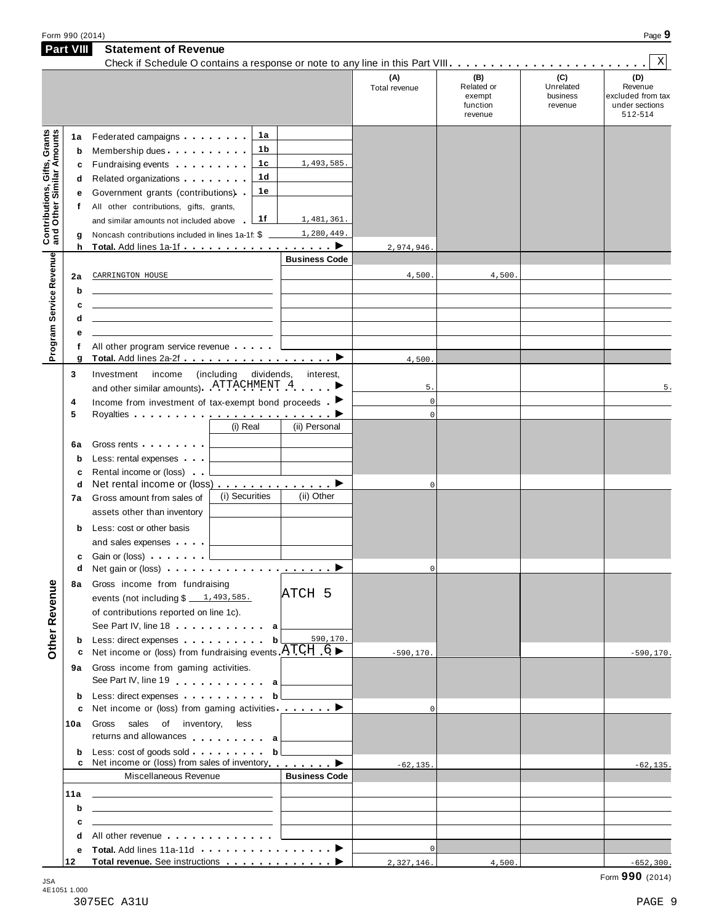| (C)<br>(B)<br>(A)<br>Unrelated<br>Related or<br>Total revenue<br>business<br>exempt<br>function<br>revenue<br>revenue<br>Contributions, Gifts, Grants<br>and Other Similar Amounts<br>1a<br>Federated campaigns <b>Federated</b><br>1a<br>1b<br>Membership dues<br>b<br>1c<br>1,493,585.<br>Fundraising events <b>Fundraising</b><br>c<br>1 <sub>d</sub><br>Related organizations <b>and the set of the set of the set of the set of the set of the set of the set of the set of the set of the set of the set of the set of the set of the set of the set of the set of the set of the set </b><br>d<br>1e<br>Government grants (contributions).<br>е<br>All other contributions, gifts, grants,<br>f<br>1f<br>1,481,361.<br>and similar amounts not included above<br>1,280,449.<br>Noncash contributions included in lines 1a-1f: \$<br>g<br>h<br>2,974,946.<br>Program Service Revenue<br><b>Business Code</b><br>4,500.<br>4,500<br>CARRINGTON HOUSE<br>2a<br>b<br>the control of the control of the control of the control of the control of the control of<br>c<br>the control of the control of the control of the control of the control of the control of<br>d<br><u> 1989 - Johann Stein, mars an deutscher Stein und der Stein und der Stein und der Stein und der Stein und der</u><br>е<br>All other program service revenue<br>f<br>g<br>4,500<br>3<br>income<br>(including dividends,<br>Investment<br>interest,<br>and other similar amounts). ATTACHMENT 4<br>5.<br>$\mathbf 0$<br>Income from investment of tax-exempt bond proceeds<br>4<br>5<br>$\mathbf 0$<br>(i) Real<br>(ii) Personal<br>Gross rents <b>Container and Container</b><br>6a<br>Less: rental expenses<br>b<br>Rental income or (loss)<br>c<br>Net rental income or (loss) ▶<br>d<br>0<br>(i) Securities<br>(ii) Other<br>Gross amount from sales of<br>7a<br>assets other than inventory<br>Less: cost or other basis<br>b<br>and sales expenses<br>Gain or (loss) exercise the l<br>c<br>U<br>Other Revenue<br>Gross income from fundraising<br>8а<br>ATCH 5<br>events (not including $\frac{2}{3}$ 1,493,585.<br>of contributions reported on line 1c).<br>See Part IV, line 18 <b>a</b><br>Less: direct expenses b<br>590,170.<br>b<br>c Net income or (loss) from fundraising events $ATCH$ 6<br>$-590, 170.$<br>Gross income from gaming activities.<br>9a<br>See Part IV, line 19 \, \, \, \, \, \, \, \, a<br>Less: direct expenses b<br>b<br>Net income or (loss) from gaming activities <u>example</u><br>$\Omega$<br>c<br>Gross sales of inventory,<br>less<br>10a<br>returns and allowances and allowances<br>b<br>Net income or (loss) from sales of inventory <b>example 1</b><br>$-62, 135.$<br>Miscellaneous Revenue<br><b>Business Code</b> | X                                                                |  |  | <b>Statement of Revenue</b> | <b>Part VIII</b> |
|--------------------------------------------------------------------------------------------------------------------------------------------------------------------------------------------------------------------------------------------------------------------------------------------------------------------------------------------------------------------------------------------------------------------------------------------------------------------------------------------------------------------------------------------------------------------------------------------------------------------------------------------------------------------------------------------------------------------------------------------------------------------------------------------------------------------------------------------------------------------------------------------------------------------------------------------------------------------------------------------------------------------------------------------------------------------------------------------------------------------------------------------------------------------------------------------------------------------------------------------------------------------------------------------------------------------------------------------------------------------------------------------------------------------------------------------------------------------------------------------------------------------------------------------------------------------------------------------------------------------------------------------------------------------------------------------------------------------------------------------------------------------------------------------------------------------------------------------------------------------------------------------------------------------------------------------------------------------------------------------------------------------------------------------------------------------------------------------------------------------------------------------------------------------------------------------------------------------------------------------------------------------------------------------------------------------------------------------------------------------------------------------------------------------------------------------------------------------------------------------------------------------------------------------------------------------------------------------------------------------------------------------------------------------------------------------------------------------------------------------------|------------------------------------------------------------------|--|--|-----------------------------|------------------|
|                                                                                                                                                                                                                                                                                                                                                                                                                                                                                                                                                                                                                                                                                                                                                                                                                                                                                                                                                                                                                                                                                                                                                                                                                                                                                                                                                                                                                                                                                                                                                                                                                                                                                                                                                                                                                                                                                                                                                                                                                                                                                                                                                                                                                                                                                                                                                                                                                                                                                                                                                                                                                                                                                                                                                  | (D)<br>Revenue<br>excluded from tax<br>under sections<br>512-514 |  |  |                             |                  |
|                                                                                                                                                                                                                                                                                                                                                                                                                                                                                                                                                                                                                                                                                                                                                                                                                                                                                                                                                                                                                                                                                                                                                                                                                                                                                                                                                                                                                                                                                                                                                                                                                                                                                                                                                                                                                                                                                                                                                                                                                                                                                                                                                                                                                                                                                                                                                                                                                                                                                                                                                                                                                                                                                                                                                  |                                                                  |  |  |                             |                  |
|                                                                                                                                                                                                                                                                                                                                                                                                                                                                                                                                                                                                                                                                                                                                                                                                                                                                                                                                                                                                                                                                                                                                                                                                                                                                                                                                                                                                                                                                                                                                                                                                                                                                                                                                                                                                                                                                                                                                                                                                                                                                                                                                                                                                                                                                                                                                                                                                                                                                                                                                                                                                                                                                                                                                                  |                                                                  |  |  |                             |                  |
|                                                                                                                                                                                                                                                                                                                                                                                                                                                                                                                                                                                                                                                                                                                                                                                                                                                                                                                                                                                                                                                                                                                                                                                                                                                                                                                                                                                                                                                                                                                                                                                                                                                                                                                                                                                                                                                                                                                                                                                                                                                                                                                                                                                                                                                                                                                                                                                                                                                                                                                                                                                                                                                                                                                                                  |                                                                  |  |  |                             |                  |
|                                                                                                                                                                                                                                                                                                                                                                                                                                                                                                                                                                                                                                                                                                                                                                                                                                                                                                                                                                                                                                                                                                                                                                                                                                                                                                                                                                                                                                                                                                                                                                                                                                                                                                                                                                                                                                                                                                                                                                                                                                                                                                                                                                                                                                                                                                                                                                                                                                                                                                                                                                                                                                                                                                                                                  |                                                                  |  |  |                             |                  |
|                                                                                                                                                                                                                                                                                                                                                                                                                                                                                                                                                                                                                                                                                                                                                                                                                                                                                                                                                                                                                                                                                                                                                                                                                                                                                                                                                                                                                                                                                                                                                                                                                                                                                                                                                                                                                                                                                                                                                                                                                                                                                                                                                                                                                                                                                                                                                                                                                                                                                                                                                                                                                                                                                                                                                  |                                                                  |  |  |                             |                  |
|                                                                                                                                                                                                                                                                                                                                                                                                                                                                                                                                                                                                                                                                                                                                                                                                                                                                                                                                                                                                                                                                                                                                                                                                                                                                                                                                                                                                                                                                                                                                                                                                                                                                                                                                                                                                                                                                                                                                                                                                                                                                                                                                                                                                                                                                                                                                                                                                                                                                                                                                                                                                                                                                                                                                                  | 5.                                                               |  |  |                             |                  |
|                                                                                                                                                                                                                                                                                                                                                                                                                                                                                                                                                                                                                                                                                                                                                                                                                                                                                                                                                                                                                                                                                                                                                                                                                                                                                                                                                                                                                                                                                                                                                                                                                                                                                                                                                                                                                                                                                                                                                                                                                                                                                                                                                                                                                                                                                                                                                                                                                                                                                                                                                                                                                                                                                                                                                  |                                                                  |  |  |                             |                  |
|                                                                                                                                                                                                                                                                                                                                                                                                                                                                                                                                                                                                                                                                                                                                                                                                                                                                                                                                                                                                                                                                                                                                                                                                                                                                                                                                                                                                                                                                                                                                                                                                                                                                                                                                                                                                                                                                                                                                                                                                                                                                                                                                                                                                                                                                                                                                                                                                                                                                                                                                                                                                                                                                                                                                                  |                                                                  |  |  |                             |                  |
|                                                                                                                                                                                                                                                                                                                                                                                                                                                                                                                                                                                                                                                                                                                                                                                                                                                                                                                                                                                                                                                                                                                                                                                                                                                                                                                                                                                                                                                                                                                                                                                                                                                                                                                                                                                                                                                                                                                                                                                                                                                                                                                                                                                                                                                                                                                                                                                                                                                                                                                                                                                                                                                                                                                                                  |                                                                  |  |  |                             |                  |
|                                                                                                                                                                                                                                                                                                                                                                                                                                                                                                                                                                                                                                                                                                                                                                                                                                                                                                                                                                                                                                                                                                                                                                                                                                                                                                                                                                                                                                                                                                                                                                                                                                                                                                                                                                                                                                                                                                                                                                                                                                                                                                                                                                                                                                                                                                                                                                                                                                                                                                                                                                                                                                                                                                                                                  |                                                                  |  |  |                             |                  |
|                                                                                                                                                                                                                                                                                                                                                                                                                                                                                                                                                                                                                                                                                                                                                                                                                                                                                                                                                                                                                                                                                                                                                                                                                                                                                                                                                                                                                                                                                                                                                                                                                                                                                                                                                                                                                                                                                                                                                                                                                                                                                                                                                                                                                                                                                                                                                                                                                                                                                                                                                                                                                                                                                                                                                  |                                                                  |  |  |                             |                  |
|                                                                                                                                                                                                                                                                                                                                                                                                                                                                                                                                                                                                                                                                                                                                                                                                                                                                                                                                                                                                                                                                                                                                                                                                                                                                                                                                                                                                                                                                                                                                                                                                                                                                                                                                                                                                                                                                                                                                                                                                                                                                                                                                                                                                                                                                                                                                                                                                                                                                                                                                                                                                                                                                                                                                                  |                                                                  |  |  |                             |                  |
|                                                                                                                                                                                                                                                                                                                                                                                                                                                                                                                                                                                                                                                                                                                                                                                                                                                                                                                                                                                                                                                                                                                                                                                                                                                                                                                                                                                                                                                                                                                                                                                                                                                                                                                                                                                                                                                                                                                                                                                                                                                                                                                                                                                                                                                                                                                                                                                                                                                                                                                                                                                                                                                                                                                                                  |                                                                  |  |  |                             |                  |
|                                                                                                                                                                                                                                                                                                                                                                                                                                                                                                                                                                                                                                                                                                                                                                                                                                                                                                                                                                                                                                                                                                                                                                                                                                                                                                                                                                                                                                                                                                                                                                                                                                                                                                                                                                                                                                                                                                                                                                                                                                                                                                                                                                                                                                                                                                                                                                                                                                                                                                                                                                                                                                                                                                                                                  |                                                                  |  |  |                             |                  |
|                                                                                                                                                                                                                                                                                                                                                                                                                                                                                                                                                                                                                                                                                                                                                                                                                                                                                                                                                                                                                                                                                                                                                                                                                                                                                                                                                                                                                                                                                                                                                                                                                                                                                                                                                                                                                                                                                                                                                                                                                                                                                                                                                                                                                                                                                                                                                                                                                                                                                                                                                                                                                                                                                                                                                  |                                                                  |  |  |                             |                  |
|                                                                                                                                                                                                                                                                                                                                                                                                                                                                                                                                                                                                                                                                                                                                                                                                                                                                                                                                                                                                                                                                                                                                                                                                                                                                                                                                                                                                                                                                                                                                                                                                                                                                                                                                                                                                                                                                                                                                                                                                                                                                                                                                                                                                                                                                                                                                                                                                                                                                                                                                                                                                                                                                                                                                                  |                                                                  |  |  |                             |                  |
|                                                                                                                                                                                                                                                                                                                                                                                                                                                                                                                                                                                                                                                                                                                                                                                                                                                                                                                                                                                                                                                                                                                                                                                                                                                                                                                                                                                                                                                                                                                                                                                                                                                                                                                                                                                                                                                                                                                                                                                                                                                                                                                                                                                                                                                                                                                                                                                                                                                                                                                                                                                                                                                                                                                                                  |                                                                  |  |  |                             |                  |
|                                                                                                                                                                                                                                                                                                                                                                                                                                                                                                                                                                                                                                                                                                                                                                                                                                                                                                                                                                                                                                                                                                                                                                                                                                                                                                                                                                                                                                                                                                                                                                                                                                                                                                                                                                                                                                                                                                                                                                                                                                                                                                                                                                                                                                                                                                                                                                                                                                                                                                                                                                                                                                                                                                                                                  |                                                                  |  |  |                             |                  |
|                                                                                                                                                                                                                                                                                                                                                                                                                                                                                                                                                                                                                                                                                                                                                                                                                                                                                                                                                                                                                                                                                                                                                                                                                                                                                                                                                                                                                                                                                                                                                                                                                                                                                                                                                                                                                                                                                                                                                                                                                                                                                                                                                                                                                                                                                                                                                                                                                                                                                                                                                                                                                                                                                                                                                  |                                                                  |  |  |                             |                  |
|                                                                                                                                                                                                                                                                                                                                                                                                                                                                                                                                                                                                                                                                                                                                                                                                                                                                                                                                                                                                                                                                                                                                                                                                                                                                                                                                                                                                                                                                                                                                                                                                                                                                                                                                                                                                                                                                                                                                                                                                                                                                                                                                                                                                                                                                                                                                                                                                                                                                                                                                                                                                                                                                                                                                                  |                                                                  |  |  |                             |                  |
|                                                                                                                                                                                                                                                                                                                                                                                                                                                                                                                                                                                                                                                                                                                                                                                                                                                                                                                                                                                                                                                                                                                                                                                                                                                                                                                                                                                                                                                                                                                                                                                                                                                                                                                                                                                                                                                                                                                                                                                                                                                                                                                                                                                                                                                                                                                                                                                                                                                                                                                                                                                                                                                                                                                                                  |                                                                  |  |  |                             |                  |
|                                                                                                                                                                                                                                                                                                                                                                                                                                                                                                                                                                                                                                                                                                                                                                                                                                                                                                                                                                                                                                                                                                                                                                                                                                                                                                                                                                                                                                                                                                                                                                                                                                                                                                                                                                                                                                                                                                                                                                                                                                                                                                                                                                                                                                                                                                                                                                                                                                                                                                                                                                                                                                                                                                                                                  |                                                                  |  |  |                             |                  |
|                                                                                                                                                                                                                                                                                                                                                                                                                                                                                                                                                                                                                                                                                                                                                                                                                                                                                                                                                                                                                                                                                                                                                                                                                                                                                                                                                                                                                                                                                                                                                                                                                                                                                                                                                                                                                                                                                                                                                                                                                                                                                                                                                                                                                                                                                                                                                                                                                                                                                                                                                                                                                                                                                                                                                  |                                                                  |  |  |                             |                  |
|                                                                                                                                                                                                                                                                                                                                                                                                                                                                                                                                                                                                                                                                                                                                                                                                                                                                                                                                                                                                                                                                                                                                                                                                                                                                                                                                                                                                                                                                                                                                                                                                                                                                                                                                                                                                                                                                                                                                                                                                                                                                                                                                                                                                                                                                                                                                                                                                                                                                                                                                                                                                                                                                                                                                                  | $-590, 170.$                                                     |  |  |                             |                  |
|                                                                                                                                                                                                                                                                                                                                                                                                                                                                                                                                                                                                                                                                                                                                                                                                                                                                                                                                                                                                                                                                                                                                                                                                                                                                                                                                                                                                                                                                                                                                                                                                                                                                                                                                                                                                                                                                                                                                                                                                                                                                                                                                                                                                                                                                                                                                                                                                                                                                                                                                                                                                                                                                                                                                                  |                                                                  |  |  |                             |                  |
|                                                                                                                                                                                                                                                                                                                                                                                                                                                                                                                                                                                                                                                                                                                                                                                                                                                                                                                                                                                                                                                                                                                                                                                                                                                                                                                                                                                                                                                                                                                                                                                                                                                                                                                                                                                                                                                                                                                                                                                                                                                                                                                                                                                                                                                                                                                                                                                                                                                                                                                                                                                                                                                                                                                                                  |                                                                  |  |  |                             |                  |
|                                                                                                                                                                                                                                                                                                                                                                                                                                                                                                                                                                                                                                                                                                                                                                                                                                                                                                                                                                                                                                                                                                                                                                                                                                                                                                                                                                                                                                                                                                                                                                                                                                                                                                                                                                                                                                                                                                                                                                                                                                                                                                                                                                                                                                                                                                                                                                                                                                                                                                                                                                                                                                                                                                                                                  |                                                                  |  |  |                             |                  |
|                                                                                                                                                                                                                                                                                                                                                                                                                                                                                                                                                                                                                                                                                                                                                                                                                                                                                                                                                                                                                                                                                                                                                                                                                                                                                                                                                                                                                                                                                                                                                                                                                                                                                                                                                                                                                                                                                                                                                                                                                                                                                                                                                                                                                                                                                                                                                                                                                                                                                                                                                                                                                                                                                                                                                  |                                                                  |  |  |                             |                  |
|                                                                                                                                                                                                                                                                                                                                                                                                                                                                                                                                                                                                                                                                                                                                                                                                                                                                                                                                                                                                                                                                                                                                                                                                                                                                                                                                                                                                                                                                                                                                                                                                                                                                                                                                                                                                                                                                                                                                                                                                                                                                                                                                                                                                                                                                                                                                                                                                                                                                                                                                                                                                                                                                                                                                                  |                                                                  |  |  |                             |                  |
|                                                                                                                                                                                                                                                                                                                                                                                                                                                                                                                                                                                                                                                                                                                                                                                                                                                                                                                                                                                                                                                                                                                                                                                                                                                                                                                                                                                                                                                                                                                                                                                                                                                                                                                                                                                                                                                                                                                                                                                                                                                                                                                                                                                                                                                                                                                                                                                                                                                                                                                                                                                                                                                                                                                                                  |                                                                  |  |  |                             |                  |
|                                                                                                                                                                                                                                                                                                                                                                                                                                                                                                                                                                                                                                                                                                                                                                                                                                                                                                                                                                                                                                                                                                                                                                                                                                                                                                                                                                                                                                                                                                                                                                                                                                                                                                                                                                                                                                                                                                                                                                                                                                                                                                                                                                                                                                                                                                                                                                                                                                                                                                                                                                                                                                                                                                                                                  | $-62, 135.$                                                      |  |  |                             |                  |
|                                                                                                                                                                                                                                                                                                                                                                                                                                                                                                                                                                                                                                                                                                                                                                                                                                                                                                                                                                                                                                                                                                                                                                                                                                                                                                                                                                                                                                                                                                                                                                                                                                                                                                                                                                                                                                                                                                                                                                                                                                                                                                                                                                                                                                                                                                                                                                                                                                                                                                                                                                                                                                                                                                                                                  |                                                                  |  |  |                             |                  |
| 11a<br><u> 1989 - Johann Barn, mars ann an t-Amhain Aonaich an t-Aonaich an t-Aonaich ann an t-Aonaich ann an t-Aonaich</u>                                                                                                                                                                                                                                                                                                                                                                                                                                                                                                                                                                                                                                                                                                                                                                                                                                                                                                                                                                                                                                                                                                                                                                                                                                                                                                                                                                                                                                                                                                                                                                                                                                                                                                                                                                                                                                                                                                                                                                                                                                                                                                                                                                                                                                                                                                                                                                                                                                                                                                                                                                                                                      |                                                                  |  |  |                             |                  |
| b<br><u> 1989 - Johann Barn, amerikansk politiker (d. 1989)</u>                                                                                                                                                                                                                                                                                                                                                                                                                                                                                                                                                                                                                                                                                                                                                                                                                                                                                                                                                                                                                                                                                                                                                                                                                                                                                                                                                                                                                                                                                                                                                                                                                                                                                                                                                                                                                                                                                                                                                                                                                                                                                                                                                                                                                                                                                                                                                                                                                                                                                                                                                                                                                                                                                  |                                                                  |  |  |                             |                  |
| <u> 1989 - Johann Stein, mars and de Britain (b. 1989)</u><br>c                                                                                                                                                                                                                                                                                                                                                                                                                                                                                                                                                                                                                                                                                                                                                                                                                                                                                                                                                                                                                                                                                                                                                                                                                                                                                                                                                                                                                                                                                                                                                                                                                                                                                                                                                                                                                                                                                                                                                                                                                                                                                                                                                                                                                                                                                                                                                                                                                                                                                                                                                                                                                                                                                  |                                                                  |  |  |                             |                  |
| All other revenue entering the state of the state of the state of the state of the state of the state of the s<br>d<br>Total. Add lines 11a-11d ▶<br>$\mathbf 0$                                                                                                                                                                                                                                                                                                                                                                                                                                                                                                                                                                                                                                                                                                                                                                                                                                                                                                                                                                                                                                                                                                                                                                                                                                                                                                                                                                                                                                                                                                                                                                                                                                                                                                                                                                                                                                                                                                                                                                                                                                                                                                                                                                                                                                                                                                                                                                                                                                                                                                                                                                                 |                                                                  |  |  |                             |                  |
| е<br>Total revenue. See instructions ▶<br>12<br>2,327,146.<br>4,500.                                                                                                                                                                                                                                                                                                                                                                                                                                                                                                                                                                                                                                                                                                                                                                                                                                                                                                                                                                                                                                                                                                                                                                                                                                                                                                                                                                                                                                                                                                                                                                                                                                                                                                                                                                                                                                                                                                                                                                                                                                                                                                                                                                                                                                                                                                                                                                                                                                                                                                                                                                                                                                                                             | $-652, 300.$                                                     |  |  |                             |                  |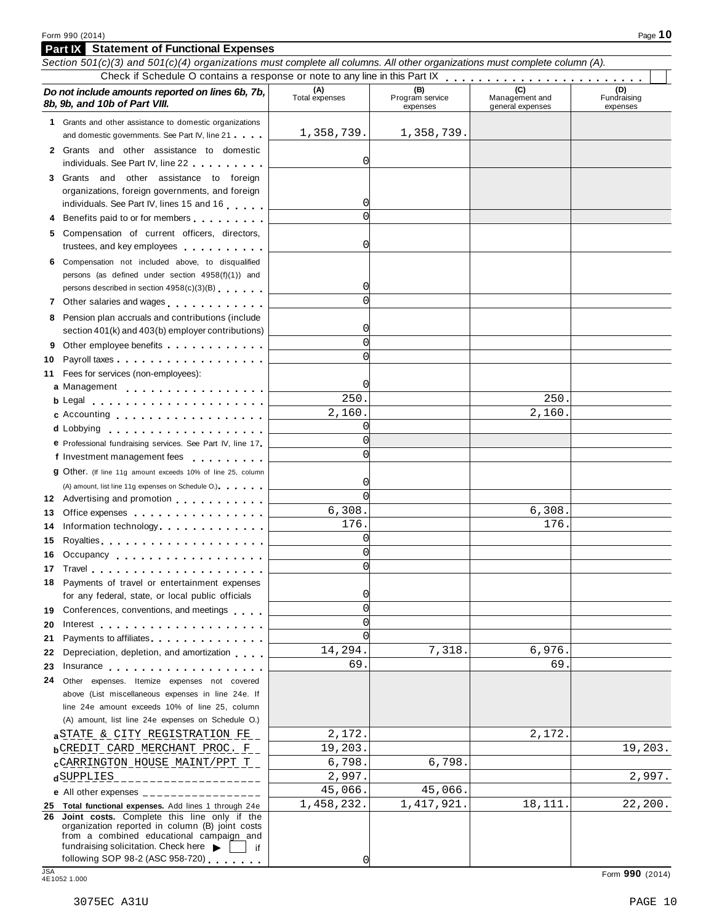| Section 501(c)(3) and 501(c)(4) organizations must complete all columns. All other organizations must complete column (A).                                                                                                                |                       |                             |                                    |                         |
|-------------------------------------------------------------------------------------------------------------------------------------------------------------------------------------------------------------------------------------------|-----------------------|-----------------------------|------------------------------------|-------------------------|
| Do not include amounts reported on lines 6b, 7b,                                                                                                                                                                                          |                       | (B)                         | (C)                                | (D)                     |
| 8b, 9b, and 10b of Part VIII.                                                                                                                                                                                                             | (A)<br>Total expenses | Program service<br>expenses | Management and<br>general expenses | Fundraising<br>expenses |
| 1 Grants and other assistance to domestic organizations                                                                                                                                                                                   |                       |                             |                                    |                         |
| and domestic governments. See Part IV, line 21                                                                                                                                                                                            | 1,358,739.            | 1,358,739.                  |                                    |                         |
| 2 Grants and other assistance to domestic                                                                                                                                                                                                 |                       |                             |                                    |                         |
| individuals. See Part IV, line 22                                                                                                                                                                                                         | 0                     |                             |                                    |                         |
| 3 Grants and other assistance to foreign                                                                                                                                                                                                  |                       |                             |                                    |                         |
| organizations, foreign governments, and foreign                                                                                                                                                                                           |                       |                             |                                    |                         |
| individuals. See Part IV, lines 15 and 16                                                                                                                                                                                                 | 0                     |                             |                                    |                         |
| 4 Benefits paid to or for members                                                                                                                                                                                                         | $\Omega$              |                             |                                    |                         |
| 5 Compensation of current officers, directors,<br>trustees, and key employees                                                                                                                                                             | 0                     |                             |                                    |                         |
| 6 Compensation not included above, to disqualified                                                                                                                                                                                        |                       |                             |                                    |                         |
| persons (as defined under section 4958(f)(1)) and                                                                                                                                                                                         |                       |                             |                                    |                         |
| persons described in section 4958(c)(3)(B)                                                                                                                                                                                                | 0                     |                             |                                    |                         |
|                                                                                                                                                                                                                                           | $\cap$                |                             |                                    |                         |
| 7 Other salaries and wages                                                                                                                                                                                                                |                       |                             |                                    |                         |
| 8 Pension plan accruals and contributions (include                                                                                                                                                                                        | 0                     |                             |                                    |                         |
| section 401(k) and 403(b) employer contributions)                                                                                                                                                                                         | $\Omega$              |                             |                                    |                         |
| Other employee benefits experience in the control of the control of the control of the control of the control of the control of the control of the control of the control of the control of the control of the control of the<br>9        | C                     |                             |                                    |                         |
| 10                                                                                                                                                                                                                                        |                       |                             |                                    |                         |
| 11 Fees for services (non-employees):                                                                                                                                                                                                     |                       |                             |                                    |                         |
| a Management                                                                                                                                                                                                                              | 0                     |                             |                                    |                         |
| <b>b</b> Legal <b>exploration of the extent of the extra set of the extra set of the set of the set of the set of the set of the set of the set of the set of the set of the set of the set of the set of the set of the set of the s</b> | 250.                  |                             | 250.                               |                         |
| c Accounting entries and the set of the set of the set of the set of the set of the set of the set of the set of the set of the set of the set of the set of the set of the set of the set of the set of the set of the set of            | 2,160.                |                             | 2,160.                             |                         |
| d Lobbying entertainment and the set of the set of the set of the set of the set of the set of the set of the                                                                                                                             | 0                     |                             |                                    |                         |
| e Professional fundraising services. See Part IV, line 17                                                                                                                                                                                 | $\Omega$              |                             |                                    |                         |
| f Investment management fees                                                                                                                                                                                                              | $\Omega$              |                             |                                    |                         |
| <b>g</b> Other. (If line 11g amount exceeds 10% of line 25, column                                                                                                                                                                        |                       |                             |                                    |                         |
| (A) amount, list line 11g expenses on Schedule O.)                                                                                                                                                                                        | 0                     |                             |                                    |                         |
| 12 Advertising and promotion                                                                                                                                                                                                              | $\Omega$              |                             |                                    |                         |
| Office expenses example.<br>13                                                                                                                                                                                                            | 6,308.                |                             | 6,308.                             |                         |
| Information technology experience and the state of the state of the state of the state of the state of the state of the state of the state of the state of the state of the state of the state of the state of the state of th<br>14      | 176.                  |                             | 176.                               |                         |
| Royalties experiences and a series are a series and a series of the series of the series of the series of the<br>15                                                                                                                       | 0                     |                             |                                    |                         |
| Occupancy<br>16                                                                                                                                                                                                                           | O                     |                             |                                    |                         |
| 17 Travel                                                                                                                                                                                                                                 | $\Omega$              |                             |                                    |                         |
| Payments of travel or entertainment expenses                                                                                                                                                                                              | 0                     |                             |                                    |                         |
| for any federal, state, or local public officials                                                                                                                                                                                         | $\Omega$              |                             |                                    |                         |
| 19 Conferences, conventions, and meetings                                                                                                                                                                                                 | C                     |                             |                                    |                         |
| 20                                                                                                                                                                                                                                        | C                     |                             |                                    |                         |
| Payments to affiliates <b>All Accords</b> Payments to affiliates<br>21                                                                                                                                                                    | 14,294.               | 7,318.                      | 6,976.                             |                         |
| Depreciation, depletion, and amortization<br>22                                                                                                                                                                                           | 69.                   |                             | 69.                                |                         |
| 23<br>Insurance                                                                                                                                                                                                                           |                       |                             |                                    |                         |
| 24 Other expenses. Itemize expenses not covered                                                                                                                                                                                           |                       |                             |                                    |                         |
| above (List miscellaneous expenses in line 24e. If<br>line 24e amount exceeds 10% of line 25, column                                                                                                                                      |                       |                             |                                    |                         |
| (A) amount, list line 24e expenses on Schedule O.)                                                                                                                                                                                        |                       |                             |                                    |                         |
|                                                                                                                                                                                                                                           |                       |                             |                                    |                         |
| a STATE & CITY REGISTRATION FE                                                                                                                                                                                                            | 2,172.                |                             | 2,172.                             |                         |
| <b>b</b> CREDIT CARD MERCHANT PROC. F                                                                                                                                                                                                     | 19,203.               |                             |                                    | 19,203.                 |
| CARRINGTON HOUSE MAINT/PPT T                                                                                                                                                                                                              | 6,798.                | 6,798.                      |                                    |                         |
| dSUPPLIES<br>______________                                                                                                                                                                                                               | 2,997.                |                             |                                    | 2,997.                  |
| e All other expenses $\frac{1}{1}$                                                                                                                                                                                                        | 45,066.               | 45,066.                     |                                    |                         |
| 25 Total functional expenses. Add lines 1 through 24e                                                                                                                                                                                     | 1,458,232.            | 1,417,921.                  | 18,111.                            | 22,200.                 |
| Joint costs. Complete this line only if the<br>26.<br>organization reported in column (B) joint costs<br>from a combined educational campaign and                                                                                         |                       |                             |                                    |                         |
| fundraising solicitation. Check here<br>if                                                                                                                                                                                                |                       |                             |                                    |                         |
| following SOP 98-2 (ASC 958-720)                                                                                                                                                                                                          | 0                     |                             |                                    |                         |
| <b>JSA</b><br>4E1052 1.000                                                                                                                                                                                                                |                       |                             |                                    | Form 990 (2014)         |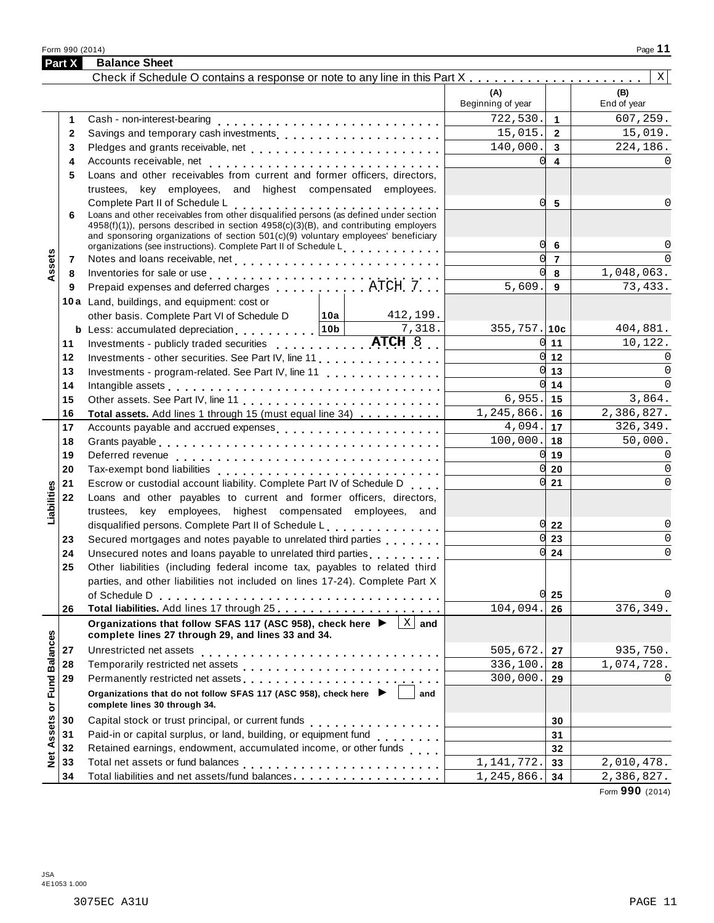Form <sup>990</sup> (2014) Page **11**

|                      | Part X       | <b>Balance Sheet</b>                                                                                                                                                                                                                                                           |                          |                                    |                    |
|----------------------|--------------|--------------------------------------------------------------------------------------------------------------------------------------------------------------------------------------------------------------------------------------------------------------------------------|--------------------------|------------------------------------|--------------------|
|                      |              |                                                                                                                                                                                                                                                                                |                          |                                    | X                  |
|                      |              |                                                                                                                                                                                                                                                                                | (A)<br>Beginning of year |                                    | (B)<br>End of year |
|                      | 1            |                                                                                                                                                                                                                                                                                | 722,530.                 | $\overline{1}$                     | 607,259.           |
|                      | $\mathbf{2}$ |                                                                                                                                                                                                                                                                                | 15,015.                  | $\overline{2}$                     | 15,019.            |
|                      | 3            |                                                                                                                                                                                                                                                                                | 140,000.                 | $\mathbf{3}$                       | 224,186.           |
|                      | 4            |                                                                                                                                                                                                                                                                                | $\Omega$                 | $\overline{4}$                     |                    |
|                      | 5            | Loans and other receivables from current and former officers, directors,                                                                                                                                                                                                       |                          |                                    |                    |
|                      |              | trustees, key employees, and highest compensated employees.                                                                                                                                                                                                                    |                          |                                    |                    |
|                      |              | Complete Part II of Schedule L<br>Complete Part if of Scriedule L<br>Loans and other receivables from other disqualified persons (as defined under section                                                                                                                     | 0l                       | 5                                  |                    |
|                      | 6            | 4958(f)(1)), persons described in section 4958(c)(3)(B), and contributing employers                                                                                                                                                                                            |                          |                                    |                    |
|                      |              | and sponsoring organizations of section $501(c)(9)$ voluntary employees' beneficiary                                                                                                                                                                                           |                          |                                    |                    |
|                      |              | organizations (see instructions). Complete Part II of Schedule L.                                                                                                                                                                                                              | 0                        | 6                                  |                    |
| ssets                | 7            |                                                                                                                                                                                                                                                                                |                          | $\overline{0}$ 7                   |                    |
|                      | 8            |                                                                                                                                                                                                                                                                                | <sub>0</sub>             | 8                                  | 1,048,063.         |
|                      | 9            |                                                                                                                                                                                                                                                                                | 5,609.                   | 9                                  | 73,433.            |
|                      |              | 10a Land, buildings, and equipment: cost or                                                                                                                                                                                                                                    |                          |                                    |                    |
|                      |              | 412,199.<br>other basis. Complete Part VI of Schedule D<br>  10a                                                                                                                                                                                                               |                          |                                    |                    |
|                      |              | 7,318.                                                                                                                                                                                                                                                                         | $355, 757.$ 10c          |                                    | 404,881.           |
|                      | 11           | Investments - publicly traded securities ATCH 8.                                                                                                                                                                                                                               |                          | $0 \vert 11$                       | 10,122.            |
|                      | 12           |                                                                                                                                                                                                                                                                                |                          | $0 \vert 12 \vert$<br>$0 \vert 13$ | $\Omega$           |
|                      | 13           | Investments - program-related. See Part IV, line 11                                                                                                                                                                                                                            |                          | $0 \vert 14$                       | $\Omega$           |
|                      | 14           |                                                                                                                                                                                                                                                                                | $6,955.$ 15              |                                    | 3,864.             |
|                      | 15<br>16     | Total assets. Add lines 1 through 15 (must equal line 34)                                                                                                                                                                                                                      | $1, 245, 866.$ 16        |                                    | 2,386,827.         |
|                      | 17           | Accounts payable and accrued expenses                                                                                                                                                                                                                                          | $4,094.$ 17              |                                    | 326,349.           |
|                      | 18           |                                                                                                                                                                                                                                                                                | $100,000.$ 18            |                                    | 50,000.            |
|                      | 19           |                                                                                                                                                                                                                                                                                |                          | $0 \vert 19$                       | O                  |
|                      | 20           |                                                                                                                                                                                                                                                                                |                          | $0\vert 20$                        | $\Omega$           |
|                      | 21           | Escrow or custodial account liability. Complete Part IV of Schedule D                                                                                                                                                                                                          |                          | $0 \overline{\smash{\big)}\ 21}$   | $\Omega$           |
| Liabilities          | 22           | Loans and other payables to current and former officers, directors,                                                                                                                                                                                                            |                          |                                    |                    |
|                      |              | trustees, key employees, highest compensated employees, and                                                                                                                                                                                                                    |                          |                                    |                    |
|                      |              | disqualified persons. Complete Part II of Schedule L.                                                                                                                                                                                                                          |                          | $0\overline{22}$                   | 0                  |
|                      | 23           | Secured mortgages and notes payable to unrelated third parties                                                                                                                                                                                                                 |                          | $0\overline{23}$                   | $\Omega$           |
|                      | 24           | Unsecured notes and loans payable to unrelated third parties <b>witch the United States</b>                                                                                                                                                                                    |                          | $0\overline{24}$                   | $\overline{0}$     |
|                      | 25           | Other liabilities (including federal income tax, payables to related third                                                                                                                                                                                                     |                          |                                    |                    |
|                      |              | parties, and other liabilities not included on lines 17-24). Complete Part X                                                                                                                                                                                                   |                          |                                    |                    |
|                      |              | of Schedule D                                                                                                                                                                                                                                                                  |                          | $0\vert 25$                        | 0                  |
|                      | 26           |                                                                                                                                                                                                                                                                                | 104,094.                 | 26                                 | 376,349.           |
|                      |              | Organizations that follow SFAS 117 (ASC 958), check here ▶<br>$X \mid$ and<br>complete lines 27 through 29, and lines 33 and 34.                                                                                                                                               |                          |                                    |                    |
|                      | 27           | Unrestricted net assets                                                                                                                                                                                                                                                        | 505,672.                 | 27                                 | 935,750.           |
|                      | 28           |                                                                                                                                                                                                                                                                                | 336,100.                 | 28                                 | 1,074,728.         |
|                      | 29           |                                                                                                                                                                                                                                                                                | 300,000.                 | 29                                 | 0                  |
| <b>Fund Balances</b> |              | Organizations that do not follow SFAS 117 (ASC 958), check here ▶<br>and                                                                                                                                                                                                       |                          |                                    |                    |
|                      |              | complete lines 30 through 34.                                                                                                                                                                                                                                                  |                          |                                    |                    |
| Net Assets or        | 30           |                                                                                                                                                                                                                                                                                |                          | 30                                 |                    |
|                      | 31           | Paid-in or capital surplus, or land, building, or equipment fund<br>$\frac{1}{2} \left( \frac{1}{2} \right) \left( \frac{1}{2} \right) \left( \frac{1}{2} \right) \left( \frac{1}{2} \right) \left( \frac{1}{2} \right) \left( \frac{1}{2} \right) \left( \frac{1}{2} \right)$ |                          | 31                                 |                    |
|                      | 32           | Retained earnings, endowment, accumulated income, or other funds                                                                                                                                                                                                               |                          | 32                                 |                    |
|                      | 33           |                                                                                                                                                                                                                                                                                | 1, 141, 772.             | 33                                 | 2,010,478.         |
|                      | 34           | Total liabilities and net assets/fund balances                                                                                                                                                                                                                                 | 1,245,866.               | 34                                 | 2,386,827.         |

Form **990** (2014)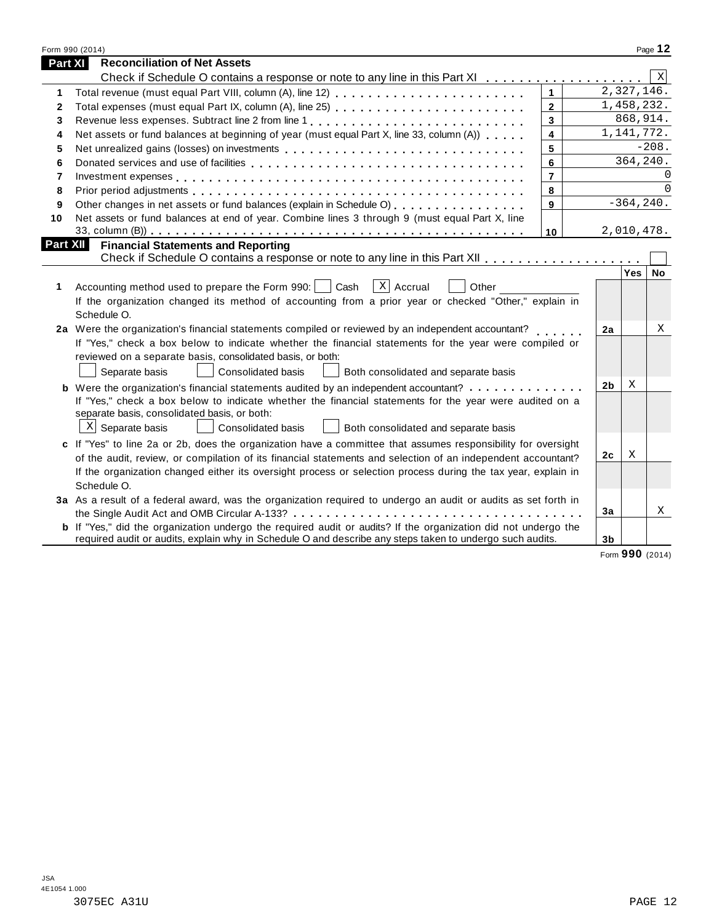|                 | Form 990 (2014)                                                                                                       |                |                |              | Page 12  |
|-----------------|-----------------------------------------------------------------------------------------------------------------------|----------------|----------------|--------------|----------|
| Part XI         | <b>Reconciliation of Net Assets</b>                                                                                   |                |                |              |          |
|                 | Check if Schedule O contains a response or note to any line in this Part XI                                           |                |                |              | X        |
| 1               |                                                                                                                       | $\mathbf{1}$   |                | 2,327,146.   |          |
| 2               | Total expenses (must equal Part IX, column (A), line 25)                                                              | $\overline{2}$ |                | 1,458,232.   |          |
| 3               |                                                                                                                       | $\mathbf{3}$   |                | 868,914.     |          |
| 4               | Net assets or fund balances at beginning of year (must equal Part X, line 33, column (A))                             | $\overline{4}$ |                | 1, 141, 772. |          |
| 5               |                                                                                                                       | 5              |                |              | $-208.$  |
| 6               |                                                                                                                       | 6              |                | 364,240.     |          |
| 7               |                                                                                                                       | $\overline{7}$ |                |              |          |
| 8               |                                                                                                                       | 8              |                |              | $\Omega$ |
| 9               | Other changes in net assets or fund balances (explain in Schedule O)                                                  | 9              |                | $-364, 240.$ |          |
| 10              | Net assets or fund balances at end of year. Combine lines 3 through 9 (must equal Part X, line                        |                |                |              |          |
|                 |                                                                                                                       | 10             |                | 2,010,478.   |          |
| <b>Part XII</b> | <b>Financial Statements and Reporting</b>                                                                             |                |                |              |          |
|                 |                                                                                                                       |                |                |              |          |
|                 |                                                                                                                       |                |                | Yes          | No       |
| 1               | $ X $ Accrual<br>Accounting method used to prepare the Form 990:     Cash<br>Other                                    |                |                |              |          |
|                 | If the organization changed its method of accounting from a prior year or checked "Other," explain in                 |                |                |              |          |
|                 | Schedule O.                                                                                                           |                |                |              |          |
|                 | 2a Were the organization's financial statements compiled or reviewed by an independent accountant?                    |                | 2a             |              | X        |
|                 | If "Yes," check a box below to indicate whether the financial statements for the year were compiled or                |                |                |              |          |
|                 | reviewed on a separate basis, consolidated basis, or both:                                                            |                |                |              |          |
|                 | Separate basis<br><b>Consolidated basis</b><br>Both consolidated and separate basis                                   |                |                |              |          |
|                 | <b>b</b> Were the organization's financial statements audited by an independent accountant?                           |                | 2 <sub>b</sub> | X            |          |
|                 | If "Yes," check a box below to indicate whether the financial statements for the year were audited on a               |                |                |              |          |
|                 | separate basis, consolidated basis, or both:                                                                          |                |                |              |          |
|                 | $X$ Separate basis<br><b>Consolidated basis</b><br>Both consolidated and separate basis                               |                |                |              |          |
|                 | c If "Yes" to line 2a or 2b, does the organization have a committee that assumes responsibility for oversight         |                |                |              |          |
|                 | of the audit, review, or compilation of its financial statements and selection of an independent accountant?          |                | 2c             | X            |          |
|                 | If the organization changed either its oversight process or selection process during the tax year, explain in         |                |                |              |          |
|                 | Schedule O.                                                                                                           |                |                |              |          |
|                 | 3a As a result of a federal award, was the organization required to undergo an audit or audits as set forth in        |                |                |              |          |
|                 |                                                                                                                       |                | 3a             |              | Χ        |
|                 | <b>b</b> If "Yes," did the organization undergo the required audit or audits? If the organization did not undergo the |                |                |              |          |
|                 | required audit or audits, explain why in Schedule O and describe any steps taken to undergo such audits.              |                | 3 <sub>b</sub> |              |          |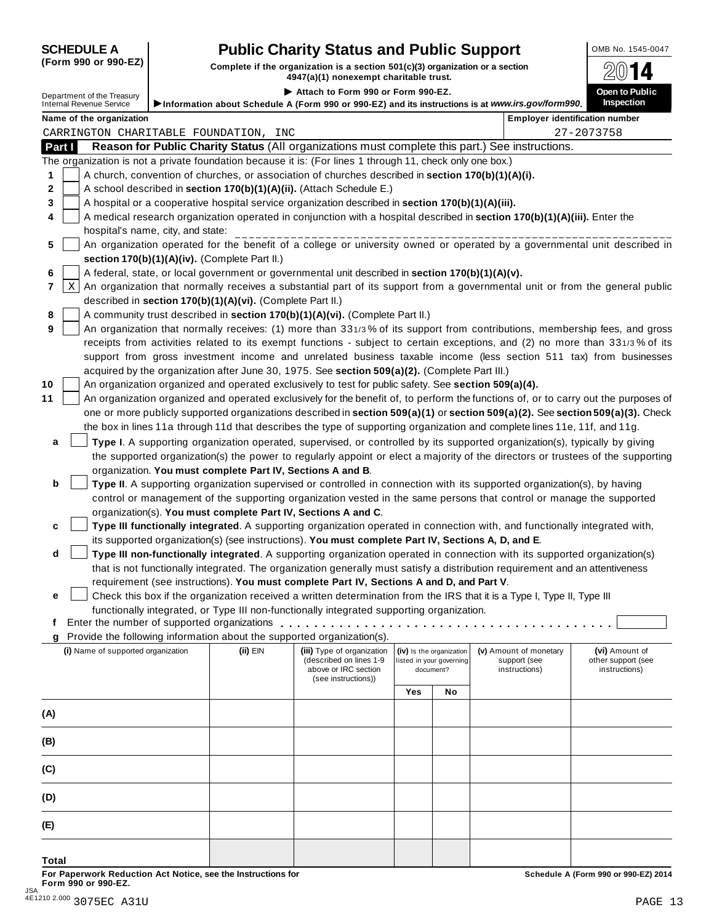| <b>SCHEDULE A</b>    | <b>Public Charity Status and Public Support</b>                                 | OMB No. 1545-0047 |  |  |
|----------------------|---------------------------------------------------------------------------------|-------------------|--|--|
| (Form 990 or 990-EZ) | Complete if the organization is a section $501(c)(3)$ organization or a section | ⋒⋒◀⋀              |  |  |

(Form 990 or 990-EZ) Complete if the organization is a section 501(c)(3) organization or a section  $4947(a)(1)$  nonexempt charitable trust. I **Attach to Form <sup>990</sup> or Form 990-EZ.** Department of the Treasury **Open to Public**

|        | Department of the Treasury                                                                                                                                                                                                     |  |                                                            | ▶ Attach to Form 990 or Form 990-EZ.                                                                      |     |                                                      |                                                                                                                              | Open to Public                                                                                                                      |  |
|--------|--------------------------------------------------------------------------------------------------------------------------------------------------------------------------------------------------------------------------------|--|------------------------------------------------------------|-----------------------------------------------------------------------------------------------------------|-----|------------------------------------------------------|------------------------------------------------------------------------------------------------------------------------------|-------------------------------------------------------------------------------------------------------------------------------------|--|
|        | <b>Internal Revenue Service</b>                                                                                                                                                                                                |  |                                                            |                                                                                                           |     |                                                      | Information about Schedule A (Form 990 or 990-EZ) and its instructions is at www.irs.gov/form990.                            | Inspection                                                                                                                          |  |
|        | Name of the organization                                                                                                                                                                                                       |  |                                                            |                                                                                                           |     |                                                      |                                                                                                                              | <b>Employer identification number</b>                                                                                               |  |
|        |                                                                                                                                                                                                                                |  | CARRINGTON CHARITABLE FOUNDATION, INC                      |                                                                                                           |     |                                                      |                                                                                                                              | 27-2073758                                                                                                                          |  |
| Part I |                                                                                                                                                                                                                                |  |                                                            |                                                                                                           |     |                                                      | Reason for Public Charity Status (All organizations must complete this part.) See instructions.                              |                                                                                                                                     |  |
|        |                                                                                                                                                                                                                                |  |                                                            | The organization is not a private foundation because it is: (For lines 1 through 11, check only one box.) |     |                                                      |                                                                                                                              |                                                                                                                                     |  |
| 1      |                                                                                                                                                                                                                                |  |                                                            | A church, convention of churches, or association of churches described in section 170(b)(1)(A)(i).        |     |                                                      |                                                                                                                              |                                                                                                                                     |  |
| 2      |                                                                                                                                                                                                                                |  |                                                            | A school described in section 170(b)(1)(A)(ii). (Attach Schedule E.)                                      |     |                                                      |                                                                                                                              |                                                                                                                                     |  |
| 3      | A hospital or a cooperative hospital service organization described in section 170(b)(1)(A)(iii).<br>A medical research organization operated in conjunction with a hospital described in section 170(b)(1)(A)(iii). Enter the |  |                                                            |                                                                                                           |     |                                                      |                                                                                                                              |                                                                                                                                     |  |
| 4      |                                                                                                                                                                                                                                |  |                                                            |                                                                                                           |     |                                                      |                                                                                                                              |                                                                                                                                     |  |
|        | hospital's name, city, and state:                                                                                                                                                                                              |  |                                                            |                                                                                                           |     |                                                      |                                                                                                                              | An organization operated for the benefit of a college or university owned or operated by a governmental unit described in           |  |
| 5      |                                                                                                                                                                                                                                |  |                                                            |                                                                                                           |     |                                                      |                                                                                                                              |                                                                                                                                     |  |
|        |                                                                                                                                                                                                                                |  | section 170(b)(1)(A)(iv). (Complete Part II.)              | A federal, state, or local government or governmental unit described in section 170(b)(1)(A)(v).          |     |                                                      |                                                                                                                              |                                                                                                                                     |  |
| 6<br>7 | Χ                                                                                                                                                                                                                              |  |                                                            |                                                                                                           |     |                                                      |                                                                                                                              | An organization that normally receives a substantial part of its support from a governmental unit or from the general public        |  |
|        |                                                                                                                                                                                                                                |  | described in section 170(b)(1)(A)(vi). (Complete Part II.) |                                                                                                           |     |                                                      |                                                                                                                              |                                                                                                                                     |  |
| 8      |                                                                                                                                                                                                                                |  |                                                            | A community trust described in section 170(b)(1)(A)(vi). (Complete Part II.)                              |     |                                                      |                                                                                                                              |                                                                                                                                     |  |
| 9      |                                                                                                                                                                                                                                |  |                                                            |                                                                                                           |     |                                                      |                                                                                                                              | An organization that normally receives: (1) more than 331/3% of its support from contributions, membership fees, and gross          |  |
|        |                                                                                                                                                                                                                                |  |                                                            |                                                                                                           |     |                                                      |                                                                                                                              | receipts from activities related to its exempt functions - subject to certain exceptions, and (2) no more than 331/3% of its        |  |
|        |                                                                                                                                                                                                                                |  |                                                            |                                                                                                           |     |                                                      |                                                                                                                              | support from gross investment income and unrelated business taxable income (less section 511 tax) from businesses                   |  |
|        |                                                                                                                                                                                                                                |  |                                                            | acquired by the organization after June 30, 1975. See section 509(a)(2). (Complete Part III.)             |     |                                                      |                                                                                                                              |                                                                                                                                     |  |
| 10     |                                                                                                                                                                                                                                |  |                                                            | An organization organized and operated exclusively to test for public safety. See section 509(a)(4).      |     |                                                      |                                                                                                                              |                                                                                                                                     |  |
| 11     |                                                                                                                                                                                                                                |  |                                                            |                                                                                                           |     |                                                      |                                                                                                                              | An organization organized and operated exclusively for the benefit of, to perform the functions of, or to carry out the purposes of |  |
|        |                                                                                                                                                                                                                                |  |                                                            |                                                                                                           |     |                                                      |                                                                                                                              | one or more publicly supported organizations described in section 509(a)(1) or section 509(a)(2). See section 509(a)(3). Check      |  |
|        |                                                                                                                                                                                                                                |  |                                                            |                                                                                                           |     |                                                      | the box in lines 11a through 11d that describes the type of supporting organization and complete lines 11e, 11f, and 11g.    |                                                                                                                                     |  |
| a      |                                                                                                                                                                                                                                |  |                                                            |                                                                                                           |     |                                                      | Type I. A supporting organization operated, supervised, or controlled by its supported organization(s), typically by giving  |                                                                                                                                     |  |
|        |                                                                                                                                                                                                                                |  |                                                            |                                                                                                           |     |                                                      |                                                                                                                              | the supported organization(s) the power to regularly appoint or elect a majority of the directors or trustees of the supporting     |  |
|        |                                                                                                                                                                                                                                |  | organization. You must complete Part IV, Sections A and B. |                                                                                                           |     |                                                      |                                                                                                                              |                                                                                                                                     |  |
| b      |                                                                                                                                                                                                                                |  |                                                            |                                                                                                           |     |                                                      | Type II. A supporting organization supervised or controlled in connection with its supported organization(s), by having      |                                                                                                                                     |  |
|        |                                                                                                                                                                                                                                |  |                                                            |                                                                                                           |     |                                                      | control or management of the supporting organization vested in the same persons that control or manage the supported         |                                                                                                                                     |  |
|        |                                                                                                                                                                                                                                |  |                                                            | organization(s). You must complete Part IV, Sections A and C.                                             |     |                                                      |                                                                                                                              |                                                                                                                                     |  |
| c      |                                                                                                                                                                                                                                |  |                                                            |                                                                                                           |     |                                                      | Type III functionally integrated. A supporting organization operated in connection with, and functionally integrated with,   |                                                                                                                                     |  |
|        |                                                                                                                                                                                                                                |  |                                                            | its supported organization(s) (see instructions). You must complete Part IV, Sections A, D, and E.        |     |                                                      |                                                                                                                              |                                                                                                                                     |  |
| d      |                                                                                                                                                                                                                                |  |                                                            |                                                                                                           |     |                                                      | Type III non-functionally integrated. A supporting organization operated in connection with its supported organization(s)    |                                                                                                                                     |  |
|        |                                                                                                                                                                                                                                |  |                                                            |                                                                                                           |     |                                                      | that is not functionally integrated. The organization generally must satisfy a distribution requirement and an attentiveness |                                                                                                                                     |  |
|        |                                                                                                                                                                                                                                |  |                                                            | requirement (see instructions). You must complete Part IV, Sections A and D, and Part V.                  |     |                                                      |                                                                                                                              |                                                                                                                                     |  |
| е      |                                                                                                                                                                                                                                |  |                                                            |                                                                                                           |     |                                                      | Check this box if the organization received a written determination from the IRS that it is a Type I, Type II, Type III      |                                                                                                                                     |  |
|        |                                                                                                                                                                                                                                |  |                                                            | functionally integrated, or Type III non-functionally integrated supporting organization.                 |     |                                                      |                                                                                                                              |                                                                                                                                     |  |
|        |                                                                                                                                                                                                                                |  |                                                            | Enter the number of supported organizations                                                               |     |                                                      |                                                                                                                              |                                                                                                                                     |  |
|        |                                                                                                                                                                                                                                |  |                                                            | Provide the following information about the supported organization(s).                                    |     |                                                      |                                                                                                                              |                                                                                                                                     |  |
|        | (i) Name of supported organization                                                                                                                                                                                             |  | (ii) EIN                                                   | (iii) Type of organization<br>(described on lines 1-9                                                     |     | (iv) Is the organization<br>listed in your governing | (v) Amount of monetary<br>support (see                                                                                       | (vi) Amount of                                                                                                                      |  |
|        |                                                                                                                                                                                                                                |  |                                                            | above or IRC section                                                                                      |     | document?                                            | instructions)                                                                                                                | other support (see<br>instructions)                                                                                                 |  |
|        |                                                                                                                                                                                                                                |  |                                                            | (see instructions))                                                                                       |     |                                                      |                                                                                                                              |                                                                                                                                     |  |
|        |                                                                                                                                                                                                                                |  |                                                            |                                                                                                           | Yes | No                                                   |                                                                                                                              |                                                                                                                                     |  |
| (A)    |                                                                                                                                                                                                                                |  |                                                            |                                                                                                           |     |                                                      |                                                                                                                              |                                                                                                                                     |  |
|        |                                                                                                                                                                                                                                |  |                                                            |                                                                                                           |     |                                                      |                                                                                                                              |                                                                                                                                     |  |
| (B)    |                                                                                                                                                                                                                                |  |                                                            |                                                                                                           |     |                                                      |                                                                                                                              |                                                                                                                                     |  |
|        |                                                                                                                                                                                                                                |  |                                                            |                                                                                                           |     |                                                      |                                                                                                                              |                                                                                                                                     |  |
| (C)    |                                                                                                                                                                                                                                |  |                                                            |                                                                                                           |     |                                                      |                                                                                                                              |                                                                                                                                     |  |
|        |                                                                                                                                                                                                                                |  |                                                            |                                                                                                           |     |                                                      |                                                                                                                              |                                                                                                                                     |  |
| (D)    |                                                                                                                                                                                                                                |  |                                                            |                                                                                                           |     |                                                      |                                                                                                                              |                                                                                                                                     |  |
|        |                                                                                                                                                                                                                                |  |                                                            |                                                                                                           |     |                                                      |                                                                                                                              |                                                                                                                                     |  |
| (E)    |                                                                                                                                                                                                                                |  |                                                            |                                                                                                           |     |                                                      |                                                                                                                              |                                                                                                                                     |  |
|        |                                                                                                                                                                                                                                |  |                                                            |                                                                                                           |     |                                                      |                                                                                                                              |                                                                                                                                     |  |
| Total  |                                                                                                                                                                                                                                |  |                                                            |                                                                                                           |     |                                                      |                                                                                                                              |                                                                                                                                     |  |
|        |                                                                                                                                                                                                                                |  |                                                            |                                                                                                           |     |                                                      |                                                                                                                              |                                                                                                                                     |  |

| 947(a)(1) nonexempt charitable trust. |  |  |
|---------------------------------------|--|--|
|                                       |  |  |

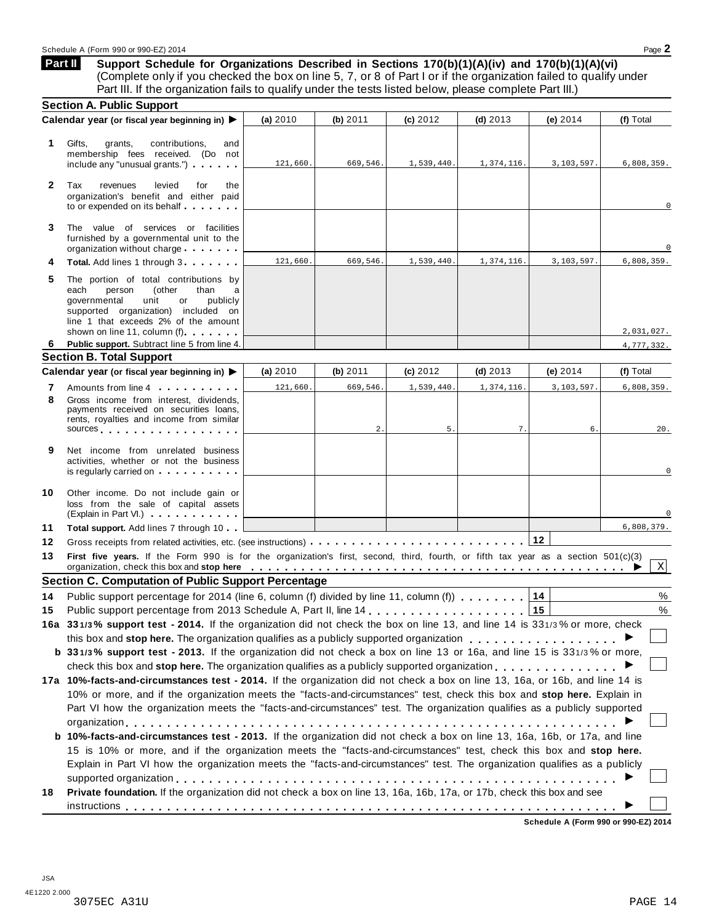**Support Schedule for Organizations Described in Sections 170(b)(1)(A)(iv) and 170(b)(1)(A)(vi)** (Complete only if you checked the box on line 5, 7, or 8 of Part I or if the organization failed to qualify under Part III. If the organization fails to qualify under the tests listed below, please complete Part III.) **Part II**

|                                                                                                                                                                                                         | (a) 2010                                                                                                                                                                                                                                                                                                                                                                                                                                          | (b) 2011             | (c) $2012$                                                                               | $(d)$ 2013                   | (e) $2014$                                                                                                                                                                                   | (f) Total                                                                                                                                                                                                                                                                                                                                                                                                                                                                                                                                                                                                                                                                                                                                                                                                                                                                                                                                                                                                                                                                                                                                                                                                                                                                                                                                                                                                                                                                                                                                                               |
|---------------------------------------------------------------------------------------------------------------------------------------------------------------------------------------------------------|---------------------------------------------------------------------------------------------------------------------------------------------------------------------------------------------------------------------------------------------------------------------------------------------------------------------------------------------------------------------------------------------------------------------------------------------------|----------------------|------------------------------------------------------------------------------------------|------------------------------|----------------------------------------------------------------------------------------------------------------------------------------------------------------------------------------------|-------------------------------------------------------------------------------------------------------------------------------------------------------------------------------------------------------------------------------------------------------------------------------------------------------------------------------------------------------------------------------------------------------------------------------------------------------------------------------------------------------------------------------------------------------------------------------------------------------------------------------------------------------------------------------------------------------------------------------------------------------------------------------------------------------------------------------------------------------------------------------------------------------------------------------------------------------------------------------------------------------------------------------------------------------------------------------------------------------------------------------------------------------------------------------------------------------------------------------------------------------------------------------------------------------------------------------------------------------------------------------------------------------------------------------------------------------------------------------------------------------------------------------------------------------------------------|
| Gifts,<br>contributions,<br>grants,<br>and<br>membership fees received. (Do not<br>include any "unusual grants.")                                                                                       | 121,660.                                                                                                                                                                                                                                                                                                                                                                                                                                          | 669,546.             | 1,539,440.                                                                               | 1,374,116.                   | 3,103,597.                                                                                                                                                                                   | 6,808,359.                                                                                                                                                                                                                                                                                                                                                                                                                                                                                                                                                                                                                                                                                                                                                                                                                                                                                                                                                                                                                                                                                                                                                                                                                                                                                                                                                                                                                                                                                                                                                              |
| Tax<br>revenues<br>levied<br>for<br>the<br>organization's benefit and either paid<br>to or expended on its behalf                                                                                       |                                                                                                                                                                                                                                                                                                                                                                                                                                                   |                      |                                                                                          |                              |                                                                                                                                                                                              | 0                                                                                                                                                                                                                                                                                                                                                                                                                                                                                                                                                                                                                                                                                                                                                                                                                                                                                                                                                                                                                                                                                                                                                                                                                                                                                                                                                                                                                                                                                                                                                                       |
| The value of services or facilities<br>furnished by a governmental unit to the<br>organization without charge                                                                                           |                                                                                                                                                                                                                                                                                                                                                                                                                                                   |                      |                                                                                          |                              |                                                                                                                                                                                              |                                                                                                                                                                                                                                                                                                                                                                                                                                                                                                                                                                                                                                                                                                                                                                                                                                                                                                                                                                                                                                                                                                                                                                                                                                                                                                                                                                                                                                                                                                                                                                         |
| Total. Add lines 1 through 3                                                                                                                                                                            | 121,660.                                                                                                                                                                                                                                                                                                                                                                                                                                          | 669,546.             | 1,539,440.                                                                               | 1,374,116.                   | 3,103,597.                                                                                                                                                                                   | 6,808,359.                                                                                                                                                                                                                                                                                                                                                                                                                                                                                                                                                                                                                                                                                                                                                                                                                                                                                                                                                                                                                                                                                                                                                                                                                                                                                                                                                                                                                                                                                                                                                              |
| The portion of total contributions by<br>each<br>person<br>(other<br>than<br>а<br>governmental<br>unit<br>or<br>publicly<br>supported organization) included on<br>line 1 that exceeds 2% of the amount |                                                                                                                                                                                                                                                                                                                                                                                                                                                   |                      |                                                                                          |                              |                                                                                                                                                                                              |                                                                                                                                                                                                                                                                                                                                                                                                                                                                                                                                                                                                                                                                                                                                                                                                                                                                                                                                                                                                                                                                                                                                                                                                                                                                                                                                                                                                                                                                                                                                                                         |
| shown on line 11, column (f)                                                                                                                                                                            |                                                                                                                                                                                                                                                                                                                                                                                                                                                   |                      |                                                                                          |                              |                                                                                                                                                                                              | 2,031,027.                                                                                                                                                                                                                                                                                                                                                                                                                                                                                                                                                                                                                                                                                                                                                                                                                                                                                                                                                                                                                                                                                                                                                                                                                                                                                                                                                                                                                                                                                                                                                              |
|                                                                                                                                                                                                         |                                                                                                                                                                                                                                                                                                                                                                                                                                                   |                      |                                                                                          |                              |                                                                                                                                                                                              | 4,777,332.                                                                                                                                                                                                                                                                                                                                                                                                                                                                                                                                                                                                                                                                                                                                                                                                                                                                                                                                                                                                                                                                                                                                                                                                                                                                                                                                                                                                                                                                                                                                                              |
|                                                                                                                                                                                                         |                                                                                                                                                                                                                                                                                                                                                                                                                                                   |                      |                                                                                          |                              |                                                                                                                                                                                              |                                                                                                                                                                                                                                                                                                                                                                                                                                                                                                                                                                                                                                                                                                                                                                                                                                                                                                                                                                                                                                                                                                                                                                                                                                                                                                                                                                                                                                                                                                                                                                         |
|                                                                                                                                                                                                         |                                                                                                                                                                                                                                                                                                                                                                                                                                                   |                      |                                                                                          |                              |                                                                                                                                                                                              | (f) Total                                                                                                                                                                                                                                                                                                                                                                                                                                                                                                                                                                                                                                                                                                                                                                                                                                                                                                                                                                                                                                                                                                                                                                                                                                                                                                                                                                                                                                                                                                                                                               |
| Gross income from interest, dividends,<br>payments received on securities loans,<br>rents, royalties and income from similar                                                                            |                                                                                                                                                                                                                                                                                                                                                                                                                                                   |                      |                                                                                          |                              |                                                                                                                                                                                              | 6,808,359.<br>20.                                                                                                                                                                                                                                                                                                                                                                                                                                                                                                                                                                                                                                                                                                                                                                                                                                                                                                                                                                                                                                                                                                                                                                                                                                                                                                                                                                                                                                                                                                                                                       |
|                                                                                                                                                                                                         |                                                                                                                                                                                                                                                                                                                                                                                                                                                   |                      |                                                                                          |                              |                                                                                                                                                                                              |                                                                                                                                                                                                                                                                                                                                                                                                                                                                                                                                                                                                                                                                                                                                                                                                                                                                                                                                                                                                                                                                                                                                                                                                                                                                                                                                                                                                                                                                                                                                                                         |
| Net income from unrelated business<br>activities, whether or not the business<br>is regularly carried on each property of the set of the set of the set of the set of the set of the set of the         |                                                                                                                                                                                                                                                                                                                                                                                                                                                   |                      |                                                                                          |                              |                                                                                                                                                                                              | 0                                                                                                                                                                                                                                                                                                                                                                                                                                                                                                                                                                                                                                                                                                                                                                                                                                                                                                                                                                                                                                                                                                                                                                                                                                                                                                                                                                                                                                                                                                                                                                       |
| Other income. Do not include gain or<br>loss from the sale of capital assets                                                                                                                            |                                                                                                                                                                                                                                                                                                                                                                                                                                                   |                      |                                                                                          |                              |                                                                                                                                                                                              |                                                                                                                                                                                                                                                                                                                                                                                                                                                                                                                                                                                                                                                                                                                                                                                                                                                                                                                                                                                                                                                                                                                                                                                                                                                                                                                                                                                                                                                                                                                                                                         |
|                                                                                                                                                                                                         |                                                                                                                                                                                                                                                                                                                                                                                                                                                   |                      |                                                                                          |                              |                                                                                                                                                                                              | 6,808,379.                                                                                                                                                                                                                                                                                                                                                                                                                                                                                                                                                                                                                                                                                                                                                                                                                                                                                                                                                                                                                                                                                                                                                                                                                                                                                                                                                                                                                                                                                                                                                              |
|                                                                                                                                                                                                         |                                                                                                                                                                                                                                                                                                                                                                                                                                                   |                      |                                                                                          |                              |                                                                                                                                                                                              |                                                                                                                                                                                                                                                                                                                                                                                                                                                                                                                                                                                                                                                                                                                                                                                                                                                                                                                                                                                                                                                                                                                                                                                                                                                                                                                                                                                                                                                                                                                                                                         |
|                                                                                                                                                                                                         |                                                                                                                                                                                                                                                                                                                                                                                                                                                   |                      |                                                                                          |                              |                                                                                                                                                                                              | $\mathbf{X}$                                                                                                                                                                                                                                                                                                                                                                                                                                                                                                                                                                                                                                                                                                                                                                                                                                                                                                                                                                                                                                                                                                                                                                                                                                                                                                                                                                                                                                                                                                                                                            |
|                                                                                                                                                                                                         |                                                                                                                                                                                                                                                                                                                                                                                                                                                   |                      |                                                                                          |                              |                                                                                                                                                                                              |                                                                                                                                                                                                                                                                                                                                                                                                                                                                                                                                                                                                                                                                                                                                                                                                                                                                                                                                                                                                                                                                                                                                                                                                                                                                                                                                                                                                                                                                                                                                                                         |
|                                                                                                                                                                                                         |                                                                                                                                                                                                                                                                                                                                                                                                                                                   |                      |                                                                                          |                              | 14                                                                                                                                                                                           | %                                                                                                                                                                                                                                                                                                                                                                                                                                                                                                                                                                                                                                                                                                                                                                                                                                                                                                                                                                                                                                                                                                                                                                                                                                                                                                                                                                                                                                                                                                                                                                       |
|                                                                                                                                                                                                         |                                                                                                                                                                                                                                                                                                                                                                                                                                                   |                      |                                                                                          |                              | 15                                                                                                                                                                                           | $\%$                                                                                                                                                                                                                                                                                                                                                                                                                                                                                                                                                                                                                                                                                                                                                                                                                                                                                                                                                                                                                                                                                                                                                                                                                                                                                                                                                                                                                                                                                                                                                                    |
|                                                                                                                                                                                                         |                                                                                                                                                                                                                                                                                                                                                                                                                                                   |                      |                                                                                          |                              |                                                                                                                                                                                              |                                                                                                                                                                                                                                                                                                                                                                                                                                                                                                                                                                                                                                                                                                                                                                                                                                                                                                                                                                                                                                                                                                                                                                                                                                                                                                                                                                                                                                                                                                                                                                         |
|                                                                                                                                                                                                         |                                                                                                                                                                                                                                                                                                                                                                                                                                                   |                      |                                                                                          |                              |                                                                                                                                                                                              |                                                                                                                                                                                                                                                                                                                                                                                                                                                                                                                                                                                                                                                                                                                                                                                                                                                                                                                                                                                                                                                                                                                                                                                                                                                                                                                                                                                                                                                                                                                                                                         |
|                                                                                                                                                                                                         |                                                                                                                                                                                                                                                                                                                                                                                                                                                   |                      |                                                                                          |                              |                                                                                                                                                                                              |                                                                                                                                                                                                                                                                                                                                                                                                                                                                                                                                                                                                                                                                                                                                                                                                                                                                                                                                                                                                                                                                                                                                                                                                                                                                                                                                                                                                                                                                                                                                                                         |
|                                                                                                                                                                                                         |                                                                                                                                                                                                                                                                                                                                                                                                                                                   |                      |                                                                                          |                              |                                                                                                                                                                                              |                                                                                                                                                                                                                                                                                                                                                                                                                                                                                                                                                                                                                                                                                                                                                                                                                                                                                                                                                                                                                                                                                                                                                                                                                                                                                                                                                                                                                                                                                                                                                                         |
|                                                                                                                                                                                                         |                                                                                                                                                                                                                                                                                                                                                                                                                                                   |                      |                                                                                          |                              |                                                                                                                                                                                              |                                                                                                                                                                                                                                                                                                                                                                                                                                                                                                                                                                                                                                                                                                                                                                                                                                                                                                                                                                                                                                                                                                                                                                                                                                                                                                                                                                                                                                                                                                                                                                         |
|                                                                                                                                                                                                         |                                                                                                                                                                                                                                                                                                                                                                                                                                                   |                      |                                                                                          |                              |                                                                                                                                                                                              |                                                                                                                                                                                                                                                                                                                                                                                                                                                                                                                                                                                                                                                                                                                                                                                                                                                                                                                                                                                                                                                                                                                                                                                                                                                                                                                                                                                                                                                                                                                                                                         |
|                                                                                                                                                                                                         |                                                                                                                                                                                                                                                                                                                                                                                                                                                   |                      |                                                                                          |                              |                                                                                                                                                                                              |                                                                                                                                                                                                                                                                                                                                                                                                                                                                                                                                                                                                                                                                                                                                                                                                                                                                                                                                                                                                                                                                                                                                                                                                                                                                                                                                                                                                                                                                                                                                                                         |
|                                                                                                                                                                                                         |                                                                                                                                                                                                                                                                                                                                                                                                                                                   |                      |                                                                                          |                              |                                                                                                                                                                                              |                                                                                                                                                                                                                                                                                                                                                                                                                                                                                                                                                                                                                                                                                                                                                                                                                                                                                                                                                                                                                                                                                                                                                                                                                                                                                                                                                                                                                                                                                                                                                                         |
|                                                                                                                                                                                                         |                                                                                                                                                                                                                                                                                                                                                                                                                                                   |                      |                                                                                          |                              |                                                                                                                                                                                              |                                                                                                                                                                                                                                                                                                                                                                                                                                                                                                                                                                                                                                                                                                                                                                                                                                                                                                                                                                                                                                                                                                                                                                                                                                                                                                                                                                                                                                                                                                                                                                         |
|                                                                                                                                                                                                         |                                                                                                                                                                                                                                                                                                                                                                                                                                                   |                      |                                                                                          |                              |                                                                                                                                                                                              |                                                                                                                                                                                                                                                                                                                                                                                                                                                                                                                                                                                                                                                                                                                                                                                                                                                                                                                                                                                                                                                                                                                                                                                                                                                                                                                                                                                                                                                                                                                                                                         |
|                                                                                                                                                                                                         |                                                                                                                                                                                                                                                                                                                                                                                                                                                   |                      |                                                                                          |                              |                                                                                                                                                                                              |                                                                                                                                                                                                                                                                                                                                                                                                                                                                                                                                                                                                                                                                                                                                                                                                                                                                                                                                                                                                                                                                                                                                                                                                                                                                                                                                                                                                                                                                                                                                                                         |
| Private foundation. If the organization did not check a box on line 13, 16a, 16b, 17a, or 17b, check this box and see                                                                                   |                                                                                                                                                                                                                                                                                                                                                                                                                                                   |                      |                                                                                          |                              |                                                                                                                                                                                              |                                                                                                                                                                                                                                                                                                                                                                                                                                                                                                                                                                                                                                                                                                                                                                                                                                                                                                                                                                                                                                                                                                                                                                                                                                                                                                                                                                                                                                                                                                                                                                         |
|                                                                                                                                                                                                         | <b>Section A. Public Support</b><br>Calendar year (or fiscal year beginning in) ▶<br>Public support. Subtract line 5 from line 4.<br><b>Section B. Total Support</b><br>Calendar year (or fiscal year beginning in) ▶<br>Amounts from line 4<br>sources and the set of the set of the set of the set of the set of the set of the set of the set of the set of<br>(Explain in Part VI.) <b>CONFIDENT</b><br>Total support. Add lines 7 through 10 | (a) 2010<br>121,660. | (b) 2011<br>669,546.<br>2.<br><b>Section C. Computation of Public Support Percentage</b> | (c) 2012<br>1,539,440.<br>5. | $(d)$ 2013<br>1,374,116.<br>7.<br>Public support percentage for 2014 (line 6, column (f) divided by line 11, column (f)<br>Public support percentage from 2013 Schedule A, Part II, line 14, | (e) $2014$<br>3,103,597.<br>6.<br>$12$<br>First five years. If the Form 990 is for the organization's first, second, third, fourth, or fifth tax year as a section 501(c)(3)<br>organization, check this box and stop here entirially respectively respectively and stop here entire respectively.<br><b>16a 331/3% support test - 2014.</b> If the organization did not check the box on line 13, and line 14 is 331/3% or more, check<br>this box and stop here. The organization qualifies as a publicly supported organization<br>b 331/3% support test - 2013. If the organization did not check a box on line 13 or 16a, and line 15 is 331/3% or more,<br>check this box and stop here. The organization qualifies as a publicly supported organization $\dots \dots \dots \dots \dots$<br>17a 10%-facts-and-circumstances test - 2014. If the organization did not check a box on line 13, 16a, or 16b, and line 14 is<br>10% or more, and if the organization meets the "facts-and-circumstances" test, check this box and stop here. Explain in<br>Part VI how the organization meets the "facts-and-circumstances" test. The organization qualifies as a publicly supported<br>b 10%-facts-and-circumstances test - 2013. If the organization did not check a box on line 13, 16a, 16b, or 17a, and line<br>15 is 10% or more, and if the organization meets the "facts-and-circumstances" test, check this box and stop here.<br>Explain in Part VI how the organization meets the "facts-and-circumstances" test. The organization qualifies as a publicly |

**Schedule A (Form 990 or 990-EZ) 2014**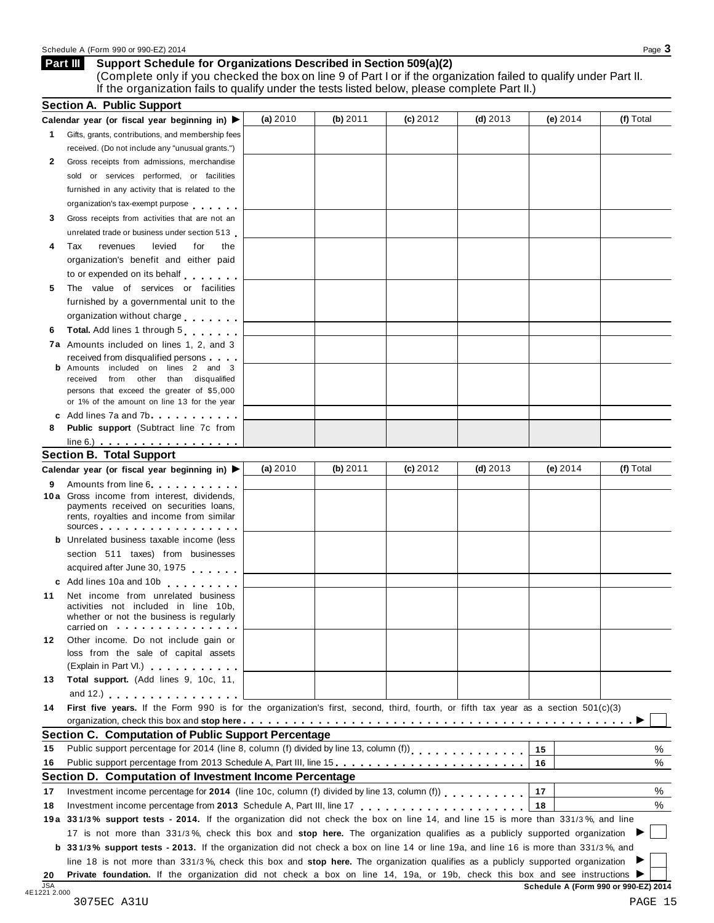#### Schedule A (Form 990 or 990-EZ) 2014 Page 3

#### **Support Schedule for Organizations Described in Section 509(a)(2) Part III**

(Complete only if you checked the box on line 9 of Part I or if the organization failed to qualify under Part II. If the organization fails to qualify under the tests listed below, please complete Part II.)

|    | Calendar year (or fiscal year beginning in) $\blacktriangleright$                                                                                                                                                                                            | (a) 2010 | (b) 2011 | (c) 2012 | $(d)$ 2013 | (e) $2014$ | (f) Total        |
|----|--------------------------------------------------------------------------------------------------------------------------------------------------------------------------------------------------------------------------------------------------------------|----------|----------|----------|------------|------------|------------------|
|    | 1 Gifts, grants, contributions, and membership fees                                                                                                                                                                                                          |          |          |          |            |            |                  |
|    | received. (Do not include any "unusual grants.")                                                                                                                                                                                                             |          |          |          |            |            |                  |
| 2  | Gross receipts from admissions, merchandise                                                                                                                                                                                                                  |          |          |          |            |            |                  |
|    | sold or services performed, or facilities                                                                                                                                                                                                                    |          |          |          |            |            |                  |
|    | furnished in any activity that is related to the                                                                                                                                                                                                             |          |          |          |            |            |                  |
|    | organization's tax-exempt purpose                                                                                                                                                                                                                            |          |          |          |            |            |                  |
| 3  | Gross receipts from activities that are not an                                                                                                                                                                                                               |          |          |          |            |            |                  |
|    | unrelated trade or business under section 513                                                                                                                                                                                                                |          |          |          |            |            |                  |
| 4  | levied<br>Tax<br>revenues<br>for<br>the                                                                                                                                                                                                                      |          |          |          |            |            |                  |
|    | organization's benefit and either paid                                                                                                                                                                                                                       |          |          |          |            |            |                  |
|    | to or expended on its behalf                                                                                                                                                                                                                                 |          |          |          |            |            |                  |
| 5  | The value of services or facilities                                                                                                                                                                                                                          |          |          |          |            |            |                  |
|    | furnished by a governmental unit to the                                                                                                                                                                                                                      |          |          |          |            |            |                  |
|    | organization without charge                                                                                                                                                                                                                                  |          |          |          |            |            |                  |
| 6  | Total. Add lines 1 through 5                                                                                                                                                                                                                                 |          |          |          |            |            |                  |
|    |                                                                                                                                                                                                                                                              |          |          |          |            |            |                  |
|    | 7a Amounts included on lines 1, 2, and 3                                                                                                                                                                                                                     |          |          |          |            |            |                  |
|    | received from disqualified persons<br>Amounts included on lines 2 and 3                                                                                                                                                                                      |          |          |          |            |            |                  |
|    | received from other than disqualified                                                                                                                                                                                                                        |          |          |          |            |            |                  |
|    | persons that exceed the greater of \$5,000                                                                                                                                                                                                                   |          |          |          |            |            |                  |
|    | or 1% of the amount on line 13 for the year                                                                                                                                                                                                                  |          |          |          |            |            |                  |
|    | c Add lines $7a$ and $7b$                                                                                                                                                                                                                                    |          |          |          |            |            |                  |
| 8  | <b>Public support</b> (Subtract line 7c from                                                                                                                                                                                                                 |          |          |          |            |            |                  |
|    | $line 6.)$ $\ldots$ $\ldots$ $\ldots$ $\ldots$ $\ldots$ $\ldots$                                                                                                                                                                                             |          |          |          |            |            |                  |
|    | <b>Section B. Total Support</b>                                                                                                                                                                                                                              |          |          |          |            |            |                  |
|    | Calendar year (or fiscal year beginning in)                                                                                                                                                                                                                  | (a) 2010 | (b) 2011 | (c) 2012 | (d) $2013$ | (e) $2014$ | (f) Total        |
| 9  | Amounts from line 6                                                                                                                                                                                                                                          |          |          |          |            |            |                  |
|    | 10a Gross income from interest, dividends,<br>payments received on securities loans,                                                                                                                                                                         |          |          |          |            |            |                  |
|    | rents, royalties and income from similar                                                                                                                                                                                                                     |          |          |          |            |            |                  |
|    | sources and the set of the set of the set of the set of the set of the set of the set of the set of the set of the set of the set of the set of the set of the set of the set of the set of the set of the set of the set of t                               |          |          |          |            |            |                  |
|    | <b>b</b> Unrelated business taxable income (less                                                                                                                                                                                                             |          |          |          |            |            |                  |
|    | section 511 taxes) from businesses                                                                                                                                                                                                                           |          |          |          |            |            |                  |
|    | acquired after June 30, 1975                                                                                                                                                                                                                                 |          |          |          |            |            |                  |
|    | c Add lines 10a and 10b                                                                                                                                                                                                                                      |          |          |          |            |            |                  |
| 11 | Net income from unrelated business                                                                                                                                                                                                                           |          |          |          |            |            |                  |
|    |                                                                                                                                                                                                                                                              |          |          |          |            |            |                  |
|    | activities not included in line 10b,                                                                                                                                                                                                                         |          |          |          |            |            |                  |
|    | whether or not the business is regularly                                                                                                                                                                                                                     |          |          |          |            |            |                  |
|    | carried on the carried on the carried on the care and the care of the care of the care of the care of the care of the care of the care of the care of the care of the care of the care of the care of the care of the care of                                |          |          |          |            |            |                  |
| 12 | Other income. Do not include gain or                                                                                                                                                                                                                         |          |          |          |            |            |                  |
|    | loss from the sale of capital assets                                                                                                                                                                                                                         |          |          |          |            |            |                  |
|    | (Explain in Part VI.) <b>All Accords</b>                                                                                                                                                                                                                     |          |          |          |            |            |                  |
| 13 | Total support. (Add lines 9, 10c, 11,                                                                                                                                                                                                                        |          |          |          |            |            |                  |
|    | and 12.) $\ldots$ $\ldots$ $\ldots$ $\ldots$ $\ldots$                                                                                                                                                                                                        |          |          |          |            |            |                  |
| 14 | First five years. If the Form 990 is for the organization's first, second, third, fourth, or fifth tax year as a section 501(c)(3)                                                                                                                           |          |          |          |            |            |                  |
|    |                                                                                                                                                                                                                                                              |          |          |          |            |            |                  |
|    | <b>Section C. Computation of Public Support Percentage</b>                                                                                                                                                                                                   |          |          |          |            |            |                  |
| 15 | Public support percentage for 2014 (line 8, column (f) divided by line 13, column (f))                                                                                                                                                                       |          |          |          |            | 15         |                  |
| 16 | Public support percentage from 2013 Schedule A, Part III, line 15.                                                                                                                                                                                           |          |          |          |            | 16         |                  |
|    | Section D. Computation of Investment Income Percentage                                                                                                                                                                                                       |          |          |          |            |            |                  |
| 17 | Investment income percentage for 2014 (line 10c, column (f) divided by line 13, column (f))                                                                                                                                                                  |          |          |          |            | 17         |                  |
| 18 | Investment income percentage from 2013 Schedule A, Part III, line 17                                                                                                                                                                                         |          |          |          |            | 18         |                  |
|    | 19a 331/3% support tests - 2014. If the organization did not check the box on line 14, and line 15 is more than 331/3%, and line                                                                                                                             |          |          |          |            |            |                  |
|    | 17 is not more than 331/3%, check this box and stop here. The organization qualifies as a publicly supported organization                                                                                                                                    |          |          |          |            |            |                  |
|    | <b>b</b> 331/3% support tests - 2013. If the organization did not check a box on line 14 or line 19a, and line 16 is more than 331/3%, and                                                                                                                   |          |          |          |            |            |                  |
|    | line 18 is not more than 331/3%, check this box and stop here. The organization qualifies as a publicly supported organization<br>Private foundation. If the organization did not check a box on line 14, 19a, or 19b, check this box and see instructions ▶ |          |          |          |            |            | %<br>%<br>%<br>% |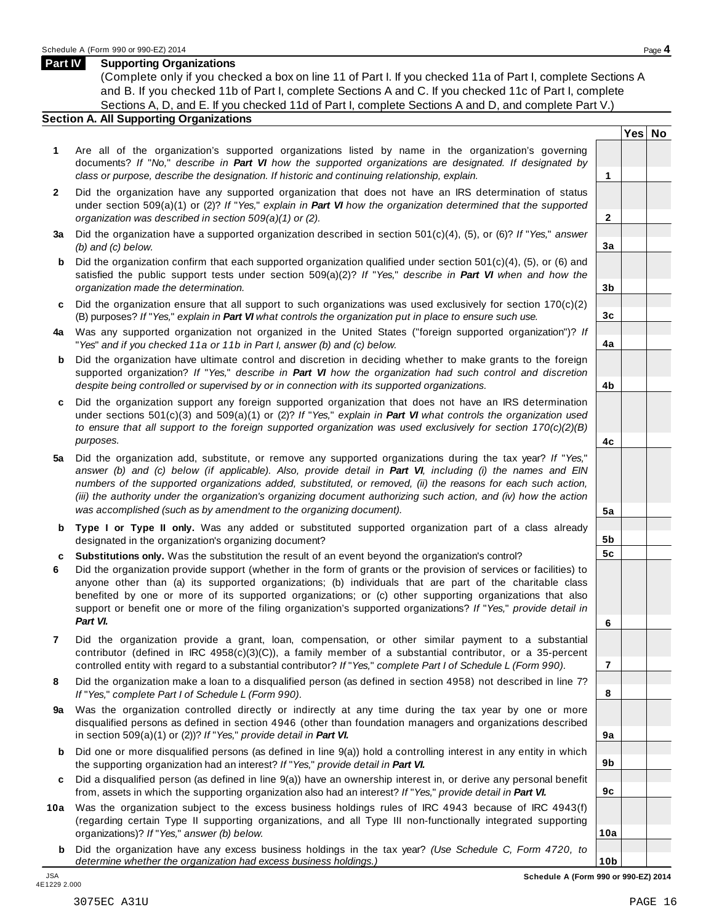#### **Part IV Supporting Organizations**

(Complete only if you checked a box on line 11 of Part I. If you checked 11a of Part I, complete Sections A and B. If you checked 11b of Part I, complete Sections A and C. If you checked 11c of Part I, complete Sections A, D, and E. If you checked 11d of Part I, complete Sections A and D, and complete Part V.)

### **Section A. All Supporting Organizations**

- **1** Are all of the organization's supported organizations listed by name in the organization's governing documents? *If* "*No,*" *describe in Part VI how the supported organizations are designated. If designated by class or purpose, describe the designation. If historic and continuing relationship, explain.* **1**
- **2** Did the organization have any supported organization that does not have an IRS determination of status under section 509(a)(1) or (2)? *If*"*Yes,*" *explain in Part VI how the organization determined that the supported organization was described in section 509(a)(1) or (2).*
- **3 a** Did the organization have a supported organization described in section 501(c)(4), (5), or (6)? *If* "*Yes,*" *answer (b) and (c) below.*
- **b** Did the organization confirm that each supported organization qualified under section 501(c)(4), (5), or (6) and | satisfied the public support tests under section 509(a)(2)? *If* "*Yes,*" *describe in Part VI when and how the organization made the determination.*
- **c** Did the organization ensure that all support to such organizations was used exclusively for section 170(c)(2) (B) purposes? *If*"*Yes,*" *explain in Part VI what controls the organization put in place to ensure such use.*
- **4 a** Was any supported organization not organized in the United States ("foreign supported organization")? *If* "*Yes*" *and if you checked 11a or 11b in Part I, answer (b) and (c) below.*
- **b** Did the organization have ultimate control and discretion in deciding whether to make grants to the foreign | supported organization? *If* "*Yes,*" *describe in Part VI how the organization had such control and discretion despite being controlled or supervised by or in connection with its supported organizations.*
- **c** Did the organization support any foreign supported organization that does not have an IRS determination under sections 501(c)(3) and 509(a)(1) or (2)? *If* "*Yes,*" *explain in Part VI what controls the organization used to ensure that all support to the foreign supported organization was used exclusively for section 170(c)(2)(B) purposes.*
- **5 a** Did the organization add, substitute, or remove any supported organizations during the tax year? *If* "*Yes,*" answer (b) and (c) below (if applicable). Also, provide detail in Part VI, including (i) the names and EIN *numbers of the supported organizations added, substituted, or removed, (ii) the reasons for each such action,* (iii) the authority under the organization's organizing document authorizing such action, and (iv) how the action *was accomplished (such as by amendment to the organizing document).*
- **b** Type I or Type II only. Was any added or substituted supported organization part of a class already | designated in the organization's organizing document?
- **c Substitutions only.** Was the substitution the result of an event beyond the organization's control?
- **6** Did the organization provide support (whether in the form of grants or the provision of services or facilities) to anyone other than (a) its supported organizations; (b) individuals that are part of the charitable class benefited by one or more of its supported organizations; or (c) other supporting organizations that also support or benefit one or more of the filing organization's supported organizations? *If* "*Yes,*" *provide detail in Part VI.*
- **7** Did the organization provide a grant, loan, compensation, or other similar payment to a substantial contributor (defined in IRC 4958(c)(3)(C)), a family member of a substantial contributor, or a 35-percent controlled entity with regard to a substantial contributor? *If*"*Yes,*" *complete Part I of Schedule L (Form 990).*
- **8** Did the organization make a loan to a disqualified person (as defined in section 4958) not described in line 7? *If* "*Yes,*" *complete Part I of Schedule L (Form 990).*
- **9 a** Was the organization controlled directly or indirectly at any time during the tax year by one or more  $|$ disqualified persons as defined in section 4946 (other than foundation managers and organizations described in section 509(a)(1) or (2))? *If*"*Yes,*" *provide detail in Part VI.*
- **b** Did one or more disqualified persons (as defined in line 9(a)) hold a controlling interest in any entity in which | the supporting organization had an interest? *If*"*Yes,*" *provide detail in Part VI.*
- **c** Did a disqualified person (as defined in line 9(a)) have an ownership interest in, or derive any personal benefit from, assets in which the supporting organization also had an interest? *If*"*Yes,*" *provide detail in Part VI.*
- **10a** Was the organization subject to the excess business holdings rules of IRC 4943 because of IRC 4943(f) | (regarding certain Type II supporting organizations, and all Type III non-functionally integrated supporting organizations)? *If*"*Yes,*" *answer (b) below.*
	- **b** Did the organization have any excess business holdings in the tax year? *(Use Schedule C, Form 4720, to determine whether the organization had excess business holdings.)*

**Yes No**

**2**

**3a**

**3b**

**3c**

**4a**

**4b**

**4c**

**5a**

**5b 5c**

**6**

**7**

**8**

**9a**

**9b**

**9c**

**10a**

**10b** JSA **Schedule A (Form 990 or 990-EZ) 2014**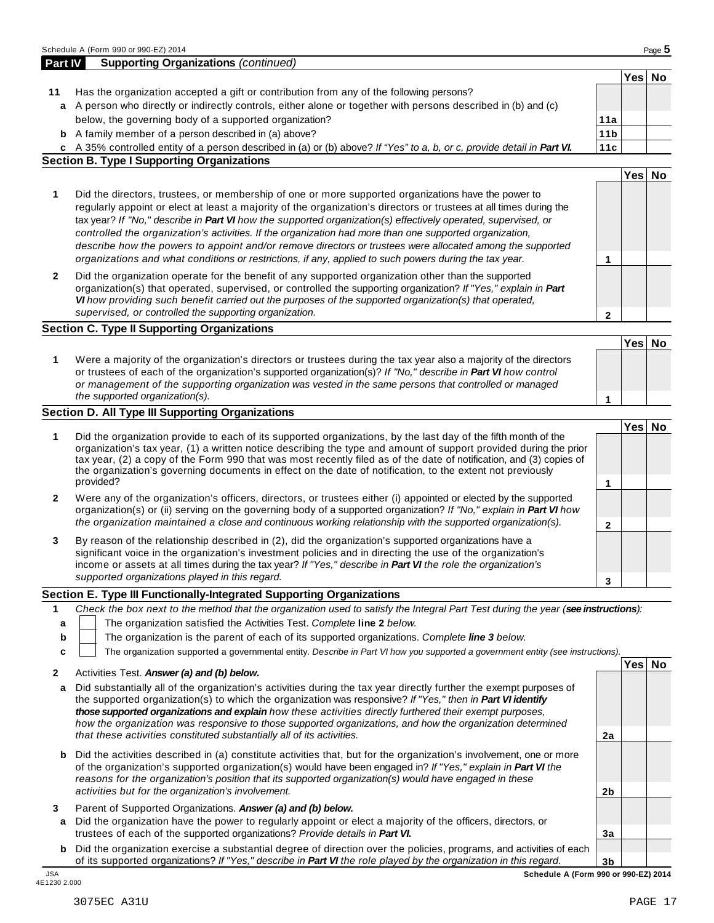|                  | $\alpha$ - A person who directly of indiffectly controls, entrier alone or together with persons described in (b) and (c)                                                                                                                                                                                                                                                                                                                                                                                                                                                                                                                                                    |                 |        |  |
|------------------|------------------------------------------------------------------------------------------------------------------------------------------------------------------------------------------------------------------------------------------------------------------------------------------------------------------------------------------------------------------------------------------------------------------------------------------------------------------------------------------------------------------------------------------------------------------------------------------------------------------------------------------------------------------------------|-----------------|--------|--|
|                  | below, the governing body of a supported organization?                                                                                                                                                                                                                                                                                                                                                                                                                                                                                                                                                                                                                       | 11a             |        |  |
|                  | <b>b</b> A family member of a person described in (a) above?                                                                                                                                                                                                                                                                                                                                                                                                                                                                                                                                                                                                                 | 11 <sub>b</sub> |        |  |
|                  | c A 35% controlled entity of a person described in (a) or (b) above? If "Yes" to a, b, or c, provide detail in Part VI.                                                                                                                                                                                                                                                                                                                                                                                                                                                                                                                                                      | 11c             |        |  |
|                  | <b>Section B. Type I Supporting Organizations</b>                                                                                                                                                                                                                                                                                                                                                                                                                                                                                                                                                                                                                            |                 |        |  |
|                  |                                                                                                                                                                                                                                                                                                                                                                                                                                                                                                                                                                                                                                                                              |                 | Yes No |  |
|                  |                                                                                                                                                                                                                                                                                                                                                                                                                                                                                                                                                                                                                                                                              |                 |        |  |
| 1                | Did the directors, trustees, or membership of one or more supported organizations have the power to<br>regularly appoint or elect at least a majority of the organization's directors or trustees at all times during the<br>tax year? If "No," describe in Part VI how the supported organization(s) effectively operated, supervised, or<br>controlled the organization's activities. If the organization had more than one supported organization,<br>describe how the powers to appoint and/or remove directors or trustees were allocated among the supported<br>organizations and what conditions or restrictions, if any, applied to such powers during the tax year. | 1               |        |  |
|                  |                                                                                                                                                                                                                                                                                                                                                                                                                                                                                                                                                                                                                                                                              |                 |        |  |
| $\mathbf{2}$     | Did the organization operate for the benefit of any supported organization other than the supported<br>organization(s) that operated, supervised, or controlled the supporting organization? If "Yes," explain in Part<br>VI how providing such benefit carried out the purposes of the supported organization(s) that operated,<br>supervised, or controlled the supporting organization.                                                                                                                                                                                                                                                                                   | $\mathbf{2}$    |        |  |
|                  | <b>Section C. Type II Supporting Organizations</b>                                                                                                                                                                                                                                                                                                                                                                                                                                                                                                                                                                                                                           |                 |        |  |
|                  |                                                                                                                                                                                                                                                                                                                                                                                                                                                                                                                                                                                                                                                                              |                 | Yes No |  |
| 1                | Were a majority of the organization's directors or trustees during the tax year also a majority of the directors<br>or trustees of each of the organization's supported organization(s)? If "No," describe in Part VI how control<br>or management of the supporting organization was vested in the same persons that controlled or managed<br>the supported organization(s).                                                                                                                                                                                                                                                                                                | 1               |        |  |
|                  | <b>Section D. All Type III Supporting Organizations</b>                                                                                                                                                                                                                                                                                                                                                                                                                                                                                                                                                                                                                      |                 |        |  |
| 1                | Did the organization provide to each of its supported organizations, by the last day of the fifth month of the<br>organization's tax year, (1) a written notice describing the type and amount of support provided during the prior<br>tax year, (2) a copy of the Form 990 that was most recently filed as of the date of notification, and (3) copies of<br>the organization's governing documents in effect on the date of notification, to the extent not previously<br>provided?                                                                                                                                                                                        | 1               | Yes No |  |
| 2                | Were any of the organization's officers, directors, or trustees either (i) appointed or elected by the supported<br>organization(s) or (ii) serving on the governing body of a supported organization? If "No," explain in Part VI how<br>the organization maintained a close and continuous working relationship with the supported organization(s).                                                                                                                                                                                                                                                                                                                        | $\mathbf{2}$    |        |  |
| 3                | By reason of the relationship described in (2), did the organization's supported organizations have a<br>significant voice in the organization's investment policies and in directing the use of the organization's<br>income or assets at all times during the tax year? If "Yes," describe in Part VI the role the organization's<br>supported organizations played in this regard.                                                                                                                                                                                                                                                                                        | 3               |        |  |
|                  | Section E. Type III Functionally-Integrated Supporting Organizations                                                                                                                                                                                                                                                                                                                                                                                                                                                                                                                                                                                                         |                 |        |  |
| 1<br>a<br>b<br>c | Check the box next to the method that the organization used to satisfy the Integral Part Test during the year (see instructions):<br>The organization satisfied the Activities Test. Complete line 2 below.<br>The organization is the parent of each of its supported organizations. Complete line 3 below.<br>The organization supported a governmental entity. Describe in Part VI how you supported a government entity (see instructions).                                                                                                                                                                                                                              |                 |        |  |
| 2                | Activities Test. Answer (a) and (b) below.                                                                                                                                                                                                                                                                                                                                                                                                                                                                                                                                                                                                                                   |                 | Yes No |  |
| a                | Did substantially all of the organization's activities during the tax year directly further the exempt purposes of<br>the supported organization(s) to which the organization was responsive? If "Yes," then in Part VI identify<br>those supported organizations and explain how these activities directly furthered their exempt purposes,<br>how the organization was responsive to those supported organizations, and how the organization determined<br>that these activities constituted substantially all of its activities.                                                                                                                                          | 2a              |        |  |
| b                | Did the activities described in (a) constitute activities that, but for the organization's involvement, one or more<br>of the organization's supported organization(s) would have been engaged in? If "Yes," explain in Part VI the<br>reasons for the organization's position that its supported organization(s) would have engaged in these<br>activities but for the organization's involvement.                                                                                                                                                                                                                                                                          | 2b              |        |  |
| 3                | Parent of Supported Organizations. Answer (a) and (b) below.<br>a Did the organization have the power to regularly appoint or elect a majority of the officers, directors, or<br>trustees of each of the supported organizations? Provide details in Part VI.                                                                                                                                                                                                                                                                                                                                                                                                                | 3a              |        |  |
|                  | <b>b</b> Did the organization exercise a substantial degree of direction over the policies programs and activities of each                                                                                                                                                                                                                                                                                                                                                                                                                                                                                                                                                   |                 |        |  |

**3b**

**Yes No**

| Schedule A     | . A (Form 990 or 990-EZ) 2014                  | $P$ aqe $\ddot{\bullet}$ |
|----------------|------------------------------------------------|--------------------------|
| <b>Part IV</b> | <b>Supporting Organizations</b><br>(continued) |                          |

| Has the organization accepted a gift or contribution from any of the following persons?                        |
|----------------------------------------------------------------------------------------------------------------|
| a A person who directly or indirectly controls, either alone or together with persons described in (b) and (c) |

**b** Did the organization exercise a substantial degree of direction over the policies, programs, and activities of each  $|$ of its supported organizations? *If"Yes," describe in Part VI the role played by the organization in this regard.* JSA<br>4E1230 2.000

JSA **Schedule A (Form 990 or 990-EZ) 2014**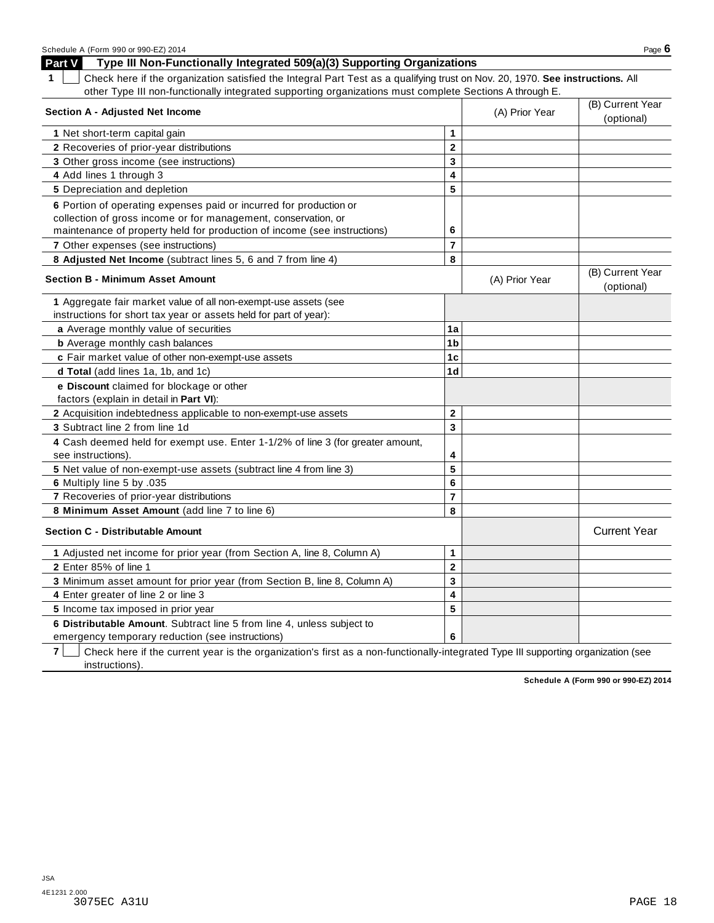| Schedule A (Form 990 or 990-EZ) 2014                                                                                               |                         |                                | Page $6$                       |
|------------------------------------------------------------------------------------------------------------------------------------|-------------------------|--------------------------------|--------------------------------|
| Part V<br>Type III Non-Functionally Integrated 509(a)(3) Supporting Organizations                                                  |                         |                                |                                |
| Check here if the organization satisfied the Integral Part Test as a qualifying trust on Nov. 20, 1970. See instructions. All<br>1 |                         |                                |                                |
| other Type III non-functionally integrated supporting organizations must complete Sections A through E.                            |                         |                                |                                |
| <b>Section A - Adjusted Net Income</b>                                                                                             | (A) Prior Year          | (B) Current Year<br>(optional) |                                |
| 1 Net short-term capital gain                                                                                                      | 1                       |                                |                                |
| 2 Recoveries of prior-year distributions                                                                                           | $\overline{\mathbf{c}}$ |                                |                                |
| 3 Other gross income (see instructions)                                                                                            | 3                       |                                |                                |
| 4 Add lines 1 through 3                                                                                                            | 4                       |                                |                                |
| <b>5</b> Depreciation and depletion                                                                                                | 5                       |                                |                                |
| 6 Portion of operating expenses paid or incurred for production or                                                                 |                         |                                |                                |
| collection of gross income or for management, conservation, or                                                                     |                         |                                |                                |
| maintenance of property held for production of income (see instructions)                                                           | 6                       |                                |                                |
| 7 Other expenses (see instructions)                                                                                                | $\overline{7}$          |                                |                                |
| 8 Adjusted Net Income (subtract lines 5, 6 and 7 from line 4)                                                                      | 8                       |                                |                                |
| <b>Section B - Minimum Asset Amount</b>                                                                                            |                         | (A) Prior Year                 | (B) Current Year<br>(optional) |
| 1 Aggregate fair market value of all non-exempt-use assets (see                                                                    |                         |                                |                                |
| instructions for short tax year or assets held for part of year):                                                                  |                         |                                |                                |
| a Average monthly value of securities                                                                                              | 1a                      |                                |                                |
| <b>b</b> Average monthly cash balances                                                                                             | 1b                      |                                |                                |
| c Fair market value of other non-exempt-use assets                                                                                 | 1c                      |                                |                                |
| d Total (add lines 1a, 1b, and 1c)                                                                                                 | 1 <sub>d</sub>          |                                |                                |
| e Discount claimed for blockage or other<br>factors (explain in detail in Part VI):                                                |                         |                                |                                |
| 2 Acquisition indebtedness applicable to non-exempt-use assets                                                                     | $\mathbf{2}$            |                                |                                |
| 3 Subtract line 2 from line 1d                                                                                                     | 3                       |                                |                                |
| 4 Cash deemed held for exempt use. Enter 1-1/2% of line 3 (for greater amount,                                                     |                         |                                |                                |
| see instructions).                                                                                                                 | 4                       |                                |                                |
| 5 Net value of non-exempt-use assets (subtract line 4 from line 3)                                                                 | 5                       |                                |                                |
| 6 Multiply line 5 by .035                                                                                                          | 6                       |                                |                                |
| 7 Recoveries of prior-year distributions                                                                                           | $\overline{7}$          |                                |                                |
| 8 Minimum Asset Amount (add line 7 to line 6)                                                                                      | 8                       |                                |                                |
| <b>Section C - Distributable Amount</b>                                                                                            |                         |                                | <b>Current Year</b>            |
| 1 Adjusted net income for prior year (from Section A, line 8, Column A)                                                            | 1                       |                                |                                |
| 2 Enter 85% of line 1                                                                                                              | $\mathbf 2$             |                                |                                |
| 3 Minimum asset amount for prior year (from Section B, line 8, Column A)                                                           | 3                       |                                |                                |
| 4 Enter greater of line 2 or line 3                                                                                                | 4                       |                                |                                |
| 5 Income tax imposed in prior year                                                                                                 | 5                       |                                |                                |
| 6 Distributable Amount. Subtract line 5 from line 4, unless subject to                                                             |                         |                                |                                |
| emergency temporary reduction (see instructions)                                                                                   | 6                       |                                |                                |

**7** Check here if the current year is the organization's first as a non-functionally-integrated Type III supporting organization (see instructions).

**Schedule A (Form 990 or 990-EZ) 2014**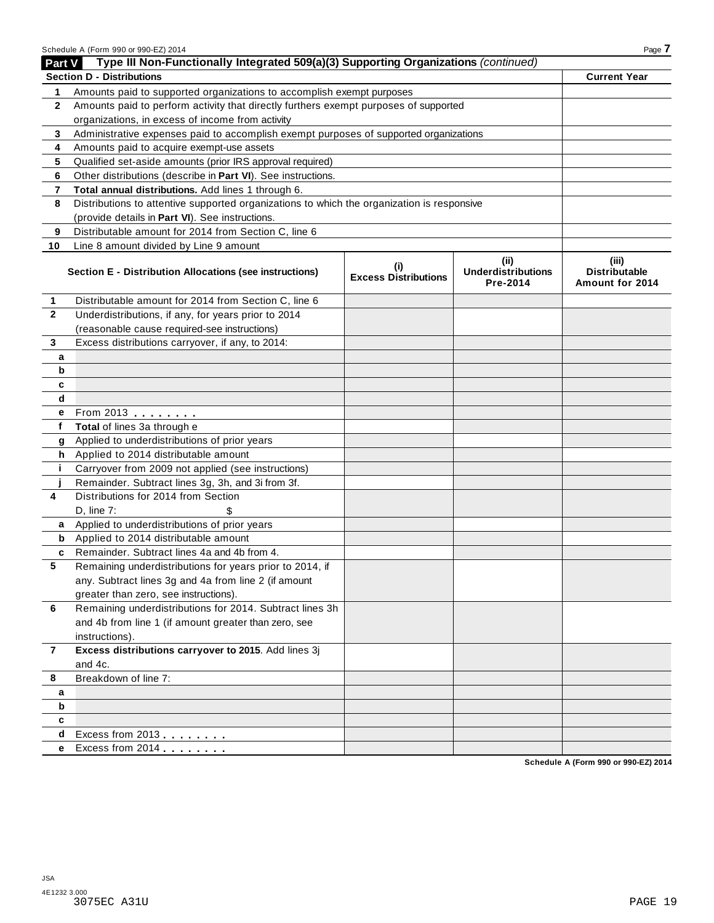|                | Schedule A (Form 990 or 990-EZ) 2014                                                       |                                    |                                               | Page 7                                           |
|----------------|--------------------------------------------------------------------------------------------|------------------------------------|-----------------------------------------------|--------------------------------------------------|
| Part V         | Type III Non-Functionally Integrated 509(a)(3) Supporting Organizations (continued)        |                                    |                                               |                                                  |
|                | <b>Section D - Distributions</b>                                                           |                                    |                                               | <b>Current Year</b>                              |
| 1              | Amounts paid to supported organizations to accomplish exempt purposes                      |                                    |                                               |                                                  |
| 2              | Amounts paid to perform activity that directly furthers exempt purposes of supported       |                                    |                                               |                                                  |
|                | organizations, in excess of income from activity                                           |                                    |                                               |                                                  |
| 3              | Administrative expenses paid to accomplish exempt purposes of supported organizations      |                                    |                                               |                                                  |
| 4              | Amounts paid to acquire exempt-use assets                                                  |                                    |                                               |                                                  |
| 5              | Qualified set-aside amounts (prior IRS approval required)                                  |                                    |                                               |                                                  |
| 6              | Other distributions (describe in Part VI). See instructions.                               |                                    |                                               |                                                  |
| 7              | Total annual distributions. Add lines 1 through 6.                                         |                                    |                                               |                                                  |
| 8              | Distributions to attentive supported organizations to which the organization is responsive |                                    |                                               |                                                  |
|                | (provide details in Part VI). See instructions.                                            |                                    |                                               |                                                  |
| 9              | Distributable amount for 2014 from Section C, line 6                                       |                                    |                                               |                                                  |
| 10             | Line 8 amount divided by Line 9 amount                                                     |                                    |                                               |                                                  |
|                | Section E - Distribution Allocations (see instructions)                                    | (i)<br><b>Excess Distributions</b> | (ii)<br><b>Underdistributions</b><br>Pre-2014 | (iii)<br><b>Distributable</b><br>Amount for 2014 |
| $\mathbf{1}$   | Distributable amount for 2014 from Section C, line 6                                       |                                    |                                               |                                                  |
| $\mathbf{2}$   | Underdistributions, if any, for years prior to 2014                                        |                                    |                                               |                                                  |
|                | (reasonable cause required-see instructions)                                               |                                    |                                               |                                                  |
| 3              | Excess distributions carryover, if any, to 2014:                                           |                                    |                                               |                                                  |
| a              |                                                                                            |                                    |                                               |                                                  |
| b              |                                                                                            |                                    |                                               |                                                  |
| c              |                                                                                            |                                    |                                               |                                                  |
| d              |                                                                                            |                                    |                                               |                                                  |
| е              | From 2013 <b>Algebra</b>                                                                   |                                    |                                               |                                                  |
| f              | Total of lines 3a through e                                                                |                                    |                                               |                                                  |
| g              | Applied to underdistributions of prior years                                               |                                    |                                               |                                                  |
| h              | Applied to 2014 distributable amount                                                       |                                    |                                               |                                                  |
| j.             | Carryover from 2009 not applied (see instructions)                                         |                                    |                                               |                                                  |
|                | Remainder. Subtract lines 3g, 3h, and 3i from 3f.                                          |                                    |                                               |                                                  |
| 4              | Distributions for 2014 from Section                                                        |                                    |                                               |                                                  |
|                | D. line 7:<br>\$                                                                           |                                    |                                               |                                                  |
| a              | Applied to underdistributions of prior years                                               |                                    |                                               |                                                  |
| b              | Applied to 2014 distributable amount                                                       |                                    |                                               |                                                  |
| c              | Remainder. Subtract lines 4a and 4b from 4.                                                |                                    |                                               |                                                  |
| 5.             | Remaining underdistributions for years prior to 2014, if                                   |                                    |                                               |                                                  |
|                | any. Subtract lines 3g and 4a from line 2 (if amount                                       |                                    |                                               |                                                  |
|                | greater than zero, see instructions).                                                      |                                    |                                               |                                                  |
| 6              | Remaining underdistributions for 2014. Subtract lines 3h                                   |                                    |                                               |                                                  |
|                | and 4b from line 1 (if amount greater than zero, see                                       |                                    |                                               |                                                  |
|                | instructions).                                                                             |                                    |                                               |                                                  |
| $\overline{7}$ | Excess distributions carryover to 2015. Add lines 3j                                       |                                    |                                               |                                                  |
|                | and 4c.                                                                                    |                                    |                                               |                                                  |
| 8              | Breakdown of line 7:                                                                       |                                    |                                               |                                                  |
| a              |                                                                                            |                                    |                                               |                                                  |
| b              |                                                                                            |                                    |                                               |                                                  |
| c              |                                                                                            |                                    |                                               |                                                  |
| d              | Excess from 2013                                                                           |                                    |                                               |                                                  |
| е              | Excess from 2014                                                                           |                                    |                                               |                                                  |
|                |                                                                                            |                                    |                                               |                                                  |

**Schedule A (Form 990 or 990-EZ) 2014**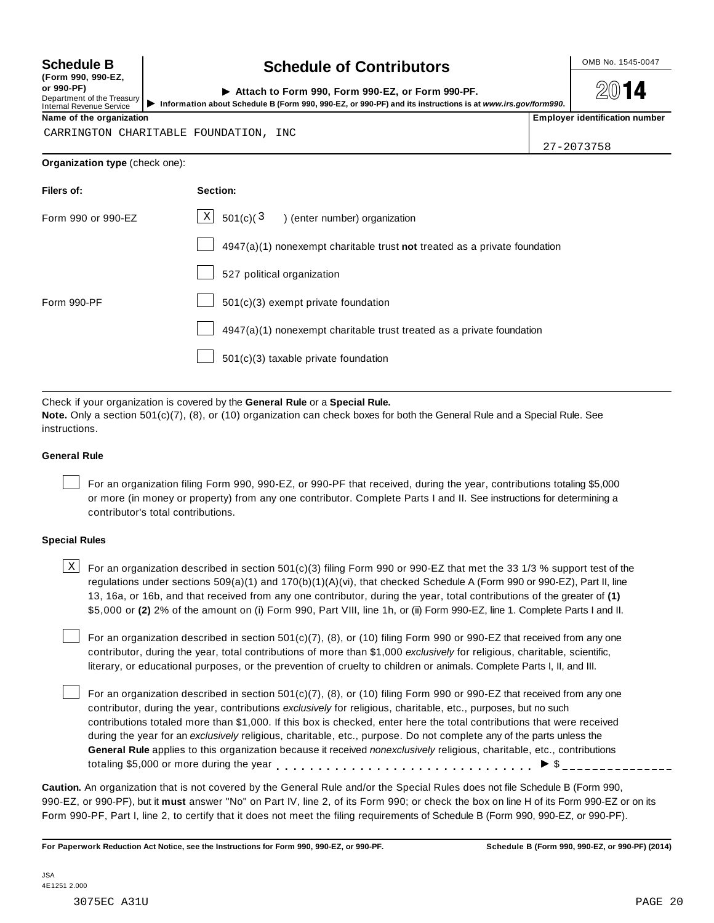**(Form 990, 990-EZ, or 990-PF)** Department of the Treasury<br>Internal Revenue Service

## **Schedule B chedule of Contributors**

**2014** 

| or 990-PF)<br>Department of the Treasury<br>Internal Revenue Service | Attach to Form 990, Form 990-EZ, or Form 990-PF.<br>Information about Schedule B (Form 990, 990-EZ, or 990-PF) and its instructions is at www.irs.gov/form990. | 2014                                  |
|----------------------------------------------------------------------|----------------------------------------------------------------------------------------------------------------------------------------------------------------|---------------------------------------|
| Name of the organization                                             |                                                                                                                                                                | <b>Employer identification number</b> |

CARRINGTON CHARITABLE FOUNDATION, INC

27-2073758

#### **Organization type** (check one):

| Filers of:         | Section:                                                                    |
|--------------------|-----------------------------------------------------------------------------|
| Form 990 or 990-EZ | $X$ 501(c)(3) (enter number) organization                                   |
|                    | $4947(a)(1)$ nonexempt charitable trust not treated as a private foundation |
|                    | 527 political organization                                                  |
| Form 990-PF        | 501(c)(3) exempt private foundation                                         |
|                    | 4947(a)(1) nonexempt charitable trust treated as a private foundation       |
|                    | 501(c)(3) taxable private foundation                                        |
|                    |                                                                             |

Check if your organization is covered by the **General Rule** or a **Special Rule.**

**Note.** Only a section 501(c)(7), (8), or (10) organization can check boxes for both the General Rule and a Special Rule. See instructions.

#### **General Rule**

For an organization filing Form 990, 990-EZ, or 990-PF that received, during the year, contributions totaling \$5,000 or more (in money or property) from any one contributor. Complete Parts I and II. See instructions for determining a contributor's total contributions.

#### **Special Rules**

 $\text{X}$  For an organization described in section 501(c)(3) filing Form 990 or 990-EZ that met the 33 1/3 % support test of the regulations under sections 509(a)(1) and 170(b)(1)(A)(vi), that checked Schedule A (Form 990 or 990-EZ), Part II, line 13, 16a, or 16b, and that received from any one contributor, during the year, total contributions of the greater of **(1)** \$5,000 or **(2)** 2% of the amount on (i) Form 990, Part VIII, line 1h, or (ii) Form 990-EZ, line 1. Complete Parts I and II.

For an organization described in section 501(c)(7), (8), or (10) filing Form 990 or 990-EZ that received from any one contributor, during the year, total contributions of more than \$1,000 *exclusively* for religious, charitable, scientific, literary, or educational purposes, or the prevention of cruelty to children or animals. Complete Parts I, II, and III.

For an organization described in section 501(c)(7), (8), or (10) filing Form 990 or 990-EZ that received from any one contributor, during the year, contributions *exclusively* for religious, charitable, etc., purposes, but no such contributions totaled more than \$1,000. If this box is checked, enter here the total contributions that were received during the year for an *exclusively* religious, charitable, etc., purpose. Do not complete any of the parts unless the **General Rule** applies to this organization because it received *nonexclusively* religious, charitable, etc., contributions General Rule applies to this organization because it received *nonexclusively* religious, charitable, etc., contra<br>totaling \$5,000 or more during the year<br> $\bullet$   $\bullet$ 

**Caution.** An organization that is not covered by the General Rule and/or the Special Rules does not file Schedule B (Form 990, 990-EZ, or 990-PF), but it **must** answer "No" on Part IV, line 2, of its Form 990; or check the box on line H of its Form 990-EZ or on its Form 990-PF, Part I, line 2, to certify that it does not meet the filing requirements of Schedule B (Form 990, 990-EZ, or 990-PF).

For Paperwork Reduction Act Notice, see the Instructions for Form 990, 990-EZ, or 990-PF. Schedule B (Form 990, 990-EZ, or 990-PF) (2014)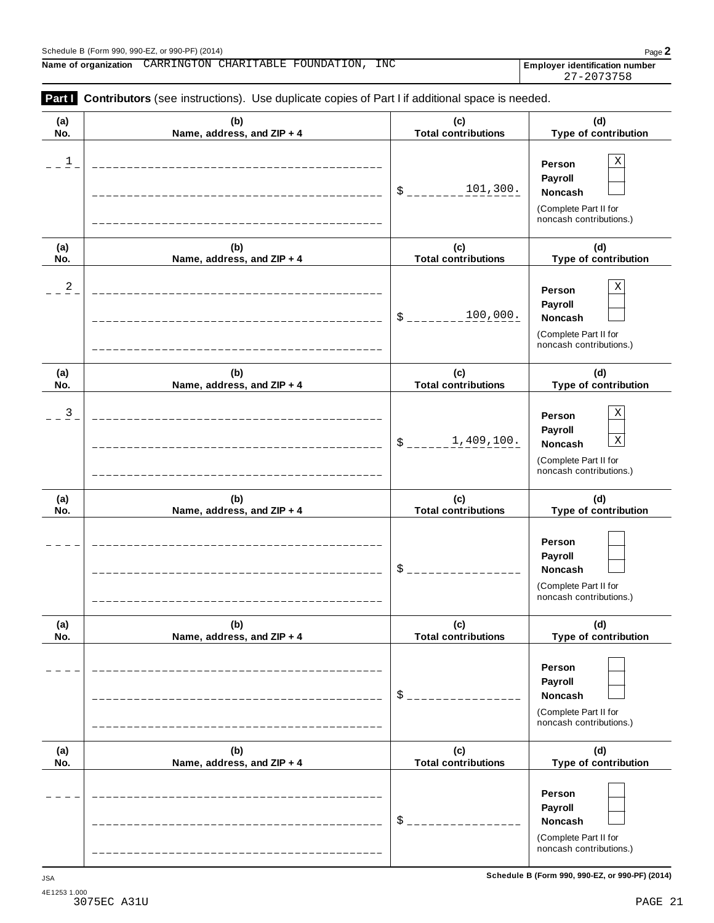Schedule <sup>B</sup> (Form 990, 990-EZ, or 990-PF) (2014) Page **2 Name of organization Employer identification number** CARRINGTON CHARITABLE FOUNDATION, INC

| (a)<br>No.     | (b)<br>Name, address, and ZIP + 4 | (c)<br><b>Total contributions</b> | (d)<br>Type of contribution                                                                                    |
|----------------|-----------------------------------|-----------------------------------|----------------------------------------------------------------------------------------------------------------|
| $\overline{1}$ |                                   | 101,300.<br>\$                    | $\mathbf X$<br>Person<br>Payroll<br>Noncash<br>(Complete Part II for<br>noncash contributions.)                |
| (a)<br>No.     | (b)<br>Name, address, and ZIP + 4 | (c)<br><b>Total contributions</b> | (d)<br>Type of contribution                                                                                    |
| $\overline{a}$ |                                   | 100,000.<br>\$                    | $\mathbf X$<br>Person<br>Payroll<br>Noncash<br>(Complete Part II for<br>noncash contributions.)                |
| (a)<br>No.     | (b)<br>Name, address, and ZIP + 4 | (c)<br><b>Total contributions</b> | (d)<br>Type of contribution                                                                                    |
| $\overline{3}$ |                                   | 1,409,100.<br>\$                  | $\mathbf X$<br>Person<br>Payroll<br>$\mathbf X$<br>Noncash<br>(Complete Part II for<br>noncash contributions.) |
| (a)<br>No.     | (b)<br>Name, address, and ZIP + 4 | (c)<br><b>Total contributions</b> | (d)<br>Type of contribution                                                                                    |
|                |                                   | \$                                | Person<br>Payroll<br>Noncash<br>(Complete Part II for<br>noncash contributions.)                               |
| (a)<br>No.     | (b)<br>Name, address, and ZIP + 4 | (c)<br><b>Total contributions</b> | (d)<br>Type of contribution                                                                                    |
|                |                                   | $\mathsf{S}$                      | Person<br>Payroll<br>Noncash<br>(Complete Part II for<br>noncash contributions.)                               |
| (a)<br>No.     | (b)<br>Name, address, and ZIP + 4 | (c)<br><b>Total contributions</b> | (d)<br>Type of contribution                                                                                    |
|                |                                   | \$                                | Person<br>Payroll<br>Noncash<br>(Complete Part II for<br>noncash contributions.)                               |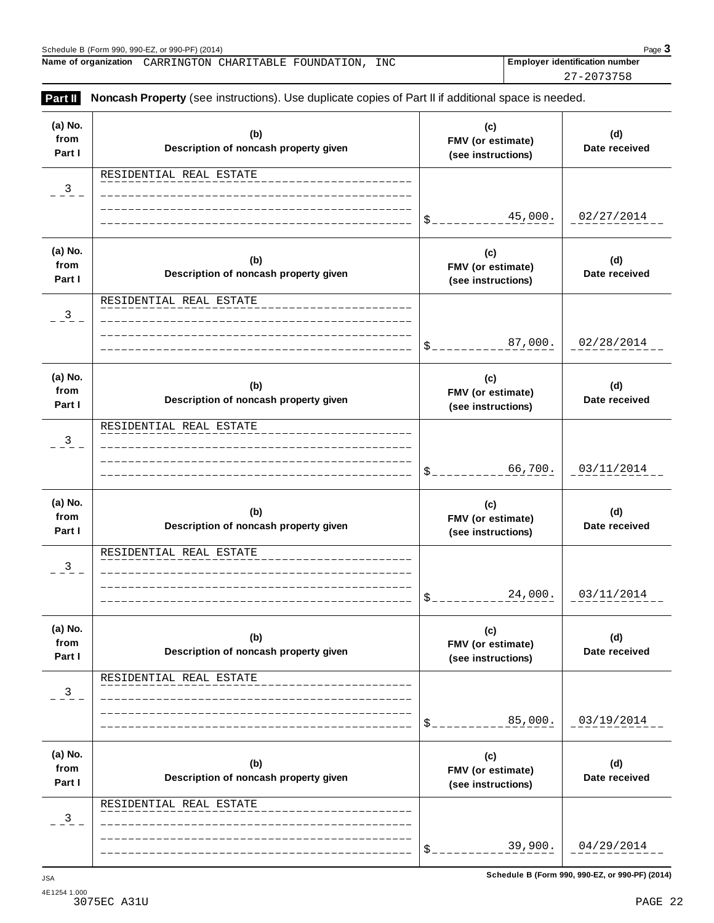27-2073758

| (a) No.<br>from<br>Part I | (b)<br>Description of noncash property given | (c)<br>FMV (or estimate)<br>(see instructions) | (d)<br>Date received |
|---------------------------|----------------------------------------------|------------------------------------------------|----------------------|
| 3                         | RESIDENTIAL REAL ESTATE                      |                                                |                      |
|                           |                                              | 45,000.<br>\$_                                 | 02/27/2014           |
| (a) No.<br>from<br>Part I | (b)<br>Description of noncash property given | (c)<br>FMV (or estimate)<br>(see instructions) | (d)<br>Date received |
| 3                         | RESIDENTIAL REAL ESTATE                      |                                                |                      |
|                           |                                              | 87,000.<br>\$_                                 | 02/28/2014           |
| (a) No.<br>from<br>Part I | (b)<br>Description of noncash property given | (c)<br>FMV (or estimate)<br>(see instructions) | (d)<br>Date received |
| 3                         | RESIDENTIAL REAL ESTATE                      |                                                |                      |
|                           |                                              | 66,700.<br>\$_                                 | 03/11/2014           |
| (a) No.<br>from<br>Part I | (b)<br>Description of noncash property given | (c)<br>FMV (or estimate)<br>(see instructions) | (d)<br>Date received |
| 3                         | RESIDENTIAL REAL ESTATE                      |                                                |                      |
|                           |                                              | 24,000.<br>$\mathfrak{S}_-$                    | 03/11/2014           |
| (a) No.<br>from<br>Part I | (b)<br>Description of noncash property given | (c)<br>FMV (or estimate)<br>(see instructions) | (d)<br>Date received |
| 3                         | RESIDENTIAL REAL ESTATE                      |                                                |                      |
|                           |                                              | 85,000.<br>\$                                  | 03/19/2014           |
| (a) No.                   | (b)<br>Description of noncash property given | (c)<br>FMV (or estimate)<br>(see instructions) | (d)<br>Date received |
|                           |                                              |                                                |                      |
| from<br>Part I<br>3       | RESIDENTIAL REAL ESTATE                      |                                                |                      |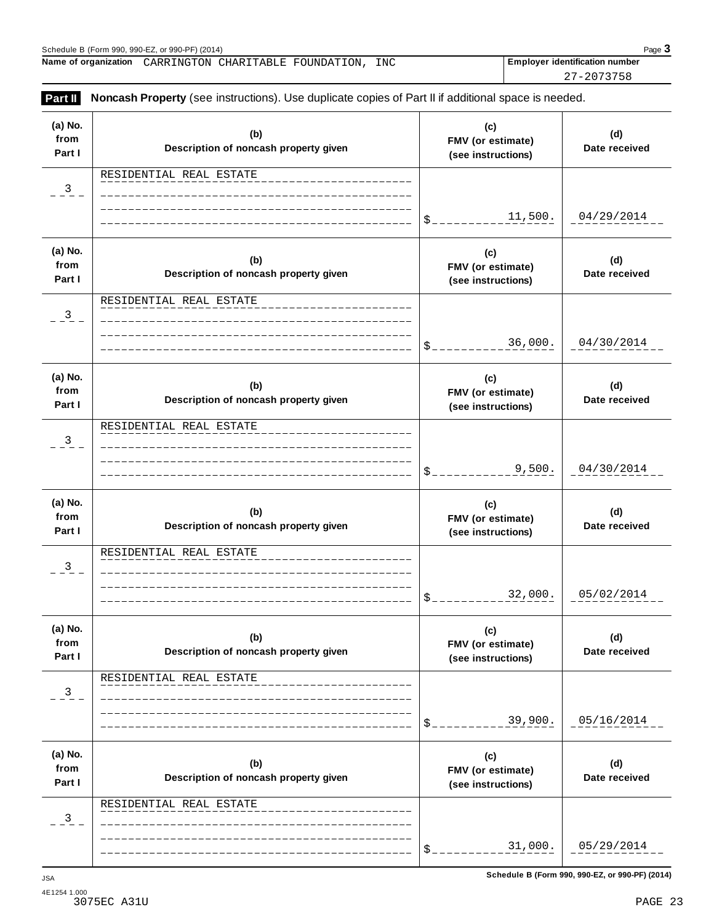| Part II                   | Noncash Property (see instructions). Use duplicate copies of Part II if additional space is needed. |                                                |                      |
|---------------------------|-----------------------------------------------------------------------------------------------------|------------------------------------------------|----------------------|
| (a) No.<br>from<br>Part I | (b)<br>Description of noncash property given                                                        | (c)<br>FMV (or estimate)<br>(see instructions) | (d)<br>Date received |
| $-3$                      | RESIDENTIAL REAL ESTATE                                                                             | 11,500.<br>$\mathcal{S}_{-}$                   | 04/29/2014           |
| (a) No.<br>from<br>Part I | (b)<br>Description of noncash property given                                                        | (c)<br>FMV (or estimate)<br>(see instructions) | (d)<br>Date received |
| $\frac{3}{2}$             | RESIDENTIAL REAL ESTATE                                                                             | 36,000.<br>$S_{-}$                             | 04/30/2014           |
| (a) No.<br>from<br>Part I | (b)<br>Description of noncash property given                                                        | (c)<br>FMV (or estimate)<br>(see instructions) | (d)<br>Date received |
| $\frac{3}{2}$             | RESIDENTIAL REAL ESTATE                                                                             | 9,500.<br>\$                                   | 04/30/2014           |
| (a) No.<br>from<br>Part I | (b)<br>Description of noncash property given                                                        | (c)<br>FMV (or estimate)<br>(see instructions) | (d)<br>Date received |
| $^{3}$                    | RESIDENTIAL REAL ESTATE                                                                             | 32,000.<br>$\mathcal{S}_{-}$                   | 05/02/2014           |
| (a) No.<br>from<br>Part I | (b)<br>Description of noncash property given                                                        | (c)<br>FMV (or estimate)<br>(see instructions) | (d)<br>Date received |
| 3                         | RESIDENTIAL REAL ESTATE                                                                             | 39,900.<br>\$                                  | 05/16/2014           |
| (a) No.<br>from<br>Part I | (b)<br>Description of noncash property given                                                        | (c)<br>FMV (or estimate)<br>(see instructions) | (d)<br>Date received |
| $\frac{3}{2}$             | RESIDENTIAL REAL ESTATE                                                                             |                                                |                      |
|                           |                                                                                                     | 31,000.<br>\$                                  | 05/29/2014           |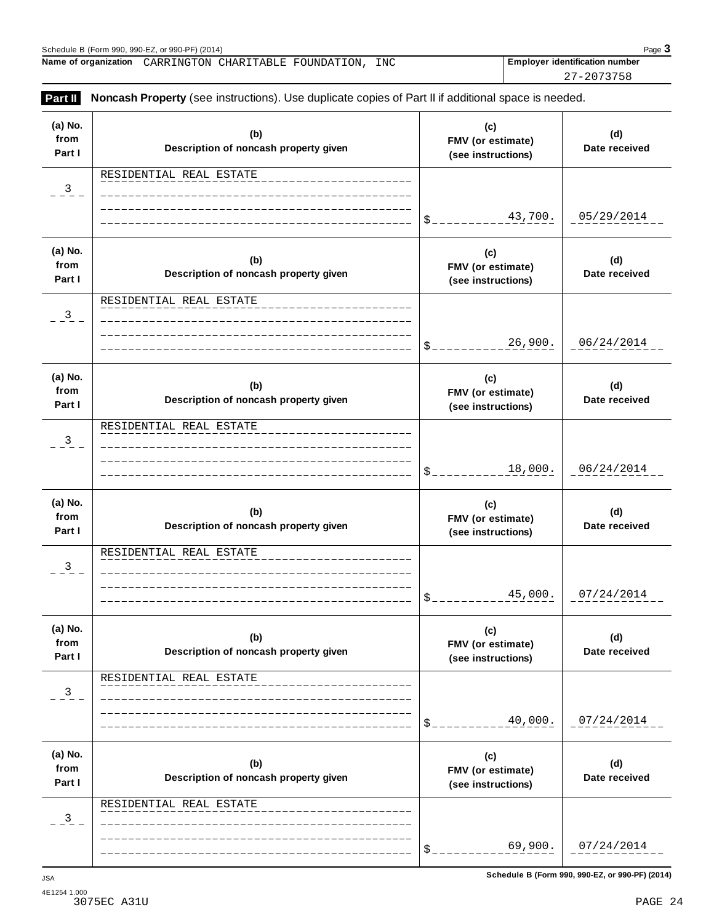27-2073758

| (a) No.<br>from<br>Part I | (b)<br>Description of noncash property given | (c)<br>FMV (or estimate)<br>(see instructions) | (d)<br>Date received |
|---------------------------|----------------------------------------------|------------------------------------------------|----------------------|
| 3                         | RESIDENTIAL REAL ESTATE                      |                                                |                      |
|                           |                                              | 43,700.<br>\$.                                 | 05/29/2014           |
| (a) No.<br>from<br>Part I | (b)<br>Description of noncash property given | (c)<br>FMV (or estimate)<br>(see instructions) | (d)<br>Date received |
| 3                         | RESIDENTIAL REAL ESTATE                      |                                                |                      |
|                           |                                              | 26,900.<br>\$.                                 | 06/24/2014           |
| (a) No.<br>from<br>Part I | (b)<br>Description of noncash property given | (c)<br>FMV (or estimate)<br>(see instructions) | (d)<br>Date received |
| 3                         | RESIDENTIAL REAL ESTATE                      |                                                |                      |
|                           |                                              | 18,000.<br>\$.                                 | 06/24/2014           |
| (a) No.<br>from<br>Part I | (b)<br>Description of noncash property given | (c)<br>FMV (or estimate)<br>(see instructions) | (d)<br>Date received |
| 3                         | RESIDENTIAL REAL ESTATE                      |                                                |                      |
|                           |                                              | 45,000.<br>$\$\,$                              | 07/24/2014           |
| (a) No.<br>from<br>Part I | (b)<br>Description of noncash property given | (c)<br>FMV (or estimate)<br>(see instructions) | (d)<br>Date received |
| 3                         | RESIDENTIAL REAL ESTATE                      |                                                |                      |
|                           |                                              | 40,000.<br>\$                                  | 07/24/2014           |
| (a) No.<br>from<br>Part I | (b)<br>Description of noncash property given | (c)<br>FMV (or estimate)<br>(see instructions) | (d)<br>Date received |
| 3                         | RESIDENTIAL REAL ESTATE                      |                                                |                      |
|                           |                                              | 69,900.<br>\$                                  | 07/24/2014           |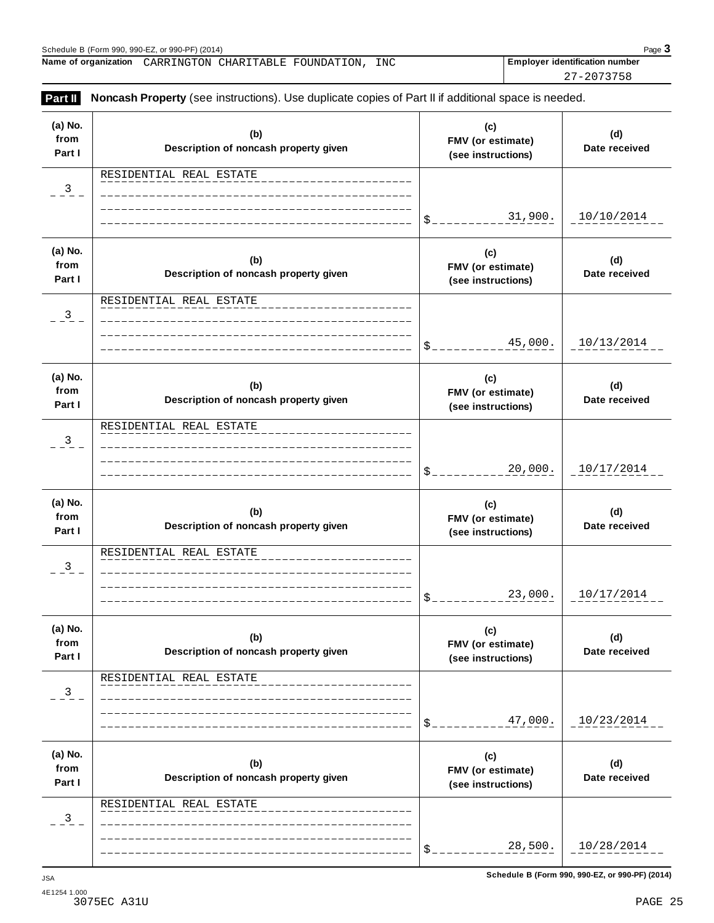27-2073758

| Part II                   | <b>Noncash Property</b> (see instructions). Use duplicate copies of Part II if additional space is needed. |                                                |                      |
|---------------------------|------------------------------------------------------------------------------------------------------------|------------------------------------------------|----------------------|
| (a) No.<br>from<br>Part I | (b)<br>Description of noncash property given                                                               | (c)<br>FMV (or estimate)<br>(see instructions) | (d)<br>Date received |
| 3                         | RESIDENTIAL REAL ESTATE                                                                                    |                                                |                      |
|                           |                                                                                                            | 31,900.<br>\$                                  | 10/10/2014           |
| (a) No.<br>from<br>Part I | (b)<br>Description of noncash property given                                                               | (c)<br>FMV (or estimate)<br>(see instructions) | (d)<br>Date received |
| 3                         | RESIDENTIAL REAL ESTATE                                                                                    |                                                |                      |
|                           |                                                                                                            | 45,000.<br>\$.                                 | 10/13/2014           |
| (a) No.<br>from<br>Part I | (b)<br>Description of noncash property given                                                               | (c)<br>FMV (or estimate)<br>(see instructions) | (d)<br>Date received |
| 3                         | RESIDENTIAL REAL ESTATE                                                                                    |                                                |                      |
|                           |                                                                                                            | 20,000.<br>\$                                  | 10/17/2014           |
| (a) No.<br>from<br>Part I | (b)<br>Description of noncash property given                                                               | (c)<br>FMV (or estimate)<br>(see instructions) | (d)<br>Date received |
| 3                         | RESIDENTIAL REAL ESTATE                                                                                    |                                                |                      |
|                           |                                                                                                            | 23,000.<br>$\mathbb{S}_-$                      | 10/17/2014           |
| (a) No.<br>from<br>Part I | (b)<br>Description of noncash property given                                                               | (c)<br>FMV (or estimate)<br>(see instructions) | (d)<br>Date received |
| 3                         | RESIDENTIAL REAL ESTATE                                                                                    |                                                |                      |
|                           |                                                                                                            | 47,000.<br>\$                                  | 10/23/2014           |
| (a) No.<br>from<br>Part I | (b)<br>Description of noncash property given                                                               | (c)<br>FMV (or estimate)<br>(see instructions) | (d)<br>Date received |
| 3                         | RESIDENTIAL REAL ESTATE                                                                                    |                                                |                      |
|                           |                                                                                                            | 28,500.                                        | 10/28/2014           |
|                           |                                                                                                            |                                                |                      |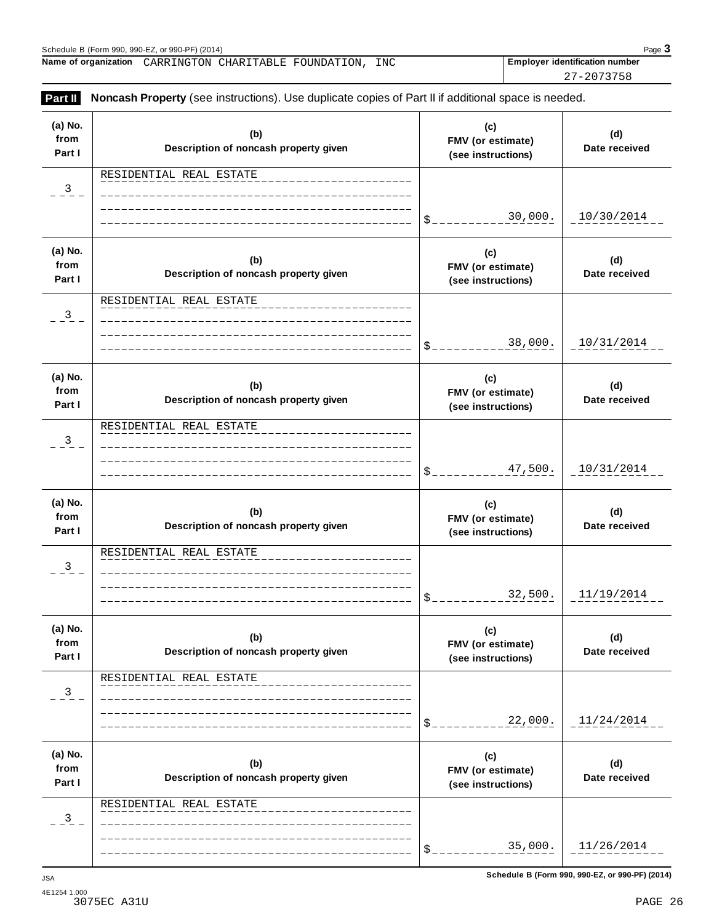27-2073758

| (a) No.<br>from<br>Part I | (b)<br>Description of noncash property given | (c)<br>FMV (or estimate)<br>(see instructions) | (d)<br>Date received |
|---------------------------|----------------------------------------------|------------------------------------------------|----------------------|
| 3                         | RESIDENTIAL REAL ESTATE                      |                                                |                      |
|                           |                                              | 30,000.<br>\$_                                 | 10/30/2014           |
| (a) No.<br>from<br>Part I | (b)<br>Description of noncash property given | (c)<br>FMV (or estimate)<br>(see instructions) | (d)<br>Date received |
| 3                         | RESIDENTIAL REAL ESTATE                      |                                                |                      |
|                           |                                              | 38,000.<br>\$_                                 | 10/31/2014           |
| (a) No.<br>from<br>Part I | (b)<br>Description of noncash property given | (c)<br>FMV (or estimate)<br>(see instructions) | (d)<br>Date received |
| 3                         | RESIDENTIAL REAL ESTATE                      |                                                |                      |
|                           |                                              | 47,500.<br>$$^{\circ}$                         | 10/31/2014           |
| (a) No.<br>from<br>Part I | (b)<br>Description of noncash property given | (c)<br>FMV (or estimate)<br>(see instructions) | (d)<br>Date received |
| 3                         | RESIDENTIAL REAL ESTATE                      |                                                |                      |
|                           |                                              | 32,500.<br>$\mathfrak{S}_-$                    | 11/19/2014           |
| (a) No.<br>from<br>Part I | (b)<br>Description of noncash property given | (c)<br>FMV (or estimate)<br>(see instructions) | (d)<br>Date received |
| 3                         | RESIDENTIAL REAL ESTATE                      |                                                |                      |
|                           |                                              | 22,000.<br>\$                                  | 11/24/2014           |
| (a) No.<br>from           | (b)<br>Description of noncash property given | (c)<br>FMV (or estimate)<br>(see instructions) | (d)<br>Date received |
|                           |                                              |                                                |                      |
| Part I<br>3               | RESIDENTIAL REAL ESTATE                      |                                                |                      |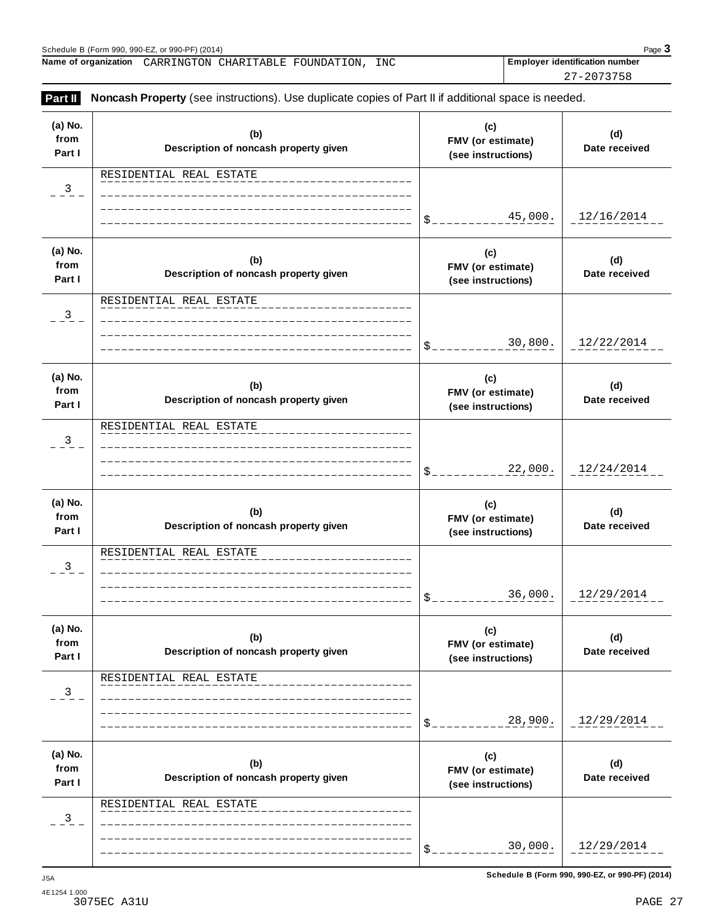27-2073758

| Part II                   | <b>Noncash Property</b> (see instructions). Use duplicate copies of Part II if additional space is needed. |                                                |                      |
|---------------------------|------------------------------------------------------------------------------------------------------------|------------------------------------------------|----------------------|
| (a) No.<br>from<br>Part I | (b)<br>Description of noncash property given                                                               | (c)<br>FMV (or estimate)<br>(see instructions) | (d)<br>Date received |
| 3                         | RESIDENTIAL REAL ESTATE                                                                                    |                                                |                      |
|                           |                                                                                                            | 45,000.<br>\$                                  | 12/16/2014           |
| (a) No.<br>from<br>Part I | (b)<br>Description of noncash property given                                                               | (c)<br>FMV (or estimate)<br>(see instructions) | (d)<br>Date received |
| 3                         | RESIDENTIAL REAL ESTATE                                                                                    |                                                |                      |
|                           |                                                                                                            | 30,800.                                        | 12/22/2014           |
| (a) No.<br>from<br>Part I | (b)<br>Description of noncash property given                                                               | (c)<br>FMV (or estimate)<br>(see instructions) | (d)<br>Date received |
| 3                         | RESIDENTIAL REAL ESTATE                                                                                    |                                                |                      |
|                           |                                                                                                            | 22,000.<br>\$                                  | 12/24/2014           |
| (a) No.<br>from<br>Part I | (b)<br>Description of noncash property given                                                               | (c)<br>FMV (or estimate)<br>(see instructions) | (d)<br>Date received |
| 3                         | RESIDENTIAL REAL ESTATE                                                                                    |                                                |                      |
|                           |                                                                                                            | 36,000.<br>$\mathbb{S}_{-}$                    | 12/29/2014           |
| (a) No.<br>from<br>Part I | (b)<br>Description of noncash property given                                                               | (c)<br>FMV (or estimate)<br>(see instructions) | (d)<br>Date received |
| $\mathbf{3}$              | RESIDENTIAL REAL ESTATE                                                                                    |                                                |                      |
|                           |                                                                                                            | 28,900.                                        | 12/29/2014           |
| (a) No.<br>from<br>Part I | (b)<br>Description of noncash property given                                                               | (c)<br>FMV (or estimate)<br>(see instructions) | (d)<br>Date received |
| 3                         | RESIDENTIAL REAL ESTATE                                                                                    |                                                |                      |
|                           |                                                                                                            | 30,000.                                        | 12/29/2014           |
|                           |                                                                                                            |                                                |                      |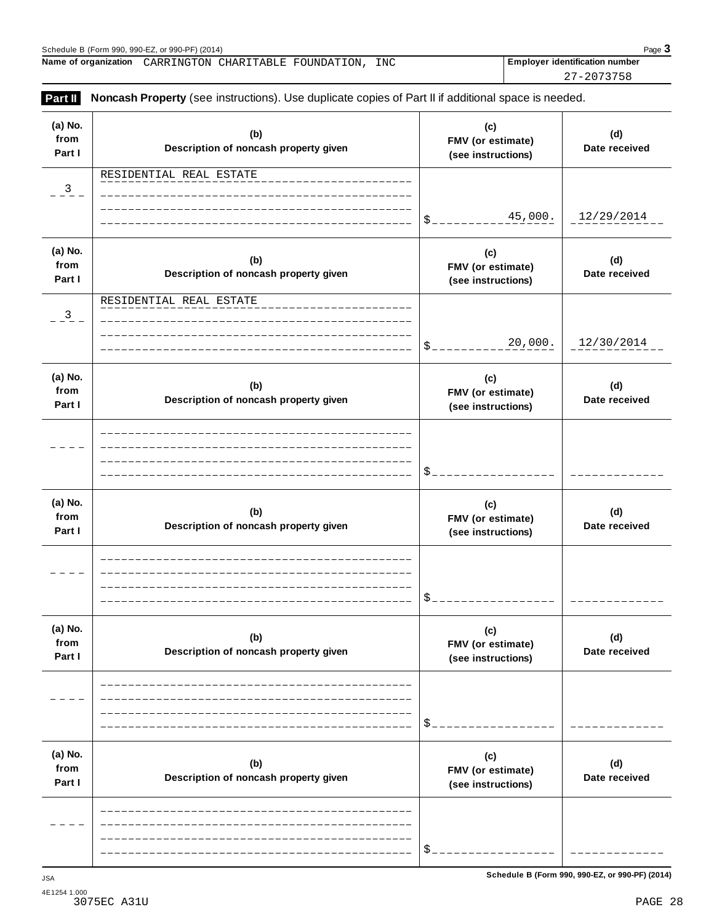27-2073758

| (a) No.<br>from<br>Part I | (b)<br>Description of noncash property given | (c)<br>FMV (or estimate)<br>(see instructions) | (d)<br>Date received |
|---------------------------|----------------------------------------------|------------------------------------------------|----------------------|
| $\overline{\mathbf{3}}$   | RESIDENTIAL REAL ESTATE                      |                                                |                      |
|                           |                                              | 45,000.<br>\$.                                 | 12/29/2014           |
| (a) No.<br>from<br>Part I | (b)<br>Description of noncash property given | (c)<br>FMV (or estimate)<br>(see instructions) | (d)<br>Date received |
| $\overline{\mathbf{3}}$   | RESIDENTIAL REAL ESTATE                      |                                                |                      |
|                           |                                              | 20,000.<br>\$                                  | 12/30/2014           |
| (a) No.<br>from<br>Part I | (b)<br>Description of noncash property given | (c)<br>FMV (or estimate)<br>(see instructions) | (d)<br>Date received |
|                           |                                              |                                                |                      |
|                           |                                              | \$                                             |                      |
| (a) No.<br>from<br>Part I | (b)<br>Description of noncash property given | (c)<br>FMV (or estimate)<br>(see instructions) | (d)<br>Date received |
|                           |                                              |                                                |                      |
|                           |                                              | \$                                             |                      |
| (a) No.<br>from<br>Part I | (b)<br>Description of noncash property given | (c)<br>FMV (or estimate)<br>(see instructions) | (d)<br>Date received |
|                           |                                              |                                                |                      |
|                           |                                              | \$                                             |                      |
| (a) No.<br>from<br>Part I | (b)<br>Description of noncash property given | (c)<br>FMV (or estimate)<br>(see instructions) | (d)<br>Date received |
|                           |                                              |                                                |                      |
|                           |                                              | \$                                             |                      |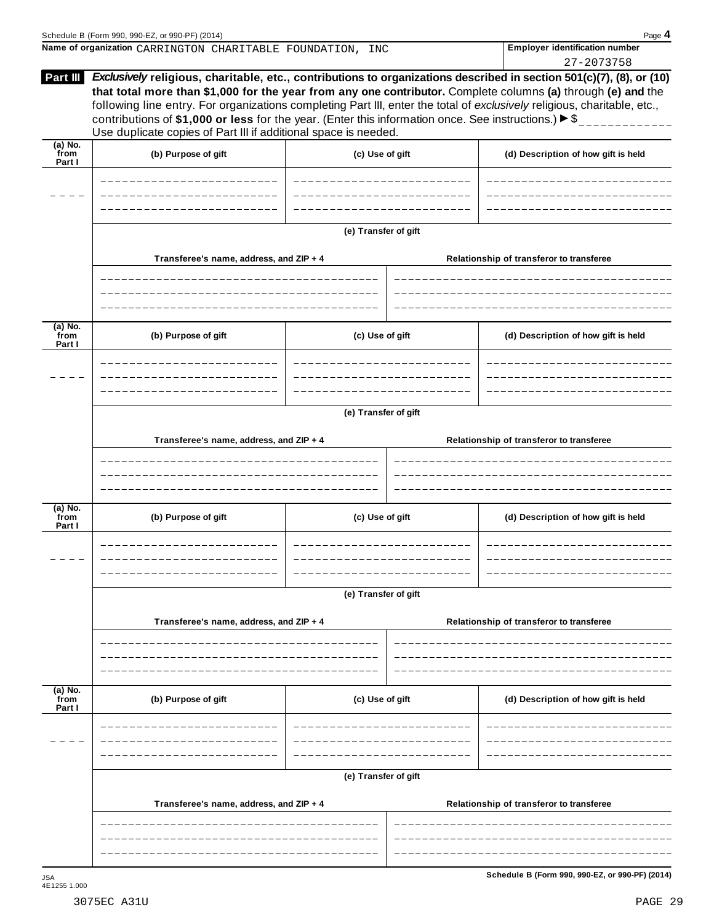|                           | Name of organization CARRINGTON CHARITABLE FOUNDATION, INC                                                                                                                                  |                         | <b>Employer identification number</b>                                                                                                                                                                                                    |  |  |
|---------------------------|---------------------------------------------------------------------------------------------------------------------------------------------------------------------------------------------|-------------------------|------------------------------------------------------------------------------------------------------------------------------------------------------------------------------------------------------------------------------------------|--|--|
|                           |                                                                                                                                                                                             |                         | 27-2073758<br>Exclusively religious, charitable, etc., contributions to organizations described in section 501(c)(7), (8), or (10)                                                                                                       |  |  |
| Part III                  | contributions of \$1,000 or less for the year. (Enter this information once. See instructions.) $\blacktriangleright$ \$<br>Use duplicate copies of Part III if additional space is needed. |                         | that total more than \$1,000 for the year from any one contributor. Complete columns (a) through (e) and the<br>following line entry. For organizations completing Part III, enter the total of exclusively religious, charitable, etc., |  |  |
| (a) No.<br>from<br>Part I | (b) Purpose of gift                                                                                                                                                                         | (c) Use of gift         | (d) Description of how gift is held                                                                                                                                                                                                      |  |  |
|                           | ______________________<br>---------------------                                                                                                                                             |                         |                                                                                                                                                                                                                                          |  |  |
|                           |                                                                                                                                                                                             |                         |                                                                                                                                                                                                                                          |  |  |
|                           |                                                                                                                                                                                             | (e) Transfer of gift    |                                                                                                                                                                                                                                          |  |  |
|                           | Transferee's name, address, and ZIP + 4<br>----------------------------------                                                                                                               |                         | Relationship of transferor to transferee                                                                                                                                                                                                 |  |  |
|                           |                                                                                                                                                                                             |                         |                                                                                                                                                                                                                                          |  |  |
| (a) No.<br>from<br>Part I | (b) Purpose of gift                                                                                                                                                                         | (c) Use of gift         | (d) Description of how gift is held                                                                                                                                                                                                      |  |  |
|                           |                                                                                                                                                                                             |                         |                                                                                                                                                                                                                                          |  |  |
|                           |                                                                                                                                                                                             |                         |                                                                                                                                                                                                                                          |  |  |
|                           | (e) Transfer of gift                                                                                                                                                                        |                         |                                                                                                                                                                                                                                          |  |  |
|                           | Transferee's name, address, and ZIP + 4                                                                                                                                                     |                         | Relationship of transferor to transferee                                                                                                                                                                                                 |  |  |
|                           |                                                                                                                                                                                             |                         |                                                                                                                                                                                                                                          |  |  |
| (a) No.<br>from<br>Part I | (b) Purpose of gift                                                                                                                                                                         | (c) Use of gift         | (d) Description of how gift is held                                                                                                                                                                                                      |  |  |
|                           | --------------------------                                                                                                                                                                  | ----------------------- | ----------------------                                                                                                                                                                                                                   |  |  |
|                           |                                                                                                                                                                                             |                         |                                                                                                                                                                                                                                          |  |  |
|                           |                                                                                                                                                                                             | (e) Transfer of gift    |                                                                                                                                                                                                                                          |  |  |
|                           | Transferee's name, address, and ZIP + 4                                                                                                                                                     |                         | Relationship of transferor to transferee                                                                                                                                                                                                 |  |  |
|                           |                                                                                                                                                                                             |                         |                                                                                                                                                                                                                                          |  |  |
| (a) No.<br>from<br>Part I | (b) Purpose of gift                                                                                                                                                                         | (c) Use of gift         | (d) Description of how gift is held                                                                                                                                                                                                      |  |  |
|                           |                                                                                                                                                                                             |                         |                                                                                                                                                                                                                                          |  |  |
|                           |                                                                                                                                                                                             | (e) Transfer of gift    |                                                                                                                                                                                                                                          |  |  |
|                           | Transferee's name, address, and ZIP + 4                                                                                                                                                     |                         | Relationship of transferor to transferee                                                                                                                                                                                                 |  |  |
|                           |                                                                                                                                                                                             |                         |                                                                                                                                                                                                                                          |  |  |

----------------------

 $\overline{\phantom{0}}$ 

---------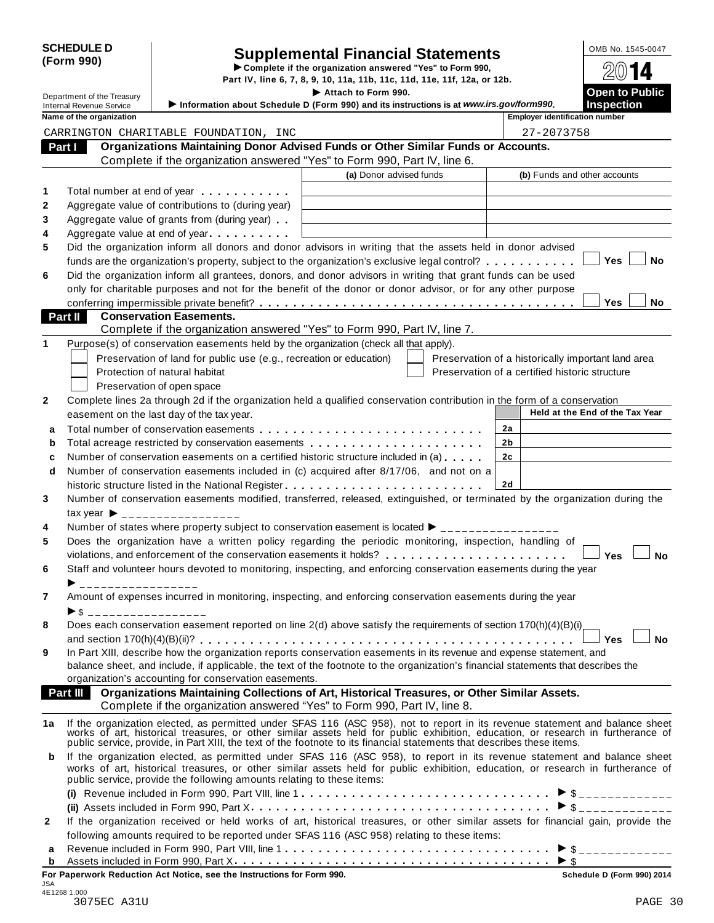| <b>SCHEDULE D</b> |  |
|-------------------|--|
| (Form 990)        |  |

# Supplemental Financial Statements<br>
Complete if the organization answered "Yes" to Form 990,<br>
Part IV, line 6, 7, 8, 9, 10, 11a, 11b, 11c, 11d, 11e, 11f, 12a, or 12b.<br>
Attach to Form 990.<br>
Open to Public

Part IV, line 6, 7, 8, 9, 10, 11a, 11b, 11c, 11d, 11e, 11f, 12a, or 12b.<br>
■ Department of the Treasury **Information shout Schoolule D** (Form 990.<br>
Information shout Schoolule D (Form 990.) and its instructions is at unau

|    | Department of the Treasury      |                                                                                                                                                                                                                                                             | Attach to Form 990.     |                                                    | <b>Open to Public</b>           |
|----|---------------------------------|-------------------------------------------------------------------------------------------------------------------------------------------------------------------------------------------------------------------------------------------------------------|-------------------------|----------------------------------------------------|---------------------------------|
|    | <b>Internal Revenue Service</b> | Information about Schedule D (Form 990) and its instructions is at www.irs.gov/form990.                                                                                                                                                                     |                         |                                                    | <b>Inspection</b>               |
|    | Name of the organization        |                                                                                                                                                                                                                                                             |                         | <b>Employer identification number</b>              |                                 |
|    |                                 | CARRINGTON CHARITABLE FOUNDATION, INC                                                                                                                                                                                                                       |                         | 27-2073758                                         |                                 |
|    | Part I                          | Organizations Maintaining Donor Advised Funds or Other Similar Funds or Accounts.                                                                                                                                                                           |                         |                                                    |                                 |
|    |                                 | Complete if the organization answered "Yes" to Form 990, Part IV, line 6.                                                                                                                                                                                   |                         |                                                    |                                 |
|    |                                 |                                                                                                                                                                                                                                                             | (a) Donor advised funds | (b) Funds and other accounts                       |                                 |
| 1  |                                 | Total number at end of year <b>that the state of the state of the state of the state of the state of the state of the state of the state of the state of the state of the state of the state of the state of the state of the st</b>                        |                         |                                                    |                                 |
| 2  |                                 | Aggregate value of contributions to (during year)                                                                                                                                                                                                           |                         |                                                    |                                 |
| 3  |                                 | Aggregate value of grants from (during year)                                                                                                                                                                                                                |                         |                                                    |                                 |
| 4  |                                 | Aggregate value at end of year                                                                                                                                                                                                                              |                         |                                                    |                                 |
| 5  |                                 | Did the organization inform all donors and donor advisors in writing that the assets held in donor advised                                                                                                                                                  |                         |                                                    |                                 |
|    |                                 | funds are the organization's property, subject to the organization's exclusive legal control?                                                                                                                                                               |                         |                                                    | Yes<br>No                       |
| 6  |                                 | Did the organization inform all grantees, donors, and donor advisors in writing that grant funds can be used                                                                                                                                                |                         |                                                    |                                 |
|    |                                 | only for charitable purposes and not for the benefit of the donor or donor advisor, or for any other purpose                                                                                                                                                |                         |                                                    |                                 |
|    |                                 |                                                                                                                                                                                                                                                             |                         |                                                    | Yes<br>No                       |
|    | Part II                         | <b>Conservation Easements.</b>                                                                                                                                                                                                                              |                         |                                                    |                                 |
|    |                                 | Complete if the organization answered "Yes" to Form 990, Part IV, line 7.                                                                                                                                                                                   |                         |                                                    |                                 |
| 1  |                                 | Purpose(s) of conservation easements held by the organization (check all that apply).                                                                                                                                                                       |                         |                                                    |                                 |
|    |                                 | Preservation of land for public use (e.g., recreation or education)                                                                                                                                                                                         |                         | Preservation of a historically important land area |                                 |
|    |                                 | Protection of natural habitat                                                                                                                                                                                                                               |                         | Preservation of a certified historic structure     |                                 |
|    |                                 | Preservation of open space                                                                                                                                                                                                                                  |                         |                                                    |                                 |
| 2  |                                 | Complete lines 2a through 2d if the organization held a qualified conservation contribution in the form of a conservation                                                                                                                                   |                         |                                                    |                                 |
|    |                                 | easement on the last day of the tax year.                                                                                                                                                                                                                   |                         |                                                    | Held at the End of the Tax Year |
| a  |                                 |                                                                                                                                                                                                                                                             |                         | 2a                                                 |                                 |
| b  |                                 | Total acreage restricted by conservation easements                                                                                                                                                                                                          |                         | 2b                                                 |                                 |
| c  |                                 | Number of conservation easements on a certified historic structure included in (a)                                                                                                                                                                          |                         | 2 <sub>c</sub>                                     |                                 |
| d  |                                 | Number of conservation easements included in (c) acquired after 8/17/06, and not on a                                                                                                                                                                       |                         |                                                    |                                 |
|    |                                 |                                                                                                                                                                                                                                                             |                         | 2d                                                 |                                 |
| 3  |                                 | Number of conservation easements modified, transferred, released, extinguished, or terminated by the organization during the                                                                                                                                |                         |                                                    |                                 |
|    |                                 | $\text{tax year}$ $\rightarrow$ __________________                                                                                                                                                                                                          |                         |                                                    |                                 |
| 4  |                                 | Number of states where property subject to conservation easement is located $\blacktriangleright$ ___________                                                                                                                                               |                         |                                                    |                                 |
| 5  |                                 | Does the organization have a written policy regarding the periodic monitoring, inspection, handling of                                                                                                                                                      |                         |                                                    |                                 |
|    |                                 |                                                                                                                                                                                                                                                             |                         |                                                    | Yes<br>No                       |
| 6  |                                 | Staff and volunteer hours devoted to monitoring, inspecting, and enforcing conservation easements during the year                                                                                                                                           |                         |                                                    |                                 |
|    |                                 |                                                                                                                                                                                                                                                             |                         |                                                    |                                 |
| 7  |                                 | Amount of expenses incurred in monitoring, inspecting, and enforcing conservation easements during the year                                                                                                                                                 |                         |                                                    |                                 |
|    | ▶\$                             |                                                                                                                                                                                                                                                             |                         |                                                    |                                 |
| 8  |                                 | Does each conservation easement reported on line $2(d)$ above satisfy the requirements of section 170(h)(4)(B)(i)                                                                                                                                           |                         |                                                    |                                 |
|    |                                 |                                                                                                                                                                                                                                                             |                         |                                                    | <b>No</b><br>Yes                |
| 9  |                                 | In Part XIII, describe how the organization reports conservation easements in its revenue and expense statement, and                                                                                                                                        |                         |                                                    |                                 |
|    |                                 | balance sheet, and include, if applicable, the text of the footnote to the organization's financial statements that describes the                                                                                                                           |                         |                                                    |                                 |
|    |                                 | organization's accounting for conservation easements.                                                                                                                                                                                                       |                         |                                                    |                                 |
|    | Part III                        | Organizations Maintaining Collections of Art, Historical Treasures, or Other Similar Assets.                                                                                                                                                                |                         |                                                    |                                 |
|    |                                 | Complete if the organization answered "Yes" to Form 990, Part IV, line 8.                                                                                                                                                                                   |                         |                                                    |                                 |
| 1a |                                 | If the organization elected, as permitted under SFAS 116 (ASC 958), not to report in its revenue statement and balance sheet                                                                                                                                |                         |                                                    |                                 |
|    |                                 | works of art, historical treasures, or other similar assets held for public exhibition, education, or research in furtherance of<br>public service, provide, in Part XIII, the text of the footnote to its financial statements that describes these items. |                         |                                                    |                                 |
| b  |                                 | If the organization elected, as permitted under SFAS 116 (ASC 958), to report in its revenue statement and balance sheet                                                                                                                                    |                         |                                                    |                                 |
|    |                                 | works of art, historical treasures, or other similar assets held for public exhibition, education, or research in furtherance of<br>public service, provide the following amounts relating to these items:                                                  |                         |                                                    |                                 |
|    |                                 |                                                                                                                                                                                                                                                             |                         |                                                    |                                 |
|    |                                 |                                                                                                                                                                                                                                                             |                         |                                                    |                                 |
| 2  |                                 | If the organization received or held works of art, historical treasures, or other similar assets for financial gain, provide the                                                                                                                            |                         |                                                    |                                 |
|    |                                 | following amounts required to be reported under SFAS 116 (ASC 958) relating to these items:                                                                                                                                                                 |                         |                                                    |                                 |
| а  |                                 |                                                                                                                                                                                                                                                             |                         |                                                    |                                 |
| b  |                                 |                                                                                                                                                                                                                                                             |                         |                                                    |                                 |
|    |                                 |                                                                                                                                                                                                                                                             |                         |                                                    |                                 |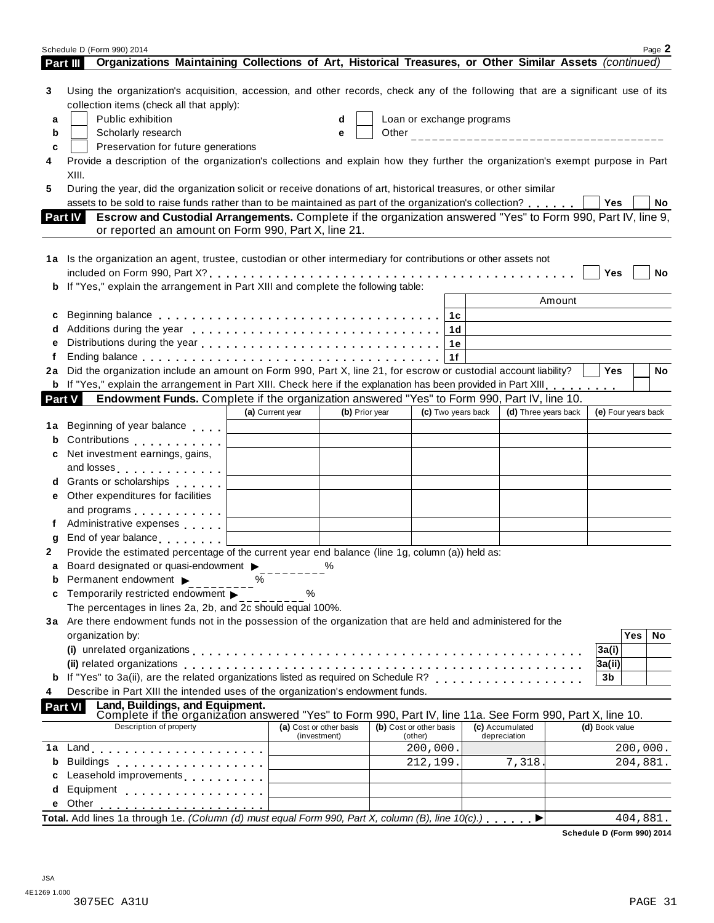|        | Schedule D (Form 990) 2014                                                                                                                                                                                                                  |                         |                |                         |                           |                      |                          |          | Page 2 |
|--------|---------------------------------------------------------------------------------------------------------------------------------------------------------------------------------------------------------------------------------------------|-------------------------|----------------|-------------------------|---------------------------|----------------------|--------------------------|----------|--------|
|        | Organizations Maintaining Collections of Art, Historical Treasures, or Other Similar Assets (continued)<br>Part III                                                                                                                         |                         |                |                         |                           |                      |                          |          |        |
| 3<br>a | Using the organization's acquisition, accession, and other records, check any of the following that are a significant use of its<br>collection items (check all that apply):<br>Public exhibition                                           |                         | d              |                         | Loan or exchange programs |                      |                          |          |        |
| b      | Scholarly research                                                                                                                                                                                                                          |                         | e              |                         |                           |                      |                          |          |        |
| c      | Preservation for future generations                                                                                                                                                                                                         |                         |                |                         |                           |                      |                          |          |        |
| 4      | Provide a description of the organization's collections and explain how they further the organization's exempt purpose in Part<br>XIII.                                                                                                     |                         |                |                         |                           |                      |                          |          |        |
| 5      | During the year, did the organization solicit or receive donations of art, historical treasures, or other similar                                                                                                                           |                         |                |                         |                           |                      |                          |          |        |
|        | assets to be sold to raise funds rather than to be maintained as part of the organization's collection?                                                                                                                                     |                         |                |                         |                           |                      | Yes                      |          | No     |
|        | Escrow and Custodial Arrangements. Complete if the organization answered "Yes" to Form 990, Part IV, line 9,<br><b>Part IV</b><br>or reported an amount on Form 990, Part X, line 21.                                                       |                         |                |                         |                           |                      |                          |          |        |
|        | 1a Is the organization an agent, trustee, custodian or other intermediary for contributions or other assets not                                                                                                                             |                         |                |                         |                           |                      | Yes                      |          | No     |
|        | b If "Yes," explain the arrangement in Part XIII and complete the following table:                                                                                                                                                          |                         |                |                         |                           |                      |                          |          |        |
|        |                                                                                                                                                                                                                                             |                         |                |                         |                           | Amount               |                          |          |        |
| c      |                                                                                                                                                                                                                                             |                         |                |                         | 1с                        |                      |                          |          |        |
|        |                                                                                                                                                                                                                                             |                         |                |                         | 1d                        |                      |                          |          |        |
| е      |                                                                                                                                                                                                                                             |                         |                |                         | 1e                        |                      |                          |          |        |
|        | Ending balance enterpreteration of the contract of the contract of the contract of the contract of the contract of the contract of the contract of the contract of the contract of the contract of the contract of the contrac              |                         |                |                         |                           |                      |                          |          |        |
| 2a     | Did the organization include an amount on Form 990, Part X, line 21, for escrow or custodial account liability?                                                                                                                             |                         |                |                         |                           |                      | <b>Yes</b>               |          | No     |
|        | b If "Yes," explain the arrangement in Part XIII. Check here if the explanation has been provided in Part XIII.                                                                                                                             |                         |                |                         |                           |                      |                          |          |        |
|        | Endowment Funds. Complete if the organization answered "Yes" to Form 990, Part IV, line 10.<br><b>Part V</b>                                                                                                                                | (a) Current year        | (b) Prior year |                         | (c) Two years back        | (d) Three years back | (e) Four years back      |          |        |
| 1a     | Beginning of year balance                                                                                                                                                                                                                   |                         |                |                         |                           |                      |                          |          |        |
| b      | Contributions                                                                                                                                                                                                                               |                         |                |                         |                           |                      |                          |          |        |
| c      | Net investment earnings, gains,                                                                                                                                                                                                             |                         |                |                         |                           |                      |                          |          |        |
|        | and losses <b>contained</b> and losses                                                                                                                                                                                                      |                         |                |                         |                           |                      |                          |          |        |
|        | d Grants or scholarships exercises                                                                                                                                                                                                          |                         |                |                         |                           |                      |                          |          |        |
|        | e Other expenditures for facilities                                                                                                                                                                                                         |                         |                |                         |                           |                      |                          |          |        |
|        | and programs experience and programs                                                                                                                                                                                                        |                         |                |                         |                           |                      |                          |          |        |
|        | f Administrative expenses                                                                                                                                                                                                                   |                         |                |                         |                           |                      |                          |          |        |
| g      | End of year balance                                                                                                                                                                                                                         |                         |                |                         |                           |                      |                          |          |        |
| 2      | Provide the estimated percentage of the current year end balance (line 1g, column (a)) held as:                                                                                                                                             |                         |                |                         |                           |                      |                          |          |        |
|        | Board designated or quasi-endowment >                                                                                                                                                                                                       |                         | %              |                         |                           |                      |                          |          |        |
|        | <b>b</b> Permanent endowment $\blacktriangleright$                                                                                                                                                                                          | ℅                       |                |                         |                           |                      |                          |          |        |
| c      | Temporarily restricted endowment $\blacktriangleright$                                                                                                                                                                                      | ℅                       |                |                         |                           |                      |                          |          |        |
|        | The percentages in lines 2a, 2b, and 2c should equal 100%.                                                                                                                                                                                  |                         |                |                         |                           |                      |                          |          |        |
|        | 3a Are there endowment funds not in the possession of the organization that are held and administered for the                                                                                                                               |                         |                |                         |                           |                      |                          |          |        |
|        | organization by:                                                                                                                                                                                                                            |                         |                |                         |                           |                      |                          | Yes      | No     |
|        |                                                                                                                                                                                                                                             |                         |                |                         |                           |                      | 3a(i)                    |          |        |
|        |                                                                                                                                                                                                                                             |                         |                |                         |                           |                      | 3a(ii)<br>3 <sub>b</sub> |          |        |
| 4      | Describe in Part XIII the intended uses of the organization's endowment funds.                                                                                                                                                              |                         |                |                         |                           |                      |                          |          |        |
|        | Land, Buildings, and Equipment.<br>Part VI<br>Complete if the organization answered "Yes" to Form 990, Part IV, line 11a. See Form 990, Part X, line 10.                                                                                    |                         |                |                         |                           |                      |                          |          |        |
|        | Description of property                                                                                                                                                                                                                     | (a) Cost or other basis |                | (b) Cost or other basis |                           | (c) Accumulated      | (d) Book value           |          |        |
| 1a     |                                                                                                                                                                                                                                             |                         | (investment)   | (other)                 | 200,000.                  | depreciation         |                          | 200,000. |        |
| b      | Land experience in the series of the series of the series of the series of the series of the series of the series of the series of the series of the series of the series of the series of the series of the series of the ser<br>Buildings |                         |                |                         | 212,199.                  | 7,318.               |                          | 204,881. |        |
| c      | Leasehold improvements <b>Leasehold</b> improvements                                                                                                                                                                                        |                         |                |                         |                           |                      |                          |          |        |
| d      | Equipment                                                                                                                                                                                                                                   |                         |                |                         |                           |                      |                          |          |        |
| е      |                                                                                                                                                                                                                                             |                         |                |                         |                           |                      |                          |          |        |
|        | Total. Add lines 1a through 1e. (Column (d) must equal Form 990, Part X, column (B), line $10(c)$ .)                                                                                                                                        |                         |                |                         |                           |                      |                          | 404,881. |        |
|        |                                                                                                                                                                                                                                             |                         |                |                         |                           |                      |                          |          |        |

**Schedule D (Form 990) 2014**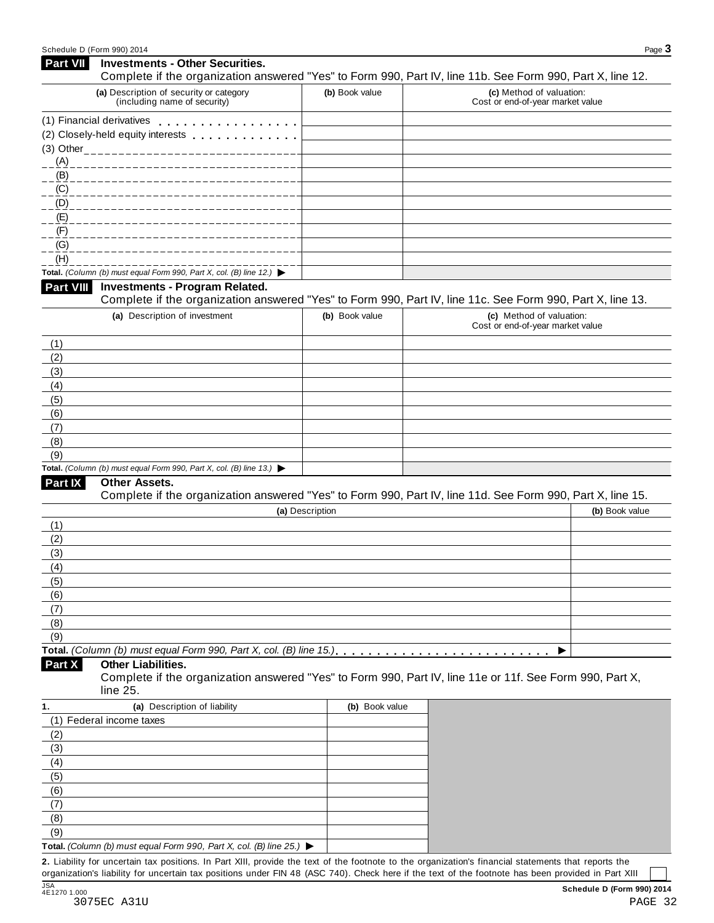| <b>Part VII</b> | <b>Investments - Other Securities.</b>                                                                               |                 |                                                              |                |
|-----------------|----------------------------------------------------------------------------------------------------------------------|-----------------|--------------------------------------------------------------|----------------|
|                 | Complete if the organization answered "Yes" to Form 990, Part IV, line 11b. See Form 990, Part X, line 12.           |                 |                                                              |                |
|                 | (a) Description of security or category<br>(including name of security)                                              | (b) Book value  | (c) Method of valuation:<br>Cost or end-of-year market value |                |
|                 | (1) Financial derivatives                                                                                            |                 |                                                              |                |
|                 |                                                                                                                      |                 |                                                              |                |
|                 |                                                                                                                      |                 |                                                              |                |
|                 |                                                                                                                      |                 |                                                              |                |
|                 | $-\frac{(B)}{2}$ ____________                                                                                        |                 |                                                              |                |
|                 | (C)                                                                                                                  |                 |                                                              |                |
|                 |                                                                                                                      |                 |                                                              |                |
|                 | _ <u>(F)</u> _ _ _ _ _ _ _ _ _ _                                                                                     |                 |                                                              |                |
| (G)             |                                                                                                                      |                 |                                                              |                |
| (H)             |                                                                                                                      |                 |                                                              |                |
|                 | Total. (Column (b) must equal Form 990, Part X, col. (B) line 12.) $\blacktriangleright$                             |                 |                                                              |                |
| Part VIII       | <b>Investments - Program Related.</b>                                                                                |                 |                                                              |                |
|                 | Complete if the organization answered "Yes" to Form 990, Part IV, line 11c. See Form 990, Part X, line 13.           |                 |                                                              |                |
|                 | (a) Description of investment                                                                                        | (b) Book value  | (c) Method of valuation:                                     |                |
|                 |                                                                                                                      |                 | Cost or end-of-year market value                             |                |
| (1)             |                                                                                                                      |                 |                                                              |                |
| (2)             |                                                                                                                      |                 |                                                              |                |
| (3)             |                                                                                                                      |                 |                                                              |                |
| (4)             |                                                                                                                      |                 |                                                              |                |
| (5)             |                                                                                                                      |                 |                                                              |                |
| (6)             |                                                                                                                      |                 |                                                              |                |
| (7)<br>(8)      |                                                                                                                      |                 |                                                              |                |
| (9)             |                                                                                                                      |                 |                                                              |                |
|                 | Total. (Column (b) must equal Form 990, Part X, col. (B) line 13.) $\blacktriangleright$                             |                 |                                                              |                |
| Part IX         | <b>Other Assets.</b>                                                                                                 |                 |                                                              |                |
|                 | Complete if the organization answered "Yes" to Form 990, Part IV, line 11d. See Form 990, Part X, line 15.           |                 |                                                              |                |
|                 |                                                                                                                      | (a) Description |                                                              | (b) Book value |
| (1)             |                                                                                                                      |                 |                                                              |                |
| (2)             |                                                                                                                      |                 |                                                              |                |
| (3)             |                                                                                                                      |                 |                                                              |                |
| (4)             |                                                                                                                      |                 |                                                              |                |
| (5)             |                                                                                                                      |                 |                                                              |                |
| (6)             |                                                                                                                      |                 |                                                              |                |
| (7)             |                                                                                                                      |                 |                                                              |                |
| (8)             |                                                                                                                      |                 |                                                              |                |
| (9)             |                                                                                                                      |                 |                                                              |                |
| Part X          | <b>Other Liabilities.</b>                                                                                            |                 |                                                              |                |
|                 | Complete if the organization answered "Yes" to Form 990, Part IV, line 11e or 11f. See Form 990, Part X,<br>line 25. |                 |                                                              |                |
| 1.              | (a) Description of liability                                                                                         | (b) Book value  |                                                              |                |
|                 | (1) Federal income taxes                                                                                             |                 |                                                              |                |
| (2)             |                                                                                                                      |                 |                                                              |                |
| (3)             |                                                                                                                      |                 |                                                              |                |
| (4)             |                                                                                                                      |                 |                                                              |                |
| (5)             |                                                                                                                      |                 |                                                              |                |
| (6)             |                                                                                                                      |                 |                                                              |                |
| (7)             |                                                                                                                      |                 |                                                              |                |
| (8)             |                                                                                                                      |                 |                                                              |                |
| (9)             |                                                                                                                      |                 |                                                              |                |
|                 | Total. (Column (b) must equal Form 990, Part X, col. (B) line 25.) $\blacktriangleright$                             |                 |                                                              |                |

**2.** Liability for uncertain tax positions. In Part XIII, provide the text of the footnote to the organization's financial statements that reports the organization's liability for uncertain tax positions under FIN 48 (ASC 740). Check here ifthe text of the footnote has been provided in Part XIII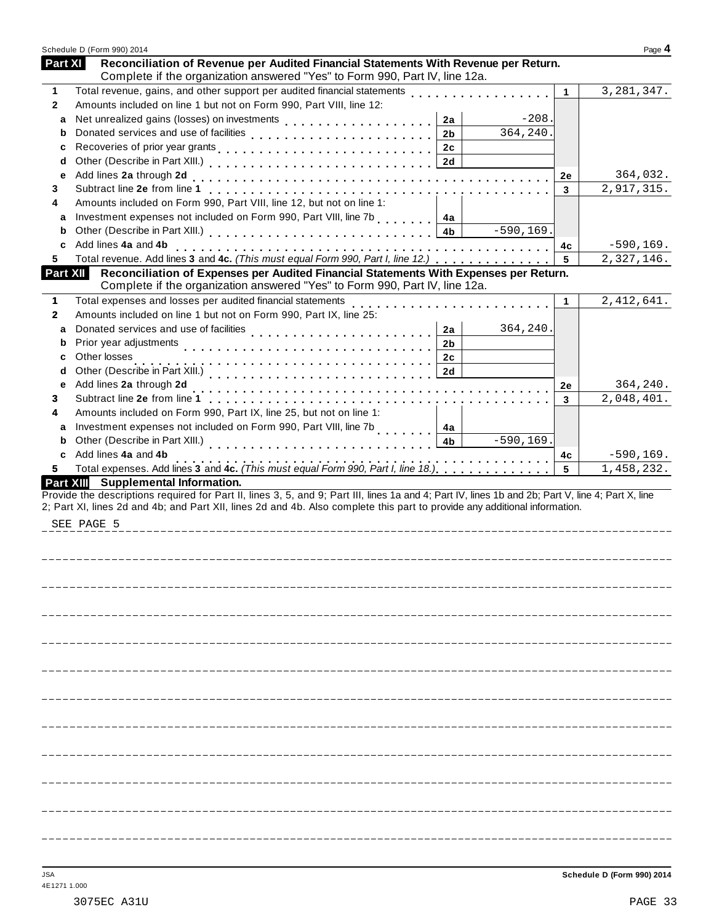| Reconciliation of Revenue per Audited Financial Statements With Revenue per Return.<br><b>Part XI</b><br>Complete if the organization answered "Yes" to Form 990, Part IV, line 12a.<br>Total revenue, gains, and other support per audited financial statements<br>3, 281, 347.<br>1<br>1<br>Amounts included on line 1 but not on Form 990, Part VIII, line 12:<br>$\mathbf{2}$<br>$-208.$<br>2a<br>a<br>364,240.<br>2 <sub>b</sub><br>b<br>Recoveries of prior year grants et al., etc., etc., etc., etc., etc., etc., 2c<br>c<br>d<br>Add lines 2a through 2d<br>364,032.<br>2e<br>е<br>2,917,315.<br>3<br>3<br>Amounts included on Form 990, Part VIII, line 12, but not on line 1:<br>4<br>Investment expenses not included on Form 990, Part VIII, line 7b [10, 10, 10, 14a]<br>a<br>$-590, 169.$<br>4b<br>b<br>Add lines 4a and 4b<br>$-590, 169.$<br>4c<br>c<br>Total revenue. Add lines 3 and 4c. (This must equal Form 990, Part I, line 12.)<br>2,327,146.<br>5<br>5<br>Reconciliation of Expenses per Audited Financial Statements With Expenses per Return.<br>Part XII<br>Complete if the organization answered "Yes" to Form 990, Part IV, line 12a.<br>Total expenses and losses per audited financial statements<br>2, 412, 641.<br>1<br>$\mathbf 1$<br>Amounts included on line 1 but not on Form 990, Part IX, line 25:<br>$\mathbf{2}$<br>364,240.<br>2a<br>a<br>Prior year adjustments<br>2 <sub>b</sub><br>b<br>Other losses<br>2c<br>c<br>2d<br>d<br>Add lines 2a through 2d<br>364,240.<br>2e<br>е<br>2,048,401.<br>3<br>3<br>Amounts included on Form 990, Part IX, line 25, but not on line 1:<br>4<br>Investment expenses not included on Form 990, Part VIII, line 7b<br><br>a<br>4a<br>$-590, 169.$<br>4 <sub>b</sub><br>b<br>Add lines 4a and 4b<br>$-590, 169.$<br>4c<br>c<br>.<br>Total expenses. Add lines 3 and 4c. (This must equal Form 990, Part I, line 18.)<br>Total expenses. Add lines 3 and 4c. (This must equal Form 990, Part I, line 18.)<br>5<br>1,458,232.<br>5<br>Part XIII Supplemental Information.<br>Provide the descriptions required for Part II, lines 3, 5, and 9; Part III, lines 1a and 4; Part IV, lines 1b and 2b; Part V, line 4; Part X, line<br>2; Part XI, lines 2d and 4b; and Part XII, lines 2d and 4b. Also complete this part to provide any additional information.<br>SEE PAGE 5 | Schedule D (Form 990) 2014 | Page 4 |
|----------------------------------------------------------------------------------------------------------------------------------------------------------------------------------------------------------------------------------------------------------------------------------------------------------------------------------------------------------------------------------------------------------------------------------------------------------------------------------------------------------------------------------------------------------------------------------------------------------------------------------------------------------------------------------------------------------------------------------------------------------------------------------------------------------------------------------------------------------------------------------------------------------------------------------------------------------------------------------------------------------------------------------------------------------------------------------------------------------------------------------------------------------------------------------------------------------------------------------------------------------------------------------------------------------------------------------------------------------------------------------------------------------------------------------------------------------------------------------------------------------------------------------------------------------------------------------------------------------------------------------------------------------------------------------------------------------------------------------------------------------------------------------------------------------------------------------------------------------------------------------------------------------------------------------------------------------------------------------------------------------------------------------------------------------------------------------------------------------------------------------------------------------------------------------------------------------------------------------------------------------------------------------------------------------------------------------------------------------|----------------------------|--------|
|                                                                                                                                                                                                                                                                                                                                                                                                                                                                                                                                                                                                                                                                                                                                                                                                                                                                                                                                                                                                                                                                                                                                                                                                                                                                                                                                                                                                                                                                                                                                                                                                                                                                                                                                                                                                                                                                                                                                                                                                                                                                                                                                                                                                                                                                                                                                                          |                            |        |
|                                                                                                                                                                                                                                                                                                                                                                                                                                                                                                                                                                                                                                                                                                                                                                                                                                                                                                                                                                                                                                                                                                                                                                                                                                                                                                                                                                                                                                                                                                                                                                                                                                                                                                                                                                                                                                                                                                                                                                                                                                                                                                                                                                                                                                                                                                                                                          |                            |        |
|                                                                                                                                                                                                                                                                                                                                                                                                                                                                                                                                                                                                                                                                                                                                                                                                                                                                                                                                                                                                                                                                                                                                                                                                                                                                                                                                                                                                                                                                                                                                                                                                                                                                                                                                                                                                                                                                                                                                                                                                                                                                                                                                                                                                                                                                                                                                                          |                            |        |
|                                                                                                                                                                                                                                                                                                                                                                                                                                                                                                                                                                                                                                                                                                                                                                                                                                                                                                                                                                                                                                                                                                                                                                                                                                                                                                                                                                                                                                                                                                                                                                                                                                                                                                                                                                                                                                                                                                                                                                                                                                                                                                                                                                                                                                                                                                                                                          |                            |        |
|                                                                                                                                                                                                                                                                                                                                                                                                                                                                                                                                                                                                                                                                                                                                                                                                                                                                                                                                                                                                                                                                                                                                                                                                                                                                                                                                                                                                                                                                                                                                                                                                                                                                                                                                                                                                                                                                                                                                                                                                                                                                                                                                                                                                                                                                                                                                                          |                            |        |
|                                                                                                                                                                                                                                                                                                                                                                                                                                                                                                                                                                                                                                                                                                                                                                                                                                                                                                                                                                                                                                                                                                                                                                                                                                                                                                                                                                                                                                                                                                                                                                                                                                                                                                                                                                                                                                                                                                                                                                                                                                                                                                                                                                                                                                                                                                                                                          |                            |        |
|                                                                                                                                                                                                                                                                                                                                                                                                                                                                                                                                                                                                                                                                                                                                                                                                                                                                                                                                                                                                                                                                                                                                                                                                                                                                                                                                                                                                                                                                                                                                                                                                                                                                                                                                                                                                                                                                                                                                                                                                                                                                                                                                                                                                                                                                                                                                                          |                            |        |
|                                                                                                                                                                                                                                                                                                                                                                                                                                                                                                                                                                                                                                                                                                                                                                                                                                                                                                                                                                                                                                                                                                                                                                                                                                                                                                                                                                                                                                                                                                                                                                                                                                                                                                                                                                                                                                                                                                                                                                                                                                                                                                                                                                                                                                                                                                                                                          |                            |        |
|                                                                                                                                                                                                                                                                                                                                                                                                                                                                                                                                                                                                                                                                                                                                                                                                                                                                                                                                                                                                                                                                                                                                                                                                                                                                                                                                                                                                                                                                                                                                                                                                                                                                                                                                                                                                                                                                                                                                                                                                                                                                                                                                                                                                                                                                                                                                                          |                            |        |
|                                                                                                                                                                                                                                                                                                                                                                                                                                                                                                                                                                                                                                                                                                                                                                                                                                                                                                                                                                                                                                                                                                                                                                                                                                                                                                                                                                                                                                                                                                                                                                                                                                                                                                                                                                                                                                                                                                                                                                                                                                                                                                                                                                                                                                                                                                                                                          |                            |        |
|                                                                                                                                                                                                                                                                                                                                                                                                                                                                                                                                                                                                                                                                                                                                                                                                                                                                                                                                                                                                                                                                                                                                                                                                                                                                                                                                                                                                                                                                                                                                                                                                                                                                                                                                                                                                                                                                                                                                                                                                                                                                                                                                                                                                                                                                                                                                                          |                            |        |
|                                                                                                                                                                                                                                                                                                                                                                                                                                                                                                                                                                                                                                                                                                                                                                                                                                                                                                                                                                                                                                                                                                                                                                                                                                                                                                                                                                                                                                                                                                                                                                                                                                                                                                                                                                                                                                                                                                                                                                                                                                                                                                                                                                                                                                                                                                                                                          |                            |        |
|                                                                                                                                                                                                                                                                                                                                                                                                                                                                                                                                                                                                                                                                                                                                                                                                                                                                                                                                                                                                                                                                                                                                                                                                                                                                                                                                                                                                                                                                                                                                                                                                                                                                                                                                                                                                                                                                                                                                                                                                                                                                                                                                                                                                                                                                                                                                                          |                            |        |
|                                                                                                                                                                                                                                                                                                                                                                                                                                                                                                                                                                                                                                                                                                                                                                                                                                                                                                                                                                                                                                                                                                                                                                                                                                                                                                                                                                                                                                                                                                                                                                                                                                                                                                                                                                                                                                                                                                                                                                                                                                                                                                                                                                                                                                                                                                                                                          |                            |        |
|                                                                                                                                                                                                                                                                                                                                                                                                                                                                                                                                                                                                                                                                                                                                                                                                                                                                                                                                                                                                                                                                                                                                                                                                                                                                                                                                                                                                                                                                                                                                                                                                                                                                                                                                                                                                                                                                                                                                                                                                                                                                                                                                                                                                                                                                                                                                                          |                            |        |
|                                                                                                                                                                                                                                                                                                                                                                                                                                                                                                                                                                                                                                                                                                                                                                                                                                                                                                                                                                                                                                                                                                                                                                                                                                                                                                                                                                                                                                                                                                                                                                                                                                                                                                                                                                                                                                                                                                                                                                                                                                                                                                                                                                                                                                                                                                                                                          |                            |        |
|                                                                                                                                                                                                                                                                                                                                                                                                                                                                                                                                                                                                                                                                                                                                                                                                                                                                                                                                                                                                                                                                                                                                                                                                                                                                                                                                                                                                                                                                                                                                                                                                                                                                                                                                                                                                                                                                                                                                                                                                                                                                                                                                                                                                                                                                                                                                                          |                            |        |
|                                                                                                                                                                                                                                                                                                                                                                                                                                                                                                                                                                                                                                                                                                                                                                                                                                                                                                                                                                                                                                                                                                                                                                                                                                                                                                                                                                                                                                                                                                                                                                                                                                                                                                                                                                                                                                                                                                                                                                                                                                                                                                                                                                                                                                                                                                                                                          |                            |        |
|                                                                                                                                                                                                                                                                                                                                                                                                                                                                                                                                                                                                                                                                                                                                                                                                                                                                                                                                                                                                                                                                                                                                                                                                                                                                                                                                                                                                                                                                                                                                                                                                                                                                                                                                                                                                                                                                                                                                                                                                                                                                                                                                                                                                                                                                                                                                                          |                            |        |
|                                                                                                                                                                                                                                                                                                                                                                                                                                                                                                                                                                                                                                                                                                                                                                                                                                                                                                                                                                                                                                                                                                                                                                                                                                                                                                                                                                                                                                                                                                                                                                                                                                                                                                                                                                                                                                                                                                                                                                                                                                                                                                                                                                                                                                                                                                                                                          |                            |        |
|                                                                                                                                                                                                                                                                                                                                                                                                                                                                                                                                                                                                                                                                                                                                                                                                                                                                                                                                                                                                                                                                                                                                                                                                                                                                                                                                                                                                                                                                                                                                                                                                                                                                                                                                                                                                                                                                                                                                                                                                                                                                                                                                                                                                                                                                                                                                                          |                            |        |
|                                                                                                                                                                                                                                                                                                                                                                                                                                                                                                                                                                                                                                                                                                                                                                                                                                                                                                                                                                                                                                                                                                                                                                                                                                                                                                                                                                                                                                                                                                                                                                                                                                                                                                                                                                                                                                                                                                                                                                                                                                                                                                                                                                                                                                                                                                                                                          |                            |        |
|                                                                                                                                                                                                                                                                                                                                                                                                                                                                                                                                                                                                                                                                                                                                                                                                                                                                                                                                                                                                                                                                                                                                                                                                                                                                                                                                                                                                                                                                                                                                                                                                                                                                                                                                                                                                                                                                                                                                                                                                                                                                                                                                                                                                                                                                                                                                                          |                            |        |
|                                                                                                                                                                                                                                                                                                                                                                                                                                                                                                                                                                                                                                                                                                                                                                                                                                                                                                                                                                                                                                                                                                                                                                                                                                                                                                                                                                                                                                                                                                                                                                                                                                                                                                                                                                                                                                                                                                                                                                                                                                                                                                                                                                                                                                                                                                                                                          |                            |        |
|                                                                                                                                                                                                                                                                                                                                                                                                                                                                                                                                                                                                                                                                                                                                                                                                                                                                                                                                                                                                                                                                                                                                                                                                                                                                                                                                                                                                                                                                                                                                                                                                                                                                                                                                                                                                                                                                                                                                                                                                                                                                                                                                                                                                                                                                                                                                                          |                            |        |
|                                                                                                                                                                                                                                                                                                                                                                                                                                                                                                                                                                                                                                                                                                                                                                                                                                                                                                                                                                                                                                                                                                                                                                                                                                                                                                                                                                                                                                                                                                                                                                                                                                                                                                                                                                                                                                                                                                                                                                                                                                                                                                                                                                                                                                                                                                                                                          |                            |        |
|                                                                                                                                                                                                                                                                                                                                                                                                                                                                                                                                                                                                                                                                                                                                                                                                                                                                                                                                                                                                                                                                                                                                                                                                                                                                                                                                                                                                                                                                                                                                                                                                                                                                                                                                                                                                                                                                                                                                                                                                                                                                                                                                                                                                                                                                                                                                                          |                            |        |
|                                                                                                                                                                                                                                                                                                                                                                                                                                                                                                                                                                                                                                                                                                                                                                                                                                                                                                                                                                                                                                                                                                                                                                                                                                                                                                                                                                                                                                                                                                                                                                                                                                                                                                                                                                                                                                                                                                                                                                                                                                                                                                                                                                                                                                                                                                                                                          |                            |        |
|                                                                                                                                                                                                                                                                                                                                                                                                                                                                                                                                                                                                                                                                                                                                                                                                                                                                                                                                                                                                                                                                                                                                                                                                                                                                                                                                                                                                                                                                                                                                                                                                                                                                                                                                                                                                                                                                                                                                                                                                                                                                                                                                                                                                                                                                                                                                                          |                            |        |
|                                                                                                                                                                                                                                                                                                                                                                                                                                                                                                                                                                                                                                                                                                                                                                                                                                                                                                                                                                                                                                                                                                                                                                                                                                                                                                                                                                                                                                                                                                                                                                                                                                                                                                                                                                                                                                                                                                                                                                                                                                                                                                                                                                                                                                                                                                                                                          |                            |        |
|                                                                                                                                                                                                                                                                                                                                                                                                                                                                                                                                                                                                                                                                                                                                                                                                                                                                                                                                                                                                                                                                                                                                                                                                                                                                                                                                                                                                                                                                                                                                                                                                                                                                                                                                                                                                                                                                                                                                                                                                                                                                                                                                                                                                                                                                                                                                                          |                            |        |
|                                                                                                                                                                                                                                                                                                                                                                                                                                                                                                                                                                                                                                                                                                                                                                                                                                                                                                                                                                                                                                                                                                                                                                                                                                                                                                                                                                                                                                                                                                                                                                                                                                                                                                                                                                                                                                                                                                                                                                                                                                                                                                                                                                                                                                                                                                                                                          |                            |        |
|                                                                                                                                                                                                                                                                                                                                                                                                                                                                                                                                                                                                                                                                                                                                                                                                                                                                                                                                                                                                                                                                                                                                                                                                                                                                                                                                                                                                                                                                                                                                                                                                                                                                                                                                                                                                                                                                                                                                                                                                                                                                                                                                                                                                                                                                                                                                                          |                            |        |
|                                                                                                                                                                                                                                                                                                                                                                                                                                                                                                                                                                                                                                                                                                                                                                                                                                                                                                                                                                                                                                                                                                                                                                                                                                                                                                                                                                                                                                                                                                                                                                                                                                                                                                                                                                                                                                                                                                                                                                                                                                                                                                                                                                                                                                                                                                                                                          |                            |        |
|                                                                                                                                                                                                                                                                                                                                                                                                                                                                                                                                                                                                                                                                                                                                                                                                                                                                                                                                                                                                                                                                                                                                                                                                                                                                                                                                                                                                                                                                                                                                                                                                                                                                                                                                                                                                                                                                                                                                                                                                                                                                                                                                                                                                                                                                                                                                                          |                            |        |
|                                                                                                                                                                                                                                                                                                                                                                                                                                                                                                                                                                                                                                                                                                                                                                                                                                                                                                                                                                                                                                                                                                                                                                                                                                                                                                                                                                                                                                                                                                                                                                                                                                                                                                                                                                                                                                                                                                                                                                                                                                                                                                                                                                                                                                                                                                                                                          |                            |        |
|                                                                                                                                                                                                                                                                                                                                                                                                                                                                                                                                                                                                                                                                                                                                                                                                                                                                                                                                                                                                                                                                                                                                                                                                                                                                                                                                                                                                                                                                                                                                                                                                                                                                                                                                                                                                                                                                                                                                                                                                                                                                                                                                                                                                                                                                                                                                                          |                            |        |
|                                                                                                                                                                                                                                                                                                                                                                                                                                                                                                                                                                                                                                                                                                                                                                                                                                                                                                                                                                                                                                                                                                                                                                                                                                                                                                                                                                                                                                                                                                                                                                                                                                                                                                                                                                                                                                                                                                                                                                                                                                                                                                                                                                                                                                                                                                                                                          |                            |        |
|                                                                                                                                                                                                                                                                                                                                                                                                                                                                                                                                                                                                                                                                                                                                                                                                                                                                                                                                                                                                                                                                                                                                                                                                                                                                                                                                                                                                                                                                                                                                                                                                                                                                                                                                                                                                                                                                                                                                                                                                                                                                                                                                                                                                                                                                                                                                                          |                            |        |
|                                                                                                                                                                                                                                                                                                                                                                                                                                                                                                                                                                                                                                                                                                                                                                                                                                                                                                                                                                                                                                                                                                                                                                                                                                                                                                                                                                                                                                                                                                                                                                                                                                                                                                                                                                                                                                                                                                                                                                                                                                                                                                                                                                                                                                                                                                                                                          |                            |        |
|                                                                                                                                                                                                                                                                                                                                                                                                                                                                                                                                                                                                                                                                                                                                                                                                                                                                                                                                                                                                                                                                                                                                                                                                                                                                                                                                                                                                                                                                                                                                                                                                                                                                                                                                                                                                                                                                                                                                                                                                                                                                                                                                                                                                                                                                                                                                                          |                            |        |
|                                                                                                                                                                                                                                                                                                                                                                                                                                                                                                                                                                                                                                                                                                                                                                                                                                                                                                                                                                                                                                                                                                                                                                                                                                                                                                                                                                                                                                                                                                                                                                                                                                                                                                                                                                                                                                                                                                                                                                                                                                                                                                                                                                                                                                                                                                                                                          |                            |        |
|                                                                                                                                                                                                                                                                                                                                                                                                                                                                                                                                                                                                                                                                                                                                                                                                                                                                                                                                                                                                                                                                                                                                                                                                                                                                                                                                                                                                                                                                                                                                                                                                                                                                                                                                                                                                                                                                                                                                                                                                                                                                                                                                                                                                                                                                                                                                                          |                            |        |
|                                                                                                                                                                                                                                                                                                                                                                                                                                                                                                                                                                                                                                                                                                                                                                                                                                                                                                                                                                                                                                                                                                                                                                                                                                                                                                                                                                                                                                                                                                                                                                                                                                                                                                                                                                                                                                                                                                                                                                                                                                                                                                                                                                                                                                                                                                                                                          |                            |        |
|                                                                                                                                                                                                                                                                                                                                                                                                                                                                                                                                                                                                                                                                                                                                                                                                                                                                                                                                                                                                                                                                                                                                                                                                                                                                                                                                                                                                                                                                                                                                                                                                                                                                                                                                                                                                                                                                                                                                                                                                                                                                                                                                                                                                                                                                                                                                                          |                            |        |
|                                                                                                                                                                                                                                                                                                                                                                                                                                                                                                                                                                                                                                                                                                                                                                                                                                                                                                                                                                                                                                                                                                                                                                                                                                                                                                                                                                                                                                                                                                                                                                                                                                                                                                                                                                                                                                                                                                                                                                                                                                                                                                                                                                                                                                                                                                                                                          |                            |        |
|                                                                                                                                                                                                                                                                                                                                                                                                                                                                                                                                                                                                                                                                                                                                                                                                                                                                                                                                                                                                                                                                                                                                                                                                                                                                                                                                                                                                                                                                                                                                                                                                                                                                                                                                                                                                                                                                                                                                                                                                                                                                                                                                                                                                                                                                                                                                                          |                            |        |
|                                                                                                                                                                                                                                                                                                                                                                                                                                                                                                                                                                                                                                                                                                                                                                                                                                                                                                                                                                                                                                                                                                                                                                                                                                                                                                                                                                                                                                                                                                                                                                                                                                                                                                                                                                                                                                                                                                                                                                                                                                                                                                                                                                                                                                                                                                                                                          |                            |        |
|                                                                                                                                                                                                                                                                                                                                                                                                                                                                                                                                                                                                                                                                                                                                                                                                                                                                                                                                                                                                                                                                                                                                                                                                                                                                                                                                                                                                                                                                                                                                                                                                                                                                                                                                                                                                                                                                                                                                                                                                                                                                                                                                                                                                                                                                                                                                                          |                            |        |
|                                                                                                                                                                                                                                                                                                                                                                                                                                                                                                                                                                                                                                                                                                                                                                                                                                                                                                                                                                                                                                                                                                                                                                                                                                                                                                                                                                                                                                                                                                                                                                                                                                                                                                                                                                                                                                                                                                                                                                                                                                                                                                                                                                                                                                                                                                                                                          |                            |        |
|                                                                                                                                                                                                                                                                                                                                                                                                                                                                                                                                                                                                                                                                                                                                                                                                                                                                                                                                                                                                                                                                                                                                                                                                                                                                                                                                                                                                                                                                                                                                                                                                                                                                                                                                                                                                                                                                                                                                                                                                                                                                                                                                                                                                                                                                                                                                                          |                            |        |
|                                                                                                                                                                                                                                                                                                                                                                                                                                                                                                                                                                                                                                                                                                                                                                                                                                                                                                                                                                                                                                                                                                                                                                                                                                                                                                                                                                                                                                                                                                                                                                                                                                                                                                                                                                                                                                                                                                                                                                                                                                                                                                                                                                                                                                                                                                                                                          |                            |        |
|                                                                                                                                                                                                                                                                                                                                                                                                                                                                                                                                                                                                                                                                                                                                                                                                                                                                                                                                                                                                                                                                                                                                                                                                                                                                                                                                                                                                                                                                                                                                                                                                                                                                                                                                                                                                                                                                                                                                                                                                                                                                                                                                                                                                                                                                                                                                                          |                            |        |
|                                                                                                                                                                                                                                                                                                                                                                                                                                                                                                                                                                                                                                                                                                                                                                                                                                                                                                                                                                                                                                                                                                                                                                                                                                                                                                                                                                                                                                                                                                                                                                                                                                                                                                                                                                                                                                                                                                                                                                                                                                                                                                                                                                                                                                                                                                                                                          |                            |        |
|                                                                                                                                                                                                                                                                                                                                                                                                                                                                                                                                                                                                                                                                                                                                                                                                                                                                                                                                                                                                                                                                                                                                                                                                                                                                                                                                                                                                                                                                                                                                                                                                                                                                                                                                                                                                                                                                                                                                                                                                                                                                                                                                                                                                                                                                                                                                                          |                            |        |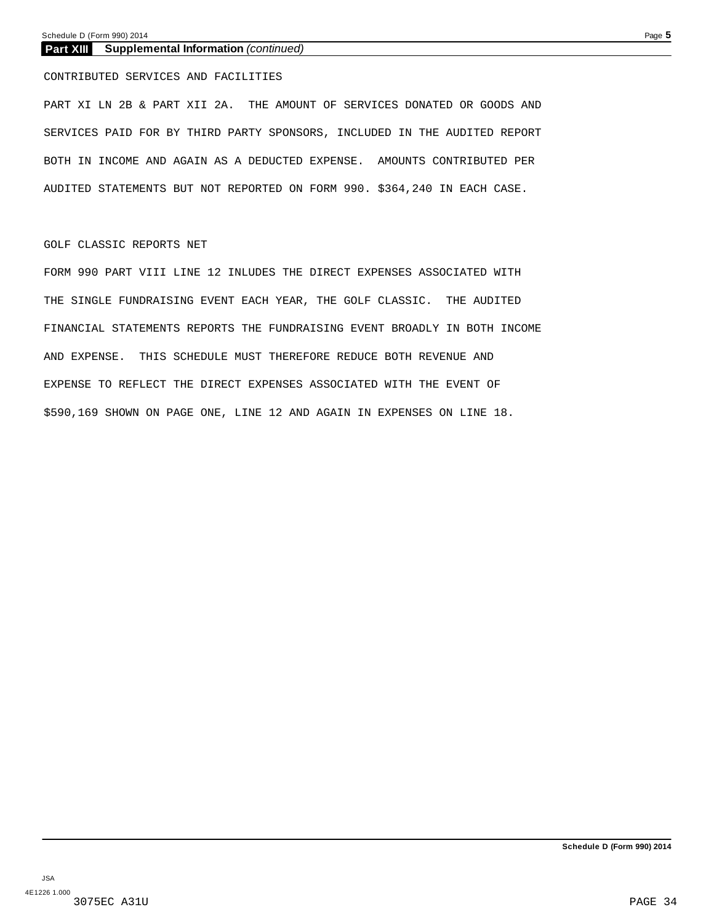#### **Part XIII Supplemental Information** *(continued)*

CONTRIBUTED SERVICES AND FACILITIES

PART XI LN 2B & PART XII 2A. THE AMOUNT OF SERVICES DONATED OR GOODS AND SERVICES PAID FOR BY THIRD PARTY SPONSORS, INCLUDED IN THE AUDITED REPORT BOTH IN INCOME AND AGAIN AS A DEDUCTED EXPENSE. AMOUNTS CONTRIBUTED PER AUDITED STATEMENTS BUT NOT REPORTED ON FORM 990. \$364,240 IN EACH CASE.

#### GOLF CLASSIC REPORTS NET

FORM 990 PART VIII LINE 12 INLUDES THE DIRECT EXPENSES ASSOCIATED WITH THE SINGLE FUNDRAISING EVENT EACH YEAR, THE GOLF CLASSIC. THE AUDITED FINANCIAL STATEMENTS REPORTS THE FUNDRAISING EVENT BROADLY IN BOTH INCOME AND EXPENSE. THIS SCHEDULE MUST THEREFORE REDUCE BOTH REVENUE AND EXPENSE TO REFLECT THE DIRECT EXPENSES ASSOCIATED WITH THE EVENT OF \$590,169 SHOWN ON PAGE ONE, LINE 12 AND AGAIN IN EXPENSES ON LINE 18.

**Schedule D (Form 990) 2014**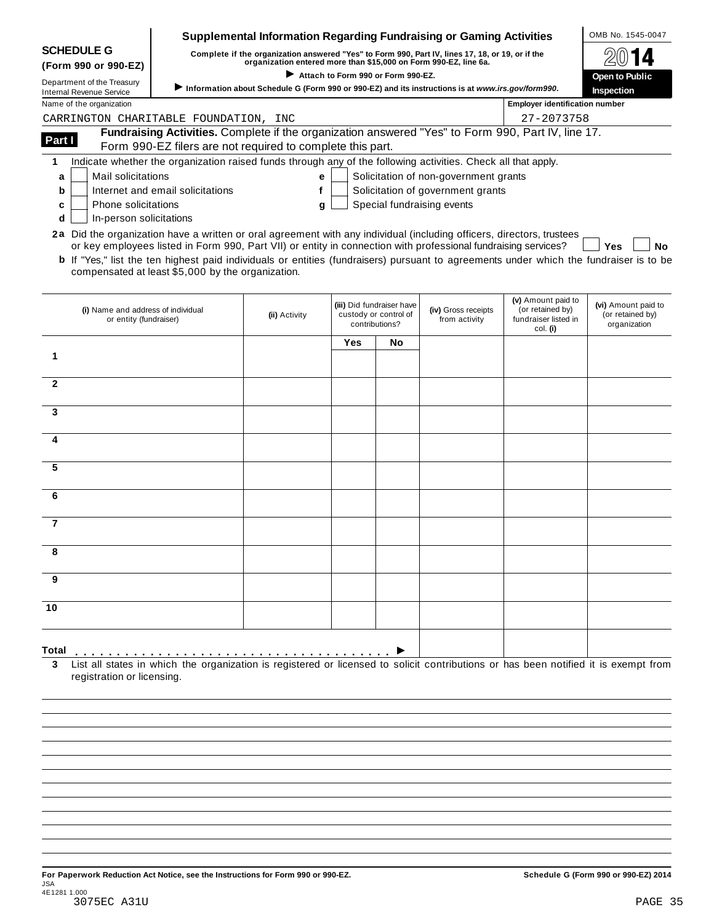|                                                               |                                                                                                                                                                                                                                                                 | Supplemental Information Regarding Fundraising or Gaming Activities                               |     |                                                                      |                                       |                                                                | OMB No. 1545-0047                                       |
|---------------------------------------------------------------|-----------------------------------------------------------------------------------------------------------------------------------------------------------------------------------------------------------------------------------------------------------------|---------------------------------------------------------------------------------------------------|-----|----------------------------------------------------------------------|---------------------------------------|----------------------------------------------------------------|---------------------------------------------------------|
| <b>SCHEDULE G</b>                                             |                                                                                                                                                                                                                                                                 | Complete if the organization answered "Yes" to Form 990, Part IV, lines 17, 18, or 19, or if the  |     |                                                                      |                                       |                                                                |                                                         |
| (Form 990 or 990-EZ)                                          |                                                                                                                                                                                                                                                                 | organization entered more than \$15,000 on Form 990-EZ, line 6a.                                  |     | Attach to Form 990 or Form 990-EZ.                                   |                                       |                                                                |                                                         |
| Department of the Treasury<br><b>Internal Revenue Service</b> |                                                                                                                                                                                                                                                                 | Information about Schedule G (Form 990 or 990-EZ) and its instructions is at www.irs.gov/form990. |     |                                                                      |                                       |                                                                | Open to Public<br>Inspection                            |
| Name of the organization                                      |                                                                                                                                                                                                                                                                 |                                                                                                   |     |                                                                      |                                       | <b>Employer identification number</b>                          |                                                         |
| CARRINGTON CHARITABLE FOUNDATION, INC                         |                                                                                                                                                                                                                                                                 |                                                                                                   |     |                                                                      |                                       | 27-2073758                                                     |                                                         |
|                                                               | Fundraising Activities. Complete if the organization answered "Yes" to Form 990, Part IV, line 17.                                                                                                                                                              |                                                                                                   |     |                                                                      |                                       |                                                                |                                                         |
| Part I                                                        | Form 990-EZ filers are not required to complete this part.                                                                                                                                                                                                      |                                                                                                   |     |                                                                      |                                       |                                                                |                                                         |
| 1                                                             | Indicate whether the organization raised funds through any of the following activities. Check all that apply.                                                                                                                                                   |                                                                                                   |     |                                                                      |                                       |                                                                |                                                         |
| <b>Mail solicitations</b><br>a                                |                                                                                                                                                                                                                                                                 | е                                                                                                 |     |                                                                      | Solicitation of non-government grants |                                                                |                                                         |
| b                                                             | Internet and email solicitations                                                                                                                                                                                                                                | f                                                                                                 |     |                                                                      | Solicitation of government grants     |                                                                |                                                         |
| Phone solicitations<br>c                                      |                                                                                                                                                                                                                                                                 | g                                                                                                 |     |                                                                      | Special fundraising events            |                                                                |                                                         |
| In-person solicitations<br>d                                  |                                                                                                                                                                                                                                                                 |                                                                                                   |     |                                                                      |                                       |                                                                |                                                         |
|                                                               | 2a Did the organization have a written or oral agreement with any individual (including officers, directors, trustees                                                                                                                                           |                                                                                                   |     |                                                                      |                                       |                                                                |                                                         |
|                                                               | or key employees listed in Form 990, Part VII) or entity in connection with professional fundraising services?<br><b>b</b> If "Yes," list the ten highest paid individuals or entities (fundraisers) pursuant to agreements under which the fundraiser is to be |                                                                                                   |     |                                                                      |                                       |                                                                | Yes<br><b>No</b>                                        |
|                                                               | compensated at least \$5,000 by the organization.                                                                                                                                                                                                               |                                                                                                   |     |                                                                      |                                       |                                                                |                                                         |
|                                                               |                                                                                                                                                                                                                                                                 |                                                                                                   |     |                                                                      |                                       |                                                                |                                                         |
| (i) Name and address of individual<br>or entity (fundraiser)  |                                                                                                                                                                                                                                                                 | (ii) Activity                                                                                     |     | (iii) Did fundraiser have<br>custody or control of<br>contributions? | (iv) Gross receipts<br>from activity  | (v) Amount paid to<br>(or retained by)<br>fundraiser listed in | (vi) Amount paid to<br>(or retained by)<br>organization |
|                                                               |                                                                                                                                                                                                                                                                 |                                                                                                   |     |                                                                      |                                       | col. (i)                                                       |                                                         |
|                                                               |                                                                                                                                                                                                                                                                 |                                                                                                   |     |                                                                      |                                       |                                                                |                                                         |
|                                                               |                                                                                                                                                                                                                                                                 |                                                                                                   | Yes | No                                                                   |                                       |                                                                |                                                         |
|                                                               |                                                                                                                                                                                                                                                                 |                                                                                                   |     |                                                                      |                                       |                                                                |                                                         |
|                                                               |                                                                                                                                                                                                                                                                 |                                                                                                   |     |                                                                      |                                       |                                                                |                                                         |
|                                                               |                                                                                                                                                                                                                                                                 |                                                                                                   |     |                                                                      |                                       |                                                                |                                                         |
|                                                               |                                                                                                                                                                                                                                                                 |                                                                                                   |     |                                                                      |                                       |                                                                |                                                         |
|                                                               |                                                                                                                                                                                                                                                                 |                                                                                                   |     |                                                                      |                                       |                                                                |                                                         |
|                                                               |                                                                                                                                                                                                                                                                 |                                                                                                   |     |                                                                      |                                       |                                                                |                                                         |
|                                                               |                                                                                                                                                                                                                                                                 |                                                                                                   |     |                                                                      |                                       |                                                                |                                                         |
| 1<br>$\mathbf{2}$<br>3<br>4<br>5                              |                                                                                                                                                                                                                                                                 |                                                                                                   |     |                                                                      |                                       |                                                                |                                                         |
|                                                               |                                                                                                                                                                                                                                                                 |                                                                                                   |     |                                                                      |                                       |                                                                |                                                         |
|                                                               |                                                                                                                                                                                                                                                                 |                                                                                                   |     |                                                                      |                                       |                                                                |                                                         |
|                                                               |                                                                                                                                                                                                                                                                 |                                                                                                   |     |                                                                      |                                       |                                                                |                                                         |
|                                                               |                                                                                                                                                                                                                                                                 |                                                                                                   |     |                                                                      |                                       |                                                                |                                                         |
|                                                               |                                                                                                                                                                                                                                                                 |                                                                                                   |     |                                                                      |                                       |                                                                |                                                         |
|                                                               |                                                                                                                                                                                                                                                                 |                                                                                                   |     |                                                                      |                                       |                                                                |                                                         |
|                                                               |                                                                                                                                                                                                                                                                 |                                                                                                   |     |                                                                      |                                       |                                                                |                                                         |
|                                                               |                                                                                                                                                                                                                                                                 |                                                                                                   |     |                                                                      |                                       |                                                                |                                                         |
| 6<br>$\overline{7}$<br>8<br>9<br>10                           |                                                                                                                                                                                                                                                                 |                                                                                                   |     |                                                                      |                                       |                                                                |                                                         |

registration or licensing.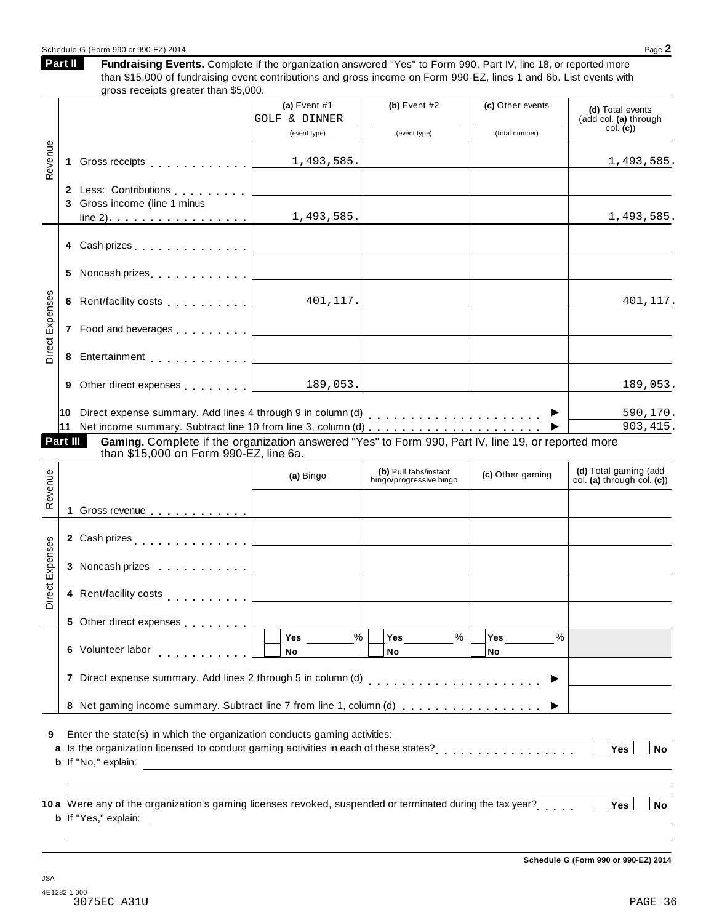#### Schedule G (Form 990 or 990-EZ) 2014 Page 2

**Part II**

Fundraising Events. Complete if the organization answered "Yes" to Form 990, Part IV, line 18, or reported more than \$15,000 of fundraising event contributions and gross income on Form 990-EZ, lines 1 and 6b. List events with gross receipts greater than \$5,000.

| Revenue<br>1.<br>Direct Expenses<br>6<br>8<br>9 | Gross receipts <b>Container and Street Bank</b><br>2 Less: Contributions<br>3 Gross income (line 1 minus<br>5 Noncash prizes [1994]<br>Rent/facility costs <b>All Contracts Rent/facility costs</b><br>7 Food and beverages [1,1,1,1,1,1] | (a) Event $#1$<br>GOLF & DINNER<br>(event type)<br>1,493,585.<br>1,493,585.<br><u> 1980 - Johann Barbara, martxa a</u><br>401,117. | (b) Event $#2$<br>(event type)                   | (c) Other events<br>(total number) | (d) Total events<br>(add col. (a) through<br>col. (c)<br>1,493,585.<br>1,493,585.<br>401,117. |
|-------------------------------------------------|-------------------------------------------------------------------------------------------------------------------------------------------------------------------------------------------------------------------------------------------|------------------------------------------------------------------------------------------------------------------------------------|--------------------------------------------------|------------------------------------|-----------------------------------------------------------------------------------------------|
|                                                 |                                                                                                                                                                                                                                           |                                                                                                                                    |                                                  |                                    |                                                                                               |
|                                                 |                                                                                                                                                                                                                                           |                                                                                                                                    |                                                  |                                    |                                                                                               |
|                                                 |                                                                                                                                                                                                                                           |                                                                                                                                    |                                                  |                                    |                                                                                               |
|                                                 |                                                                                                                                                                                                                                           |                                                                                                                                    |                                                  |                                    |                                                                                               |
|                                                 |                                                                                                                                                                                                                                           |                                                                                                                                    |                                                  |                                    |                                                                                               |
|                                                 |                                                                                                                                                                                                                                           |                                                                                                                                    |                                                  |                                    |                                                                                               |
|                                                 |                                                                                                                                                                                                                                           |                                                                                                                                    |                                                  |                                    |                                                                                               |
|                                                 |                                                                                                                                                                                                                                           |                                                                                                                                    |                                                  |                                    |                                                                                               |
|                                                 |                                                                                                                                                                                                                                           |                                                                                                                                    |                                                  |                                    |                                                                                               |
|                                                 |                                                                                                                                                                                                                                           |                                                                                                                                    |                                                  |                                    |                                                                                               |
|                                                 | Other direct expenses 189,053.                                                                                                                                                                                                            |                                                                                                                                    |                                                  |                                    | 189,053.                                                                                      |
| 11                                              |                                                                                                                                                                                                                                           |                                                                                                                                    |                                                  | ▶                                  | 590,170.<br>903,415                                                                           |
| Part III                                        | Gaming. Complete if the organization answered "Yes" to Form 990, Part IV, line 19, or reported more<br>than \$15,000 on Form 990-EZ, line 6a.                                                                                             |                                                                                                                                    |                                                  |                                    |                                                                                               |
| Revenue                                         |                                                                                                                                                                                                                                           | (a) Bingo                                                                                                                          | (b) Pull tabs/instant<br>bingo/progressive bingo | (c) Other gaming                   | (d) Total gaming (add<br>col. (a) through col. (c))                                           |
|                                                 |                                                                                                                                                                                                                                           |                                                                                                                                    |                                                  |                                    |                                                                                               |
|                                                 |                                                                                                                                                                                                                                           |                                                                                                                                    |                                                  |                                    |                                                                                               |
|                                                 | 3 Noncash prizes                                                                                                                                                                                                                          |                                                                                                                                    |                                                  |                                    |                                                                                               |
| Direct Expenses                                 | 4 Rent/facility costs                                                                                                                                                                                                                     |                                                                                                                                    |                                                  |                                    |                                                                                               |
|                                                 | 5 Other direct expenses                                                                                                                                                                                                                   | $\%$                                                                                                                               |                                                  |                                    |                                                                                               |
|                                                 | 6 Volunteer labor                                                                                                                                                                                                                         | Yes<br>No                                                                                                                          | %<br><b>Yes</b><br>No                            | <b>Yes</b><br>%<br>No              |                                                                                               |
|                                                 | 7 Direct expense summary. Add lines 2 through 5 in column (d)                                                                                                                                                                             |                                                                                                                                    |                                                  |                                    |                                                                                               |
|                                                 | 8 Net gaming income summary. Subtract line 7 from line 1, column (d)                                                                                                                                                                      |                                                                                                                                    |                                                  |                                    |                                                                                               |
| 9                                               | Enter the state(s) in which the organization conducts gaming activities:                                                                                                                                                                  |                                                                                                                                    |                                                  |                                    | <b>Yes</b><br>No                                                                              |
|                                                 | <b>b</b> If "No," explain:                                                                                                                                                                                                                | <u> 1980 - Andrea Andrew Maria (h. 1980).</u>                                                                                      |                                                  |                                    |                                                                                               |
|                                                 | 10 a Were any of the organization's gaming licenses revoked, suspended or terminated during the tax year?                                                                                                                                 |                                                                                                                                    |                                                  |                                    | <b>Yes</b><br>No                                                                              |

**Schedule G (Form 990 or 990-EZ) 2014**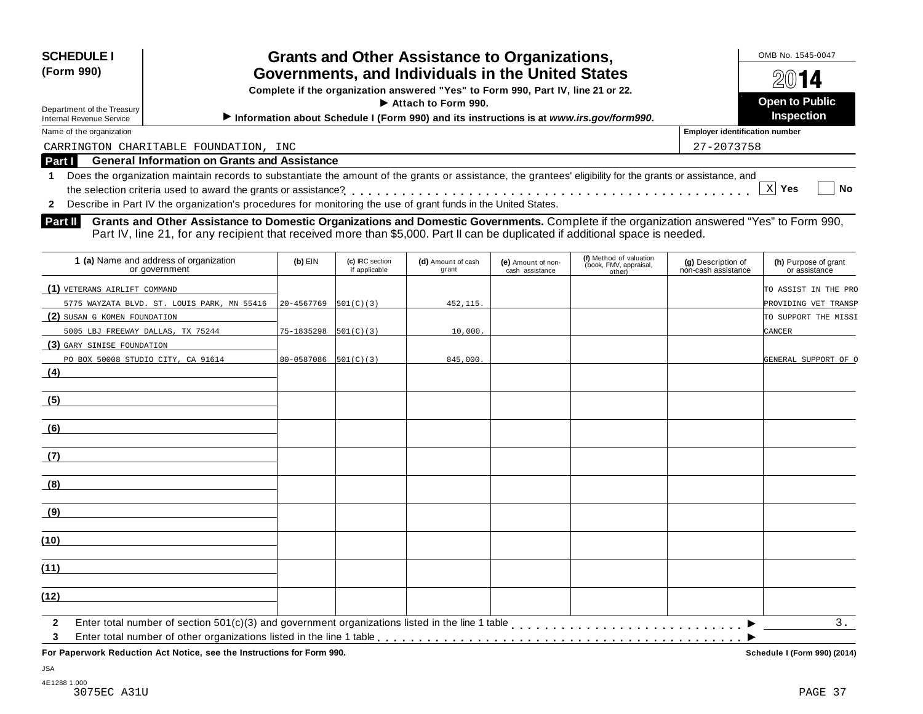| Complete if the organization answered "Yes" to Form 990, Part IV, line 21 or 22.<br>$\blacktriangleright$ Attach to Form 990.<br>Department of the Treasury | <b>SCHEDULE I</b><br>(Form 990) | <b>Grants and Other Assistance to Organizations,</b><br>Governments, and Individuals in the United States | OMB No. 1545-0047<br>2014                  |
|-------------------------------------------------------------------------------------------------------------------------------------------------------------|---------------------------------|-----------------------------------------------------------------------------------------------------------|--------------------------------------------|
|                                                                                                                                                             | Internal Revenue Service        | Information about Schedule I (Form 990) and its instructions is at www.irs.gov/form990.                   | <b>Open to Public</b><br><b>Inspection</b> |

Department of the Treasury<br>Internal Revenue Service

**Employer identification number** 

CARRINGTON CHARITABLE FOUNDATION, INC 27-2007 27-2007 27-2007 27-2073758

**Part I General Information on Grants and Assistance**

**1** Does the organization maintain records to substantiate the amount of the grants or assistance, the grantees' eligibility for the grants or assistance, and the selection criteria used to award the grants or assistance? **Yes No** m m m m m m m m m m m m m m m m m m m m m m m m m m m m m m m m m m m m m m m m m m m m m m m m m X Yes

**2** Describe in Part IV the organization's procedures for monitoring the use of grant funds in the United States.

**Grants and Other Assistance to Domestic Organizations and Domestic Governments.** Complete if the organization answered "Yes" to Form 990, **Part II** Grants and Other Assistance to Domestic Organizations and Domestic Governments. Complete if the organization and Domestic Governments of the organization and Part IV, line 21, for any recipient that received more

| 1 (a) Name and address of organization<br>or government                                                                                                                                                                                                        | $(b)$ EIN                  | (c) IRC section<br>if applicable | (d) Amount of cash<br>grant | (e) Amount of non-<br>cash assistance | (f) Method of valuation<br>(book, FMV, appraisal,<br>other) | (g) Description of<br>non-cash assistance | (h) Purpose of grant<br>or assistance |
|----------------------------------------------------------------------------------------------------------------------------------------------------------------------------------------------------------------------------------------------------------------|----------------------------|----------------------------------|-----------------------------|---------------------------------------|-------------------------------------------------------------|-------------------------------------------|---------------------------------------|
| (1) VETERANS AIRLIFT COMMAND                                                                                                                                                                                                                                   |                            |                                  |                             |                                       |                                                             |                                           | TO ASSIST IN THE PRO                  |
| 5775 WAYZATA BLVD. ST. LOUIS PARK, MN 55416                                                                                                                                                                                                                    | 20-4567769                 | 501(C)(3)                        | 452, 115.                   |                                       |                                                             |                                           | PROVIDING VET TRANSP                  |
| (2) SUSAN G KOMEN FOUNDATION                                                                                                                                                                                                                                   |                            |                                  |                             |                                       |                                                             |                                           | TO SUPPORT THE MISSI                  |
| 5005 LBJ FREEWAY DALLAS, TX 75244                                                                                                                                                                                                                              | $75-1835298$ $ 501(C)(3) $ |                                  | 10,000.                     |                                       |                                                             |                                           | <b>CANCER</b>                         |
| (3) GARY SINISE FOUNDATION                                                                                                                                                                                                                                     |                            |                                  |                             |                                       |                                                             |                                           |                                       |
| PO BOX 50008 STUDIO CITY, CA 91614                                                                                                                                                                                                                             | 80-0587086                 | 501(C)(3)                        | 845,000.                    |                                       |                                                             |                                           | GENERAL SUPPORT OF O                  |
| (4)                                                                                                                                                                                                                                                            |                            |                                  |                             |                                       |                                                             |                                           |                                       |
| (5)                                                                                                                                                                                                                                                            |                            |                                  |                             |                                       |                                                             |                                           |                                       |
| (6)                                                                                                                                                                                                                                                            |                            |                                  |                             |                                       |                                                             |                                           |                                       |
| (7)                                                                                                                                                                                                                                                            |                            |                                  |                             |                                       |                                                             |                                           |                                       |
| (8)                                                                                                                                                                                                                                                            |                            |                                  |                             |                                       |                                                             |                                           |                                       |
| (9)                                                                                                                                                                                                                                                            |                            |                                  |                             |                                       |                                                             |                                           |                                       |
| (10)                                                                                                                                                                                                                                                           |                            |                                  |                             |                                       |                                                             |                                           |                                       |
| (11)                                                                                                                                                                                                                                                           |                            |                                  |                             |                                       |                                                             |                                           |                                       |
| (12)                                                                                                                                                                                                                                                           |                            |                                  |                             |                                       |                                                             |                                           |                                       |
| Enter total number of section 501(c)(3) and government organizations listed in the line 1 table [1] [1] and table [1] [1] and number of section 501(c)(3) and government organizations listed in the line 1 table [1] [1] $\rightarrow$<br>$\overline{2}$<br>3 |                            |                                  |                             |                                       |                                                             |                                           | 3.                                    |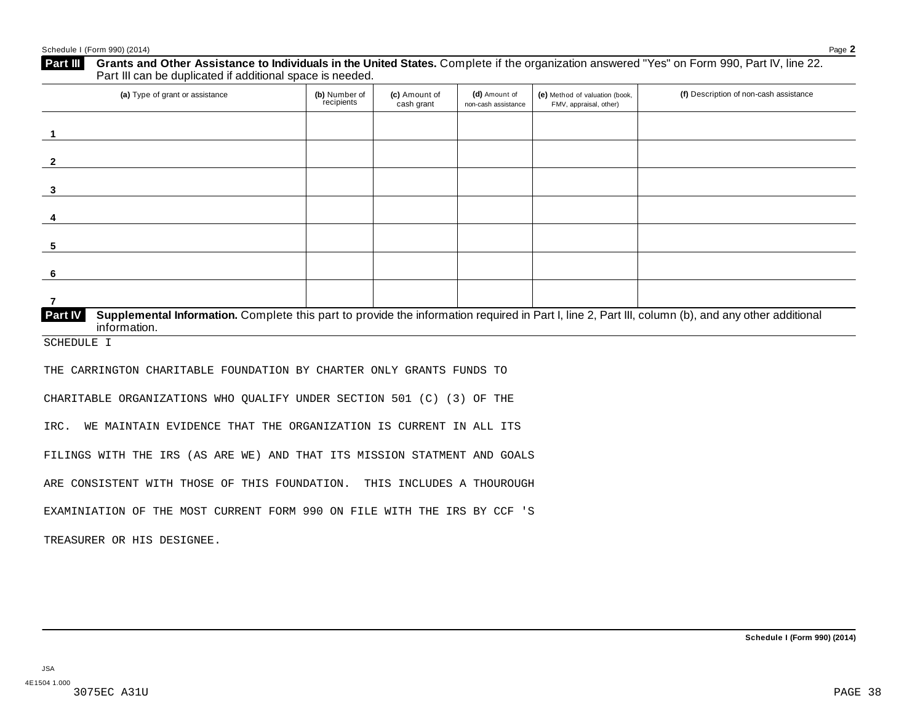| (a) Type of grant or assistance                                                                                                                                                                                                 | (b) Number of<br>recipients | (c) Amount of<br>cash grant | (d) Amount of<br>non-cash assistance | (e) Method of valuation (book,<br>FMV, appraisal, other) | (f) Description of non-cash assistance |
|---------------------------------------------------------------------------------------------------------------------------------------------------------------------------------------------------------------------------------|-----------------------------|-----------------------------|--------------------------------------|----------------------------------------------------------|----------------------------------------|
| $\overline{1}$                                                                                                                                                                                                                  |                             |                             |                                      |                                                          |                                        |
| $\mathbf{2}$                                                                                                                                                                                                                    |                             |                             |                                      |                                                          |                                        |
| 3                                                                                                                                                                                                                               |                             |                             |                                      |                                                          |                                        |
| 4                                                                                                                                                                                                                               |                             |                             |                                      |                                                          |                                        |
| 5                                                                                                                                                                                                                               |                             |                             |                                      |                                                          |                                        |
| 6                                                                                                                                                                                                                               |                             |                             |                                      |                                                          |                                        |
| $\overline{7}$                                                                                                                                                                                                                  |                             |                             |                                      |                                                          |                                        |
| Part IV<br>Supplemental Information. Complete this part to provide the information required in Part I, line 2, Part III, column (b), and any other additional<br>information.                                                   |                             |                             |                                      |                                                          |                                        |
| SCHEDULE I                                                                                                                                                                                                                      |                             |                             |                                      |                                                          |                                        |
|                                                                                                                                                                                                                                 |                             |                             |                                      |                                                          |                                        |
|                                                                                                                                                                                                                                 |                             |                             |                                      |                                                          |                                        |
| THE CARRINGTON CHARITABLE FOUNDATION BY CHARTER ONLY GRANTS FUNDS TO<br>CHARITABLE ORGANIZATIONS WHO QUALIFY UNDER SECTION 501 (C) (3) OF THE                                                                                   |                             |                             |                                      |                                                          |                                        |
| WE MAINTAIN EVIDENCE THAT THE ORGANIZATION IS CURRENT IN ALL ITS<br>IRC.                                                                                                                                                        |                             |                             |                                      |                                                          |                                        |
|                                                                                                                                                                                                                                 |                             |                             |                                      |                                                          |                                        |
|                                                                                                                                                                                                                                 |                             |                             |                                      |                                                          |                                        |
| FILINGS WITH THE IRS (AS ARE WE) AND THAT ITS MISSION STATMENT AND GOALS<br>ARE CONSISTENT WITH THOSE OF THIS FOUNDATION. THIS INCLUDES A THOUROUGH<br>EXAMINIATION OF THE MOST CURRENT FORM 990 ON FILE WITH THE IRS BY CCF 'S |                             |                             |                                      |                                                          |                                        |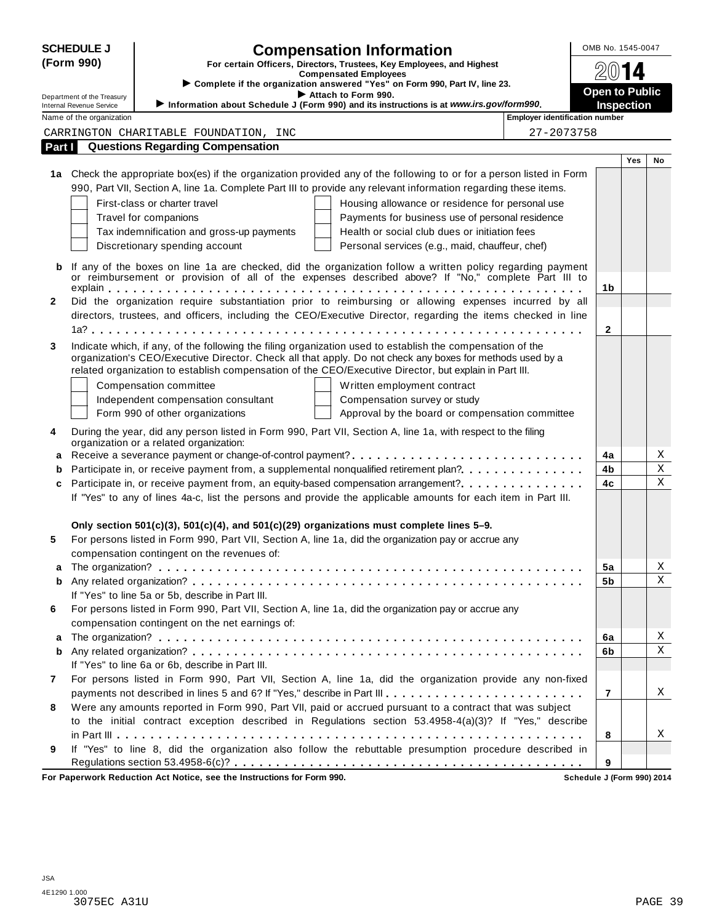|        | <b>SCHEDULE J</b>          |                                                  | <b>Compensation Information</b>                                                                                      |                                       | OMB No. 1545-0047     |     |             |  |
|--------|----------------------------|--------------------------------------------------|----------------------------------------------------------------------------------------------------------------------|---------------------------------------|-----------------------|-----|-------------|--|
|        | (Form 990)                 |                                                  | For certain Officers, Directors, Trustees, Key Employees, and Highest                                                |                                       |                       |     |             |  |
|        |                            |                                                  | <b>Compensated Employees</b><br>> Complete if the organization answered "Yes" on Form 990, Part IV, line 23.         |                                       |                       | 14  |             |  |
|        | Department of the Treasury |                                                  | Attach to Form 990.                                                                                                  |                                       | <b>Open to Public</b> |     |             |  |
|        | Internal Revenue Service   |                                                  | Information about Schedule J (Form 990) and its instructions is at www.irs.gov/form990.                              |                                       | <b>Inspection</b>     |     |             |  |
|        | Name of the organization   |                                                  |                                                                                                                      | <b>Employer identification number</b> |                       |     |             |  |
|        |                            | CARRINGTON CHARITABLE FOUNDATION, INC            |                                                                                                                      | 27-2073758                            |                       |     |             |  |
| Part I |                            | <b>Questions Regarding Compensation</b>          |                                                                                                                      |                                       |                       |     |             |  |
|        |                            |                                                  |                                                                                                                      |                                       |                       | Yes | No          |  |
|        |                            |                                                  | 1a Check the appropriate box(es) if the organization provided any of the following to or for a person listed in Form |                                       |                       |     |             |  |
|        |                            |                                                  | 990, Part VII, Section A, line 1a. Complete Part III to provide any relevant information regarding these items.      |                                       |                       |     |             |  |
|        |                            | First-class or charter travel                    | Housing allowance or residence for personal use                                                                      |                                       |                       |     |             |  |
|        |                            | Travel for companions                            | Payments for business use of personal residence                                                                      |                                       |                       |     |             |  |
|        |                            | Tax indemnification and gross-up payments        | Health or social club dues or initiation fees                                                                        |                                       |                       |     |             |  |
|        |                            | Discretionary spending account                   | Personal services (e.g., maid, chauffeur, chef)                                                                      |                                       |                       |     |             |  |
| b      |                            |                                                  | If any of the boxes on line 1a are checked, did the organization follow a written policy regarding payment           |                                       |                       |     |             |  |
|        |                            |                                                  | or reimbursement or provision of all of the expenses described above? If "No," complete Part III to                  |                                       | 1b                    |     |             |  |
| 2      |                            |                                                  | Did the organization require substantiation prior to reimbursing or allowing expenses incurred by all                |                                       |                       |     |             |  |
|        |                            |                                                  | directors, trustees, and officers, including the CEO/Executive Director, regarding the items checked in line         |                                       |                       |     |             |  |
|        |                            |                                                  |                                                                                                                      |                                       | $\mathbf{2}$          |     |             |  |
| 3      |                            |                                                  | Indicate which, if any, of the following the filing organization used to establish the compensation of the           |                                       |                       |     |             |  |
|        |                            |                                                  | organization's CEO/Executive Director. Check all that apply. Do not check any boxes for methods used by a            |                                       |                       |     |             |  |
|        |                            |                                                  | related organization to establish compensation of the CEO/Executive Director, but explain in Part III.               |                                       |                       |     |             |  |
|        |                            | Compensation committee                           | Written employment contract                                                                                          |                                       |                       |     |             |  |
|        |                            | Independent compensation consultant              | Compensation survey or study                                                                                         |                                       |                       |     |             |  |
|        |                            | Form 990 of other organizations                  | Approval by the board or compensation committee                                                                      |                                       |                       |     |             |  |
| 4      |                            |                                                  | During the year, did any person listed in Form 990, Part VII, Section A, line 1a, with respect to the filing         |                                       |                       |     |             |  |
|        |                            | organization or a related organization:          |                                                                                                                      |                                       |                       |     |             |  |
| a      |                            |                                                  | Receive a severance payment or change-of-control payment?                                                            |                                       | 4a                    |     | Χ           |  |
| b      |                            |                                                  | Participate in, or receive payment from, a supplemental nonqualified retirement plan?.                               |                                       | 4b                    |     | $\mathbf X$ |  |
| c      |                            |                                                  | Participate in, or receive payment from, an equity-based compensation arrangement?                                   |                                       | 4c                    |     | X           |  |
|        |                            |                                                  | If "Yes" to any of lines 4a-c, list the persons and provide the applicable amounts for each item in Part III.        |                                       |                       |     |             |  |
|        |                            |                                                  |                                                                                                                      |                                       |                       |     |             |  |
|        |                            |                                                  | Only section $501(c)(3)$ , $501(c)(4)$ , and $501(c)(29)$ organizations must complete lines 5-9.                     |                                       |                       |     |             |  |
| 5      |                            |                                                  | For persons listed in Form 990, Part VII, Section A, line 1a, did the organization pay or accrue any                 |                                       |                       |     |             |  |
|        |                            | compensation contingent on the revenues of:      |                                                                                                                      |                                       |                       |     |             |  |
| а      |                            |                                                  |                                                                                                                      |                                       | 5a                    |     | Χ           |  |
| b      |                            |                                                  |                                                                                                                      |                                       | 5b                    |     | X           |  |
|        |                            | If "Yes" to line 5a or 5b, describe in Part III. |                                                                                                                      |                                       |                       |     |             |  |
| 6      |                            |                                                  | For persons listed in Form 990, Part VII, Section A, line 1a, did the organization pay or accrue any                 |                                       |                       |     |             |  |
|        |                            | compensation contingent on the net earnings of:  |                                                                                                                      |                                       |                       |     |             |  |
| а      |                            |                                                  |                                                                                                                      |                                       | 6a                    |     | Χ           |  |
| b      |                            |                                                  |                                                                                                                      |                                       | 6b                    |     | $\mathbf X$ |  |
|        |                            | If "Yes" to line 6a or 6b, describe in Part III. |                                                                                                                      |                                       |                       |     |             |  |
| 7      |                            |                                                  | For persons listed in Form 990, Part VII, Section A, line 1a, did the organization provide any non-fixed             |                                       |                       |     |             |  |
|        |                            |                                                  | payments not described in lines 5 and 6? If "Yes," describe in Part III.                                             |                                       | $\overline{7}$        |     | Χ           |  |
| 8      |                            |                                                  | Were any amounts reported in Form 990, Part VII, paid or accrued pursuant to a contract that was subject             |                                       |                       |     |             |  |
|        |                            |                                                  | to the initial contract exception described in Regulations section 53.4958-4(a)(3)? If "Yes," describe               |                                       |                       |     |             |  |
|        |                            |                                                  |                                                                                                                      |                                       | 8                     |     | X           |  |
| 9      |                            |                                                  | If "Yes" to line 8, did the organization also follow the rebuttable presumption procedure described in               |                                       |                       |     |             |  |
|        |                            |                                                  |                                                                                                                      |                                       | 9                     |     |             |  |

**For Paperwork Reduction Act Notice, see the Instructions for Form 990. Schedule J (Form 990) 2014**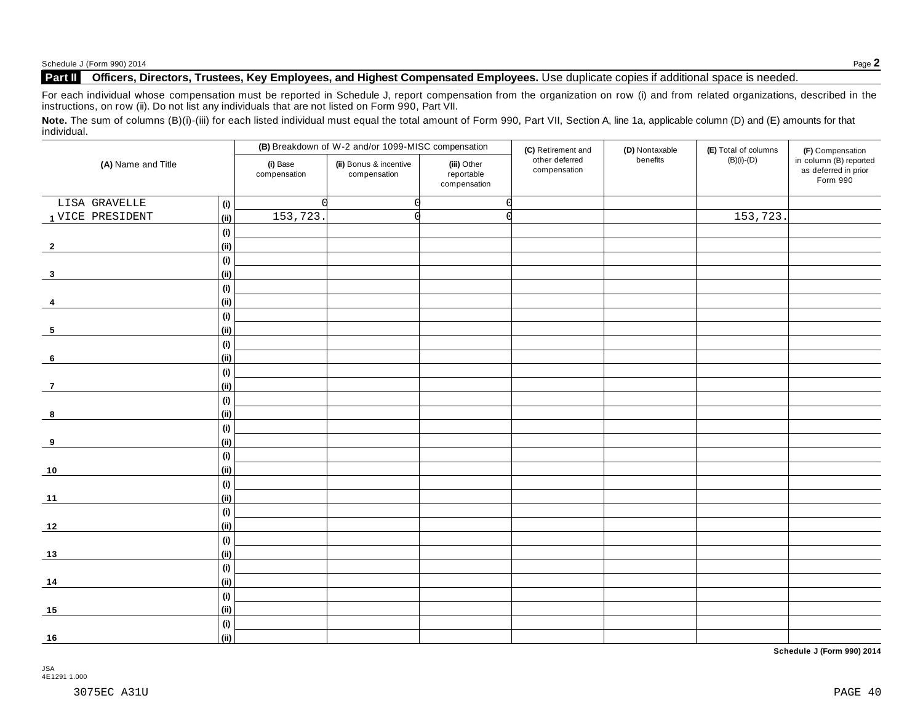### **Part II Officers, Directors, Trustees, Key Employees, and Highest Compensated Employees.** Use duplicate copies ifadditional space is needed.

For each individual whose compensation must be reported in Schedule J, report compensation from the organization on row (i) and from related organizations, described in the instructions, on row (ii). Do not list any individuals that are not listed on Form 990, Part VII.

Note. The sum of columns (B)(i)-(iii) for each listed individual must equal the total amount of Form 990, Part VII, Section A, line 1a, applicable column (D) and (E) amounts for that individual.

| (A) Name and Title |      |                          | (B) Breakdown of W-2 and/or 1099-MISC compensation |                                           | (C) Retirement and             | (D) Nontaxable | (E) Total of columns | (F) Compensation                                           |
|--------------------|------|--------------------------|----------------------------------------------------|-------------------------------------------|--------------------------------|----------------|----------------------|------------------------------------------------------------|
|                    |      | (i) Base<br>compensation | (ii) Bonus & incentive<br>compensation             | (iii) Other<br>reportable<br>compensation | other deferred<br>compensation | benefits       | $(B)(i)-(D)$         | in column (B) reported<br>as deferred in prior<br>Form 990 |
| LISA GRAVELLE      | (i)  |                          |                                                    | $\Omega$                                  |                                |                |                      |                                                            |
| 1 VICE PRESIDENT   | (i)  | 153,723.                 |                                                    |                                           |                                |                | 153,723.             |                                                            |
|                    | (i)  |                          |                                                    |                                           |                                |                |                      |                                                            |
| $\overline{2}$     | (ii) |                          |                                                    |                                           |                                |                |                      |                                                            |
|                    | (i)  |                          |                                                    |                                           |                                |                |                      |                                                            |
| $\mathbf{3}$       | (ii) |                          |                                                    |                                           |                                |                |                      |                                                            |
|                    | (i)  |                          |                                                    |                                           |                                |                |                      |                                                            |
| 4                  | (ii) |                          |                                                    |                                           |                                |                |                      |                                                            |
|                    | (i)  |                          |                                                    |                                           |                                |                |                      |                                                            |
| $5\phantom{.0}$    | (ii) |                          |                                                    |                                           |                                |                |                      |                                                            |
|                    | (i)  |                          |                                                    |                                           |                                |                |                      |                                                            |
| 6                  | (ii) |                          |                                                    |                                           |                                |                |                      |                                                            |
|                    | (i)  |                          |                                                    |                                           |                                |                |                      |                                                            |
| $\overline{7}$     | (ii) |                          |                                                    |                                           |                                |                |                      |                                                            |
|                    | (i)  |                          |                                                    |                                           |                                |                |                      |                                                            |
| 8                  | (ii) |                          |                                                    |                                           |                                |                |                      |                                                            |
|                    | (i)  |                          |                                                    |                                           |                                |                |                      |                                                            |
| 9                  | (ii) |                          |                                                    |                                           |                                |                |                      |                                                            |
|                    | (i)  |                          |                                                    |                                           |                                |                |                      |                                                            |
| $10$               | (ii) |                          |                                                    |                                           |                                |                |                      |                                                            |
|                    | (i)  |                          |                                                    |                                           |                                |                |                      |                                                            |
| 11                 | (ii) |                          |                                                    |                                           |                                |                |                      |                                                            |
|                    | (i)  |                          |                                                    |                                           |                                |                |                      |                                                            |
| 12                 | (ii) |                          |                                                    |                                           |                                |                |                      |                                                            |
|                    | (i)  |                          |                                                    |                                           |                                |                |                      |                                                            |
| 13                 | (ii) |                          |                                                    |                                           |                                |                |                      |                                                            |
|                    | (i)  |                          |                                                    |                                           |                                |                |                      |                                                            |
| 14                 | (ii) |                          |                                                    |                                           |                                |                |                      |                                                            |
|                    | (i)  |                          |                                                    |                                           |                                |                |                      |                                                            |
| 15                 | (ii) |                          |                                                    |                                           |                                |                |                      |                                                            |
|                    | (i)  |                          |                                                    |                                           |                                |                |                      |                                                            |
| 16                 | (ii) |                          |                                                    |                                           |                                |                |                      |                                                            |

**Schedule J (Form 990) 2014**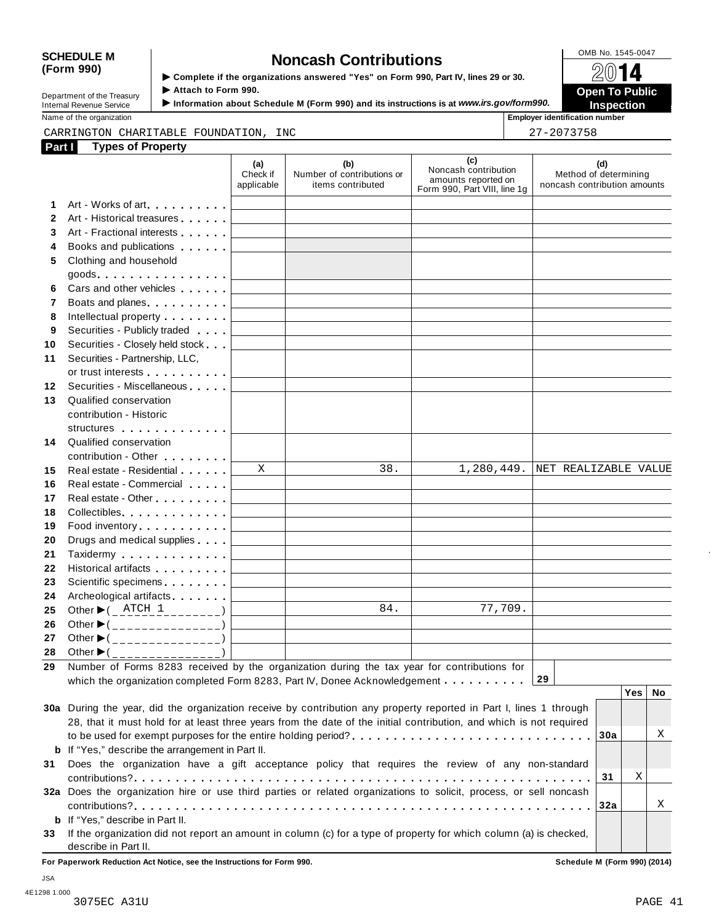| <b>SCHEDULE M</b>          |                                                                                      | OMB No. 1545-0047     |
|----------------------------|--------------------------------------------------------------------------------------|-----------------------|
| (Form 990)                 | <b>Noncash Contributions</b>                                                         |                       |
|                            | ▶ Complete if the organizations answered "Yes" on Form 990, Part IV, lines 29 or 30. | 2014                  |
| Department of the Treasury | Attach to Form 990.                                                                  | <b>Open To Public</b> |
|                            |                                                                                      |                       |

Internal Revenue Service I**Information about Schedule <sup>M</sup> (Form 990) and its instructions is at** *www.irs.gov/form990.* **Inspection**

**Name of the organization in the organization is a set of the organization in the organization is a set of the organization in the organization is a set of the organization is a set of the organization is a** 

## CARRINGTON CHARITABLE FOUNDATION, INC 27-2073758

| Part I                   | <b>Types of Property</b>                                                                                                                                                                                                         |                                                                                                                                                                                                                                                                                                                                                                                                                                                        |                                                                                                                        |                                                                                    |                                                              |
|--------------------------|----------------------------------------------------------------------------------------------------------------------------------------------------------------------------------------------------------------------------------|--------------------------------------------------------------------------------------------------------------------------------------------------------------------------------------------------------------------------------------------------------------------------------------------------------------------------------------------------------------------------------------------------------------------------------------------------------|------------------------------------------------------------------------------------------------------------------------|------------------------------------------------------------------------------------|--------------------------------------------------------------|
|                          |                                                                                                                                                                                                                                  | (a)<br>Check if<br>applicable                                                                                                                                                                                                                                                                                                                                                                                                                          | (b)<br>Number of contributions or<br>items contributed                                                                 | (c)<br>Noncash contribution<br>amounts reported on<br>Form 990, Part VIII, line 1g | (d)<br>Method of determining<br>noncash contribution amounts |
| 1                        | Art - Works of art<br>1990 - Part Barry Barry Barry Barry Barry Barry Barry Barry Barry Barry Barry Barry Barry Barry Barry Barry Barry Barry Barry Barry Barry Barry Barry Barry Barry Barry Barry Barry Barry Barry Barry Barr |                                                                                                                                                                                                                                                                                                                                                                                                                                                        | the control of the control of the control of the control of the control of                                             |                                                                                    |                                                              |
| $\mathbf{2}$             | Art - Historical treasures                                                                                                                                                                                                       |                                                                                                                                                                                                                                                                                                                                                                                                                                                        |                                                                                                                        |                                                                                    |                                                              |
| 3                        | Art - Fractional interests                                                                                                                                                                                                       | <b>Contract Contract Contract</b>                                                                                                                                                                                                                                                                                                                                                                                                                      | the control of the control of the control of the control of the control of                                             |                                                                                    |                                                              |
| 4                        | Books and publications <b>Exercises</b>                                                                                                                                                                                          |                                                                                                                                                                                                                                                                                                                                                                                                                                                        |                                                                                                                        |                                                                                    |                                                              |
| 5                        | Clothing and household                                                                                                                                                                                                           |                                                                                                                                                                                                                                                                                                                                                                                                                                                        |                                                                                                                        |                                                                                    |                                                              |
|                          |                                                                                                                                                                                                                                  |                                                                                                                                                                                                                                                                                                                                                                                                                                                        |                                                                                                                        |                                                                                    |                                                              |
| 6                        | Cars and other vehicles <b>Cars</b>                                                                                                                                                                                              |                                                                                                                                                                                                                                                                                                                                                                                                                                                        | <u> 1989 - John Harry Harry Harry Harry Harry Harry Harry Harry Harry Harry Harry Harry Harry Harry Harry Harry</u>    | the control of the control of the control of the control of the control of         |                                                              |
| $\overline{\phantom{a}}$ | Boats and planes <b>Exercise 2</b>                                                                                                                                                                                               |                                                                                                                                                                                                                                                                                                                                                                                                                                                        | <u> 1989 - John Harry Harry Harry Harry Harry Harry Harry Harry Harry Harry Harry Harry Harry Harry Harry Harry H</u>  | the control of the control of the control of the control of the control of         |                                                              |
| 8                        | Intellectual property                                                                                                                                                                                                            |                                                                                                                                                                                                                                                                                                                                                                                                                                                        | <u> 1989 - Johann Johann Stoff, deutscher Stoffen und der Stoffen und der Stoffen und der Stoffen und der Stoffen</u>  |                                                                                    |                                                              |
| 9                        | Securities - Publicly traded                                                                                                                                                                                                     |                                                                                                                                                                                                                                                                                                                                                                                                                                                        | <u> 1989 - John Harry Harry Harry Harry Harry Harry Harry Harry Harry Harry Harry Harry Harry Harry Harry Harry H</u>  | the control of the control of the control of the control of the control of         |                                                              |
| 10                       | Securities - Closely held stock                                                                                                                                                                                                  |                                                                                                                                                                                                                                                                                                                                                                                                                                                        |                                                                                                                        |                                                                                    |                                                              |
| 11                       | Securities - Partnership, LLC,                                                                                                                                                                                                   |                                                                                                                                                                                                                                                                                                                                                                                                                                                        |                                                                                                                        |                                                                                    |                                                              |
|                          |                                                                                                                                                                                                                                  |                                                                                                                                                                                                                                                                                                                                                                                                                                                        |                                                                                                                        |                                                                                    |                                                              |
| 12                       | Securities - Miscellaneous                                                                                                                                                                                                       |                                                                                                                                                                                                                                                                                                                                                                                                                                                        |                                                                                                                        |                                                                                    |                                                              |
| 13                       | Qualified conservation                                                                                                                                                                                                           |                                                                                                                                                                                                                                                                                                                                                                                                                                                        |                                                                                                                        |                                                                                    |                                                              |
|                          | contribution - Historic                                                                                                                                                                                                          |                                                                                                                                                                                                                                                                                                                                                                                                                                                        |                                                                                                                        |                                                                                    |                                                              |
|                          | structures                                                                                                                                                                                                                       |                                                                                                                                                                                                                                                                                                                                                                                                                                                        |                                                                                                                        |                                                                                    |                                                              |
| 14                       | Qualified conservation                                                                                                                                                                                                           |                                                                                                                                                                                                                                                                                                                                                                                                                                                        |                                                                                                                        |                                                                                    |                                                              |
|                          | contribution - Other <b>Contribution</b>                                                                                                                                                                                         |                                                                                                                                                                                                                                                                                                                                                                                                                                                        |                                                                                                                        |                                                                                    |                                                              |
| 15                       | Real estate - Residential                                                                                                                                                                                                        | X                                                                                                                                                                                                                                                                                                                                                                                                                                                      | 38.                                                                                                                    | 1,280,449.                                                                         | NET REALIZABLE VALUE                                         |
| 16                       | Real estate - Commercial                                                                                                                                                                                                         |                                                                                                                                                                                                                                                                                                                                                                                                                                                        | the control of the control of the control of the control of the control of the control of                              |                                                                                    |                                                              |
| 17                       |                                                                                                                                                                                                                                  |                                                                                                                                                                                                                                                                                                                                                                                                                                                        | the control of the control of the control of the control of the control of                                             | the control of the control of the control of the control of the control of         |                                                              |
| 18                       | Collectibles <b>Collectibles Collectibles</b>                                                                                                                                                                                    |                                                                                                                                                                                                                                                                                                                                                                                                                                                        | the control of the control of the control of the control of the control of the control of                              |                                                                                    |                                                              |
| 19                       | Food inventory                                                                                                                                                                                                                   |                                                                                                                                                                                                                                                                                                                                                                                                                                                        | the control of the control of the control of the control of the control of                                             |                                                                                    |                                                              |
| 20                       | Drugs and medical supplies                                                                                                                                                                                                       |                                                                                                                                                                                                                                                                                                                                                                                                                                                        | <u> 1989 - John Harry Harry Harry Harry Harry Harry Harry Harry Harry Harry Harry Harry Harry Harry Harry Harry H</u>  | the control of the control of the control of the control of the control of         |                                                              |
| 21                       | Taxidermy Taxidermy                                                                                                                                                                                                              |                                                                                                                                                                                                                                                                                                                                                                                                                                                        | <u> 1989 - John Stein, Amerikaansk politiker (</u>                                                                     |                                                                                    |                                                              |
| 22                       | Historical artifacts <b>All Accords</b>                                                                                                                                                                                          |                                                                                                                                                                                                                                                                                                                                                                                                                                                        | the control of the control of the control of the control of the control of                                             | the control of the control of the control of the control of the control of         |                                                              |
| 23                       | Scientific specimens <b>Scientific specimens</b>                                                                                                                                                                                 |                                                                                                                                                                                                                                                                                                                                                                                                                                                        | <u> 1989 - Johann Stoff, deutscher Stoffen und der Stoffen und der Stoffen und der Stoffen und der Stoffen und der</u> |                                                                                    |                                                              |
| 24                       | Archeological artifacts [1999]                                                                                                                                                                                                   |                                                                                                                                                                                                                                                                                                                                                                                                                                                        | the control of the control of the control of                                                                           |                                                                                    |                                                              |
| 25                       | Other $\blacktriangleright$ ( $\_\_$ ATCH $\_\_$                                                                                                                                                                                 |                                                                                                                                                                                                                                                                                                                                                                                                                                                        | 84.<br>the control of the control of the control of                                                                    | 77,709.                                                                            |                                                              |
| 26                       | Other $\blacktriangleright$ (________________)                                                                                                                                                                                   | $\label{eq:2.1} \frac{1}{\sqrt{2}}\left(\frac{1}{\sqrt{2}}\right)^{2} \left(\frac{1}{\sqrt{2}}\right)^{2} \left(\frac{1}{\sqrt{2}}\right)^{2} \left(\frac{1}{\sqrt{2}}\right)^{2} \left(\frac{1}{\sqrt{2}}\right)^{2} \left(\frac{1}{\sqrt{2}}\right)^{2} \left(\frac{1}{\sqrt{2}}\right)^{2} \left(\frac{1}{\sqrt{2}}\right)^{2} \left(\frac{1}{\sqrt{2}}\right)^{2} \left(\frac{1}{\sqrt{2}}\right)^{2} \left(\frac{1}{\sqrt{2}}\right)^{2} \left(\$ | the control of the control of the control of the control of the control of                                             |                                                                                    |                                                              |
| 27                       | Other $\blacktriangleright$ (________________)                                                                                                                                                                                   |                                                                                                                                                                                                                                                                                                                                                                                                                                                        |                                                                                                                        |                                                                                    |                                                              |
| 28                       | Other $\blacktriangleright$ (________________)                                                                                                                                                                                   |                                                                                                                                                                                                                                                                                                                                                                                                                                                        |                                                                                                                        |                                                                                    |                                                              |
|                          | 29 Number of Forms 8283 received by the organization during the tax year for contributions for                                                                                                                                   |                                                                                                                                                                                                                                                                                                                                                                                                                                                        |                                                                                                                        |                                                                                    |                                                              |
|                          | which the organization completed Form 8283, Part IV, Donee Acknowledgement                                                                                                                                                       |                                                                                                                                                                                                                                                                                                                                                                                                                                                        |                                                                                                                        |                                                                                    | 29                                                           |
|                          |                                                                                                                                                                                                                                  |                                                                                                                                                                                                                                                                                                                                                                                                                                                        |                                                                                                                        |                                                                                    | <b>Yes</b><br><b>No</b>                                      |
|                          | 30a During the year, did the organization receive by contribution any property reported in Part I, lines 1 through                                                                                                               |                                                                                                                                                                                                                                                                                                                                                                                                                                                        |                                                                                                                        |                                                                                    |                                                              |
|                          | 28, that it must hold for at least three years from the date of the initial contribution, and which is not required                                                                                                              |                                                                                                                                                                                                                                                                                                                                                                                                                                                        |                                                                                                                        |                                                                                    |                                                              |
|                          | to be used for exempt purposes for the entire holding period?                                                                                                                                                                    |                                                                                                                                                                                                                                                                                                                                                                                                                                                        |                                                                                                                        |                                                                                    | Χ<br>30a                                                     |
|                          | <b>b</b> If "Yes," describe the arrangement in Part II.                                                                                                                                                                          |                                                                                                                                                                                                                                                                                                                                                                                                                                                        |                                                                                                                        |                                                                                    |                                                              |
| 31                       | Does the organization have a gift acceptance policy that requires the review of any non-standard                                                                                                                                 |                                                                                                                                                                                                                                                                                                                                                                                                                                                        |                                                                                                                        |                                                                                    |                                                              |
|                          |                                                                                                                                                                                                                                  |                                                                                                                                                                                                                                                                                                                                                                                                                                                        |                                                                                                                        |                                                                                    | X<br>31                                                      |
|                          | 32a Does the organization hire or use third parties or related organizations to solicit, process, or sell noncash                                                                                                                |                                                                                                                                                                                                                                                                                                                                                                                                                                                        |                                                                                                                        |                                                                                    |                                                              |
|                          |                                                                                                                                                                                                                                  |                                                                                                                                                                                                                                                                                                                                                                                                                                                        |                                                                                                                        |                                                                                    | Χ<br>32a                                                     |
|                          | <b>b</b> If "Yes," describe in Part II.                                                                                                                                                                                          |                                                                                                                                                                                                                                                                                                                                                                                                                                                        |                                                                                                                        |                                                                                    |                                                              |
| 33                       | If the organization did not report an amount in column (c) for a type of property for which column (a) is checked,<br>describe in Part II.                                                                                       |                                                                                                                                                                                                                                                                                                                                                                                                                                                        |                                                                                                                        |                                                                                    |                                                              |

**For Paperwork Reduction Act Notice, see the Instructions for Form 990. Schedule M (Form 990) (2014)**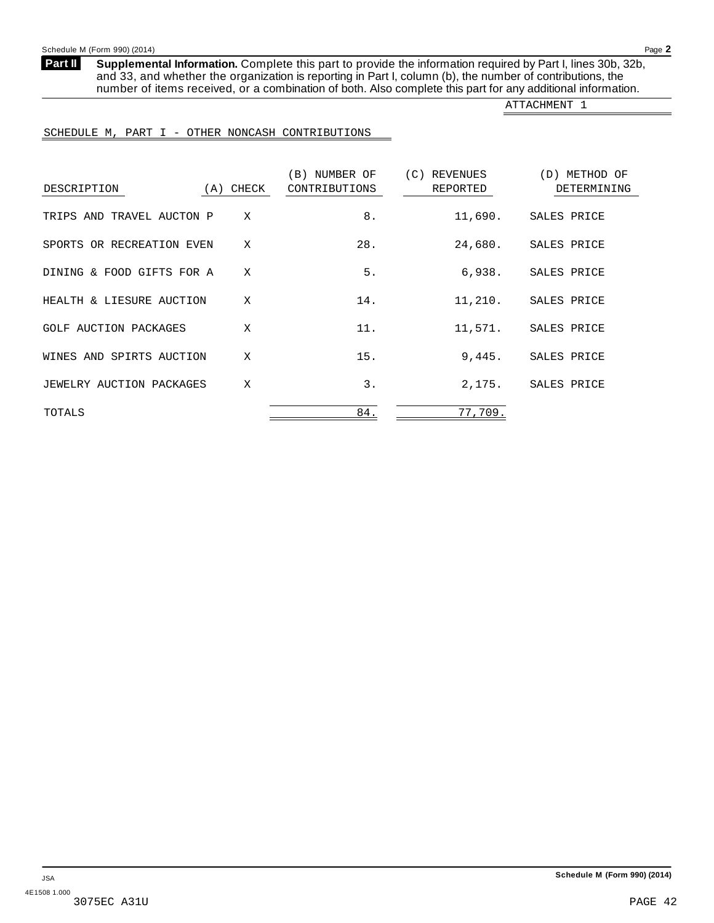<span id="page-41-0"></span>**Supplemental Information.** Complete this part to provide the information required by Part I, lines 30b, 32b, and 33, and whether the organization is reporting in Part I, column (b), the number of contributions, the number of items received, or a combination of both. Also complete this part for any additional information. **Part II**

ATTACHMENT 1

#### SCHEDULE M, PART I - OTHER NONCASH CONTRIBUTIONS

| DESCRIPTION               | (A) CHECK | (B) NUMBER OF<br>CONTRIBUTIONS | (C)<br>REVENUES<br>REPORTED | (D) METHOD OF<br>DETERMINING |
|---------------------------|-----------|--------------------------------|-----------------------------|------------------------------|
| TRIPS AND TRAVEL AUCTON P | X         | 8.                             | 11,690.                     | SALES PRICE                  |
| SPORTS OR RECREATION EVEN | X         | 28.                            | 24,680.                     | SALES PRICE                  |
| DINING & FOOD GIFTS FOR A | X         | 5.                             | 6,938.                      | SALES PRICE                  |
| HEALTH & LIESURE AUCTION  | X         | 14.                            | 11,210.                     | SALES PRICE                  |
| GOLF AUCTION PACKAGES     | X         | 11.                            | 11,571.                     | SALES PRICE                  |
| WINES AND SPIRTS AUCTION  | X         | 15.                            | 9.445.                      | SALES PRICE                  |
| JEWELRY AUCTION PACKAGES  | X         | 3.                             | 2.175.                      | SALES PRICE                  |
| TOTALS                    |           | 84.                            | 77,709.                     |                              |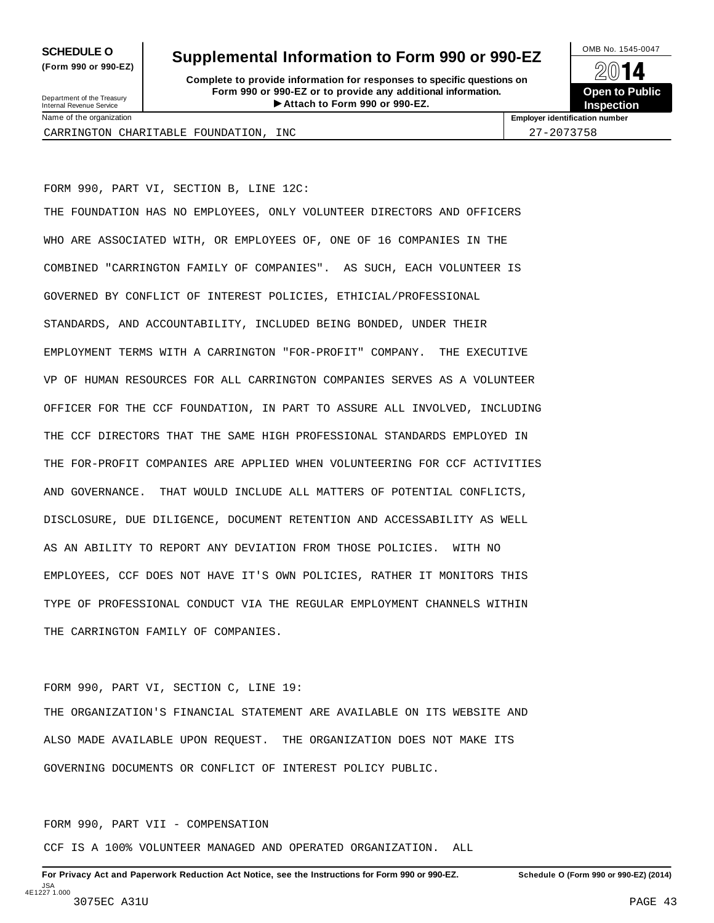**(Form 990 or 990-EZ)**

# **SCHEDULE O** Supplemental Information to Form 990 or 990-EZ  $\frac{100\text{dB No. }1545-0047}{\text{O}}$

**Complete to provide information for responses to specific questions on Form 990 or 990-EZ or to provide any additional information.**<br>
Internal Revenue Service **Conservant Conservant Conservant Conservant Conservant Conservation <b>Attach to Form 990 or 990-EZ**. Fraction of the **Formation of the COVID COVID COVID COVID COVID COVID COVID COVID COVID COVID COVID COVID COVID COVID COVID COVID COVID COVID COVID COVID COVID COVID COVID COVID COVID COVID COVID COVID COVID COVID COVID CO** 

**Open to Public Inspection**

Department of the Treasury<br>Internal Revenue Service Name of the organization **Employer identification number**

CARRINGTON CHARITABLE FOUNDATION, INC  $\vert$  27-2073758

FORM 990, PART VI, SECTION B, LINE 12C:

THE FOUNDATION HAS NO EMPLOYEES, ONLY VOLUNTEER DIRECTORS AND OFFICERS WHO ARE ASSOCIATED WITH, OR EMPLOYEES OF, ONE OF 16 COMPANIES IN THE COMBINED "CARRINGTON FAMILY OF COMPANIES". AS SUCH, EACH VOLUNTEER IS GOVERNED BY CONFLICT OF INTEREST POLICIES, ETHICIAL/PROFESSIONAL STANDARDS, AND ACCOUNTABILITY, INCLUDED BEING BONDED, UNDER THEIR EMPLOYMENT TERMS WITH A CARRINGTON "FOR-PROFIT" COMPANY. THE EXECUTIVE VP OF HUMAN RESOURCES FOR ALL CARRINGTON COMPANIES SERVES AS A VOLUNTEER OFFICER FOR THE CCF FOUNDATION, IN PART TO ASSURE ALL INVOLVED, INCLUDING THE CCF DIRECTORS THAT THE SAME HIGH PROFESSIONAL STANDARDS EMPLOYED IN THE FOR-PROFIT COMPANIES ARE APPLIED WHEN VOLUNTEERING FOR CCF ACTIVITIES AND GOVERNANCE. THAT WOULD INCLUDE ALL MATTERS OF POTENTIAL CONFLICTS, DISCLOSURE, DUE DILIGENCE, DOCUMENT RETENTION AND ACCESSABILITY AS WELL AS AN ABILITY TO REPORT ANY DEVIATION FROM THOSE POLICIES. WITH NO EMPLOYEES, CCF DOES NOT HAVE IT'S OWN POLICIES, RATHER IT MONITORS THIS TYPE OF PROFESSIONAL CONDUCT VIA THE REGULAR EMPLOYMENT CHANNELS WITHIN THE CARRINGTON FAMILY OF COMPANIES.

FORM 990, PART VI, SECTION C, LINE 19:

THE ORGANIZATION'S FINANCIAL STATEMENT ARE AVAILABLE ON ITS WEBSITE AND ALSO MADE AVAILABLE UPON REQUEST. THE ORGANIZATION DOES NOT MAKE ITS GOVERNING DOCUMENTS OR CONFLICT OF INTEREST POLICY PUBLIC.

FORM 990, PART VII - COMPENSATION

CCF IS A 100% VOLUNTEER MANAGED AND OPERATED ORGANIZATION. ALL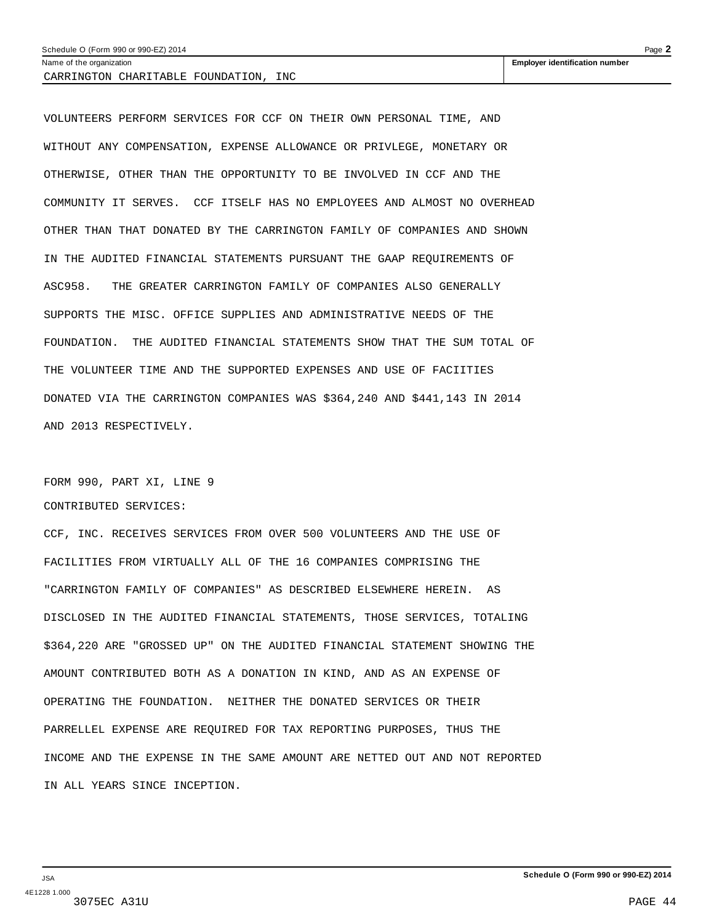#### Schedule O (Form 990 or 990-EZ) 2014 Page **2**

CARRINGTON CHARITABLE FOUNDATION, INC

VOLUNTEERS PERFORM SERVICES FOR CCF ON THEIR OWN PERSONAL TIME, AND WITHOUT ANY COMPENSATION, EXPENSE ALLOWANCE OR PRIVLEGE, MONETARY OR OTHERWISE, OTHER THAN THE OPPORTUNITY TO BE INVOLVED IN CCF AND THE COMMUNITY IT SERVES. CCF ITSELF HAS NO EMPLOYEES AND ALMOST NO OVERHEAD OTHER THAN THAT DONATED BY THE CARRINGTON FAMILY OF COMPANIES AND SHOWN IN THE AUDITED FINANCIAL STATEMENTS PURSUANT THE GAAP REQUIREMENTS OF ASC958. THE GREATER CARRINGTON FAMILY OF COMPANIES ALSO GENERALLY SUPPORTS THE MISC. OFFICE SUPPLIES AND ADMINISTRATIVE NEEDS OF THE FOUNDATION. THE AUDITED FINANCIAL STATEMENTS SHOW THAT THE SUM TOTAL OF THE VOLUNTEER TIME AND THE SUPPORTED EXPENSES AND USE OF FACIITIES DONATED VIA THE CARRINGTON COMPANIES WAS \$364,240 AND \$441,143 IN 2014 AND 2013 RESPECTIVELY.

FORM 990, PART XI, LINE 9 CONTRIBUTED SERVICES:

CCF, INC. RECEIVES SERVICES FROM OVER 500 VOLUNTEERS AND THE USE OF FACILITIES FROM VIRTUALLY ALL OF THE 16 COMPANIES COMPRISING THE "CARRINGTON FAMILY OF COMPANIES" AS DESCRIBED ELSEWHERE HEREIN. AS DISCLOSED IN THE AUDITED FINANCIAL STATEMENTS, THOSE SERVICES, TOTALING \$364,220 ARE "GROSSED UP" ON THE AUDITED FINANCIAL STATEMENT SHOWING THE AMOUNT CONTRIBUTED BOTH AS A DONATION IN KIND, AND AS AN EXPENSE OF OPERATING THE FOUNDATION. NEITHER THE DONATED SERVICES OR THEIR PARRELLEL EXPENSE ARE REQUIRED FOR TAX REPORTING PURPOSES, THUS THE INCOME AND THE EXPENSE IN THE SAME AMOUNT ARE NETTED OUT AND NOT REPORTED IN ALL YEARS SINCE INCEPTION.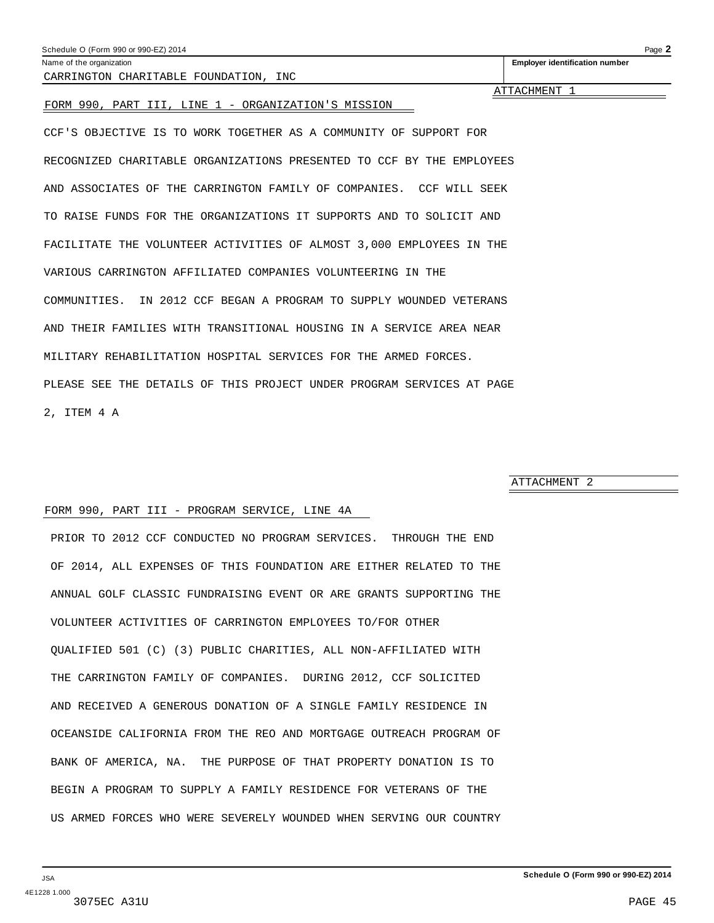<span id="page-44-0"></span>

| Schedule O (Form 990 or 990-EZ) 2014 | $P$ ade. |
|--------------------------------------|----------|
|--------------------------------------|----------|

Name of the organization **Employer identification number**

CARRINGTON CHARITABLE FOUNDATION, INC

ATTACHMENT 1

#### FORM 990, PART III, LINE 1 - ORGANIZATION'S MISSION

CCF'S OBJECTIVE IS TO WORK TOGETHER AS A COMMUNITY OF SUPPORT FOR RECOGNIZED CHARITABLE ORGANIZATIONS PRESENTED TO CCF BY THE EMPLOYEES AND ASSOCIATES OF THE CARRINGTON FAMILY OF COMPANIES. CCF WILL SEEK TO RAISE FUNDS FOR THE ORGANIZATIONS IT SUPPORTS AND TO SOLICIT AND FACILITATE THE VOLUNTEER ACTIVITIES OF ALMOST 3,000 EMPLOYEES IN THE VARIOUS CARRINGTON AFFILIATED COMPANIES VOLUNTEERING IN THE COMMUNITIES. IN 2012 CCF BEGAN A PROGRAM TO SUPPLY WOUNDED VETERANS AND THEIR FAMILIES WITH TRANSITIONAL HOUSING IN A SERVICE AREA NEAR MILITARY REHABILITATION HOSPITAL SERVICES FOR THE ARMED FORCES. PLEASE SEE THE DETAILS OF THIS PROJECT UNDER PROGRAM SERVICES AT PAGE 2, ITEM 4 A

ATTACHMENT 2

#### FORM 990, PART III - PROGRAM SERVICE, LINE 4A

PRIOR TO 2012 CCF CONDUCTED NO PROGRAM SERVICES. THROUGH THE END OF 2014, ALL EXPENSES OF THIS FOUNDATION ARE EITHER RELATED TO THE ANNUAL GOLF CLASSIC FUNDRAISING EVENT OR ARE GRANTS SUPPORTING THE VOLUNTEER ACTIVITIES OF CARRINGTON EMPLOYEES TO/FOR OTHER QUALIFIED 501 (C) (3) PUBLIC CHARITIES, ALL NON-AFFILIATED WITH THE CARRINGTON FAMILY OF COMPANIES. DURING 2012, CCF SOLICITED AND RECEIVED A GENEROUS DONATION OF A SINGLE FAMILY RESIDENCE IN OCEANSIDE CALIFORNIA FROM THE REO AND MORTGAGE OUTREACH PROGRAM OF BANK OF AMERICA, NA. THE PURPOSE OF THAT PROPERTY DONATION IS TO BEGIN A PROGRAM TO SUPPLY A FAMILY RESIDENCE FOR VETERANS OF THE US ARMED FORCES WHO WERE SEVERELY WOUNDED WHEN SERVING OUR COUNTRY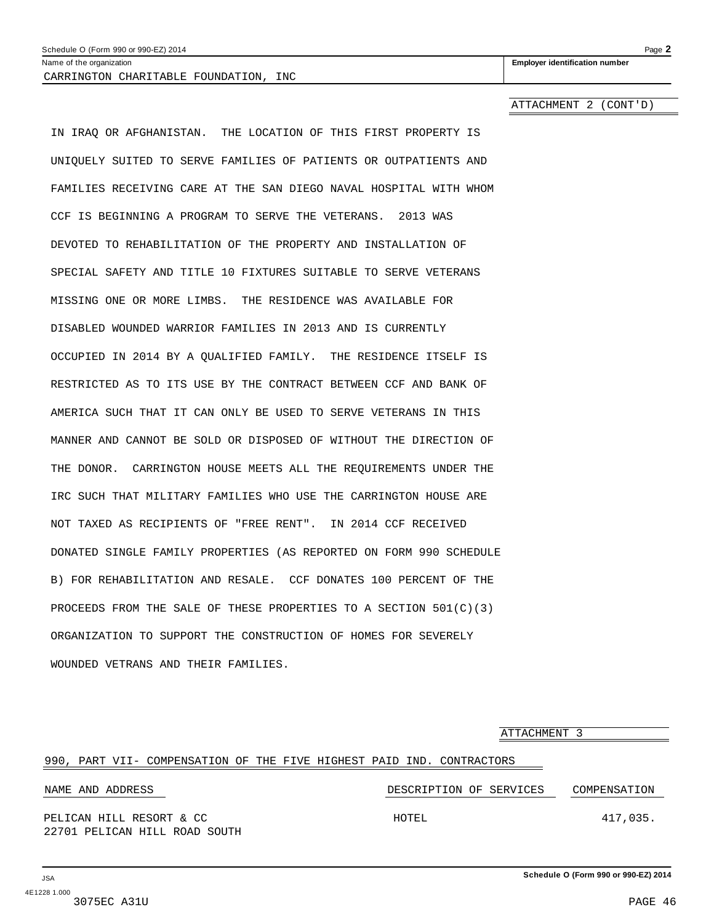<span id="page-45-0"></span>Name of the organization **intervalsion Employer identification number Employer identification number** CARRINGTON CHARITABLE FOUNDATION, INC

ATTACHMENT 2 (CONT'D)

IN IRAQ OR AFGHANISTAN. THE LOCATION OF THIS FIRST PROPERTY IS UNIQUELY SUITED TO SERVE FAMILIES OF PATIENTS OR OUTPATIENTS AND FAMILIES RECEIVING CARE AT THE SAN DIEGO NAVAL HOSPITAL WITH WHOM CCF IS BEGINNING A PROGRAM TO SERVE THE VETERANS. 2013 WAS DEVOTED TO REHABILITATION OF THE PROPERTY AND INSTALLATION OF SPECIAL SAFETY AND TITLE 10 FIXTURES SUITABLE TO SERVE VETERANS MISSING ONE OR MORE LIMBS. THE RESIDENCE WAS AVAILABLE FOR DISABLED WOUNDED WARRIOR FAMILIES IN 2013 AND IS CURRENTLY OCCUPIED IN 2014 BY A QUALIFIED FAMILY. THE RESIDENCE ITSELF IS RESTRICTED AS TO ITS USE BY THE CONTRACT BETWEEN CCF AND BANK OF AMERICA SUCH THAT IT CAN ONLY BE USED TO SERVE VETERANS IN THIS MANNER AND CANNOT BE SOLD OR DISPOSED OF WITHOUT THE DIRECTION OF THE DONOR. CARRINGTON HOUSE MEETS ALL THE REQUIREMENTS UNDER THE IRC SUCH THAT MILITARY FAMILIES WHO USE THE CARRINGTON HOUSE ARE NOT TAXED AS RECIPIENTS OF "FREE RENT". IN 2014 CCF RECEIVED DONATED SINGLE FAMILY PROPERTIES (AS REPORTED ON FORM 990 SCHEDULE B) FOR REHABILITATION AND RESALE. CCF DONATES 100 PERCENT OF THE PROCEEDS FROM THE SALE OF THESE PROPERTIES TO A SECTION 501(C)(3) ORGANIZATION TO SUPPORT THE CONSTRUCTION OF HOMES FOR SEVERELY WOUNDED VETRANS AND THEIR FAMILIES.

ATTACHMENT 3 990, PART VII- COMPENSATION OF THE FIVE HIGHEST PAID IND. CONTRACTORS NAME AND ADDRESS DESCRIPTION OF SERVICES COMPENSATION PELICAN HILL RESORT & CC HOTEL 417,035. 22701 PELICAN HILL ROAD SOUTH

**Schedule O (Form 990 or 990-EZ) 2014**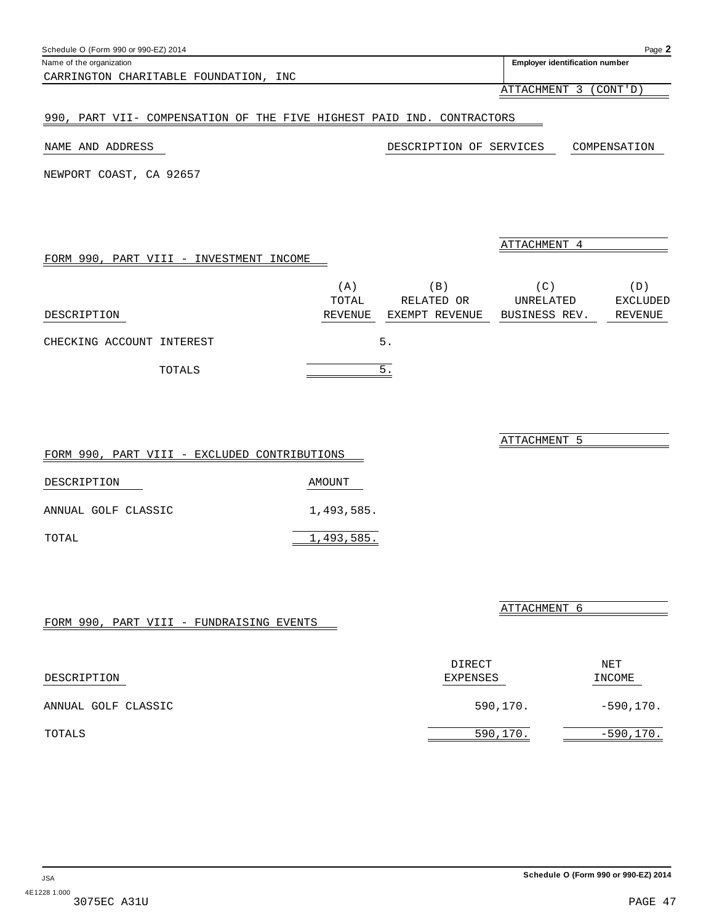**Schedule O (Form 990 or 990-EZ) 2014**

Name of the organization **intervalse and the organization intervalse and the organization number Employer identification number** 

ATTACHMENT 4

ATTACHMENT 5

ATTACHMENT 6

DIRECT NET

ATTACHMENT 3 (CONT'D)

## 990, PART VII- COMPENSATION OF THE FIVE HIGHEST PAID IND. CONTRACTORS

#### NAME AND ADDRESS DESCRIPTION OF SERVICES COMPENSATION

NEWPORT COAST, CA 92657

CARRINGTON CHARITABLE FOUNDATION, INC

FORM 990, PART VIII - INVESTMENT INCOME

|                           |        | (A)     | $\vert B \vert$ | (C)           | (D)      |
|---------------------------|--------|---------|-----------------|---------------|----------|
|                           |        | TOTAL   | RELATED OR      | UNRELATED     | EXCLUDED |
| DESCRIPTION               |        | REVENUE | EXEMPT REVENUE  | BUSINESS REV. | REVENUE  |
| CHECKING ACCOUNT INTEREST |        |         | 5.              |               |          |
|                           | TOTALS |         | 5               |               |          |

|       |                     |  |  | FORM 990, PART VIII - EXCLUDED CONTRIBUTIONS |
|-------|---------------------|--|--|----------------------------------------------|
|       | DESCRIPTION         |  |  | AMOUNT                                       |
|       | ANNUAL GOLF CLASSIC |  |  | 1,493,585.                                   |
| TOTAL |                     |  |  | 1,493,585.                                   |

|  |  | FORM 990, PART VIII - FUNDRAISING EVENTS |  |
|--|--|------------------------------------------|--|
|  |  |                                          |  |

| DESCRIPTION         | EXPENSES | INCOME      |
|---------------------|----------|-------------|
| ANNUAL GOLF CLASSIC | 590,170. | $-590,170.$ |
| TOTALS              | 590,170. | $-590,170.$ |

| TOTALS |                                   |  |  |
|--------|-----------------------------------|--|--|
|        |                                   |  |  |
|        | ART VIII - EXCLUDED CONTRIBUTIONS |  |  |

<span id="page-46-0"></span>

| Schedule O (Form 990 or 990-EZ) 2014 | Page. |
|--------------------------------------|-------|
|                                      |       |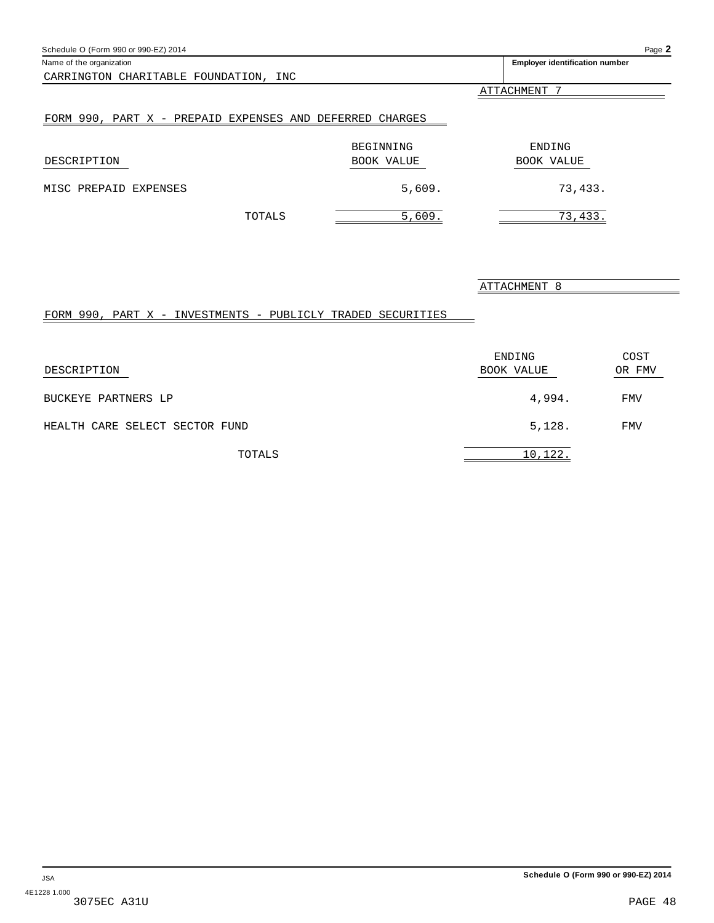<span id="page-47-0"></span>

| Schedule O (Form 990 or 990-EZ) 2014                     |            | Page 2                                |
|----------------------------------------------------------|------------|---------------------------------------|
| Name of the organization                                 |            | <b>Employer identification number</b> |
| CARRINGTON CHARITABLE FOUNDATION, INC                    |            |                                       |
|                                                          |            | ATTACHMENT 7                          |
| FORM 990, PART X - PREPAID EXPENSES AND DEFERRED CHARGES | BEGINNING  | ENDING                                |
| DESCRIPTION                                              | BOOK VALUE | BOOK VALUE                            |
| MISC PREPAID EXPENSES                                    | 5,609.     | 73,433.                               |
| TOTALS                                                   | 5,609.     | 73,433.                               |

## ATTACHMENT 8

## FORM 990, PART X - INVESTMENTS - PUBLICLY TRADED SECURITIES

| DESCRIPTION                    | ENDING<br>BOOK VALUE | COST<br>OR FMV |
|--------------------------------|----------------------|----------------|
| BUCKEYE PARTNERS LP            | 4,994.               | <b>FMV</b>     |
| HEALTH CARE SELECT SECTOR FUND | 5,128.               | <b>FMV</b>     |
| TOTALS                         | 10,122.              |                |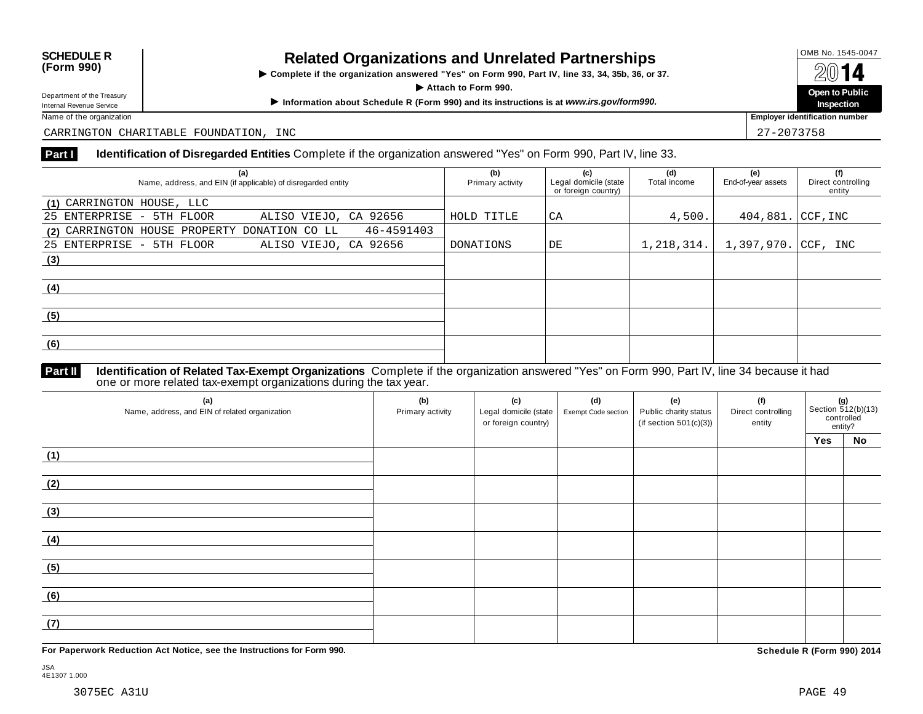# **OMB No. 1545-0047**<br>
(Form 990) **Related Organizations and Unrelated Partnerships
(Form 990) <b>South A**

**Example 18 AVELATION** Complete if the organization answered "Yes" on Form 990, Part IV, line 33, 34, 35b, 36, or 37. I **Department of the Treasury**<br>Department of the Treasury<br>Department of the Treasury

Department of the Treasury<br>
Information about Schedule R (Form 990) and its instructions is at www.irs.gov/form990.<br>
Name of the organization **about Schedule R** (Form 990) and its instructions is at www.irs.gov/form990.

**Inspection**

**Employer identification number** 

CARRINGTON CHARITABLE FOUNDATION, INC 27-2007 EXPLORE THE SERVICE OF STREET AND RESERVE THE SERVICE OF STREET AND THE SERVICE OF STREET AND RESERVE THE SERVICE OF STREET AND RESERVE THE SERVICE OF STREET AND RESERVE THE SE

#### **Part I Identification of Disregarded Entities** Complete if the organization answered "Yes" on Form 990, Part IV, line 33.

| (a)<br>Name, address, and EIN (if applicable) of disregarded entity | (b)<br>Primary activity | (c)<br>Legal domicile (state<br>or foreign country) | (d)<br>Total income | (e)<br>End-of-year assets | (f)<br>Direct controlling<br>entity |
|---------------------------------------------------------------------|-------------------------|-----------------------------------------------------|---------------------|---------------------------|-------------------------------------|
| (1) CARRINGTON HOUSE, LLC                                           |                         |                                                     |                     |                           |                                     |
| 25 ENTERPRISE - 5TH FLOOR<br>ALISO VIEJO, CA 92656                  | HOLD TITLE              | СA                                                  | 4,500.              | $404,881.$ CCF, INC       |                                     |
| 46-4591403<br>(2) CARRINGTON HOUSE PROPERTY DONATION CO LL          |                         |                                                     |                     |                           |                                     |
| 25 ENTERPRISE - 5TH FLOOR<br>ALISO VIEJO, CA 92656                  | DONATIONS               | DE                                                  | 1,218,314.          | 1,397,970. CCF, INC       |                                     |
| (3)                                                                 |                         |                                                     |                     |                           |                                     |
|                                                                     |                         |                                                     |                     |                           |                                     |
| (4)                                                                 |                         |                                                     |                     |                           |                                     |
|                                                                     |                         |                                                     |                     |                           |                                     |
| (5)                                                                 |                         |                                                     |                     |                           |                                     |
|                                                                     |                         |                                                     |                     |                           |                                     |
| (6)                                                                 |                         |                                                     |                     |                           |                                     |
|                                                                     |                         |                                                     |                     |                           |                                     |

#### **Identification of Related Tax-Exempt Organizations** Complete if the organization answered "Yes" on Form 990, Part IV, line 34 because it had **Part II Identification of Related Tax-Exempt Organizations** Complete i<br>one or more related tax-exempt organizations during the tax year.

| (a)<br>Name, address, and EIN of related organization | (b)<br>Primary activity | (c)<br>Legal domicile (state<br>or foreign country) | (d)<br>Exempt Code section | (e)<br>Public charity status<br>(if section $501(c)(3)$ ) | (f)<br>Direct controlling<br>entity | (g)<br>Section 512(b)(13)<br>controlled<br>entity? |    |
|-------------------------------------------------------|-------------------------|-----------------------------------------------------|----------------------------|-----------------------------------------------------------|-------------------------------------|----------------------------------------------------|----|
|                                                       |                         |                                                     |                            |                                                           |                                     | Yes                                                | No |
| (1)                                                   |                         |                                                     |                            |                                                           |                                     |                                                    |    |
| (2)                                                   |                         |                                                     |                            |                                                           |                                     |                                                    |    |
| (3)                                                   |                         |                                                     |                            |                                                           |                                     |                                                    |    |
| (4)                                                   |                         |                                                     |                            |                                                           |                                     |                                                    |    |
| (5)                                                   |                         |                                                     |                            |                                                           |                                     |                                                    |    |
| (6)                                                   |                         |                                                     |                            |                                                           |                                     |                                                    |    |
| (7)                                                   |                         |                                                     |                            |                                                           |                                     |                                                    |    |

**For Paperwork Reduction Act Notice, see the Instructions for Form 990. Schedule R (Form 990) 2014**

JSA 4E1307 1.000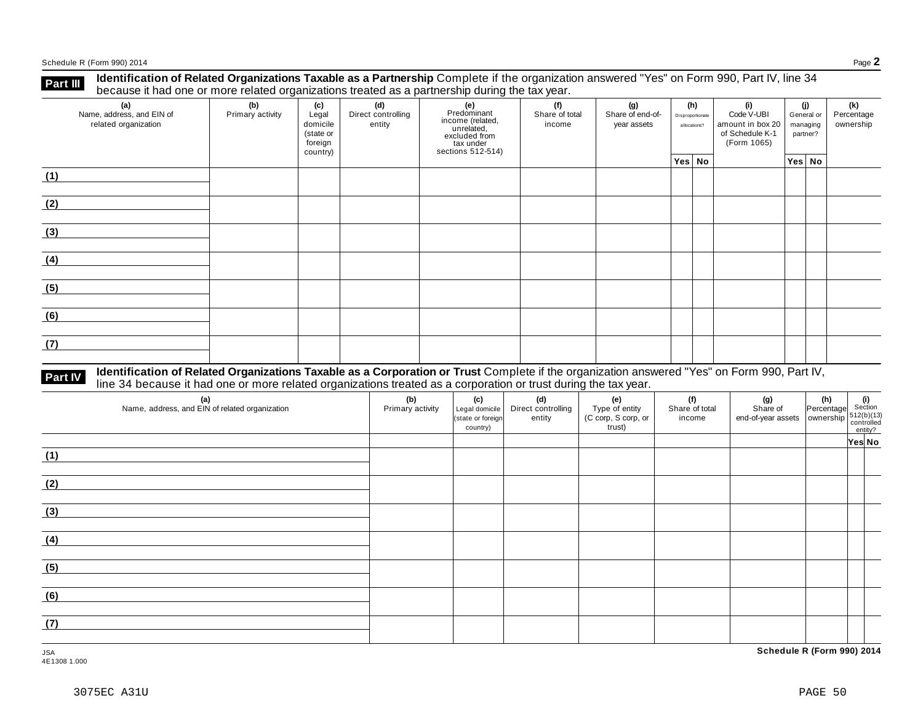Schedule <sup>R</sup> (Form 990) <sup>2014</sup> Page **2**

**Identification of Related Organizations Taxable as a Partnership** Complete if the organization answered "Yes" on Form 990, Part IV, line 34 **because it had one or more related organizations Taxable as a Partnership** Complete if the organizations treated as a partnership during the tax year.

| (a)<br>Name, address, and EIN of<br>related organization | (b)<br>Primary activity | (c)<br>Legal<br>domicile<br>(state or<br>foreign<br>country) | (d)<br>Direct controlling<br>entity | (e)<br>Predominant<br>income (related,<br>unrelated,<br>excluded from<br>tax under<br>sections 512-514) | (f)<br>Share of total<br>income | (g)<br>Share of end-of-<br>year assets |        | (h)<br>Disproportionate<br>allocations? | (i)<br>Code V-UBI<br>amount in box 20<br>of Schedule K-1<br>(Form 1065) | (j)<br>General or<br>managing<br>partner? |  | (k)<br>Percentage<br>ownership |
|----------------------------------------------------------|-------------------------|--------------------------------------------------------------|-------------------------------------|---------------------------------------------------------------------------------------------------------|---------------------------------|----------------------------------------|--------|-----------------------------------------|-------------------------------------------------------------------------|-------------------------------------------|--|--------------------------------|
|                                                          |                         |                                                              |                                     |                                                                                                         |                                 |                                        | Yes No |                                         |                                                                         | Yes No                                    |  |                                |
| (1)                                                      |                         |                                                              |                                     |                                                                                                         |                                 |                                        |        |                                         |                                                                         |                                           |  |                                |
| (2)                                                      |                         |                                                              |                                     |                                                                                                         |                                 |                                        |        |                                         |                                                                         |                                           |  |                                |
| (3)                                                      |                         |                                                              |                                     |                                                                                                         |                                 |                                        |        |                                         |                                                                         |                                           |  |                                |
| (4)                                                      |                         |                                                              |                                     |                                                                                                         |                                 |                                        |        |                                         |                                                                         |                                           |  |                                |
| (5)                                                      |                         |                                                              |                                     |                                                                                                         |                                 |                                        |        |                                         |                                                                         |                                           |  |                                |
| (6)                                                      |                         |                                                              |                                     |                                                                                                         |                                 |                                        |        |                                         |                                                                         |                                           |  |                                |
| (7)                                                      |                         |                                                              |                                     |                                                                                                         |                                 |                                        |        |                                         |                                                                         |                                           |  |                                |

# **Part IV** Identification of Related Organizations Taxable as a Corporation or Trust Complete if the organization answered "Yes" on Form 990, Part IV,<br>line 34 because it had one or more related organizations treated as a co

| (a)<br>Name, address, and EIN of related organization | (b)<br>Primary activity | (c)<br>Legal domicile<br>(state or foreign<br>country) | (d)<br>Direct controlling<br>entity | (e)<br>Type of entity<br>(C corp, S corp, or<br>trust) | (f)<br>Share of total<br>income | (g) (h) $\frac{1}{\sqrt{2}}$ (i) $\frac{1}{\sqrt{2}}$ (i) $\frac{1}{\sqrt{2}}$ (i) $\frac{1}{\sqrt{2}}$ (b) $\frac{1}{\sqrt{2}}$ (b) $\frac{1}{\sqrt{2}}$ (b) $\frac{1}{\sqrt{2}}$ (c) $\frac{1}{\sqrt{2}}$ (c) $\frac{1}{\sqrt{2}}$ (c) $\frac{1}{\sqrt{2}}$ (c) $\frac{1}{\sqrt{2}}$ (c) $\frac{1}{\sqrt{2}}$ (c) $\frac{1}{\sqrt{$ |        |
|-------------------------------------------------------|-------------------------|--------------------------------------------------------|-------------------------------------|--------------------------------------------------------|---------------------------------|---------------------------------------------------------------------------------------------------------------------------------------------------------------------------------------------------------------------------------------------------------------------------------------------------------------------------------------|--------|
|                                                       |                         |                                                        |                                     |                                                        |                                 |                                                                                                                                                                                                                                                                                                                                       | Yes No |
| (1)                                                   |                         |                                                        |                                     |                                                        |                                 |                                                                                                                                                                                                                                                                                                                                       |        |
| (2)                                                   |                         |                                                        |                                     |                                                        |                                 |                                                                                                                                                                                                                                                                                                                                       |        |
| (3)                                                   |                         |                                                        |                                     |                                                        |                                 |                                                                                                                                                                                                                                                                                                                                       |        |
| (4)                                                   |                         |                                                        |                                     |                                                        |                                 |                                                                                                                                                                                                                                                                                                                                       |        |
| (5)                                                   |                         |                                                        |                                     |                                                        |                                 |                                                                                                                                                                                                                                                                                                                                       |        |
| (6)                                                   |                         |                                                        |                                     |                                                        |                                 |                                                                                                                                                                                                                                                                                                                                       |        |
| (7)                                                   |                         |                                                        |                                     |                                                        |                                 |                                                                                                                                                                                                                                                                                                                                       |        |

JSA **Schedule R (Form 990) 2014**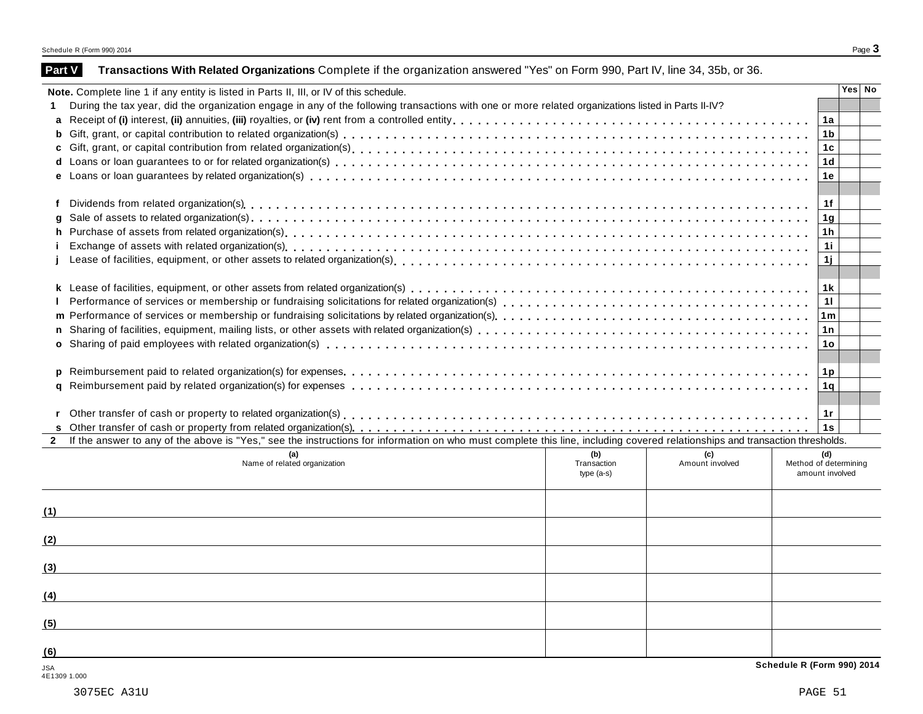| Part V |  |  |  | Transactions With Related Organizations Complete if the organization answered "Yes" on Form 990, Part IV, line 34, 35b, or 36. |
|--------|--|--|--|--------------------------------------------------------------------------------------------------------------------------------|
|--------|--|--|--|--------------------------------------------------------------------------------------------------------------------------------|

|              | Note. Complete line 1 if any entity is listed in Parts II, III, or IV of this schedule.                                                                                                                                        |                 | Yes No |  |
|--------------|--------------------------------------------------------------------------------------------------------------------------------------------------------------------------------------------------------------------------------|-----------------|--------|--|
| 1.           | During the tax year, did the organization engage in any of the following transactions with one or more related organizations listed in Parts II-IV?                                                                            |                 |        |  |
|              |                                                                                                                                                                                                                                | 1a              |        |  |
| b            |                                                                                                                                                                                                                                | 1 <sub>b</sub>  |        |  |
| c            |                                                                                                                                                                                                                                | 1c              |        |  |
| d            |                                                                                                                                                                                                                                | 1 <sub>d</sub>  |        |  |
|              |                                                                                                                                                                                                                                | 1e              |        |  |
|              |                                                                                                                                                                                                                                |                 |        |  |
| f            | Dividends from related organization(s) enterpresent contact control or contact contact contact contact contact contact contact contact contact contact contact contact contact contact contact contact contact contact contact | 1f              |        |  |
| q            |                                                                                                                                                                                                                                | 1 <sub>g</sub>  |        |  |
| h            |                                                                                                                                                                                                                                | 1h              |        |  |
|              |                                                                                                                                                                                                                                | 1i              |        |  |
|              |                                                                                                                                                                                                                                | 1j              |        |  |
|              |                                                                                                                                                                                                                                |                 |        |  |
|              |                                                                                                                                                                                                                                | 1 k             |        |  |
|              |                                                                                                                                                                                                                                | 11              |        |  |
|              |                                                                                                                                                                                                                                | 1 <sub>m</sub>  |        |  |
|              |                                                                                                                                                                                                                                | 1n              |        |  |
|              |                                                                                                                                                                                                                                | 1o              |        |  |
|              |                                                                                                                                                                                                                                |                 |        |  |
| p            |                                                                                                                                                                                                                                | 1p              |        |  |
|              |                                                                                                                                                                                                                                | 1q              |        |  |
|              |                                                                                                                                                                                                                                |                 |        |  |
| r            |                                                                                                                                                                                                                                | 1r              |        |  |
|              |                                                                                                                                                                                                                                | 1s              |        |  |
| $\mathbf{2}$ | If the answer to any of the above is "Yes," see the instructions for information on who must complete this line, including covered relationships and transaction thresholds.                                                   |                 |        |  |
|              | (b)<br>(a)<br>(c)                                                                                                                                                                                                              | (d)             |        |  |
|              | Amount involved<br>Name of related organization<br>Transaction<br>Method of determining                                                                                                                                        |                 |        |  |
|              | $type(a-s)$                                                                                                                                                                                                                    | amount involved |        |  |
|              |                                                                                                                                                                                                                                |                 |        |  |
|              |                                                                                                                                                                                                                                |                 |        |  |
| (1)          |                                                                                                                                                                                                                                |                 |        |  |
|              |                                                                                                                                                                                                                                |                 |        |  |
| (2)          |                                                                                                                                                                                                                                |                 |        |  |
|              |                                                                                                                                                                                                                                |                 |        |  |
| (3)          |                                                                                                                                                                                                                                |                 |        |  |
|              |                                                                                                                                                                                                                                |                 |        |  |
| (4)          |                                                                                                                                                                                                                                |                 |        |  |
|              |                                                                                                                                                                                                                                |                 |        |  |
| (5)          |                                                                                                                                                                                                                                |                 |        |  |
|              |                                                                                                                                                                                                                                |                 |        |  |
| (6)          |                                                                                                                                                                                                                                |                 |        |  |

4E1309 1.000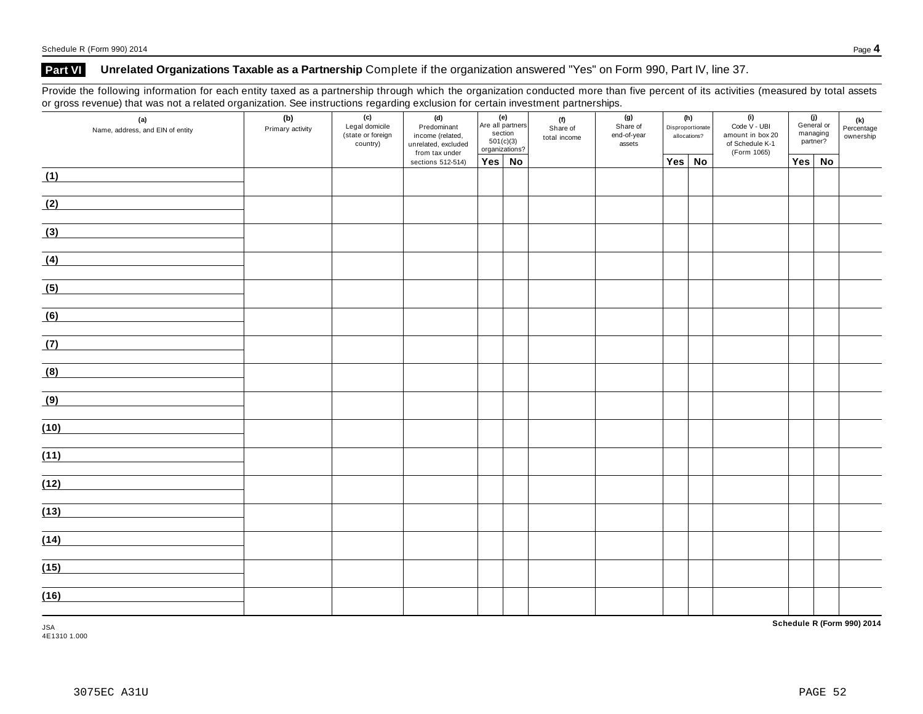## **Part VI Unrelated Organizations Taxable as a Partnership** Complete if the organization answered "Yes" on Form 990, Part IV, line 37.

Provide the following information for each entity taxed as a partnership through which the organization conducted more than five percent of its activities (measured by total assets or gross revenue) that was not a related organization. See instructions regarding exclusion for certain investment partnerships.

|      | (a)<br>Name, address, and EIN of entity | (b)<br>Primary activity | (c)<br>(e)<br>(d)<br>(f)<br>Are all partners<br>Legal domicile<br>Predominant<br>Share of<br>section<br>(state or foreign<br>income (related,<br>501(c)(3)<br>country)<br>unrelated, excluded<br>organizations?<br>from tax under |                   | total income  | (g)<br>(h)<br>Share of<br>Disproportionate<br>end-of-year<br>allocations?<br>assets |  |  | (i)<br>(j)<br>General or<br>Code V - UBI<br>managing<br>amount in box 20<br>partner?<br>of Schedule K-1<br>(Form 1065) |        | (k)<br>Percentage<br>ownership |               |  |
|------|-----------------------------------------|-------------------------|-----------------------------------------------------------------------------------------------------------------------------------------------------------------------------------------------------------------------------------|-------------------|---------------|-------------------------------------------------------------------------------------|--|--|------------------------------------------------------------------------------------------------------------------------|--------|--------------------------------|---------------|--|
|      |                                         |                         |                                                                                                                                                                                                                                   | sections 512-514) | $Yes \mid No$ |                                                                                     |  |  |                                                                                                                        | Yes No |                                | $Yes \mid No$ |  |
| (1)  |                                         |                         |                                                                                                                                                                                                                                   |                   |               |                                                                                     |  |  |                                                                                                                        |        |                                |               |  |
| (2)  |                                         |                         |                                                                                                                                                                                                                                   |                   |               |                                                                                     |  |  |                                                                                                                        |        |                                |               |  |
| (3)  |                                         |                         |                                                                                                                                                                                                                                   |                   |               |                                                                                     |  |  |                                                                                                                        |        |                                |               |  |
| (4)  |                                         |                         |                                                                                                                                                                                                                                   |                   |               |                                                                                     |  |  |                                                                                                                        |        |                                |               |  |
| (5)  |                                         |                         |                                                                                                                                                                                                                                   |                   |               |                                                                                     |  |  |                                                                                                                        |        |                                |               |  |
| (6)  |                                         |                         |                                                                                                                                                                                                                                   |                   |               |                                                                                     |  |  |                                                                                                                        |        |                                |               |  |
| (7)  |                                         |                         |                                                                                                                                                                                                                                   |                   |               |                                                                                     |  |  |                                                                                                                        |        |                                |               |  |
| (8)  |                                         |                         |                                                                                                                                                                                                                                   |                   |               |                                                                                     |  |  |                                                                                                                        |        |                                |               |  |
| (9)  |                                         |                         |                                                                                                                                                                                                                                   |                   |               |                                                                                     |  |  |                                                                                                                        |        |                                |               |  |
| (10) |                                         |                         |                                                                                                                                                                                                                                   |                   |               |                                                                                     |  |  |                                                                                                                        |        |                                |               |  |
| (11) |                                         |                         |                                                                                                                                                                                                                                   |                   |               |                                                                                     |  |  |                                                                                                                        |        |                                |               |  |
| (12) |                                         |                         |                                                                                                                                                                                                                                   |                   |               |                                                                                     |  |  |                                                                                                                        |        |                                |               |  |
| (13) |                                         |                         |                                                                                                                                                                                                                                   |                   |               |                                                                                     |  |  |                                                                                                                        |        |                                |               |  |
| (14) |                                         |                         |                                                                                                                                                                                                                                   |                   |               |                                                                                     |  |  |                                                                                                                        |        |                                |               |  |
| (15) |                                         |                         |                                                                                                                                                                                                                                   |                   |               |                                                                                     |  |  |                                                                                                                        |        |                                |               |  |
| (16) |                                         |                         |                                                                                                                                                                                                                                   |                   |               |                                                                                     |  |  |                                                                                                                        |        |                                |               |  |

**Schedule R (Form 990) 2014**

JSA 4E1310 1.000